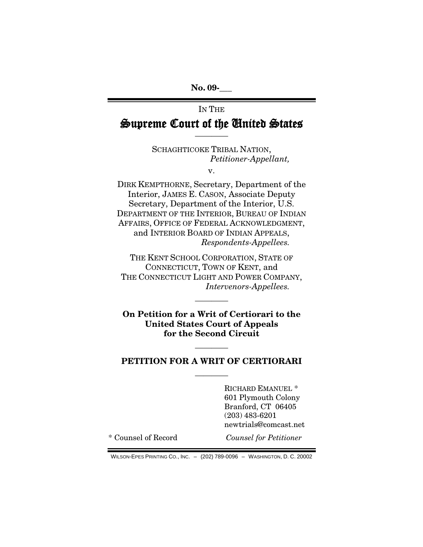**No. 09-\_\_\_**

# IN THE Supreme Court of the United States

————

SCHAGHTICOKE TRIBAL NATION, *Petitioner-Appellant,*

v.

DIRK KEMPTHORNE, Secretary, Department of the Interior, JAMES E. CASON, Associate Deputy Secretary, Department of the Interior, U.S. DEPARTMENT OF THE INTERIOR, BUREAU OF INDIAN AFFAIRS, OFFICE OF FEDERAL ACKNOWLEDGMENT, and INTERIOR BOARD OF INDIAN APPEALS, *Respondents-Appellees.*

THE KENT SCHOOL CORPORATION, STATE OF CONNECTICUT, TOWN OF KENT, and THE CONNECTICUT LIGHT AND POWER COMPANY, *Intervenors-Appellees.*

**On Petition for a Writ of Certiorari to the United States Court of Appeals for the Second Circuit**

————

## ———— **PETITION FOR A WRIT OF CERTIORARI**

————

RICHARD EMANUEL \* 601 Plymouth Colony Branford, CT 06405 (203) 483-6201 newtrials@comcast.net

\* Counsel of Record *Counsel for Petitioner*

WILSON-EPES PRINTING CO., INC. – (202) 789-0096 – WASHINGTON, D. C. 20002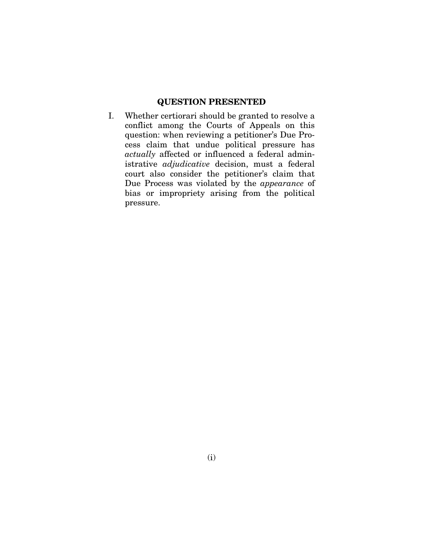### **QUESTION PRESENTED**

I. Whether certiorari should be granted to resolve a conflict among the Courts of Appeals on this question: when reviewing a petitioner's Due Process claim that undue political pressure has *actually* affected or influenced a federal administrative *adjudicative* decision, must a federal court also consider the petitioner's claim that Due Process was violated by the *appearance* of bias or impropriety arising from the political pressure.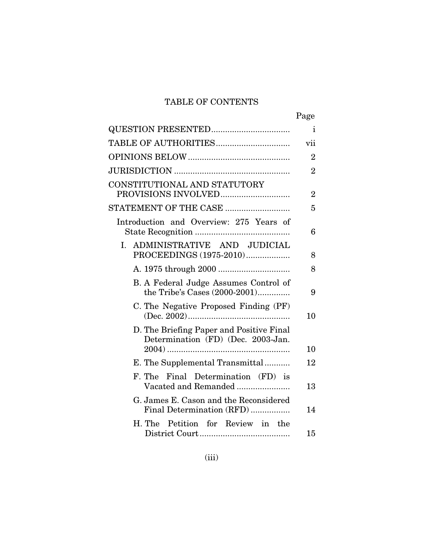# TABLE OF CONTENTS

|                                                                                | Page           |
|--------------------------------------------------------------------------------|----------------|
| <b>QUESTION PRESENTED</b>                                                      | $\mathbf{i}$   |
|                                                                                | vii            |
|                                                                                | $\overline{2}$ |
|                                                                                | $\overline{2}$ |
| CONSTITUTIONAL AND STATUTORY                                                   | $\overline{2}$ |
| STATEMENT OF THE CASE                                                          | 5              |
| Introduction and Overview: 275 Years of                                        | 6              |
| I. ADMINISTRATIVE AND JUDICIAL<br>PROCEEDINGS (1975-2010)                      | 8              |
|                                                                                | 8              |
| B. A Federal Judge Assumes Control of<br>the Tribe's Cases (2000-2001)         | 9              |
| C. The Negative Proposed Finding (PF)                                          | 10             |
| D. The Briefing Paper and Positive Final<br>Determination (FD) (Dec. 2003-Jan. |                |
|                                                                                | 10             |
| E. The Supplemental Transmittal                                                | 12             |
| F. The Final Determination (FD) is<br>Vacated and Remanded                     | 13             |
| G. James E. Cason and the Reconsidered<br>Final Determination (RFD)            | 14             |
| H. The Petition for Review in the                                              | 15             |
|                                                                                |                |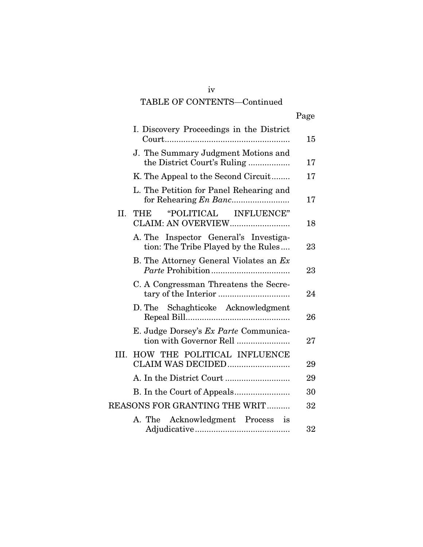# TABLE OF CONTENTS—Continued

|      |                                                                              | Page |
|------|------------------------------------------------------------------------------|------|
|      | I. Discovery Proceedings in the District                                     | 15   |
|      | J. The Summary Judgment Motions and<br>the District Court's Ruling           | 17   |
|      | K. The Appeal to the Second Circuit                                          | 17   |
|      | L. The Petition for Panel Rehearing and<br>for Rehearing <i>En Banc</i>      | 17   |
| II.  | "POLITICAL INFLUENCE"<br>THE<br>CLAIM: AN OVERVIEW                           | 18   |
|      | A. The Inspector General's Investiga-<br>tion: The Tribe Played by the Rules | 23   |
|      | B. The Attorney General Violates an Ex                                       | 23   |
|      | C. A Congressman Threatens the Secre-                                        | 24   |
|      | D. The Schaghticoke Acknowledgment                                           | 26   |
|      | E. Judge Dorsey's Ex Parte Communica-<br>tion with Governor Rell             | 27   |
| III. | HOW THE POLITICAL INFLUENCE<br>CLAIM WAS DECIDED                             | 29   |
|      |                                                                              | 29   |
|      |                                                                              | 30   |
|      | <b>REASONS FOR GRANTING THE WRIT</b>                                         | 32   |
|      | A. The<br>Acknowledgment Process is                                          | 32   |

iv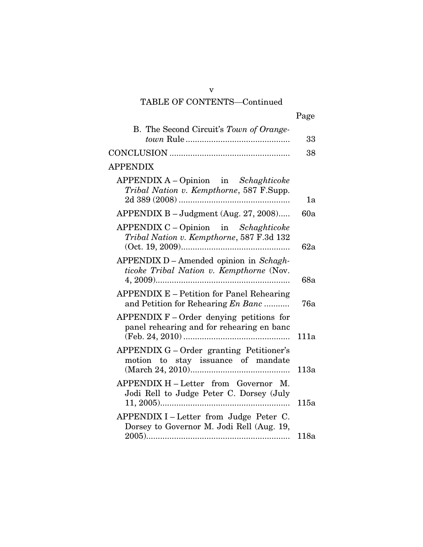### v TABLE OF CONTENTS—Continued

| ο<br>я<br>− |
|-------------|
|-------------|

| B. The Second Circuit's Town of Orange-                                                         | 33  |
|-------------------------------------------------------------------------------------------------|-----|
|                                                                                                 |     |
|                                                                                                 | 38  |
| <b>APPENDIX</b>                                                                                 |     |
| $APPENDIX A - Opinion$ in $Schaghticoke$<br>Tribal Nation v. Kempthorne, 587 F.Supp.            | 1a  |
| $APPENDIX B - Judgment (Aug. 27, 2008)$                                                         | 60a |
| APPENDIX C - Opinion in Schaghticoke<br>Tribal Nation v. Kempthorne, 587 F.3d 132               | 62a |
| APPENDIX D - Amended opinion in Schagh-<br>ticoke Tribal Nation v. Kempthorne (Nov.             | 68a |
| <b>APPENDIX E – Petition for Panel Rehearing</b><br>and Petition for Rehearing <i>En Banc</i>   | 76a |
| $APPENDIX F - Order$ denying petitions for<br>panel rehearing and for rehearing en banc<br>111a |     |
| APPENDIX G - Order granting Petitioner's<br>motion to stay issuance of mandate<br>113a          |     |
| APPENDIX H - Letter from Governor M.<br>Jodi Rell to Judge Peter C. Dorsey (July<br>115a        |     |
| APPENDIX I-Letter from Judge Peter C.<br>Dorsey to Governor M. Jodi Rell (Aug. 19,<br>118a      |     |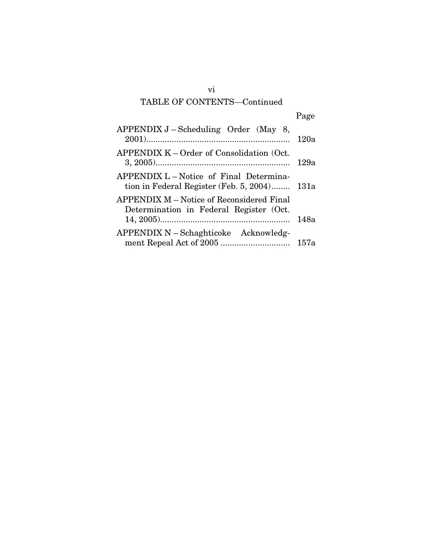# vi TABLE OF CONTENTS—Continued

| M.<br>۰. |
|----------|
|----------|

| APPENDIX $J$ – Scheduling Order (May 8,                                                 | 120a |
|-----------------------------------------------------------------------------------------|------|
| APPENDIX K – Order of Consolidation (Oct.                                               | 129a |
| APPENDIX L – Notice of Final Determina-<br>tion in Federal Register (Feb. 5, 2004) 131a |      |
| APPENDIX M – Notice of Reconsidered Final<br>Determination in Federal Register (Oct.    | 148a |
| APPENDIX N – Schaghticoke Acknowledg-                                                   | 157a |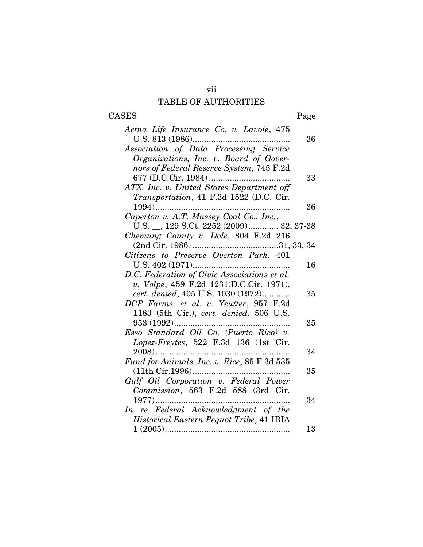# vii TABLE OF AUTHORITIES

| <b>CASES</b> |  |  |
|--------------|--|--|
|              |  |  |

S Page

| Aetna Life Insurance Co. v. Lavoie, 475                          | 36 |
|------------------------------------------------------------------|----|
| Association of Data Processing Service                           |    |
|                                                                  |    |
| Organizations, Inc. v. Board of Gover-                           |    |
| nors of Federal Reserve System, 745 F.2d                         |    |
|                                                                  | 33 |
| ATX, Inc. v. United States Department off                        |    |
| Transportation, 41 F.3d 1522 (D.C. Cir.                          |    |
|                                                                  | 36 |
| Caperton v. A.T. Massey Coal Co., Inc., $\overline{\phantom{a}}$ |    |
| U.S. _, 129 S.Ct. 2252 (2009)  32, 37-38                         |    |
| Chemung County v. Dole, 804 F.2d 216                             |    |
|                                                                  |    |
| Citizens to Preserve Overton Park, 401                           |    |
|                                                                  | 16 |
| D.C. Federation of Civic Associations et al.                     |    |
| v. Volpe, 459 F.2d 1231(D.C.Cir. 1971),                          |    |
| cert. denied, 405 U.S. 1030 (1972)                               | 35 |
| DCP Farms, et al. v. Yeutter, 957 F.2d                           |    |
| 1183 (5th Cir.), cert. denied, 506 U.S.                          |    |
| $953(1992)$                                                      | 35 |
| Esso Standard Oil Co. (Puerto Rico) v.                           |    |
| Lopez-Freytes, 522 F.3d 136 (1st Cir.                            |    |
| $2008)$                                                          | 34 |
| Fund for Animals, Inc. v. Rice, 85 F.3d 535                      |    |
|                                                                  | 35 |
|                                                                  |    |
| Gulf Oil Corporation v. Federal Power                            |    |
| Commission, 563 F.2d 588 (3rd Cir.                               |    |
| $1977)$                                                          | 34 |
| In re Federal Acknowledgment of the                              |    |
| Historical Eastern Pequot Tribe, 41 IBIA                         |    |
|                                                                  | 13 |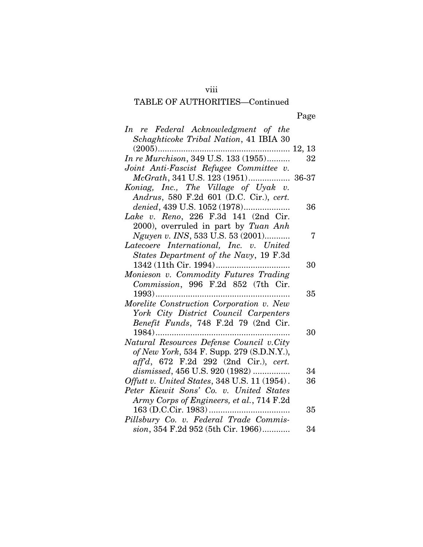# TABLE OF AUTHORITIES—Continued

Page

| In re Federal Acknowledgment of the          |    |
|----------------------------------------------|----|
| Schaghticoke Tribal Nation, 41 IBIA 30       |    |
|                                              |    |
| In re Murchison, 349 U.S. 133 (1955)         | 32 |
| Joint Anti-Fascist Refugee Committee v.      |    |
| McGrath, 341 U.S. 123 (1951) 36-37           |    |
| Koniag, Inc., The Village of Uyak v.         |    |
| Andrus, 580 F.2d 601 (D.C. Cir.), cert.      |    |
| denied, 439 U.S. 1052 (1978)                 | 36 |
| Lake v. Reno, 226 F.3d 141 (2nd Cir.         |    |
| 2000), overruled in part by Tuan Anh         |    |
| Nguyen v. INS, 533 U.S. 53 (2001)            | 7  |
| Latecoere International, Inc. v. United      |    |
| States Department of the Navy, 19 F.3d       |    |
|                                              | 30 |
| Monieson v. Commodity Futures Trading        |    |
| Commission, 996 F.2d 852 (7th Cir.           |    |
| 1993)                                        | 35 |
| Morelite Construction Corporation v. New     |    |
| York City District Council Carpenters        |    |
| Benefit Funds, 748 F.2d 79 (2nd Cir.         |    |
|                                              | 30 |
| Natural Resources Defense Council v.City     |    |
| of New York, 534 F. Supp. 279 (S.D.N.Y.),    |    |
| aff'd, 672 F.2d 292 (2nd Cir.), cert.        |    |
| dismissed, 456 U.S. 920 (1982)               | 34 |
| Offutt v. United States, 348 U.S. 11 (1954). | 36 |
| Peter Kiewit Sons' Co. v. United States      |    |
| Army Corps of Engineers, et al., 714 F.2d    |    |
| 163 (D.C.Cir. 1983)                          | 35 |
| Pillsbury Co. v. Federal Trade Commis-       |    |
| sion, 354 F.2d 952 (5th Cir. 1966)           | 34 |

viii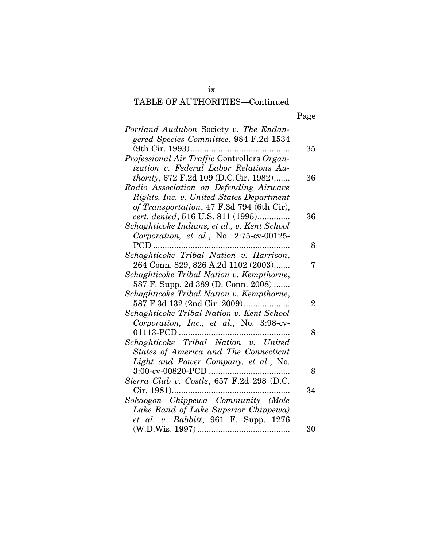# TABLE OF AUTHORITIES—Continued

|--|

| Portland Audubon Society v. The Endan-<br>gered Species Committee, 984 F.2d 1534 |                |
|----------------------------------------------------------------------------------|----------------|
|                                                                                  | 35             |
| Professional Air Traffic Controllers Organ-                                      |                |
| ization v. Federal Labor Relations Au-                                           |                |
| thority, 672 F.2d 109 (D.C.Cir. 1982)                                            | 36             |
| Radio Association on Defending Airwave                                           |                |
| Rights, Inc. v. United States Department                                         |                |
| of Transportation, 47 F.3d 794 (6th Cir),                                        |                |
| cert. denied, 516 U.S. 811 (1995)                                                | 36             |
| Schaghticoke Indians, et al., v. Kent School                                     |                |
| Corporation, et al., No. $2:75$ -cv-00125-                                       |                |
| PCD                                                                              | 8              |
| Schaghticoke Tribal Nation v. Harrison,                                          |                |
| 264 Conn. 829, 826 A.2d 1102 (2003)                                              | 7              |
| Schaghticoke Tribal Nation v. Kempthorne,                                        |                |
| 587 F. Supp. 2d 389 (D. Conn. 2008)                                              |                |
| Schaghticoke Tribal Nation v. Kempthorne,                                        |                |
| 587 F.3d 132 (2nd Cir. 2009)                                                     | $\overline{2}$ |
|                                                                                  |                |
| Schaghticoke Tribal Nation v. Kent School                                        |                |
| Corporation, Inc., et al., No. 3:98-cv-                                          |                |
|                                                                                  | 8              |
| Schaghticoke Tribal Nation v. United                                             |                |
| States of America and The Connecticut                                            |                |
| Light and Power Company, et al., No.                                             |                |
|                                                                                  | 8              |
| Sierra Club v. Costle, 657 F.2d 298 (D.C.                                        |                |
| Cir. 1981)                                                                       | 34             |
| Sokaogon Chippewa Community (Mole                                                |                |
| Lake Band of Lake Superior Chippewa)                                             |                |
| et al. v. Babbitt, 961 F. Supp. 1276                                             |                |
|                                                                                  | 30             |

ix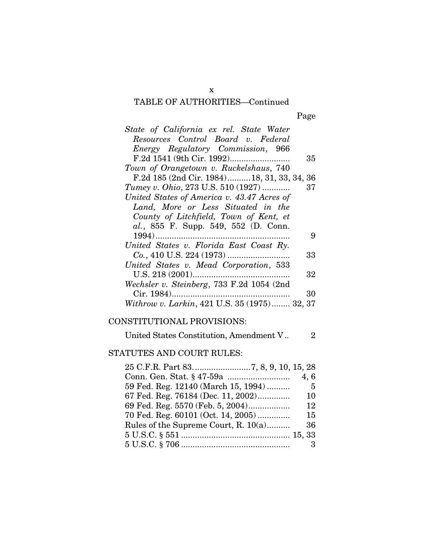### TABLE OF AUTHORITIES—Continued

| State of California ex rel. State Water      |
|----------------------------------------------|
| Resources Control Board v. Federal           |
| Energy Regulatory Commission, 966            |
| 35                                           |
| Town of Orangetown v. Ruckelshaus, 740       |
| F.2d 185 (2nd Cir. 1984) 18, 31, 33, 34, 36  |
| Tumey v. Ohio, 273 U.S. 510 (1927)<br>37     |
| United States of America v. 43.47 Acres of   |
| Land, More or Less Situated in the           |
| County of Litchfield, Town of Kent, et       |
| al., 855 F. Supp. 549, 552 (D. Conn.         |
| 9                                            |
| United States v. Florida East Coast Ry.      |
| 33                                           |
| United States v. Mead Corporation, 533       |
| 32                                           |
| Wechsler v. Steinberg, 733 F.2d 1054 (2nd    |
| 30                                           |
| Withrow v. Larkin, 421 U.S. 35 (1975) 32, 37 |

### CONSTITUTIONAL PROVISIONS:

United States Constitution, Amendment V.. 2

### STATUTES AND COURT RULES:

|                                        | 4,6 |
|----------------------------------------|-----|
| 59 Fed. Reg. 12140 (March 15, 1994)    | - 5 |
| 67 Fed. Reg. 76184 (Dec. 11, 2002)     | 10  |
|                                        | 12  |
| 70 Fed. Reg. 60101 (Oct. 14, 2005)     | 15  |
| Rules of the Supreme Court, R. $10(a)$ | 36  |
|                                        |     |
|                                        | 3   |

x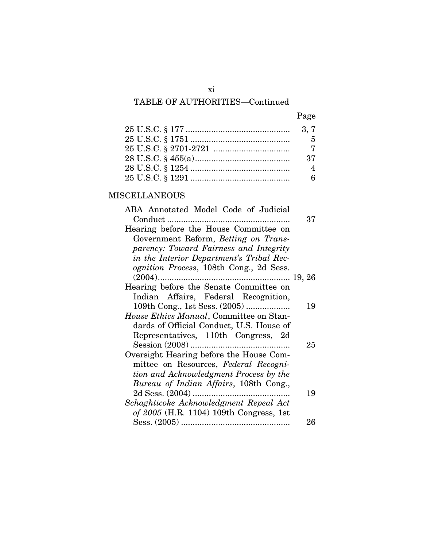# xi TABLE OF AUTHORITIES—Continued

| M.<br>I |
|---------|
|---------|

|                                    | $-5$               |
|------------------------------------|--------------------|
|                                    |                    |
|                                    | 37                 |
|                                    | $\mathbf{\Lambda}$ |
| $25 \text{ U.S.C.} \$ $1291 \dots$ |                    |

### MISCELLANEOUS

| ABA Annotated Model Code of Judicial            |    |
|-------------------------------------------------|----|
|                                                 | 37 |
| Hearing before the House Committee on           |    |
| Government Reform, Betting on Trans-            |    |
| parency: Toward Fairness and Integrity          |    |
| in the Interior Department's Tribal Rec-        |    |
| ognition Process, 108th Cong., 2d Sess.         |    |
|                                                 |    |
| Hearing before the Senate Committee on          |    |
| Indian Affairs, Federal Recognition,            |    |
| 109th Cong., 1st Sess. (2005)                   | 19 |
| <i>House Ethics Manual</i> , Committee on Stan- |    |
| dards of Official Conduct, U.S. House of        |    |
| Representatives, 110th Congress, 2d             |    |
|                                                 | 25 |
| Oversight Hearing before the House Com-         |    |
| mittee on Resources, Federal Recogni-           |    |
| tion and Acknowledgment Process by the          |    |
| Bureau of Indian Affairs, 108th Cong.,          |    |
|                                                 | 19 |
| Schaghticoke Acknowledgment Repeal Act          |    |
| of 2005 (H.R. 1104) 109th Congress, 1st         |    |
|                                                 | 26 |
|                                                 |    |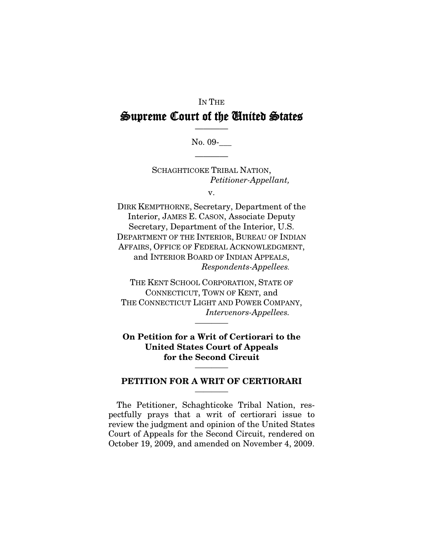# IN THE Supreme Court of the United States

————

No. 09-

————

SCHAGHTICOKE TRIBAL NATION, *Petitioner-Appellant,*

v.

DIRK KEMPTHORNE, Secretary, Department of the Interior, JAMES E. CASON, Associate Deputy Secretary, Department of the Interior, U.S. DEPARTMENT OF THE INTERIOR, BUREAU OF INDIAN AFFAIRS, OFFICE OF FEDERAL ACKNOWLEDGMENT, and INTERIOR BOARD OF INDIAN APPEALS, *Respondents-Appellees.*

THE KENT SCHOOL CORPORATION, STATE OF CONNECTICUT, TOWN OF KENT, and THE CONNECTICUT LIGHT AND POWER COMPANY, *Intervenors-Appellees.*

————

**On Petition for a Writ of Certiorari to the United States Court of Appeals for the Second Circuit**

#### **PETITION FOR A WRIT OF CERTIORARI** ————

————

The Petitioner, Schaghticoke Tribal Nation, respectfully prays that a writ of certiorari issue to review the judgment and opinion of the United States Court of Appeals for the Second Circuit, rendered on October 19, 2009, and amended on November 4, 2009.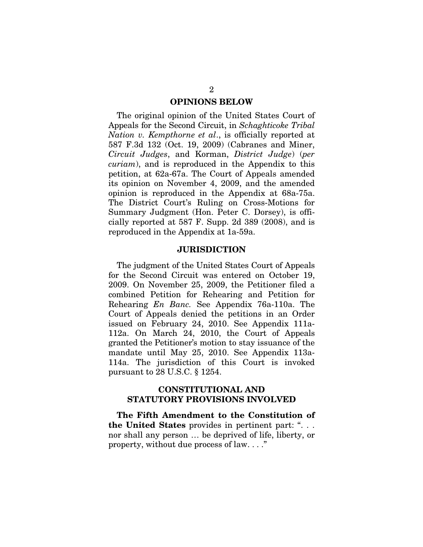#### **OPINIONS BELOW**

The original opinion of the United States Court of Appeals for the Second Circuit, in *Schaghticoke Tribal Nation v. Kempthorne et al*., is officially reported at 587 F.3d 132 (Oct. 19, 2009) (Cabranes and Miner, *Circuit Judges*, and Korman, *District Judge*) (*per curiam*), and is reproduced in the Appendix to this petition, at 62a-67a. The Court of Appeals amended its opinion on November 4, 2009, and the amended opinion is reproduced in the Appendix at 68a-75a. The District Court's Ruling on Cross-Motions for Summary Judgment (Hon. Peter C. Dorsey), is officially reported at 587 F. Supp. 2d 389 (2008), and is reproduced in the Appendix at 1a-59a.

#### **JURISDICTION**

The judgment of the United States Court of Appeals for the Second Circuit was entered on October 19, 2009. On November 25, 2009, the Petitioner filed a combined Petition for Rehearing and Petition for Rehearing *En Banc.* See Appendix 76a-110a. The Court of Appeals denied the petitions in an Order issued on February 24, 2010. See Appendix 111a-112a. On March 24, 2010, the Court of Appeals granted the Petitioner's motion to stay issuance of the mandate until May 25, 2010. See Appendix 113a-114a. The jurisdiction of this Court is invoked pursuant to 28 U.S.C. § 1254.

#### **CONSTITUTIONAL AND STATUTORY PROVISIONS INVOLVED**

**The Fifth Amendment to the Constitution of the United States** provides in pertinent part: ". . . nor shall any person … be deprived of life, liberty, or property, without due process of law. . . ."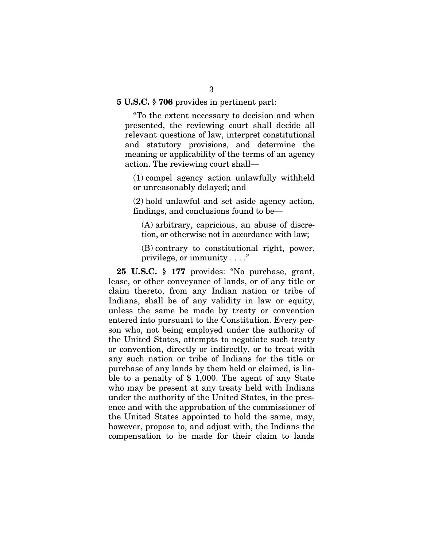"To the extent necessary to decision and when presented, the reviewing court shall decide all relevant questions of law, interpret constitutional and statutory provisions, and determine the meaning or applicability of the terms of an agency action. The reviewing court shall—

(1) compel agency action unlawfully withheld or unreasonably delayed; and

(2) hold unlawful and set aside agency action, findings, and conclusions found to be—

(A) arbitrary, capricious, an abuse of discretion, or otherwise not in accordance with law;

(B) contrary to constitutional right, power, privilege, or immunity . . . ."

**25 U.S.C. § 177** provides: "No purchase, grant, lease, or other conveyance of lands, or of any title or claim thereto, from any Indian nation or tribe of Indians, shall be of any validity in law or equity, unless the same be made by treaty or convention entered into pursuant to the Constitution. Every person who, not being employed under the authority of the United States, attempts to negotiate such treaty or convention, directly or indirectly, or to treat with any such nation or tribe of Indians for the title or purchase of any lands by them held or claimed, is liable to a penalty of \$ 1,000. The agent of any State who may be present at any treaty held with Indians under the authority of the United States, in the presence and with the approbation of the commissioner of the United States appointed to hold the same, may, however, propose to, and adjust with, the Indians the compensation to be made for their claim to lands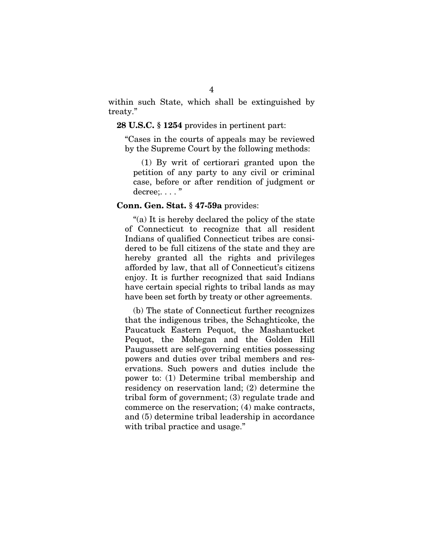within such State, which shall be extinguished by treaty."

#### **28 U.S.C. § 1254** provides in pertinent part:

"Cases in the courts of appeals may be reviewed by the Supreme Court by the following methods:

(1) By writ of certiorari granted upon the petition of any party to any civil or criminal case, before or after rendition of judgment or decree:..."

#### **Conn. Gen. Stat. § 47-59a** provides:

"(a) It is hereby declared the policy of the state of Connecticut to recognize that all resident Indians of qualified Connecticut tribes are considered to be full citizens of the state and they are hereby granted all the rights and privileges afforded by law, that all of Connecticut's citizens enjoy. It is further recognized that said Indians have certain special rights to tribal lands as may have been set forth by treaty or other agreements.

(b) The state of Connecticut further recognizes that the indigenous tribes, the Schaghticoke, the Paucatuck Eastern Pequot, the Mashantucket Pequot, the Mohegan and the Golden Hill Paugussett are self-governing entities possessing powers and duties over tribal members and reservations. Such powers and duties include the power to: (1) Determine tribal membership and residency on reservation land; (2) determine the tribal form of government; (3) regulate trade and commerce on the reservation; (4) make contracts, and (5) determine tribal leadership in accordance with tribal practice and usage."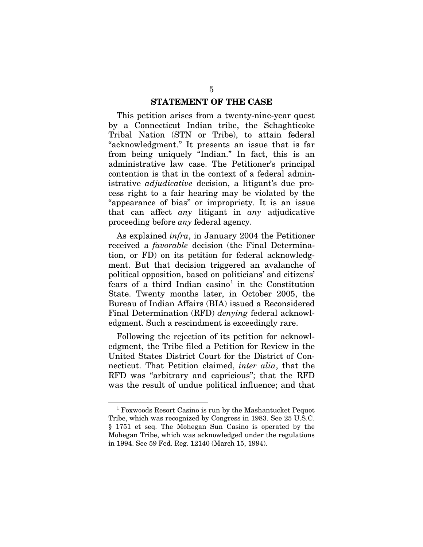#### **STATEMENT OF THE CASE**

This petition arises from a twenty-nine-year quest by a Connecticut Indian tribe, the Schaghticoke Tribal Nation (STN or Tribe), to attain federal "acknowledgment." It presents an issue that is far from being uniquely "Indian." In fact, this is an administrative law case. The Petitioner's principal contention is that in the context of a federal administrative *adjudicative* decision, a litigant's due process right to a fair hearing may be violated by the "appearance of bias" or impropriety. It is an issue that can affect *any* litigant in *any* adjudicative proceeding before *any* federal agency.

As explained *infra*, in January 2004 the Petitioner received a *favorable* decision (the Final Determination, or FD) on its petition for federal acknowledgment. But that decision triggered an avalanche of political opposition, based on politicians' and citizens' fears of a third Indian  $casino<sup>1</sup>$  $casino<sup>1</sup>$  $casino<sup>1</sup>$  in the Constitution State. Twenty months later, in October 2005, the Bureau of Indian Affairs (BIA) issued a Reconsidered Final Determination (RFD) *denying* federal acknowledgment. Such a rescindment is exceedingly rare.

Following the rejection of its petition for acknowledgment, the Tribe filed a Petition for Review in the United States District Court for the District of Connecticut. That Petition claimed, *inter alia*, that the RFD was "arbitrary and capricious"; that the RFD was the result of undue political influence; and that

 $\overline{a}$ 

<span id="page-15-0"></span><sup>1</sup> Foxwoods Resort Casino is run by the Mashantucket Pequot Tribe, which was recognized by Congress in 1983. See 25 U.S.C. § 1751 et seq. The Mohegan Sun Casino is operated by the Mohegan Tribe, which was acknowledged under the regulations in 1994. See 59 Fed. Reg. 12140 (March 15, 1994).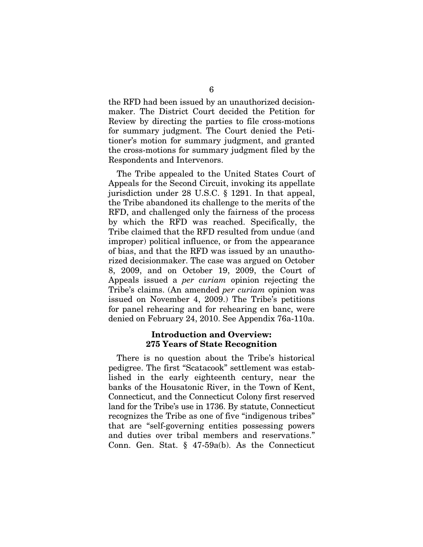the RFD had been issued by an unauthorized decisionmaker. The District Court decided the Petition for Review by directing the parties to file cross-motions for summary judgment. The Court denied the Petitioner's motion for summary judgment, and granted the cross-motions for summary judgment filed by the Respondents and Intervenors.

The Tribe appealed to the United States Court of Appeals for the Second Circuit, invoking its appellate jurisdiction under 28 U.S.C. § 1291. In that appeal, the Tribe abandoned its challenge to the merits of the RFD, and challenged only the fairness of the process by which the RFD was reached. Specifically, the Tribe claimed that the RFD resulted from undue (and improper) political influence, or from the appearance of bias, and that the RFD was issued by an unauthorized decisionmaker. The case was argued on October 8, 2009, and on October 19, 2009, the Court of Appeals issued a *per curiam* opinion rejecting the Tribe's claims. (An amended *per curiam* opinion was issued on November 4, 2009.) The Tribe's petitions for panel rehearing and for rehearing en banc, were denied on February 24, 2010. See Appendix 76a-110a.

#### **Introduction and Overview: 275 Years of State Recognition**

There is no question about the Tribe's historical pedigree. The first "Scatacook" settlement was established in the early eighteenth century, near the banks of the Housatonic River, in the Town of Kent, Connecticut, and the Connecticut Colony first reserved land for the Tribe's use in 1736. By statute, Connecticut recognizes the Tribe as one of five "indigenous tribes" that are "self-governing entities possessing powers and duties over tribal members and reservations." Conn. Gen. Stat. § 47-59a(b). As the Connecticut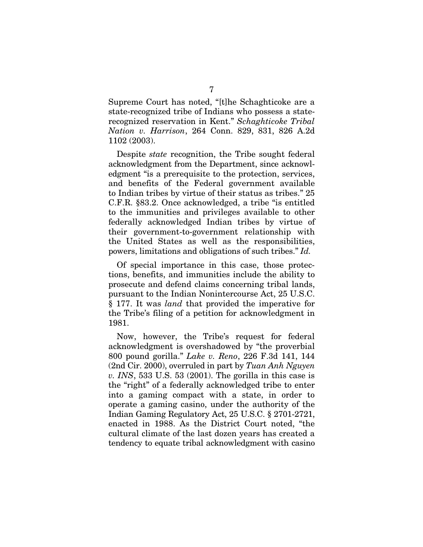Supreme Court has noted, "[t]he Schaghticoke are a state-recognized tribe of Indians who possess a staterecognized reservation in Kent." *Schaghticoke Tribal Nation v. Harrison*, 264 Conn. 829, 831, 826 A.2d 1102 (2003).

Despite *state* recognition, the Tribe sought federal acknowledgment from the Department, since acknowledgment "is a prerequisite to the protection, services, and benefits of the Federal government available to Indian tribes by virtue of their status as tribes." 25 C.F.R. §83.2. Once acknowledged, a tribe "is entitled to the immunities and privileges available to other federally acknowledged Indian tribes by virtue of their government-to-government relationship with the United States as well as the responsibilities, powers, limitations and obligations of such tribes." *Id.*

Of special importance in this case, those protections, benefits, and immunities include the ability to prosecute and defend claims concerning tribal lands, pursuant to the Indian Nonintercourse Act, 25 U.S.C. § 177. It was *land* that provided the imperative for the Tribe's filing of a petition for acknowledgment in 1981.

Now, however, the Tribe's request for federal acknowledgment is overshadowed by "the proverbial 800 pound gorilla." *Lake v. Reno*, 226 F.3d 141, 144 (2nd Cir. 2000), overruled in part by *Tuan Anh Nguyen v. INS*, 533 U.S. 53 (2001). The gorilla in this case is the "right" of a federally acknowledged tribe to enter into a gaming compact with a state, in order to operate a gaming casino, under the authority of the Indian Gaming Regulatory Act, 25 U.S.C. § 2701-2721, enacted in 1988. As the District Court noted, "the cultural climate of the last dozen years has created a tendency to equate tribal acknowledgment with casino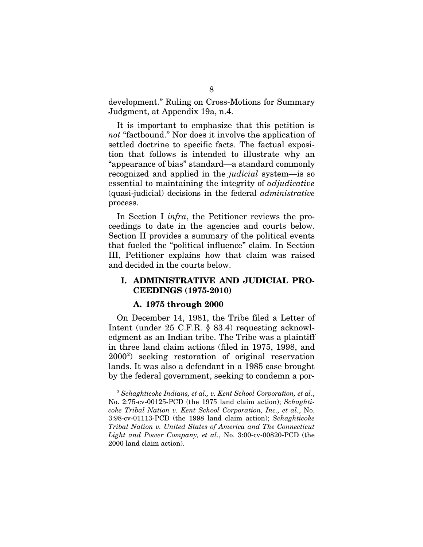development." Ruling on Cross-Motions for Summary Judgment, at Appendix 19a, n.4.

It is important to emphasize that this petition is *not* "factbound." Nor does it involve the application of settled doctrine to specific facts. The factual exposition that follows is intended to illustrate why an "appearance of bias" standard—a standard commonly recognized and applied in the *judicial* system—is so essential to maintaining the integrity of *adjudicative* (quasi-judicial) decisions in the federal *administrative* process.

In Section I *infra*, the Petitioner reviews the proceedings to date in the agencies and courts below. Section II provides a summary of the political events that fueled the "political influence" claim. In Section III, Petitioner explains how that claim was raised and decided in the courts below.

#### **I. ADMINISTRATIVE AND JUDICIAL PRO-CEEDINGS (1975-2010)**

#### **A. 1975 through 2000**

 $\overline{a}$ 

On December 14, 1981, the Tribe filed a Letter of Intent (under 25 C.F.R. § 83.4) requesting acknowledgment as an Indian tribe. The Tribe was a plaintiff in three land claim actions (filed in 1975, 1998, and 2000[2](#page-18-0) ) seeking restoration of original reservation lands. It was also a defendant in a 1985 case brought by the federal government, seeking to condemn a por-

<span id="page-18-0"></span><sup>2</sup> *Schaghticoke Indians, et al., v. Kent School Corporation, et al*., No. 2:75-cv-00125-PCD (the 1975 land claim action); *Schaghticoke Tribal Nation v. Kent School Corporation, Inc., et al.*, No. 3:98-cv-01113-PCD (the 1998 land claim action); *Schaghticoke Tribal Nation v. United States of America and The Connecticut Light and Power Company, et al.*, No. 3:00-cv-00820-PCD (the 2000 land claim action).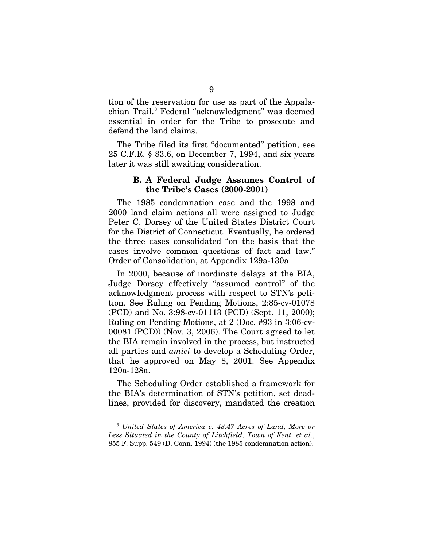tion of the reservation for use as part of the Appalachian Trail. [3](#page-19-0) Federal "acknowledgment" was deemed essential in order for the Tribe to prosecute and defend the land claims.

The Tribe filed its first "documented" petition, see 25 C.F.R. § 83.6, on December 7, 1994, and six years later it was still awaiting consideration.

#### **B. A Federal Judge Assumes Control of the Tribe's Cases (2000-2001)**

The 1985 condemnation case and the 1998 and 2000 land claim actions all were assigned to Judge Peter C. Dorsey of the United States District Court for the District of Connecticut. Eventually, he ordered the three cases consolidated "on the basis that the cases involve common questions of fact and law." Order of Consolidation, at Appendix 129a-130a.

In 2000, because of inordinate delays at the BIA, Judge Dorsey effectively "assumed control" of the acknowledgment process with respect to STN's petition. See Ruling on Pending Motions, 2:85-cv-01078 (PCD) and No. 3:98-cv-01113 (PCD) (Sept. 11, 2000); Ruling on Pending Motions, at 2 (Doc. #93 in 3:06-cv-00081 (PCD)) (Nov. 3, 2006). The Court agreed to let the BIA remain involved in the process, but instructed all parties and *amici* to develop a Scheduling Order, that he approved on May 8, 2001. See Appendix 120a-128a.

The Scheduling Order established a framework for the BIA's determination of STN's petition, set deadlines, provided for discovery, mandated the creation

 $\overline{a}$ 

<span id="page-19-0"></span><sup>3</sup> *United States of America v. 43.47 Acres of Land, More or Less Situated in the County of Litchfield, Town of Kent, et al.*, 855 F. Supp. 549 (D. Conn. 1994) (the 1985 condemnation action).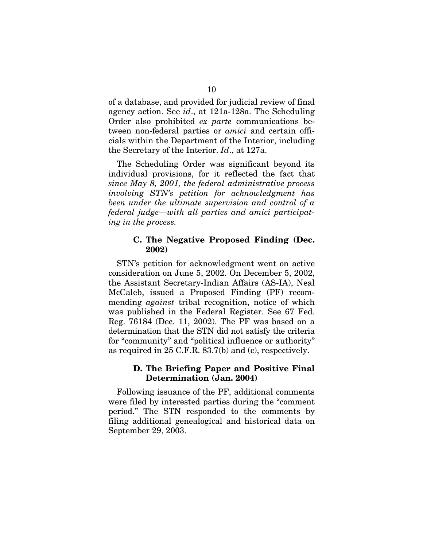of a database, and provided for judicial review of final agency action. See *id*., at 121a-128a. The Scheduling Order also prohibited *ex parte* communications between non-federal parties or *amici* and certain officials within the Department of the Interior, including the Secretary of the Interior. *Id*., at 127a.

The Scheduling Order was significant beyond its individual provisions, for it reflected the fact that *since May 8, 2001, the federal administrative process involving STN's petition for acknowledgment has been under the ultimate supervision and control of a federal judge*—*with all parties and amici participating in the process.*

#### **C. The Negative Proposed Finding (Dec. 2002)**

STN's petition for acknowledgment went on active consideration on June 5, 2002. On December 5, 2002, the Assistant Secretary-Indian Affairs (AS-IA), Neal McCaleb, issued a Proposed Finding (PF) recommending *against* tribal recognition, notice of which was published in the Federal Register. See 67 Fed. Reg. 76184 (Dec. 11, 2002). The PF was based on a determination that the STN did not satisfy the criteria for "community" and "political influence or authority" as required in 25 C.F.R. 83.7(b) and (c), respectively.

#### **D. The Briefing Paper and Positive Final Determination (Jan. 2004)**

Following issuance of the PF, additional comments were filed by interested parties during the "comment period." The STN responded to the comments by filing additional genealogical and historical data on September 29, 2003.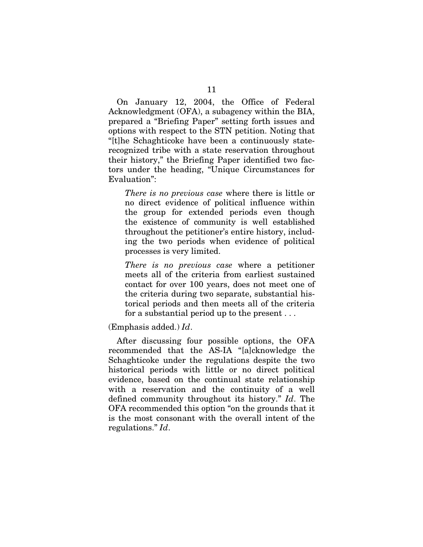On January 12, 2004, the Office of Federal Acknowledgment (OFA), a subagency within the BIA, prepared a "Briefing Paper" setting forth issues and options with respect to the STN petition. Noting that "[t]he Schaghticoke have been a continuously staterecognized tribe with a state reservation throughout their history," the Briefing Paper identified two factors under the heading, "Unique Circumstances for Evaluation":

*There is no previous case* where there is little or no direct evidence of political influence within the group for extended periods even though the existence of community is well established throughout the petitioner's entire history, including the two periods when evidence of political processes is very limited.

*There is no previous case* where a petitioner meets all of the criteria from earliest sustained contact for over 100 years, does not meet one of the criteria during two separate, substantial historical periods and then meets all of the criteria for a substantial period up to the present . . .

(Emphasis added.) *Id*.

After discussing four possible options, the OFA recommended that the AS-IA "[a]cknowledge the Schaghticoke under the regulations despite the two historical periods with little or no direct political evidence, based on the continual state relationship with a reservation and the continuity of a well defined community throughout its history." *Id*. The OFA recommended this option "on the grounds that it is the most consonant with the overall intent of the regulations." *Id*.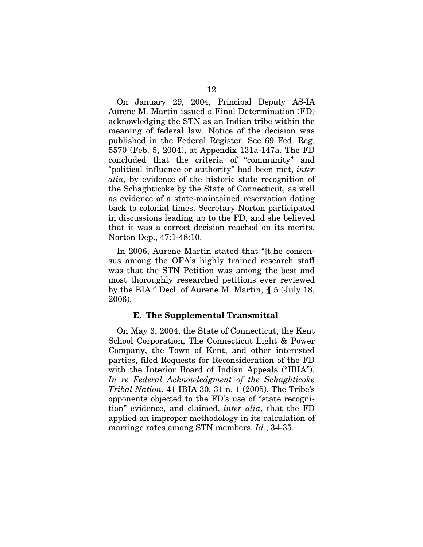On January 29, 2004, Principal Deputy AS-IA Aurene M. Martin issued a Final Determination (FD) acknowledging the STN as an Indian tribe within the meaning of federal law. Notice of the decision was published in the Federal Register. See 69 Fed. Reg. 5570 (Feb. 5, 2004), at Appendix 131a-147a. The FD concluded that the criteria of "community" and "political influence or authority" had been met, *inter alia*, by evidence of the historic state recognition of the Schaghticoke by the State of Connecticut, as well as evidence of a state-maintained reservation dating back to colonial times. Secretary Norton participated in discussions leading up to the FD, and she believed that it was a correct decision reached on its merits. Norton Dep., 47:1-48:10.

In 2006, Aurene Martin stated that "[t]he consensus among the OFA's highly trained research staff was that the STN Petition was among the best and most thoroughly researched petitions ever reviewed by the BIA." Decl. of Aurene M. Martin, ¶ 5 (July 18, 2006).

#### **E. The Supplemental Transmittal**

On May 3, 2004, the State of Connecticut, the Kent School Corporation, The Connecticut Light & Power Company, the Town of Kent, and other interested parties, filed Requests for Reconsideration of the FD with the Interior Board of Indian Appeals ("IBIA"). *In re Federal Acknowledgment of the Schaghticoke Tribal Nation*, 41 IBIA 30, 31 n. 1 (2005). The Tribe's opponents objected to the FD's use of "state recognition" evidence, and claimed, *inter alia*, that the FD applied an improper methodology in its calculation of marriage rates among STN members. *Id*., 34-35.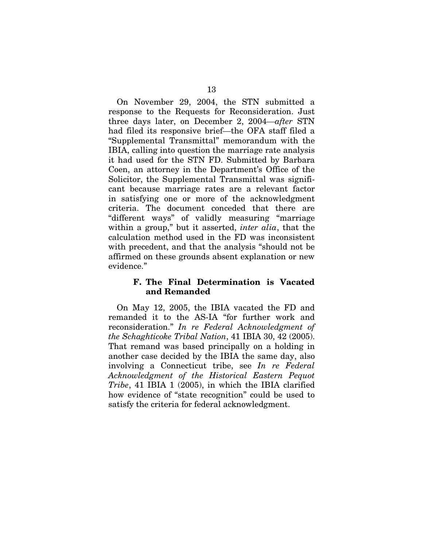On November 29, 2004, the STN submitted a response to the Requests for Reconsideration. Just three days later, on December 2, 2004—*after* STN had filed its responsive brief—the OFA staff filed a "Supplemental Transmittal" memorandum with the IBIA, calling into question the marriage rate analysis it had used for the STN FD. Submitted by Barbara Coen, an attorney in the Department's Office of the Solicitor, the Supplemental Transmittal was significant because marriage rates are a relevant factor in satisfying one or more of the acknowledgment criteria. The document conceded that there are "different ways" of validly measuring "marriage within a group," but it asserted, *inter alia*, that the calculation method used in the FD was inconsistent with precedent, and that the analysis "should not be affirmed on these grounds absent explanation or new evidence."

#### **F. The Final Determination is Vacated and Remanded**

On May 12, 2005, the IBIA vacated the FD and remanded it to the AS-IA "for further work and reconsideration." *In re Federal Acknowledgment of the Schaghticoke Tribal Nation*, 41 IBIA 30, 42 (2005). That remand was based principally on a holding in another case decided by the IBIA the same day, also involving a Connecticut tribe, see *In re Federal Acknowledgment of the Historical Eastern Pequot Tribe*, 41 IBIA 1 (2005), in which the IBIA clarified how evidence of "state recognition" could be used to satisfy the criteria for federal acknowledgment.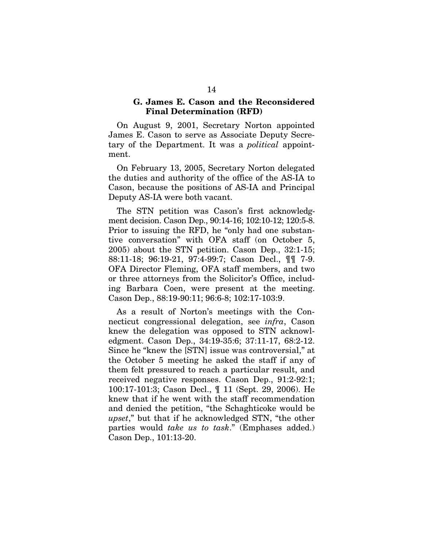#### **G. James E. Cason and the Reconsidered Final Determination (RFD)**

On August 9, 2001, Secretary Norton appointed James E. Cason to serve as Associate Deputy Secretary of the Department. It was a *political* appointment.

On February 13, 2005, Secretary Norton delegated the duties and authority of the office of the AS-IA to Cason, because the positions of AS-IA and Principal Deputy AS-IA were both vacant.

The STN petition was Cason's first acknowledgment decision. Cason Dep., 90:14-16; 102:10-12; 120:5-8. Prior to issuing the RFD, he "only had one substantive conversation" with OFA staff (on October 5, 2005) about the STN petition. Cason Dep., 32:1-15; 88:11-18; 96:19-21, 97:4-99:7; Cason Decl., ¶¶ 7-9. OFA Director Fleming, OFA staff members, and two or three attorneys from the Solicitor's Office, including Barbara Coen, were present at the meeting. Cason Dep., 88:19-90:11; 96:6-8; 102:17-103:9.

As a result of Norton's meetings with the Connecticut congressional delegation, see *infra*, Cason knew the delegation was opposed to STN acknowledgment. Cason Dep., 34:19-35:6; 37:11-17, 68:2-12. Since he "knew the [STN] issue was controversial," at the October 5 meeting he asked the staff if any of them felt pressured to reach a particular result, and received negative responses. Cason Dep., 91:2-92:1; 100:17-101:3; Cason Decl., ¶ 11 (Sept. 29, 2006). He knew that if he went with the staff recommendation and denied the petition, "the Schaghticoke would be *upset*," but that if he acknowledged STN, "the other parties would *take us to task*." (Emphases added.) Cason Dep., 101:13-20.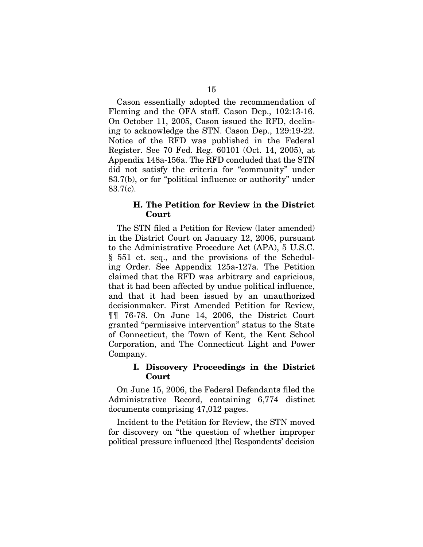Cason essentially adopted the recommendation of Fleming and the OFA staff. Cason Dep., 102:13-16. On October 11, 2005, Cason issued the RFD, declining to acknowledge the STN. Cason Dep., 129:19-22. Notice of the RFD was published in the Federal Register. See 70 Fed. Reg. 60101 (Oct. 14, 2005), at Appendix 148a-156a. The RFD concluded that the STN did not satisfy the criteria for "community" under 83.7(b), or for "political influence or authority" under 83.7(c).

#### **H. The Petition for Review in the District Court**

The STN filed a Petition for Review (later amended) in the District Court on January 12, 2006, pursuant to the Administrative Procedure Act (APA), 5 U.S.C. § 551 et. seq., and the provisions of the Scheduling Order. See Appendix 125a-127a. The Petition claimed that the RFD was arbitrary and capricious, that it had been affected by undue political influence, and that it had been issued by an unauthorized decisionmaker. First Amended Petition for Review, ¶¶ 76-78. On June 14, 2006, the District Court granted "permissive intervention" status to the State of Connecticut, the Town of Kent, the Kent School Corporation, and The Connecticut Light and Power Company.

#### **I. Discovery Proceedings in the District Court**

On June 15, 2006, the Federal Defendants filed the Administrative Record, containing 6,774 distinct documents comprising 47,012 pages.

Incident to the Petition for Review, the STN moved for discovery on "the question of whether improper political pressure influenced [the] Respondents' decision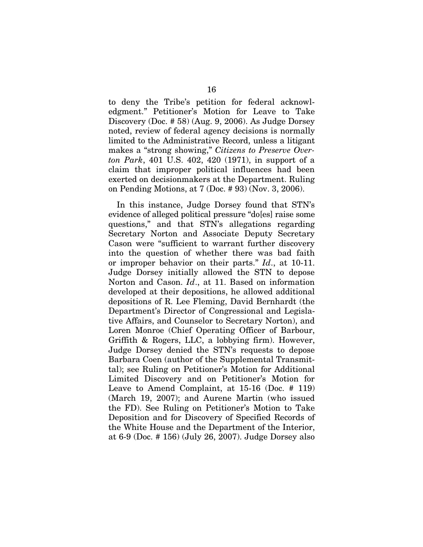to deny the Tribe's petition for federal acknowledgment." Petitioner's Motion for Leave to Take Discovery (Doc. # 58) (Aug. 9, 2006). As Judge Dorsey noted, review of federal agency decisions is normally limited to the Administrative Record, unless a litigant makes a "strong showing," *Citizens to Preserve Overton Park*, 401 U.S. 402, 420 (1971), in support of a claim that improper political influences had been exerted on decisionmakers at the Department. Ruling on Pending Motions, at 7 (Doc. # 93) (Nov. 3, 2006).

In this instance, Judge Dorsey found that STN's evidence of alleged political pressure "do[es] raise some questions," and that STN's allegations regarding Secretary Norton and Associate Deputy Secretary Cason were "sufficient to warrant further discovery into the question of whether there was bad faith or improper behavior on their parts." *Id*., at 10-11. Judge Dorsey initially allowed the STN to depose Norton and Cason. *Id*., at 11. Based on information developed at their depositions, he allowed additional depositions of R. Lee Fleming, David Bernhardt (the Department's Director of Congressional and Legislative Affairs, and Counselor to Secretary Norton), and Loren Monroe (Chief Operating Officer of Barbour, Griffith & Rogers, LLC, a lobbying firm). However, Judge Dorsey denied the STN's requests to depose Barbara Coen (author of the Supplemental Transmittal); see Ruling on Petitioner's Motion for Additional Limited Discovery and on Petitioner's Motion for Leave to Amend Complaint, at 15-16 (Doc. # 119) (March 19, 2007); and Aurene Martin (who issued the FD). See Ruling on Petitioner's Motion to Take Deposition and for Discovery of Specified Records of the White House and the Department of the Interior, at 6-9 (Doc. # 156) (July 26, 2007). Judge Dorsey also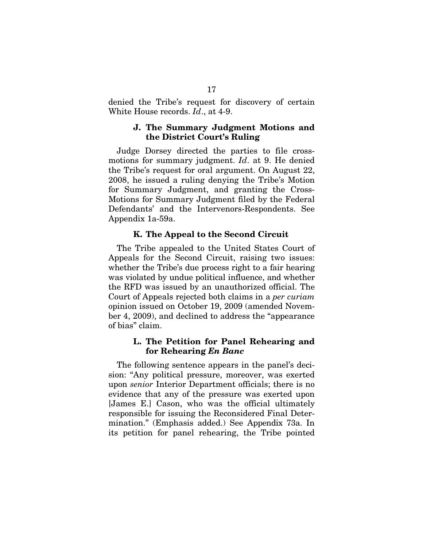denied the Tribe's request for discovery of certain White House records. *Id*., at 4-9.

#### **J. The Summary Judgment Motions and the District Court's Ruling**

Judge Dorsey directed the parties to file crossmotions for summary judgment. *Id*. at 9. He denied the Tribe's request for oral argument. On August 22, 2008, he issued a ruling denying the Tribe's Motion for Summary Judgment, and granting the Cross-Motions for Summary Judgment filed by the Federal Defendants' and the Intervenors-Respondents. See Appendix 1a-59a.

#### **K. The Appeal to the Second Circuit**

The Tribe appealed to the United States Court of Appeals for the Second Circuit, raising two issues: whether the Tribe's due process right to a fair hearing was violated by undue political influence, and whether the RFD was issued by an unauthorized official. The Court of Appeals rejected both claims in a *per curiam* opinion issued on October 19, 2009 (amended November 4, 2009), and declined to address the "appearance of bias" claim.

#### **L. The Petition for Panel Rehearing and for Rehearing** *En Banc*

The following sentence appears in the panel's decision: "Any political pressure, moreover, was exerted upon *senior* Interior Department officials; there is no evidence that any of the pressure was exerted upon [James E.] Cason, who was the official ultimately responsible for issuing the Reconsidered Final Determination." (Emphasis added.) See Appendix 73a. In its petition for panel rehearing, the Tribe pointed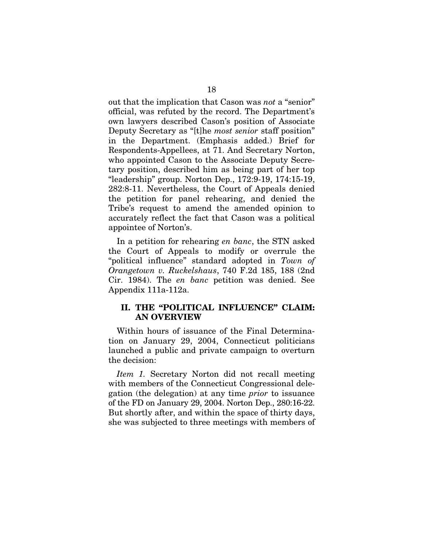out that the implication that Cason was *not* a "senior" official, was refuted by the record. The Department's own lawyers described Cason's position of Associate Deputy Secretary as "[t]he *most senior* staff position" in the Department. (Emphasis added.) Brief for Respondents-Appellees, at 71. And Secretary Norton, who appointed Cason to the Associate Deputy Secretary position, described him as being part of her top "leadership" group. Norton Dep., 172:9-19, 174:15-19, 282:8-11. Nevertheless, the Court of Appeals denied the petition for panel rehearing, and denied the Tribe's request to amend the amended opinion to accurately reflect the fact that Cason was a political appointee of Norton's.

In a petition for rehearing *en banc*, the STN asked the Court of Appeals to modify or overrule the "political influence" standard adopted in *Town of Orangetown v. Ruckelshaus*, 740 F.2d 185, 188 (2nd Cir. 1984). The *en banc* petition was denied. See Appendix 111a-112a.

#### **II. THE "POLITICAL INFLUENCE" CLAIM: AN OVERVIEW**

Within hours of issuance of the Final Determination on January 29, 2004, Connecticut politicians launched a public and private campaign to overturn the decision:

*Item 1.* Secretary Norton did not recall meeting with members of the Connecticut Congressional delegation (the delegation) at any time *prior* to issuance of the FD on January 29, 2004. Norton Dep., 280:16-22. But shortly after, and within the space of thirty days, she was subjected to three meetings with members of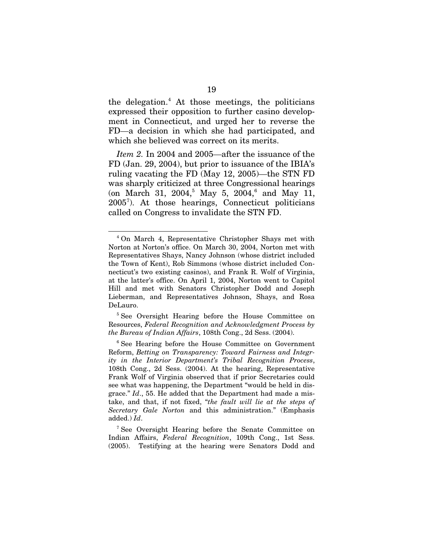the delegation. [4](#page-29-0) At those meetings, the politicians expressed their opposition to further casino development in Connecticut, and urged her to reverse the FD—a decision in which she had participated, and which she believed was correct on its merits.

*Item 2.* In 2004 and 2005—after the issuance of the FD (Jan. 29, 2004), but prior to issuance of the IBIA's ruling vacating the FD (May 12, 2005)—the STN FD was sharply criticized at three Congressional hearings (on March 31, 2004,<sup>[5](#page-29-1)</sup> May 5, 2004,<sup>6</sup> and May 11, 2005[7](#page-29-3) ). At those hearings, Connecticut politicians called on Congress to invalidate the STN FD.

<span id="page-29-0"></span>1

<sup>4</sup> On March 4, Representative Christopher Shays met with Norton at Norton's office. On March 30, 2004, Norton met with Representatives Shays, Nancy Johnson (whose district included the Town of Kent), Rob Simmons (whose district included Connecticut's two existing casinos), and Frank R. Wolf of Virginia, at the latter's office. On April 1, 2004, Norton went to Capitol Hill and met with Senators Christopher Dodd and Joseph Lieberman, and Representatives Johnson, Shays, and Rosa DeLauro.

<span id="page-29-2"></span><span id="page-29-1"></span><sup>5</sup> See Oversight Hearing before the House Committee on Resources, *Federal Recognition and Acknowledgment Process by the Bureau of Indian Affairs*, 108th Cong., 2d Sess. (2004).

<sup>&</sup>lt;sup>6</sup> See Hearing before the House Committee on Government Reform, *Betting on Transparency: Toward Fairness and Integrity in the Interior Department's Tribal Recognition Process*, 108th Cong., 2d Sess. (2004). At the hearing, Representative Frank Wolf of Virginia observed that if prior Secretaries could see what was happening, the Department "would be held in disgrace." *Id*., 55. He added that the Department had made a mistake, and that, if not fixed, "*the fault will lie at the steps of Secretary Gale Norton* and this administration." (Emphasis added.) *Id*.

<span id="page-29-3"></span><sup>&</sup>lt;sup>7</sup> See Oversight Hearing before the Senate Committee on Indian Affairs, *Federal Recognition*, 109th Cong., 1st Sess. (2005). Testifying at the hearing were Senators Dodd and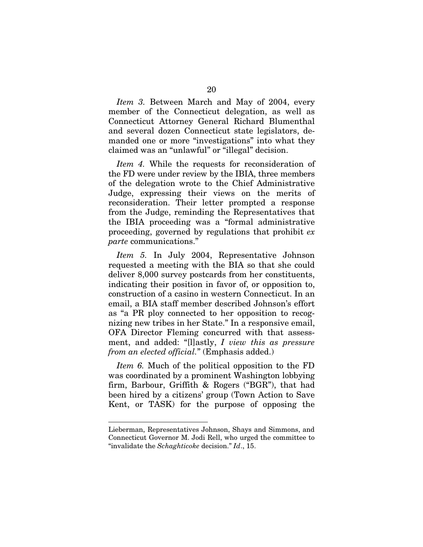*Item 3.* Between March and May of 2004, every member of the Connecticut delegation, as well as Connecticut Attorney General Richard Blumenthal and several dozen Connecticut state legislators, demanded one or more "investigations" into what they claimed was an "unlawful" or "illegal" decision.

*Item 4.* While the requests for reconsideration of the FD were under review by the IBIA, three members of the delegation wrote to the Chief Administrative Judge, expressing their views on the merits of reconsideration. Their letter prompted a response from the Judge, reminding the Representatives that the IBIA proceeding was a "formal administrative proceeding, governed by regulations that prohibit *ex parte* communications."

*Item 5.* In July 2004, Representative Johnson requested a meeting with the BIA so that she could deliver 8,000 survey postcards from her constituents, indicating their position in favor of, or opposition to, construction of a casino in western Connecticut. In an email, a BIA staff member described Johnson's effort as "a PR ploy connected to her opposition to recognizing new tribes in her State." In a responsive email, OFA Director Fleming concurred with that assessment, and added: "[l]astly, *I view this as pressure from an elected official.*" (Emphasis added.)

*Item 6.* Much of the political opposition to the FD was coordinated by a prominent Washington lobbying firm, Barbour, Griffith & Rogers ("BGR"), that had been hired by a citizens' group (Town Action to Save Kent, or TASK) for the purpose of opposing the

1

Lieberman, Representatives Johnson, Shays and Simmons, and Connecticut Governor M. Jodi Rell, who urged the committee to "invalidate the *Schaghticoke* decision." *Id*., 15.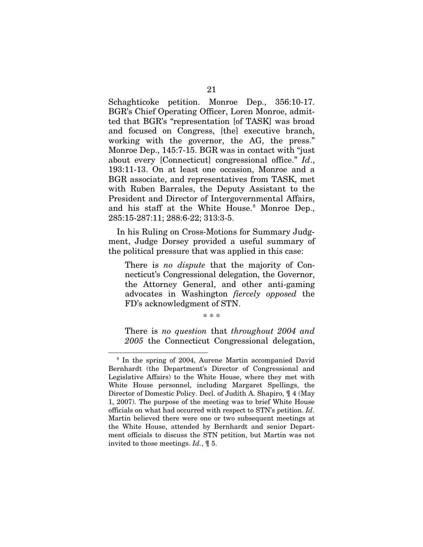Schaghticoke petition. Monroe Dep., 356:10-17. BGR's Chief Operating Officer, Loren Monroe, admitted that BGR's "representation [of TASK] was broad and focused on Congress, [the] executive branch, working with the governor, the AG, the press." Monroe Dep., 145:7-15. BGR was in contact with "just about every [Connecticut] congressional office." *Id*., 193:11-13. On at least one occasion, Monroe and a BGR associate, and representatives from TASK, met with Ruben Barrales, the Deputy Assistant to the President and Director of Intergovernmental Affairs, and his staff at the White House. [8](#page-31-0) Monroe Dep., 285:15-287:11; 288:6-22; 313:3-5.

In his Ruling on Cross-Motions for Summary Judgment, Judge Dorsey provided a useful summary of the political pressure that was applied in this case:

There is *no dispute* that the majority of Connecticut's Congressional delegation, the Governor, the Attorney General, and other anti-gaming advocates in Washington *fiercely opposed* the FD's acknowledgment of STN.

\* \* \*

 $\overline{a}$ 

There is *no question* that *throughout 2004 and 2005* the Connecticut Congressional delegation,

<span id="page-31-0"></span><sup>8</sup> In the spring of 2004, Aurene Martin accompanied David Bernhardt (the Department's Director of Congressional and Legislative Affairs) to the White House, where they met with White House personnel, including Margaret Spellings, the Director of Domestic Policy. Decl. of Judith A. Shapiro, ¶ 4 (May 1, 2007). The purpose of the meeting was to brief White House officials on what had occurred with respect to STN's petition. *Id*. Martin believed there were one or two subsequent meetings at the White House, attended by Bernhardt and senior Department officials to discuss the STN petition, but Martin was not invited to those meetings. *Id.*, ¶ 5.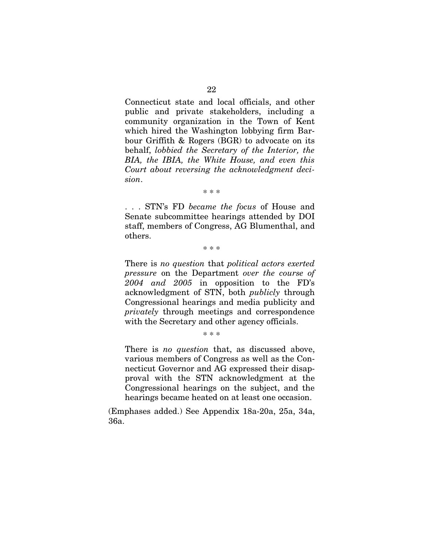Connecticut state and local officials, and other public and private stakeholders, including a community organization in the Town of Kent which hired the Washington lobbying firm Barbour Griffith & Rogers (BGR) to advocate on its behalf, *lobbied the Secretary of the Interior, the BIA, the IBIA, the White House, and even this Court about reversing the acknowledgment decision*.

\* \* \*

. . . STN's FD *became the focus* of House and Senate subcommittee hearings attended by DOI staff, members of Congress, AG Blumenthal, and others.

\* \* \*

There is *no question* that *political actors exerted pressure* on the Department *over the course of 2004 and 2005* in opposition to the FD's acknowledgment of STN, both *publicly* through Congressional hearings and media publicity and *privately* through meetings and correspondence with the Secretary and other agency officials.

\* \* \*

There is *no question* that, as discussed above, various members of Congress as well as the Connecticut Governor and AG expressed their disapproval with the STN acknowledgment at the Congressional hearings on the subject, and the hearings became heated on at least one occasion.

(Emphases added.) See Appendix 18a-20a, 25a, 34a, 36a.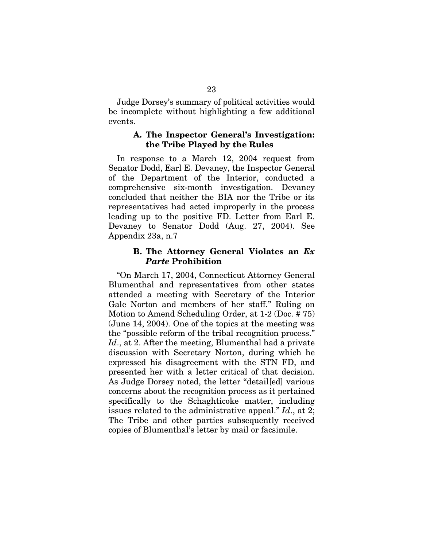Judge Dorsey's summary of political activities would be incomplete without highlighting a few additional events.

#### **A. The Inspector General's Investigation: the Tribe Played by the Rules**

In response to a March 12, 2004 request from Senator Dodd, Earl E. Devaney, the Inspector General of the Department of the Interior, conducted a comprehensive six-month investigation. Devaney concluded that neither the BIA nor the Tribe or its representatives had acted improperly in the process leading up to the positive FD. Letter from Earl E. Devaney to Senator Dodd (Aug. 27, 2004). See Appendix 23a, n.7

#### **B. The Attorney General Violates an** *Ex Parte* **Prohibition**

"On March 17, 2004, Connecticut Attorney General Blumenthal and representatives from other states attended a meeting with Secretary of the Interior Gale Norton and members of her staff." Ruling on Motion to Amend Scheduling Order, at 1-2 (Doc. # 75) (June 14, 2004). One of the topics at the meeting was the "possible reform of the tribal recognition process." Id., at 2. After the meeting, Blumenthal had a private discussion with Secretary Norton, during which he expressed his disagreement with the STN FD, and presented her with a letter critical of that decision. As Judge Dorsey noted, the letter "detail[ed] various concerns about the recognition process as it pertained specifically to the Schaghticoke matter, including issues related to the administrative appeal." *Id*., at 2; The Tribe and other parties subsequently received copies of Blumenthal's letter by mail or facsimile.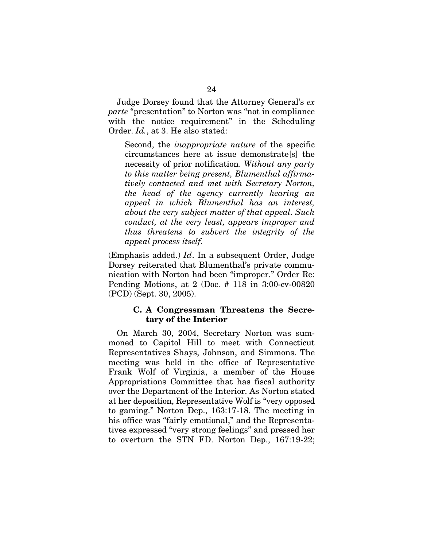Judge Dorsey found that the Attorney General's *ex parte* "presentation" to Norton was "not in compliance with the notice requirement" in the Scheduling Order. *Id.*, at 3. He also stated:

Second, the *inappropriate nature* of the specific circumstances here at issue demonstrate[s] the necessity of prior notification. *Without any party to this matter being present, Blumenthal affirmatively contacted and met with Secretary Norton, the head of the agency currently hearing an appeal in which Blumenthal has an interest, about the very subject matter of that appeal. Such conduct, at the very least, appears improper and thus threatens to subvert the integrity of the appeal process itself.*

(Emphasis added.) *Id*. In a subsequent Order, Judge Dorsey reiterated that Blumenthal's private communication with Norton had been "improper." Order Re: Pending Motions, at 2 (Doc. # 118 in 3:00-cv-00820 (PCD) (Sept. 30, 2005).

#### **C. A Congressman Threatens the Secretary of the Interior**

On March 30, 2004, Secretary Norton was summoned to Capitol Hill to meet with Connecticut Representatives Shays, Johnson, and Simmons. The meeting was held in the office of Representative Frank Wolf of Virginia, a member of the House Appropriations Committee that has fiscal authority over the Department of the Interior. As Norton stated at her deposition, Representative Wolf is "very opposed to gaming." Norton Dep., 163:17-18. The meeting in his office was "fairly emotional," and the Representatives expressed "very strong feelings" and pressed her to overturn the STN FD. Norton Dep., 167:19-22;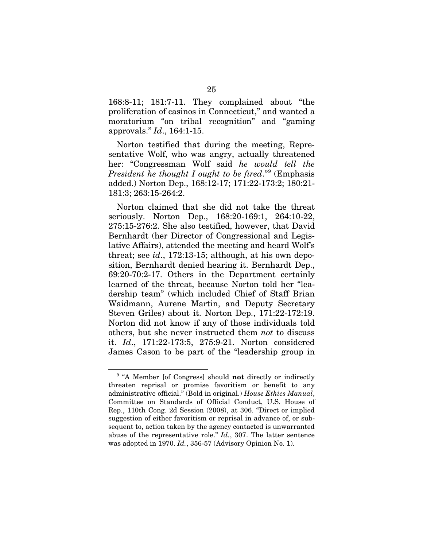168:8-11; 181:7-11. They complained about "the proliferation of casinos in Connecticut," and wanted a moratorium "on tribal recognition" and "gaming approvals." *Id*., 164:1-15.

Norton testified that during the meeting, Representative Wolf, who was angry, actually threatened her: "Congressman Wolf said *he would tell the President he thought I ought to be fired*."[9](#page-35-0) (Emphasis added.) Norton Dep., 168:12-17; 171:22-173:2; 180:21- 181:3; 263:15-264:2.

Norton claimed that she did not take the threat seriously. Norton Dep., 168:20-169:1, 264:10-22, 275:15-276:2. She also testified, however, that David Bernhardt (her Director of Congressional and Legislative Affairs), attended the meeting and heard Wolf's threat; see *id*., 172:13-15; although, at his own deposition, Bernhardt denied hearing it. Bernhardt Dep., 69:20-70:2-17. Others in the Department certainly learned of the threat, because Norton told her "leadership team" (which included Chief of Staff Brian Waidmann, Aurene Martin, and Deputy Secretary Steven Griles) about it. Norton Dep., 171:22-172:19. Norton did not know if any of those individuals told others, but she never instructed them *not* to discuss it. *Id*., 171:22-173:5, 275:9-21. Norton considered James Cason to be part of the "leadership group in

 $\overline{a}$ 

<span id="page-35-0"></span><sup>9</sup> "A Member [of Congress] should **not** directly or indirectly threaten reprisal or promise favoritism or benefit to any administrative official." (Bold in original.) *House Ethics Manual*, Committee on Standards of Official Conduct, U.S. House of Rep., 110th Cong. 2d Session (2008), at 306. "Direct or implied suggestion of either favoritism or reprisal in advance of, or subsequent to, action taken by the agency contacted is unwarranted abuse of the representative role." *Id.*, 307. The latter sentence was adopted in 1970. *Id.*, 356-57 (Advisory Opinion No. 1).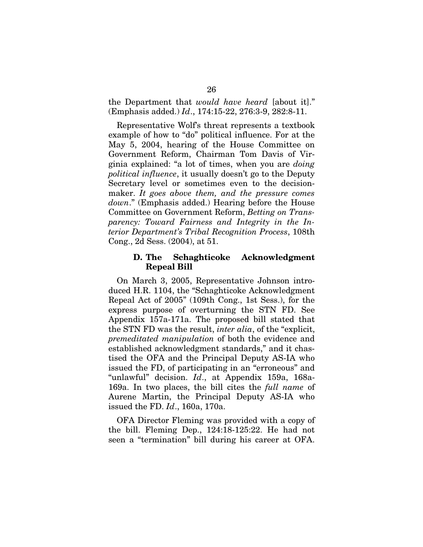the Department that *would have heard* [about it]." (Emphasis added.) *Id*., 174:15-22, 276:3-9, 282:8-11.

Representative Wolf's threat represents a textbook example of how to "do" political influence. For at the May 5, 2004, hearing of the House Committee on Government Reform, Chairman Tom Davis of Virginia explained: "a lot of times, when you are *doing political influence*, it usually doesn't go to the Deputy Secretary level or sometimes even to the decisionmaker. *It goes above them, and the pressure comes down*." (Emphasis added.) Hearing before the House Committee on Government Reform, *Betting on Transparency: Toward Fairness and Integrity in the Interior Department's Tribal Recognition Process*, 108th Cong., 2d Sess. (2004), at 51.

### **D. The Schaghticoke Acknowledgment Repeal Bill**

On March 3, 2005, Representative Johnson introduced H.R. 1104, the "Schaghticoke Acknowledgment Repeal Act of 2005" (109th Cong., 1st Sess.), for the express purpose of overturning the STN FD. See Appendix 157a-171a. The proposed bill stated that the STN FD was the result, *inter alia*, of the "explicit, *premeditated manipulation* of both the evidence and established acknowledgment standards," and it chastised the OFA and the Principal Deputy AS-IA who issued the FD, of participating in an "erroneous" and "unlawful" decision. *Id*., at Appendix 159a, 168a-169a. In two places, the bill cites the *full name* of Aurene Martin, the Principal Deputy AS-IA who issued the FD. *Id*., 160a, 170a.

OFA Director Fleming was provided with a copy of the bill. Fleming Dep., 124:18-125:22. He had not seen a "termination" bill during his career at OFA.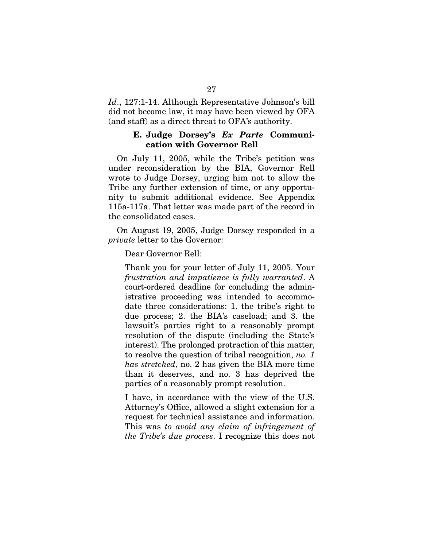*Id*., 127:1-14. Although Representative Johnson's bill did not become law, it may have been viewed by OFA (and staff) as a direct threat to OFA's authority.

### **E. Judge Dorsey's** *Ex Parte* **Communication with Governor Rell**

On July 11, 2005, while the Tribe's petition was under reconsideration by the BIA, Governor Rell wrote to Judge Dorsey, urging him not to allow the Tribe any further extension of time, or any opportunity to submit additional evidence. See Appendix 115a-117a. That letter was made part of the record in the consolidated cases.

On August 19, 2005, Judge Dorsey responded in a *private* letter to the Governor:

Dear Governor Rell:

Thank you for your letter of July 11, 2005. Your *frustration and impatience is fully warranted*. A court-ordered deadline for concluding the administrative proceeding was intended to accommodate three considerations: 1. the tribe's right to due process; 2. the BIA's caseload; and 3. the lawsuit's parties right to a reasonably prompt resolution of the dispute (including the State's interest). The prolonged protraction of this matter, to resolve the question of tribal recognition, *no. 1 has stretched*, no. 2 has given the BIA more time than it deserves, and no. 3 has deprived the parties of a reasonably prompt resolution.

I have, in accordance with the view of the U.S. Attorney's Office, allowed a slight extension for a request for technical assistance and information. This was *to avoid any claim of infringement of the Tribe's due process*. I recognize this does not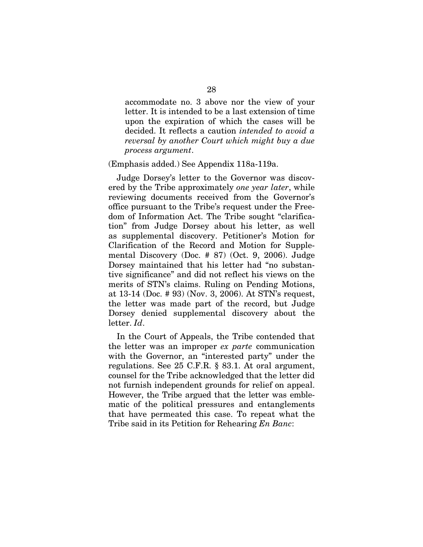accommodate no. 3 above nor the view of your letter. It is intended to be a last extension of time upon the expiration of which the cases will be decided. It reflects a caution *intended to avoid a reversal by another Court which might buy a due process argument*.

(Emphasis added.) See Appendix 118a-119a.

Judge Dorsey's letter to the Governor was discovered by the Tribe approximately *one year later*, while reviewing documents received from the Governor's office pursuant to the Tribe's request under the Freedom of Information Act. The Tribe sought "clarification" from Judge Dorsey about his letter, as well as supplemental discovery. Petitioner's Motion for Clarification of the Record and Motion for Supplemental Discovery (Doc. # 87) (Oct. 9, 2006). Judge Dorsey maintained that his letter had "no substantive significance" and did not reflect his views on the merits of STN's claims. Ruling on Pending Motions, at 13-14 (Doc. # 93) (Nov. 3, 2006). At STN's request, the letter was made part of the record, but Judge Dorsey denied supplemental discovery about the letter. *Id*.

In the Court of Appeals, the Tribe contended that the letter was an improper *ex parte* communication with the Governor, an "interested party" under the regulations. See 25 C.F.R. § 83.1. At oral argument, counsel for the Tribe acknowledged that the letter did not furnish independent grounds for relief on appeal. However, the Tribe argued that the letter was emblematic of the political pressures and entanglements that have permeated this case. To repeat what the Tribe said in its Petition for Rehearing *En Banc*: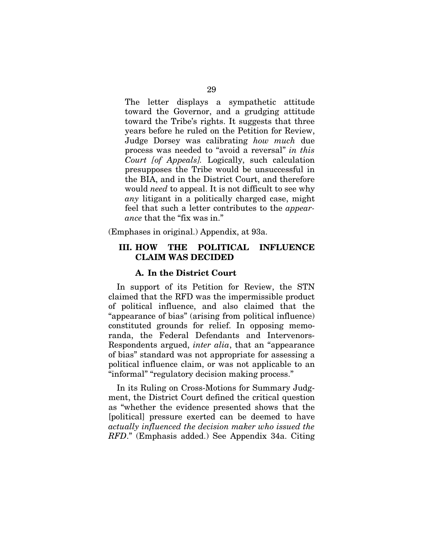The letter displays a sympathetic attitude toward the Governor, and a grudging attitude toward the Tribe's rights. It suggests that three years before he ruled on the Petition for Review, Judge Dorsey was calibrating *how much* due process was needed to "avoid a reversal" *in this Court [of Appeals].* Logically, such calculation presupposes the Tribe would be unsuccessful in the BIA, and in the District Court, and therefore would *need* to appeal. It is not difficult to see why *any* litigant in a politically charged case, might feel that such a letter contributes to the *appearance* that the "fix was in."

(Emphases in original.) Appendix, at 93a.

# **III. HOW THE POLITICAL INFLUENCE CLAIM WAS DECIDED**

### **A. In the District Court**

In support of its Petition for Review, the STN claimed that the RFD was the impermissible product of political influence, and also claimed that the "appearance of bias" (arising from political influence) constituted grounds for relief. In opposing memoranda, the Federal Defendants and Intervenors-Respondents argued, *inter alia*, that an "appearance of bias" standard was not appropriate for assessing a political influence claim, or was not applicable to an "informal" "regulatory decision making process."

In its Ruling on Cross-Motions for Summary Judgment, the District Court defined the critical question as "whether the evidence presented shows that the [political] pressure exerted can be deemed to have *actually influenced the decision maker who issued the RFD*." (Emphasis added.) See Appendix 34a. Citing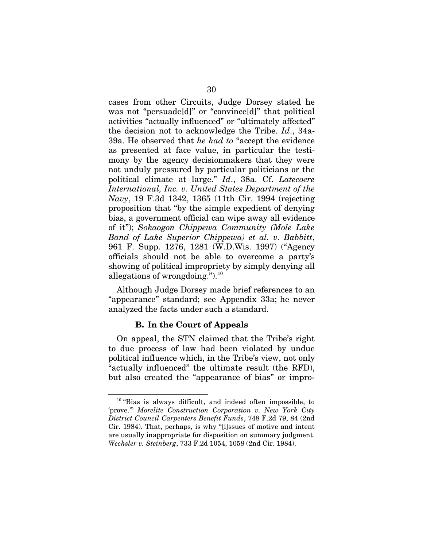cases from other Circuits, Judge Dorsey stated he was not "persuade[d]" or "convince[d]" that political activities "actually influenced" or "ultimately affected" the decision not to acknowledge the Tribe. *Id*., 34a-39a. He observed that *he had to* "accept the evidence as presented at face value, in particular the testimony by the agency decisionmakers that they were not unduly pressured by particular politicians or the political climate at large." *Id*., 38a. Cf. *Latecoere International, Inc. v. United States Department of the Navy*, 19 F.3d 1342, 1365 (11th Cir. 1994 (rejecting proposition that "by the simple expedient of denying bias, a government official can wipe away all evidence of it"); *Sokaogon Chippewa Community (Mole Lake Band of Lake Superior Chippewa) et al. v. Babbitt*, 961 F. Supp. 1276, 1281 (W.D.Wis. 1997) ("Agency officials should not be able to overcome a party's showing of political impropriety by simply denying all allegations of wrongdoing." $^{10}$  $^{10}$  $^{10}$ .

Although Judge Dorsey made brief references to an "appearance" standard; see Appendix 33a; he never analyzed the facts under such a standard.

## **B. In the Court of Appeals**

 $\overline{a}$ 

On appeal, the STN claimed that the Tribe's right to due process of law had been violated by undue political influence which, in the Tribe's view, not only "actually influenced" the ultimate result (the RFD), but also created the "appearance of bias" or impro-

<span id="page-40-0"></span><sup>&</sup>lt;sup>10</sup> "Bias is always difficult, and indeed often impossible, to 'prove.'" *Morelite Construction Corporation v. New York City District Council Carpenters Benefit Funds*, 748 F.2d 79, 84 (2nd Cir. 1984). That, perhaps, is why "[i]ssues of motive and intent are usually inappropriate for disposition on summary judgment. *Wechsler v. Steinberg*, 733 F.2d 1054, 1058 (2nd Cir. 1984).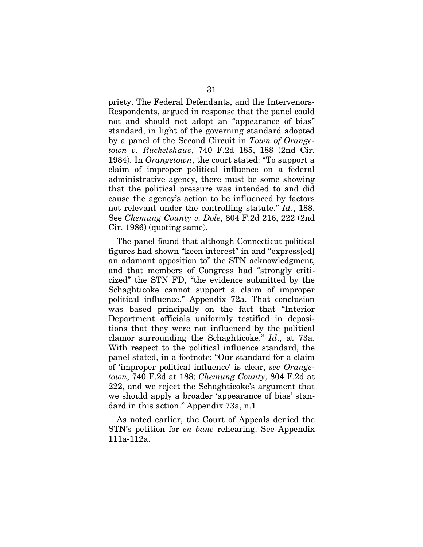priety. The Federal Defendants, and the Intervenors-Respondents, argued in response that the panel could not and should not adopt an "appearance of bias" standard, in light of the governing standard adopted by a panel of the Second Circuit in *Town of Orangetown v. Ruckelshaus*, 740 F.2d 185, 188 (2nd Cir. 1984). In *Orangetown*, the court stated: "To support a claim of improper political influence on a federal administrative agency, there must be some showing that the political pressure was intended to and did cause the agency's action to be influenced by factors not relevant under the controlling statute." *Id*., 188. See *Chemung County v. Dole*, 804 F.2d 216, 222 (2nd Cir. 1986) (quoting same).

The panel found that although Connecticut political figures had shown "keen interest" in and "express[ed] an adamant opposition to" the STN acknowledgment, and that members of Congress had "strongly criticized" the STN FD, "the evidence submitted by the Schaghticoke cannot support a claim of improper political influence." Appendix 72a. That conclusion was based principally on the fact that "Interior Department officials uniformly testified in depositions that they were not influenced by the political clamor surrounding the Schaghticoke." *Id*., at 73a. With respect to the political influence standard, the panel stated, in a footnote: "Our standard for a claim of 'improper political influence' is clear, *see Orangetown*, 740 F.2d at 188; *Chemung County*, 804 F.2d at 222, and we reject the Schaghticoke's argument that we should apply a broader 'appearance of bias' standard in this action." Appendix 73a, n.1.

As noted earlier, the Court of Appeals denied the STN's petition for *en banc* rehearing. See Appendix 111a-112a.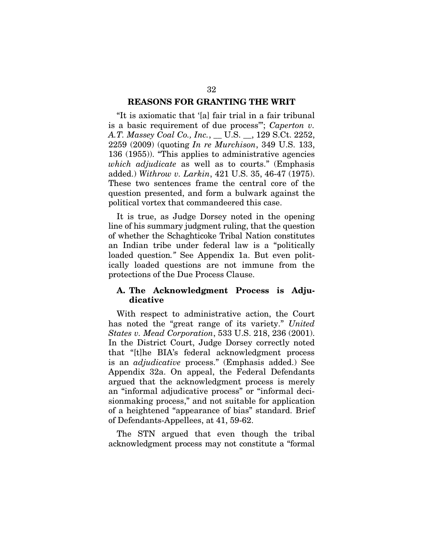#### **REASONS FOR GRANTING THE WRIT**

"It is axiomatic that '[a] fair trial in a fair tribunal is a basic requirement of due process'"; *Caperton v. A.T. Massey Coal Co., Inc.*, \_\_ U.S. \_\_, 129 S.Ct. 2252, 2259 (2009) (quoting *In re Murchison*, 349 U.S. 133, 136 (1955)). "This applies to administrative agencies *which adjudicate* as well as to courts." (Emphasis added.) *Withrow v. Larkin*, 421 U.S. 35, 46-47 (1975). These two sentences frame the central core of the question presented, and form a bulwark against the political vortex that commandeered this case.

It is true, as Judge Dorsey noted in the opening line of his summary judgment ruling, that the question of whether the Schaghticoke Tribal Nation constitutes an Indian tribe under federal law is a "politically loaded question*."* See Appendix 1a. But even politically loaded questions are not immune from the protections of the Due Process Clause.

## **A. The Acknowledgment Process is Adjudicative**

With respect to administrative action, the Court has noted the "great range of its variety." *United States v. Mead Corporation*, 533 U.S. 218, 236 (2001). In the District Court, Judge Dorsey correctly noted that "[t]he BIA's federal acknowledgment process is an *adjudicative* process." (Emphasis added.) See Appendix 32a. On appeal, the Federal Defendants argued that the acknowledgment process is merely an "informal adjudicative process" or "informal decisionmaking process," and not suitable for application of a heightened "appearance of bias" standard. Brief of Defendants-Appellees, at 41, 59-62.

The STN argued that even though the tribal acknowledgment process may not constitute a "formal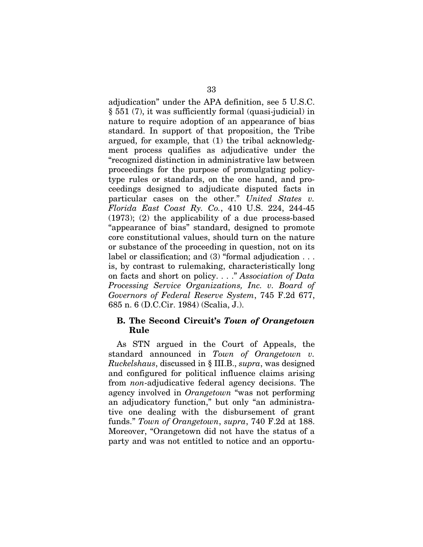adjudication" under the APA definition, see 5 U.S.C. § 551 (7), it was sufficiently formal (quasi-judicial) in nature to require adoption of an appearance of bias standard. In support of that proposition, the Tribe argued, for example, that (1) the tribal acknowledgment process qualifies as adjudicative under the "recognized distinction in administrative law between proceedings for the purpose of promulgating policytype rules or standards, on the one hand, and proceedings designed to adjudicate disputed facts in particular cases on the other." *United States v. Florida East Coast Ry. Co.*, 410 U.S. 224, 244-45 (1973); (2) the applicability of a due process-based "appearance of bias" standard, designed to promote core constitutional values, should turn on the nature or substance of the proceeding in question, not on its label or classification; and (3) "formal adjudication . . . is, by contrast to rulemaking, characteristically long on facts and short on policy. . . ." *Association of Data Processing Service Organizations, Inc. v. Board of Governors of Federal Reserve System*, 745 F.2d 677, 685 n. 6 (D.C.Cir. 1984) (Scalia, J.).

# **B. The Second Circuit's** *Town of Orangetown* **Rule**

As STN argued in the Court of Appeals, the standard announced in *Town of Orangetown v. Ruckelshaus*, discussed in § III.B., *supra*, was designed and configured for political influence claims arising from *non*-adjudicative federal agency decisions. The agency involved in *Orangetown* "was not performing an adjudicatory function," but only "an administrative one dealing with the disbursement of grant funds." *Town of Orangetown*, *supra*, 740 F.2d at 188. Moreover, "Orangetown did not have the status of a party and was not entitled to notice and an opportu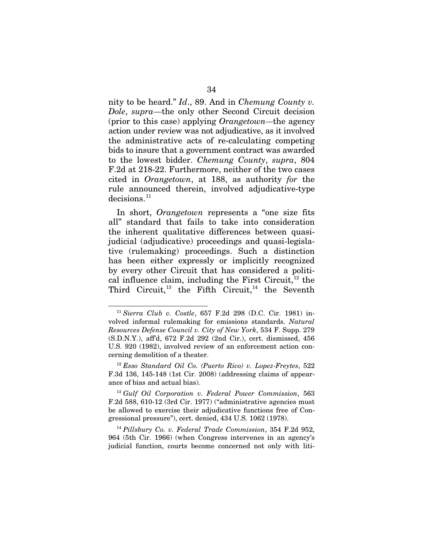nity to be heard." *Id*., 89. And in *Chemung County v. Dole*, *supra*—the only other Second Circuit decision (prior to this case) applying *Orangetown—*the agency action under review was not adjudicative, as it involved the administrative acts of re-calculating competing bids to insure that a government contract was awarded to the lowest bidder. *Chemung County*, *supra*, 804 F.2d at 218-22. Furthermore, neither of the two cases cited in *Orangetown*, at 188, as authority *for* the rule announced therein, involved adjudicative-type decisions.<sup>[11](#page-44-0)</sup>

In short, *Orangetown* represents a "one size fits all" standard that fails to take into consideration the inherent qualitative differences between quasijudicial (adjudicative) proceedings and quasi-legislative (rulemaking) proceedings. Such a distinction has been either expressly or implicitly recognized by every other Circuit that has considered a political influence claim, including the First Circuit, [12](#page-44-1) the Third Circuit,<sup>[13](#page-44-2)</sup> the Fifth Circuit,<sup>[14](#page-44-3)</sup> the Seventh

1

<span id="page-44-0"></span><sup>11</sup> *Sierra Club v. Costle*, 657 F.2d 298 (D.C. Cir. 1981) involved informal rulemaking for emissions standards. *Natural Resources Defense Council v. City of New York*, 534 F. Supp. 279 (S.D.N.Y.), aff'd, 672 F.2d 292 (2nd Cir.), cert. dismissed, 456 U.S. 920 (1982), involved review of an enforcement action concerning demolition of a theater.

<span id="page-44-1"></span><sup>12</sup> *Esso Standard Oil Co. (Puerto Rico) v. Lopez-Freytes*, 522 F.3d 136, 145-148 (1st Cir. 2008) (addressing claims of appearance of bias and actual bias).

<span id="page-44-2"></span><sup>13</sup> *Gulf Oil Corporation v. Federal Power Commission*, 563 F.2d 588, 610-12 (3rd Cir. 1977) ("administrative agencies must be allowed to exercise their adjudicative functions free of Congressional pressure"), cert. denied, 434 U.S. 1062 (1978).

<span id="page-44-3"></span><sup>14</sup> *Pillsbury Co. v. Federal Trade Commission*, 354 F.2d 952, 964 (5th Cir. 1966) (when Congress intervenes in an agency's judicial function, courts become concerned not only with liti-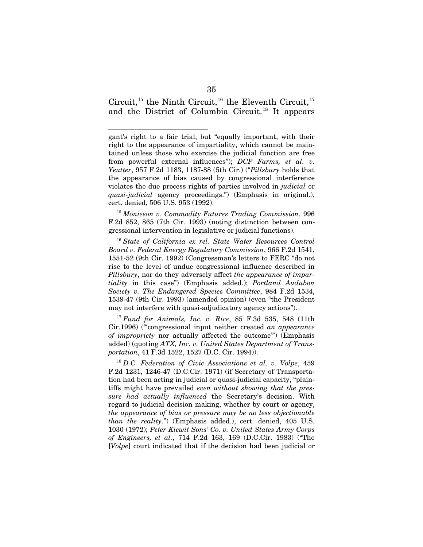Circuit,<sup>[15](#page-45-0)</sup> the Ninth Circuit,<sup>[16](#page-45-1)</sup> the Eleventh Circuit,<sup>[17](#page-45-2)</sup> and the District of Columbia Circuit.<sup>[18](#page-45-3)</sup> It appears

 $\overline{a}$ 

<span id="page-45-0"></span><sup>15</sup> *Monieson v. Commodity Futures Trading Commission*, 996 F.2d 852, 865 (7th Cir. 1993) (noting distinction between congressional intervention in legislative or judicial functions).

<span id="page-45-1"></span><sup>16</sup> *State of California ex rel. State Water Resources Control Board v. Federal Energy Regulatory Commission*, 966 F.2d 1541, 1551-52 (9th Cir. 1992) (Congressman's letters to FERC "do not rise to the level of undue congressional influence described in *Pillsbury*, nor do they adversely affect *the appearance of impartiality* in this case") (Emphasis added.); *Portland Audubon Society v. The Endangered Species Committee*, 984 F.2d 1534, 1539-47 (9th Cir. 1993) (amended opinion) (even "the President may not interfere with quasi-adjudicatory agency actions").

<span id="page-45-2"></span><sup>17</sup> *Fund for Animals, Inc. v. Rice*, 85 F.3d 535, 548 (11th Cir.1996) ("'congressional input neither created *an appearance of impropriety* nor actually affected the outcome'") (Emphasis added) (quoting *ATX, Inc. v. United States Department of Transportation*, 41 F.3d 1522, 1527 (D.C. Cir. 1994)).

<span id="page-45-3"></span><sup>18</sup> *D.C. Federation of Civic Associations et al. v. Volpe*, 459 F.2d 1231, 1246-47 (D.C.Cir. 1971) (if Secretary of Transportation had been acting in judicial or quasi-judicial capacity, "plaintiffs might have prevailed *even without showing that the pressure had actually influenced* the Secretary's decision. With regard to judicial decision making, whether by court or agency, *the appearance of bias or pressure may be no less objectionable than the reality*.") (Emphasis added.), cert. denied, 405 U.S. 1030 (1972); *Peter Kiewit Sons' Co. v. United States Army Corps of Engineers, et al.*, 714 F.2d 163, 169 (D.C.Cir. 1983) ("The [*Volpe*] court indicated that if the decision had been judicial or

gant's right to a fair trial, but "equally important, with their right to the appearance of impartiality, which cannot be maintained unless those who exercise the judicial function are free from powerful external influences"); *DCP Farms, et al. v. Yeutter*, 957 F.2d 1183, 1187-88 (5th Cir.) ("*Pillsbury* holds that the appearance of bias caused by congressional interference violates the due process rights of parties involved in *judicial* or *quasi-judicial* agency proceedings.") (Emphasis in original.), cert. denied, 506 U.S. 953 (1992).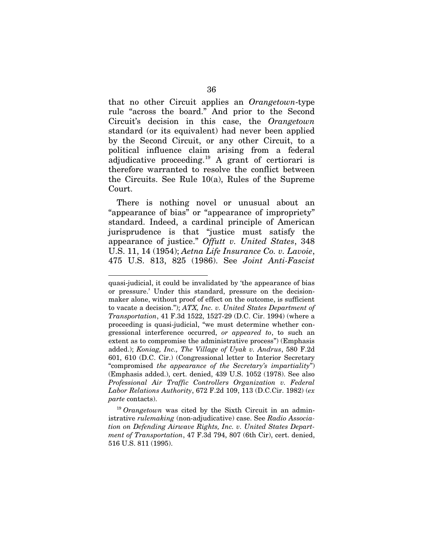that no other Circuit applies an *Orangetown*-type rule "across the board." And prior to the Second Circuit's decision in this case, the *Orangetown* standard (or its equivalent) had never been applied by the Second Circuit, or any other Circuit, to a political influence claim arising from a federal adjudicative proceeding.<sup>[19](#page-46-0)</sup> A grant of certiorari is therefore warranted to resolve the conflict between the Circuits. See Rule 10(a), Rules of the Supreme Court.

There is nothing novel or unusual about an "appearance of bias" or "appearance of impropriety" standard. Indeed, a cardinal principle of American jurisprudence is that "justice must satisfy the appearance of justice." *Offutt v. United States*, 348 U.S. 11, 14 (1954); *Aetna Life Insurance Co. v. Lavoie*, 475 U.S. 813, 825 (1986). See *Joint Anti-Fascist* 

-

quasi-judicial, it could be invalidated by 'the appearance of bias or pressure.' Under this standard, pressure on the decisionmaker alone, without proof of effect on the outcome, is sufficient to vacate a decision."); *ATX, Inc. v. United States Department of Transportation*, 41 F.3d 1522, 1527-29 (D.C. Cir. 1994) (where a proceeding is quasi-judicial, "we must determine whether congressional interference occurred, *or appeared to*, to such an extent as to compromise the administrative process") (Emphasis added.); *Koniag, Inc., The Village of Uyak v. Andrus*, 580 F.2d 601, 610 (D.C. Cir.) (Congressional letter to Interior Secretary "compromised *the appearance of the Secretary's impartiality*") (Emphasis added.), cert. denied, 439 U.S. 1052 (1978). See also *Professional Air Traffic Controllers Organization v. Federal Labor Relations Authority*, 672 F.2d 109, 113 (D.C.Cir. 1982) (*ex parte* contacts).

<span id="page-46-0"></span><sup>19</sup> *Orangetown* was cited by the Sixth Circuit in an administrative *rulemaking* (non-adjudicative) case. See *Radio Association on Defending Airwave Rights, Inc. v. United States Department of Transportation*, 47 F.3d 794, 807 (6th Cir), cert. denied, 516 U.S. 811 (1995).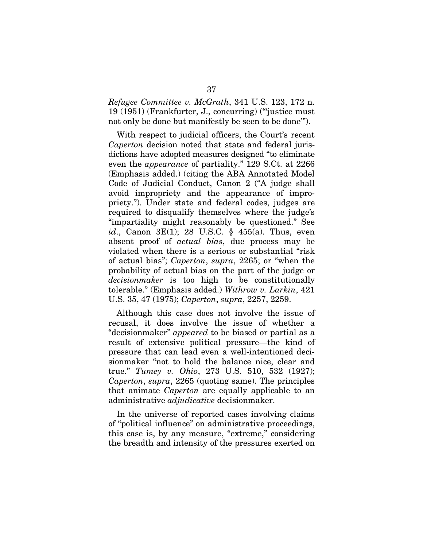*Refugee Committee v. McGrath*, 341 U.S. 123, 172 n. 19 (1951) (Frankfurter, J., concurring) ("'justice must not only be done but manifestly be seen to be done'").

With respect to judicial officers, the Court's recent *Caperton* decision noted that state and federal jurisdictions have adopted measures designed "to eliminate even the *appearance* of partiality." 129 S.Ct. at 2266 (Emphasis added.) (citing the ABA Annotated Model Code of Judicial Conduct, Canon 2 ("A judge shall avoid impropriety and the appearance of impropriety."). Under state and federal codes, judges are required to disqualify themselves where the judge's "impartiality might reasonably be questioned." See *id.*, Canon 3E(1); 28 U.S.C. § 455(a). Thus, even absent proof of *actual bias*, due process may be violated when there is a serious or substantial "risk of actual bias"; *Caperton*, *supra*, 2265; or "when the probability of actual bias on the part of the judge or *decisionmaker* is too high to be constitutionally tolerable." (Emphasis added.) *Withrow v. Larkin*, 421 U.S. 35, 47 (1975); *Caperton*, *supra*, 2257, 2259.

Although this case does not involve the issue of recusal, it does involve the issue of whether a "decisionmaker" *appeared* to be biased or partial as a result of extensive political pressure—the kind of pressure that can lead even a well-intentioned decisionmaker "not to hold the balance nice, clear and true." *Tumey v. Ohio*, 273 U.S. 510, 532 (1927); *Caperton*, *supra*, 2265 (quoting same). The principles that animate *Caperton* are equally applicable to an administrative *adjudicative* decisionmaker.

In the universe of reported cases involving claims of "political influence" on administrative proceedings, this case is, by any measure, "extreme," considering the breadth and intensity of the pressures exerted on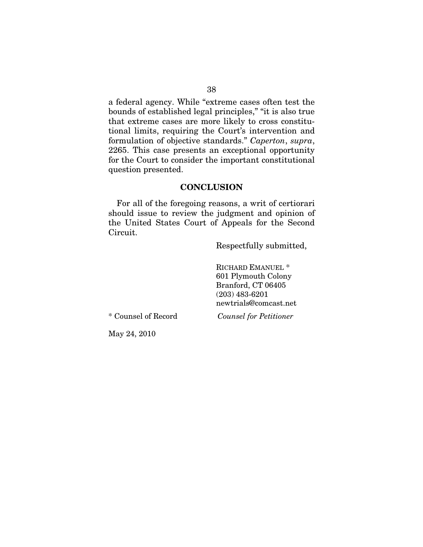a federal agency. While "extreme cases often test the bounds of established legal principles," "it is also true that extreme cases are more likely to cross constitutional limits, requiring the Court's intervention and formulation of objective standards." *Caperton*, *supra*, 2265. This case presents an exceptional opportunity for the Court to consider the important constitutional question presented.

# **CONCLUSION**

For all of the foregoing reasons, a writ of certiorari should issue to review the judgment and opinion of the United States Court of Appeals for the Second Circuit.

Respectfully submitted,

RICHARD EMANUEL \* 601 Plymouth Colony Branford, CT 06405 (203) 483-6201 newtrials@comcast.net

\* Counsel of Record *Counsel for Petitioner*

May 24, 2010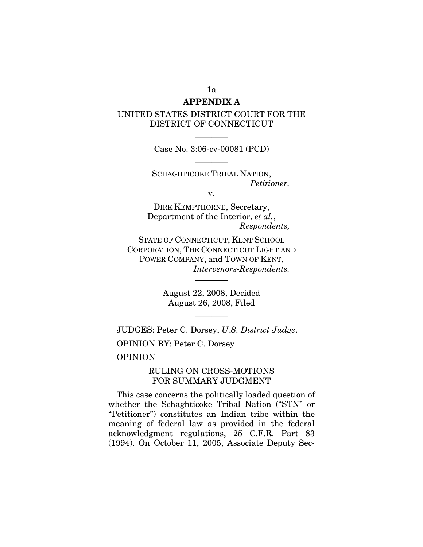#### **APPENDIX A**

UNITED STATES DISTRICT COURT FOR THE DISTRICT OF CONNECTICUT

> ———— Case No. 3:06-cv-00081 (PCD) ————

SCHAGHTICOKE TRIBAL NATION, *Petitioner,*

v.

DIRK KEMPTHORNE, Secretary, Department of the Interior, *et al.*, *Respondents,*

STATE OF CONNECTICUT, KENT SCHOOL CORPORATION, THE CONNECTICUT LIGHT AND POWER COMPANY, and TOWN OF KENT, *Intervenors-Respondents.*

> August 22, 2008, Decided August 26, 2008, Filed

> > ————

————

JUDGES: Peter C. Dorsey, *U.S. District Judge*.

OPINION BY: Peter C. Dorsey

OPINION

# RULING ON CROSS-MOTIONS FOR SUMMARY JUDGMENT

This case concerns the politically loaded question of whether the Schaghticoke Tribal Nation ("STN" or "Petitioner") constitutes an Indian tribe within the meaning of federal law as provided in the federal acknowledgment regulations, 25 C.F.R. Part 83 (1994). On October 11, 2005, Associate Deputy Sec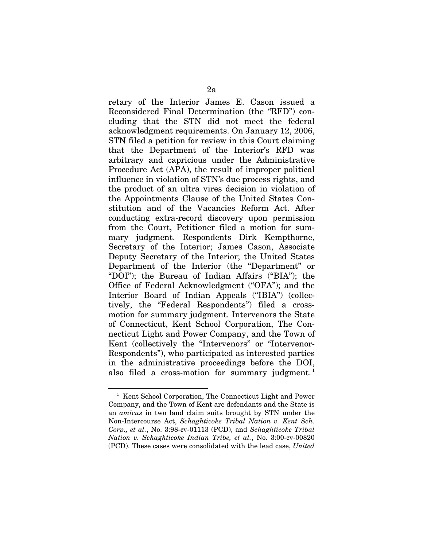retary of the Interior James E. Cason issued a Reconsidered Final Determination (the "RFD") concluding that the STN did not meet the federal acknowledgment requirements. On January 12, 2006, STN filed a petition for review in this Court claiming that the Department of the Interior's RFD was arbitrary and capricious under the Administrative Procedure Act (APA), the result of improper political influence in violation of STN's due process rights, and the product of an ultra vires decision in violation of the Appointments Clause of the United States Constitution and of the Vacancies Reform Act. After conducting extra-record discovery upon permission from the Court, Petitioner filed a motion for summary judgment. Respondents Dirk Kempthorne, Secretary of the Interior; James Cason, Associate Deputy Secretary of the Interior; the United States Department of the Interior (the "Department" or "DOI"); the Bureau of Indian Affairs ("BIA"); the Office of Federal Acknowledgment ("OFA"); and the Interior Board of Indian Appeals ("IBIA") (collectively, the "Federal Respondents") filed a crossmotion for summary judgment. Intervenors the State of Connecticut, Kent School Corporation, The Connecticut Light and Power Company, and the Town of Kent (collectively the "Intervenors" or "Intervenor-Respondents"), who participated as interested parties in the administrative proceedings before the DOI, also filed a cross-motion for summary judgment.<sup>[1](#page-50-0)</sup>

<span id="page-50-0"></span><sup>&</sup>lt;sup>1</sup> Kent School Corporation, The Connecticut Light and Power Company, and the Town of Kent are defendants and the State is an *amicus* in two land claim suits brought by STN under the Non-Intercourse Act, *Schaghticoke Tribal Nation v. Kent Sch. Corp., et al.*, No. 3:98-cv-01113 (PCD), and *Schaghticoke Tribal Nation v. Schaghticoke Indian Tribe, et al.*, No. 3:00-cv-00820 (PCD). These cases were consolidated with the lead case, *United*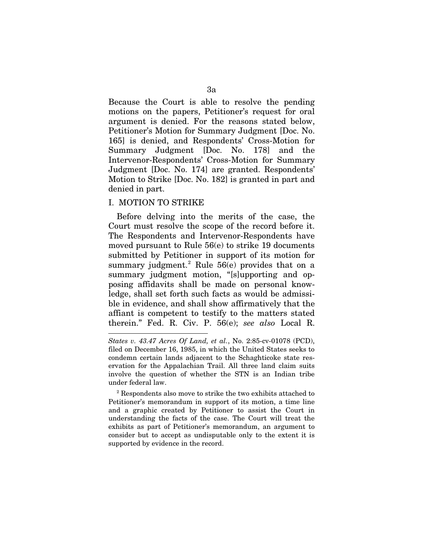Because the Court is able to resolve the pending motions on the papers, Petitioner's request for oral argument is denied. For the reasons stated below, Petitioner's Motion for Summary Judgment [Doc. No. 165] is denied, and Respondents' Cross-Motion for Summary Judgment [Doc. No. 178] and the Intervenor-Respondents' Cross-Motion for Summary Judgment [Doc. No. 174] are granted. Respondents' Motion to Strike [Doc. No. 182] is granted in part and denied in part.

#### I. MOTION TO STRIKE

Before delving into the merits of the case, the Court must resolve the scope of the record before it. The Respondents and Intervenor-Respondents have moved pursuant to Rule 56(e) to strike 19 documents submitted by Petitioner in support of its motion for summary judgment.<sup>[2](#page-51-0)</sup> Rule  $56(e)$  provides that on a summary judgment motion, "[s]upporting and opposing affidavits shall be made on personal knowledge, shall set forth such facts as would be admissible in evidence, and shall show affirmatively that the affiant is competent to testify to the matters stated therein." Fed. R. Civ. P. 56(e); *see also* Local R.

<sup>-</sup>*States v. 43.47 Acres Of Land, et al.*, No. 2:85-cv-01078 (PCD), filed on December 16, 1985, in which the United States seeks to condemn certain lands adjacent to the Schaghticoke state reservation for the Appalachian Trail. All three land claim suits involve the question of whether the STN is an Indian tribe under federal law.

<span id="page-51-0"></span><sup>&</sup>lt;sup>2</sup> Respondents also move to strike the two exhibits attached to Petitioner's memorandum in support of its motion, a time line and a graphic created by Petitioner to assist the Court in understanding the facts of the case. The Court will treat the exhibits as part of Petitioner's memorandum, an argument to consider but to accept as undisputable only to the extent it is supported by evidence in the record.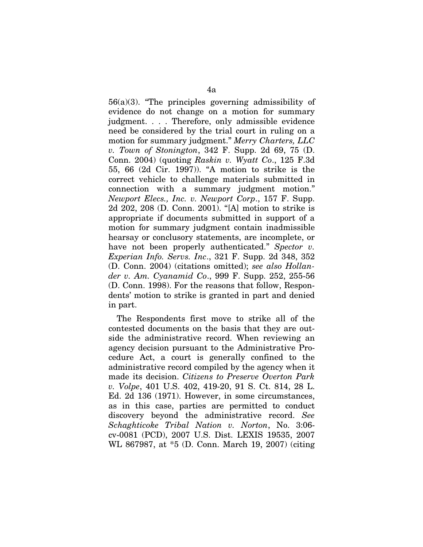56(a)(3). "The principles governing admissibility of evidence do not change on a motion for summary judgment. . . . Therefore, only admissible evidence need be considered by the trial court in ruling on a motion for summary judgment." *Merry Charters, LLC v. Town of Stonington*, 342 F. Supp. 2d 69, 75 (D. Conn. 2004) (quoting *Raskin v. Wyatt Co*., 125 F.3d 55, 66 (2d Cir. 1997)). "A motion to strike is the correct vehicle to challenge materials submitted in connection with a summary judgment motion." *Newport Elecs., Inc. v. Newport Corp*., 157 F. Supp. 2d 202, 208 (D. Conn. 2001). "[A] motion to strike is appropriate if documents submitted in support of a motion for summary judgment contain inadmissible hearsay or conclusory statements, are incomplete, or have not been properly authenticated." *Spector v. Experian Info. Servs. Inc*., 321 F. Supp. 2d 348, 352 (D. Conn. 2004) (citations omitted); *see also Hollander v. Am. Cyanamid Co*., 999 F. Supp. 252, 255-56 (D. Conn. 1998). For the reasons that follow, Respondents' motion to strike is granted in part and denied in part.

The Respondents first move to strike all of the contested documents on the basis that they are outside the administrative record. When reviewing an agency decision pursuant to the Administrative Procedure Act, a court is generally confined to the administrative record compiled by the agency when it made its decision. *Citizens to Preserve Overton Park v. Volpe*, 401 U.S. 402, 419-20, 91 S. Ct. 814, 28 L. Ed. 2d 136 (1971). However, in some circumstances, as in this case, parties are permitted to conduct discovery beyond the administrative record. *See Schaghticoke Tribal Nation v. Norton*, No. 3:06 cv-0081 (PCD), 2007 U.S. Dist. LEXIS 19535, 2007 WL 867987, at \*5 (D. Conn. March 19, 2007) (citing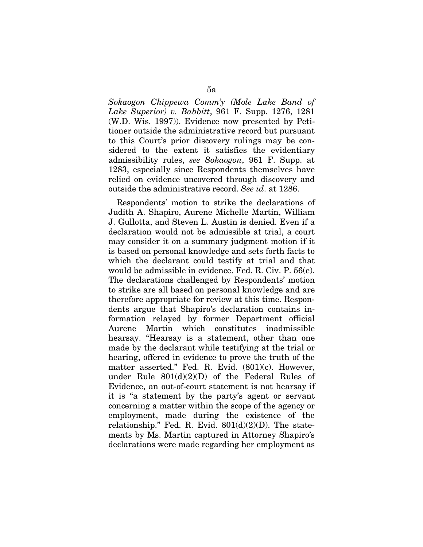*Sokaogon Chippewa Comm'y (Mole Lake Band of Lake Superior) v. Babbitt*, 961 F. Supp. 1276, 1281 (W.D. Wis. 1997)). Evidence now presented by Petitioner outside the administrative record but pursuant to this Court's prior discovery rulings may be considered to the extent it satisfies the evidentiary admissibility rules, *see Sokaogon*, 961 F. Supp. at 1283, especially since Respondents themselves have relied on evidence uncovered through discovery and outside the administrative record. *See id*. at 1286.

Respondents' motion to strike the declarations of Judith A. Shapiro, Aurene Michelle Martin, William J. Gullotta, and Steven L. Austin is denied. Even if a declaration would not be admissible at trial, a court may consider it on a summary judgment motion if it is based on personal knowledge and sets forth facts to which the declarant could testify at trial and that would be admissible in evidence. Fed. R. Civ. P. 56(e). The declarations challenged by Respondents' motion to strike are all based on personal knowledge and are therefore appropriate for review at this time. Respondents argue that Shapiro's declaration contains information relayed by former Department official Aurene Martin which constitutes inadmissible hearsay. "Hearsay is a statement, other than one made by the declarant while testifying at the trial or hearing, offered in evidence to prove the truth of the matter asserted." Fed. R. Evid. (801)(c). However, under Rule 801(d)(2)(D) of the Federal Rules of Evidence, an out-of-court statement is not hearsay if it is "a statement by the party's agent or servant concerning a matter within the scope of the agency or employment, made during the existence of the relationship." Fed. R. Evid.  $801(d)(2)(D)$ . The statements by Ms. Martin captured in Attorney Shapiro's declarations were made regarding her employment as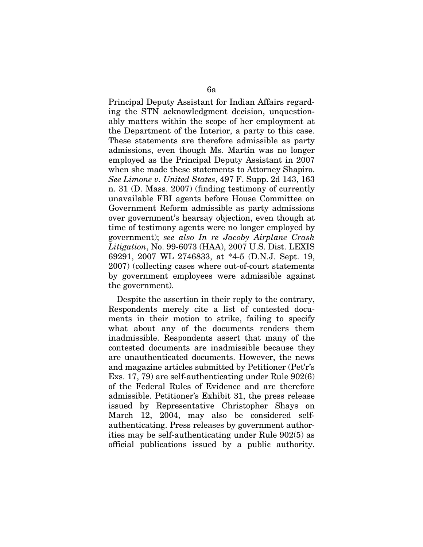Principal Deputy Assistant for Indian Affairs regarding the STN acknowledgment decision, unquestionably matters within the scope of her employment at the Department of the Interior, a party to this case. These statements are therefore admissible as party admissions, even though Ms. Martin was no longer employed as the Principal Deputy Assistant in 2007 when she made these statements to Attorney Shapiro. *See Limone v. United States*, 497 F. Supp. 2d 143, 163 n. 31 (D. Mass. 2007) (finding testimony of currently unavailable FBI agents before House Committee on Government Reform admissible as party admissions over government's hearsay objection, even though at time of testimony agents were no longer employed by government); *see also In re Jacoby Airplane Crash Litigation*, No. 99-6073 (HAA), 2007 U.S. Dist. LEXIS 69291, 2007 WL 2746833, at \*4-5 (D.N.J. Sept. 19, 2007) (collecting cases where out-of-court statements by government employees were admissible against the government).

Despite the assertion in their reply to the contrary, Respondents merely cite a list of contested documents in their motion to strike, failing to specify what about any of the documents renders them inadmissible. Respondents assert that many of the contested documents are inadmissible because they are unauthenticated documents. However, the news and magazine articles submitted by Petitioner (Pet'r's Exs. 17, 79) are self-authenticating under Rule 902(6) of the Federal Rules of Evidence and are therefore admissible. Petitioner's Exhibit 31, the press release issued by Representative Christopher Shays on March 12, 2004, may also be considered selfauthenticating. Press releases by government authorities may be self-authenticating under Rule 902(5) as official publications issued by a public authority.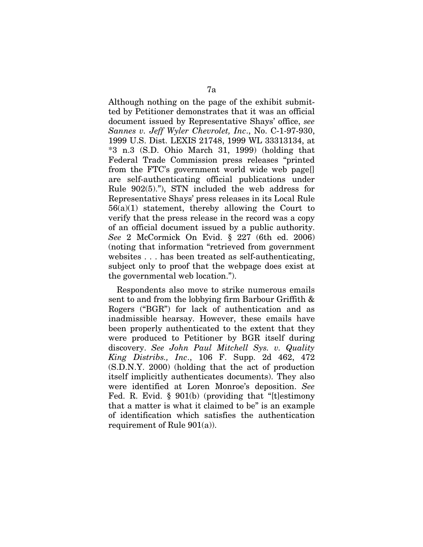Although nothing on the page of the exhibit submitted by Petitioner demonstrates that it was an official document issued by Representative Shays' office, *see Sannes v. Jeff Wyler Chevrolet, Inc*., No. C-1-97-930, 1999 U.S. Dist. LEXIS 21748, 1999 WL 33313134, at \*3 n.3 (S.D. Ohio March 31, 1999) (holding that Federal Trade Commission press releases "printed from the FTC's government world wide web page[] are self-authenticating official publications under Rule 902(5)."), STN included the web address for Representative Shays' press releases in its Local Rule  $56(a)(1)$  statement, thereby allowing the Court to verify that the press release in the record was a copy of an official document issued by a public authority. *See* 2 McCormick On Evid. § 227 (6th ed. 2006) (noting that information "retrieved from government websites . . . has been treated as self-authenticating, subject only to proof that the webpage does exist at the governmental web location.").

Respondents also move to strike numerous emails sent to and from the lobbying firm Barbour Griffith & Rogers ("BGR") for lack of authentication and as inadmissible hearsay. However, these emails have been properly authenticated to the extent that they were produced to Petitioner by BGR itself during discovery. *See John Paul Mitchell Sys. v. Quality King Distribs., Inc*., 106 F. Supp. 2d 462, 472 (S.D.N.Y. 2000) (holding that the act of production itself implicitly authenticates documents). They also were identified at Loren Monroe's deposition. *See* Fed. R. Evid. § 901(b) (providing that "[t]estimony that a matter is what it claimed to be" is an example of identification which satisfies the authentication requirement of Rule 901(a)).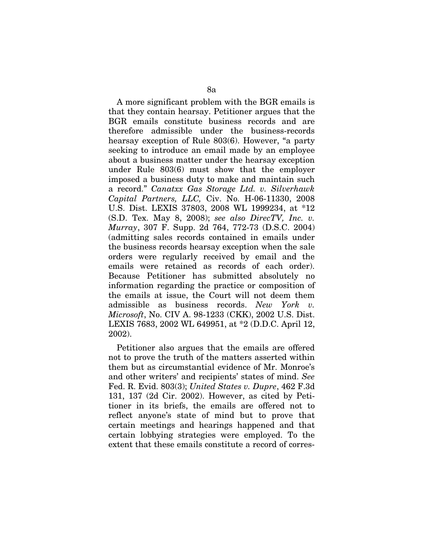A more significant problem with the BGR emails is that they contain hearsay. Petitioner argues that the BGR emails constitute business records and are therefore admissible under the business-records hearsay exception of Rule 803(6). However, "a party seeking to introduce an email made by an employee about a business matter under the hearsay exception under Rule 803(6) must show that the employer imposed a business duty to make and maintain such a record." *Canatxx Gas Storage Ltd. v. Silverhawk Capital Partners, LLC,* Civ. No. H-06-11330, 2008 U.S. Dist. LEXIS 37803, 2008 WL 1999234, at \*12 (S.D. Tex. May 8, 2008); *see also DirecTV, Inc. v. Murray*, 307 F. Supp. 2d 764, 772-73 (D.S.C. 2004) (admitting sales records contained in emails under the business records hearsay exception when the sale orders were regularly received by email and the emails were retained as records of each order). Because Petitioner has submitted absolutely no information regarding the practice or composition of the emails at issue, the Court will not deem them admissible as business records. *New York v. Microsoft*, No. CIV A. 98-1233 (CKK), 2002 U.S. Dist. LEXIS 7683, 2002 WL 649951, at \*2 (D.D.C. April 12, 2002).

Petitioner also argues that the emails are offered not to prove the truth of the matters asserted within them but as circumstantial evidence of Mr. Monroe's and other writers' and recipients' states of mind. *See* Fed. R. Evid. 803(3); *United States v. Dupre*, 462 F.3d 131, 137 (2d Cir. 2002). However, as cited by Petitioner in its briefs, the emails are offered not to reflect anyone's state of mind but to prove that certain meetings and hearings happened and that certain lobbying strategies were employed. To the extent that these emails constitute a record of corres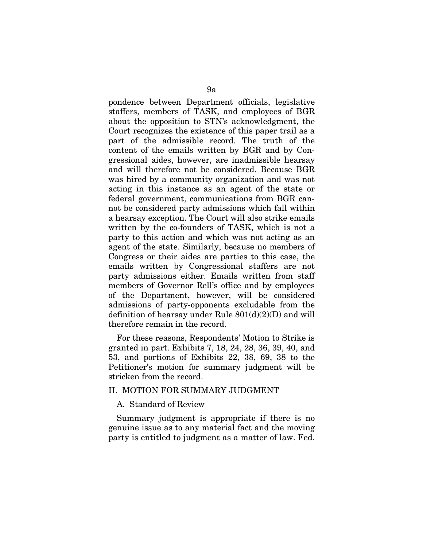pondence between Department officials, legislative staffers, members of TASK, and employees of BGR about the opposition to STN's acknowledgment, the Court recognizes the existence of this paper trail as a part of the admissible record. The truth of the content of the emails written by BGR and by Congressional aides, however, are inadmissible hearsay and will therefore not be considered. Because BGR was hired by a community organization and was not acting in this instance as an agent of the state or federal government, communications from BGR cannot be considered party admissions which fall within a hearsay exception. The Court will also strike emails written by the co-founders of TASK, which is not a party to this action and which was not acting as an agent of the state. Similarly, because no members of Congress or their aides are parties to this case, the emails written by Congressional staffers are not party admissions either. Emails written from staff members of Governor Rell's office and by employees of the Department, however, will be considered admissions of party-opponents excludable from the definition of hearsay under Rule  $801(d)(2)(D)$  and will therefore remain in the record.

For these reasons, Respondents' Motion to Strike is granted in part. Exhibits 7, 18, 24, 28, 36, 39, 40, and 53, and portions of Exhibits 22, 38, 69, 38 to the Petitioner's motion for summary judgment will be stricken from the record.

## II. MOTION FOR SUMMARY JUDGMENT

A. Standard of Review

Summary judgment is appropriate if there is no genuine issue as to any material fact and the moving party is entitled to judgment as a matter of law. Fed.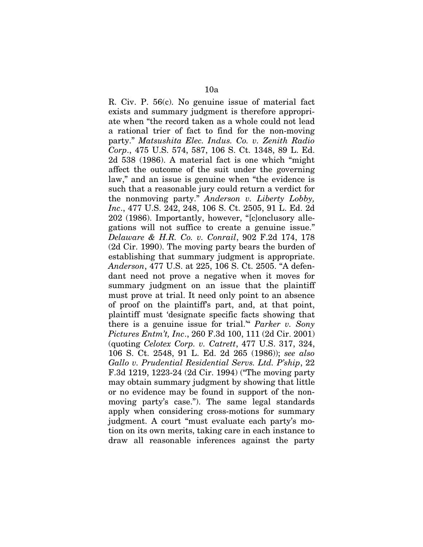R. Civ. P. 56(c). No genuine issue of material fact exists and summary judgment is therefore appropriate when "the record taken as a whole could not lead a rational trier of fact to find for the non-moving party." *Matsushita Elec. Indus. Co. v. Zenith Radio Corp*., 475 U.S. 574, 587, 106 S. Ct. 1348, 89 L. Ed. 2d 538 (1986). A material fact is one which "might affect the outcome of the suit under the governing law," and an issue is genuine when "the evidence is such that a reasonable jury could return a verdict for the nonmoving party." *Anderson v. Liberty Lobby, Inc*., 477 U.S. 242, 248, 106 S. Ct. 2505, 91 L. Ed. 2d 202 (1986). Importantly, however, "[c]onclusory allegations will not suffice to create a genuine issue." *Delaware & H.R. Co. v. Conrail*, 902 F.2d 174, 178 (2d Cir. 1990). The moving party bears the burden of establishing that summary judgment is appropriate. *Anderson*, 477 U.S. at 225, 106 S. Ct. 2505. "A defendant need not prove a negative when it moves for summary judgment on an issue that the plaintiff must prove at trial. It need only point to an absence of proof on the plaintiff's part, and, at that point, plaintiff must 'designate specific facts showing that there is a genuine issue for trial.'" *Parker v. Sony Pictures Entm't, Inc*., 260 F.3d 100, 111 (2d Cir. 2001) (quoting *Celotex Corp. v. Catrett*, 477 U.S. 317, 324, 106 S. Ct. 2548, 91 L. Ed. 2d 265 (1986)); *see also Gallo v. Prudential Residential Servs. Ltd. P'ship*, 22 F.3d 1219, 1223-24 (2d Cir. 1994) ("The moving party may obtain summary judgment by showing that little or no evidence may be found in support of the nonmoving party's case."). The same legal standards apply when considering cross-motions for summary judgment. A court "must evaluate each party's motion on its own merits, taking care in each instance to draw all reasonable inferences against the party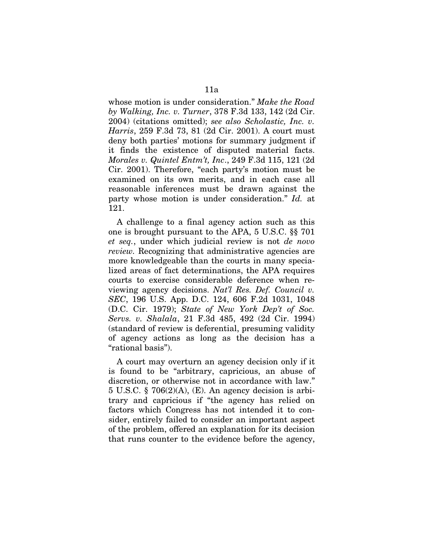whose motion is under consideration." *Make the Road by Walking, Inc. v. Turner*, 378 F.3d 133, 142 (2d Cir. 2004) (citations omitted); *see also Scholastic, Inc. v. Harris*, 259 F.3d 73, 81 (2d Cir. 2001). A court must deny both parties' motions for summary judgment if it finds the existence of disputed material facts. *Morales v. Quintel Entm't, Inc*., 249 F.3d 115, 121 (2d Cir. 2001). Therefore, "each party's motion must be examined on its own merits, and in each case all reasonable inferences must be drawn against the party whose motion is under consideration." *Id.* at 121.

A challenge to a final agency action such as this one is brought pursuant to the APA, 5 U.S.C. §§ 701 *et seq.*, under which judicial review is not *de novo review.* Recognizing that administrative agencies are more knowledgeable than the courts in many specialized areas of fact determinations, the APA requires courts to exercise considerable deference when reviewing agency decisions. *Nat'l Res. Def. Council v. SEC*, 196 U.S. App. D.C. 124, 606 F.2d 1031, 1048 (D.C. Cir. 1979); *State of New York Dep't of Soc. Servs. v. Shalala*, 21 F.3d 485, 492 (2d Cir. 1994) (standard of review is deferential, presuming validity of agency actions as long as the decision has a "rational basis").

A court may overturn an agency decision only if it is found to be "arbitrary, capricious, an abuse of discretion, or otherwise not in accordance with law." 5 U.S.C. § 706(2)(A), (E). An agency decision is arbitrary and capricious if "the agency has relied on factors which Congress has not intended it to consider, entirely failed to consider an important aspect of the problem, offered an explanation for its decision that runs counter to the evidence before the agency,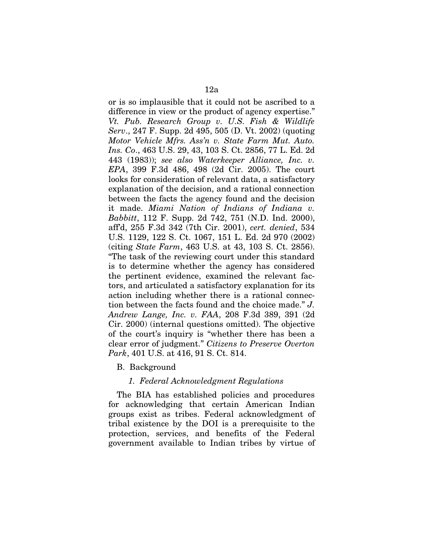or is so implausible that it could not be ascribed to a difference in view or the product of agency expertise." *Vt. Pub. Research Group v. U.S. Fish & Wildlife Serv*., 247 F. Supp. 2d 495, 505 (D. Vt. 2002) (quoting *Motor Vehicle Mfrs. Ass'n v. State Farm Mut. Auto. Ins. Co*., 463 U.S. 29, 43, 103 S. Ct. 2856, 77 L. Ed. 2d 443 (1983)); *see also Waterkeeper Alliance, Inc. v. EPA*, 399 F.3d 486, 498 (2d Cir. 2005). The court looks for consideration of relevant data, a satisfactory explanation of the decision, and a rational connection between the facts the agency found and the decision it made. *Miami Nation of Indians of Indiana v. Babbitt*, 112 F. Supp. 2d 742, 751 (N.D. Ind. 2000), aff'd, 255 F.3d 342 (7th Cir. 2001), *cert. denied*, 534 U.S. 1129, 122 S. Ct. 1067, 151 L. Ed. 2d 970 (2002) (citing *State Farm*, 463 U.S. at 43, 103 S. Ct. 2856). "The task of the reviewing court under this standard is to determine whether the agency has considered the pertinent evidence, examined the relevant factors, and articulated a satisfactory explanation for its action including whether there is a rational connection between the facts found and the choice made." *J. Andrew Lange, Inc. v. FAA*, 208 F.3d 389, 391 (2d Cir. 2000) (internal questions omitted). The objective of the court's inquiry is "whether there has been a clear error of judgment." *Citizens to Preserve Overton Park*, 401 U.S. at 416, 91 S. Ct. 814.

B. Background

### *1. Federal Acknowledgment Regulations*

The BIA has established policies and procedures for acknowledging that certain American Indian groups exist as tribes. Federal acknowledgment of tribal existence by the DOI is a prerequisite to the protection, services, and benefits of the Federal government available to Indian tribes by virtue of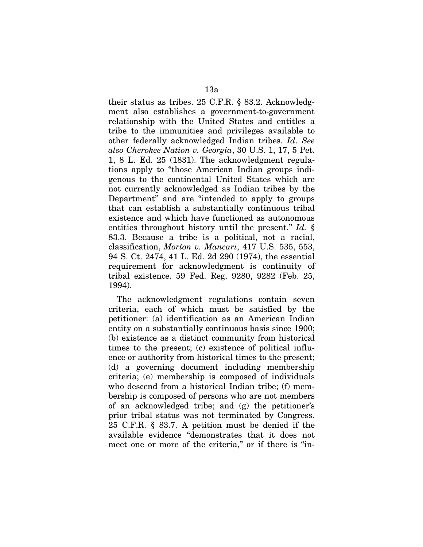their status as tribes. 25 C.F.R. § 83.2. Acknowledgment also establishes a government-to-government relationship with the United States and entitles a tribe to the immunities and privileges available to other federally acknowledged Indian tribes. *Id*. *See also Cherokee Nation v. Georgia*, 30 U.S. 1, 17, 5 Pet. 1, 8 L. Ed. 25 (1831). The acknowledgment regulations apply to "those American Indian groups indigenous to the continental United States which are not currently acknowledged as Indian tribes by the Department" and are "intended to apply to groups that can establish a substantially continuous tribal existence and which have functioned as autonomous entities throughout history until the present." *Id.* § 83.3. Because a tribe is a political, not a racial, classification, *Morton v. Mancari*, 417 U.S. 535, 553, 94 S. Ct. 2474, 41 L. Ed. 2d 290 (1974), the essential requirement for acknowledgment is continuity of tribal existence. 59 Fed. Reg. 9280, 9282 (Feb. 25, 1994).

The acknowledgment regulations contain seven criteria, each of which must be satisfied by the petitioner: (a) identification as an American Indian entity on a substantially continuous basis since 1900; (b) existence as a distinct community from historical times to the present; (c) existence of political influence or authority from historical times to the present; (d) a governing document including membership criteria; (e) membership is composed of individuals who descend from a historical Indian tribe; (f) membership is composed of persons who are not members of an acknowledged tribe; and (g) the petitioner's prior tribal status was not terminated by Congress. 25 C.F.R. § 83.7. A petition must be denied if the available evidence "demonstrates that it does not meet one or more of the criteria," or if there is "in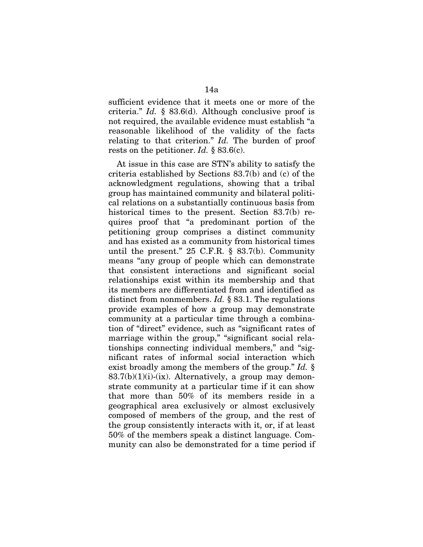sufficient evidence that it meets one or more of the criteria." *Id.* § 83.6(d). Although conclusive proof is not required, the available evidence must establish "a reasonable likelihood of the validity of the facts relating to that criterion." *Id.* The burden of proof rests on the petitioner. *Id.* § 83.6(c).

At issue in this case are STN's ability to satisfy the criteria established by Sections 83.7(b) and (c) of the acknowledgment regulations, showing that a tribal group has maintained community and bilateral political relations on a substantially continuous basis from historical times to the present. Section 83.7(b) requires proof that "a predominant portion of the petitioning group comprises a distinct community and has existed as a community from historical times until the present." 25 C.F.R. § 83.7(b). Community means "any group of people which can demonstrate that consistent interactions and significant social relationships exist within its membership and that its members are differentiated from and identified as distinct from nonmembers. *Id.* § 83.1. The regulations provide examples of how a group may demonstrate community at a particular time through a combination of "direct" evidence, such as "significant rates of marriage within the group," "significant social relationships connecting individual members," and "significant rates of informal social interaction which exist broadly among the members of the group." *Id.* §  $83.7(b)(1)(i)-(ix)$ . Alternatively, a group may demonstrate community at a particular time if it can show that more than 50% of its members reside in a geographical area exclusively or almost exclusively composed of members of the group, and the rest of the group consistently interacts with it, or, if at least 50% of the members speak a distinct language. Community can also be demonstrated for a time period if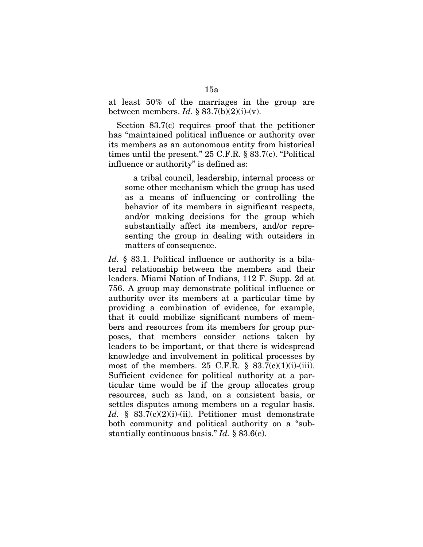at least 50% of the marriages in the group are between members. *Id.*  $\S 83.7(b)(2)(i)-(v)$ .

Section 83.7(c) requires proof that the petitioner has "maintained political influence or authority over its members as an autonomous entity from historical times until the present." 25 C.F.R. § 83.7(c). "Political influence or authority" is defined as:

a tribal council, leadership, internal process or some other mechanism which the group has used as a means of influencing or controlling the behavior of its members in significant respects, and/or making decisions for the group which substantially affect its members, and/or representing the group in dealing with outsiders in matters of consequence.

*Id.* § 83.1. Political influence or authority is a bilateral relationship between the members and their leaders. Miami Nation of Indians, 112 F. Supp. 2d at 756. A group may demonstrate political influence or authority over its members at a particular time by providing a combination of evidence, for example, that it could mobilize significant numbers of members and resources from its members for group purposes, that members consider actions taken by leaders to be important, or that there is widespread knowledge and involvement in political processes by most of the members. 25 C.F.R.  $\S$  83.7(c)(1)(i)-(iii). Sufficient evidence for political authority at a particular time would be if the group allocates group resources, such as land, on a consistent basis, or settles disputes among members on a regular basis. *Id.* § 83.7(c)(2)(i)-(ii). Petitioner must demonstrate both community and political authority on a "substantially continuous basis." *Id.* § 83.6(e).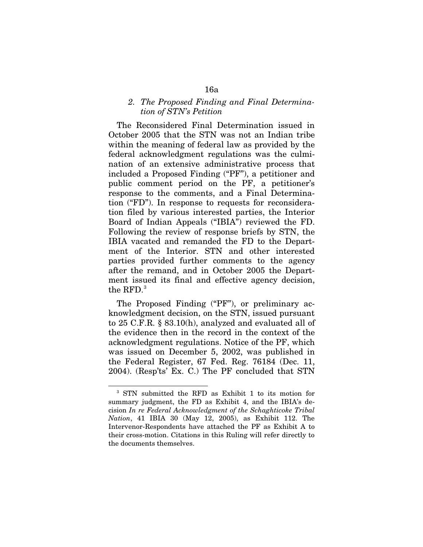# *2. The Proposed Finding and Final Determination of STN's Petition*

The Reconsidered Final Determination issued in October 2005 that the STN was not an Indian tribe within the meaning of federal law as provided by the federal acknowledgment regulations was the culmination of an extensive administrative process that included a Proposed Finding ("PF"), a petitioner and public comment period on the PF, a petitioner's response to the comments, and a Final Determination ("FD"). In response to requests for reconsideration filed by various interested parties, the Interior Board of Indian Appeals ("IBIA") reviewed the FD. Following the review of response briefs by STN, the IBIA vacated and remanded the FD to the Department of the Interior. STN and other interested parties provided further comments to the agency after the remand, and in October 2005 the Department issued its final and effective agency decision, the RFD.<sup>[3](#page-64-0)</sup>

The Proposed Finding ("PF"), or preliminary acknowledgment decision, on the STN, issued pursuant to 25 C.F.R. § 83.10(h), analyzed and evaluated all of the evidence then in the record in the context of the acknowledgment regulations. Notice of the PF, which was issued on December 5, 2002, was published in the Federal Register, 67 Fed. Reg. 76184 (Dec. 11, 2004). (Resp'ts' Ex. C.) The PF concluded that STN

### 16a

<span id="page-64-0"></span><sup>3</sup> STN submitted the RFD as Exhibit 1 to its motion for summary judgment, the FD as Exhibit 4, and the IBIA's decision *In re Federal Acknowledgment of the Schaghticoke Tribal Nation*, 41 IBIA 30 (May 12, 2005), as Exhibit 112. The Intervenor-Respondents have attached the PF as Exhibit A to their cross-motion. Citations in this Ruling will refer directly to the documents themselves.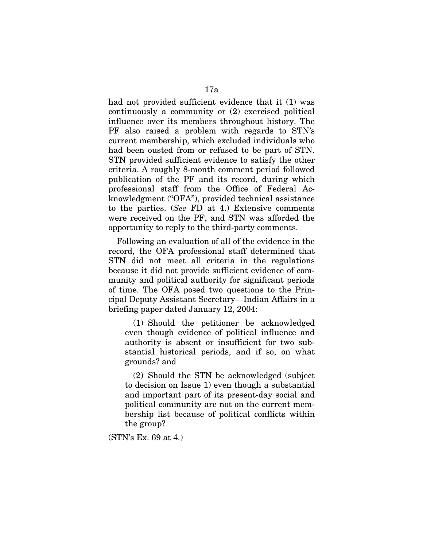had not provided sufficient evidence that it (1) was continuously a community or (2) exercised political influence over its members throughout history. The PF also raised a problem with regards to STN's current membership, which excluded individuals who had been ousted from or refused to be part of STN. STN provided sufficient evidence to satisfy the other criteria. A roughly 8-month comment period followed publication of the PF and its record, during which professional staff from the Office of Federal Acknowledgment ("OFA"), provided technical assistance to the parties. (*See* FD at 4.) Extensive comments were received on the PF, and STN was afforded the opportunity to reply to the third-party comments.

Following an evaluation of all of the evidence in the record, the OFA professional staff determined that STN did not meet all criteria in the regulations because it did not provide sufficient evidence of community and political authority for significant periods of time. The OFA posed two questions to the Principal Deputy Assistant Secretary—Indian Affairs in a briefing paper dated January 12, 2004:

(1) Should the petitioner be acknowledged even though evidence of political influence and authority is absent or insufficient for two substantial historical periods, and if so, on what grounds? and

(2) Should the STN be acknowledged (subject to decision on Issue 1) even though a substantial and important part of its present-day social and political community are not on the current membership list because of political conflicts within the group?

(STN's Ex. 69 at 4.)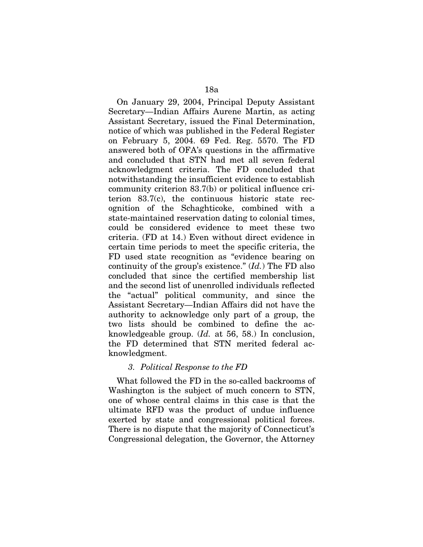On January 29, 2004, Principal Deputy Assistant Secretary—Indian Affairs Aurene Martin, as acting Assistant Secretary, issued the Final Determination, notice of which was published in the Federal Register on February 5, 2004. 69 Fed. Reg. 5570. The FD answered both of OFA's questions in the affirmative and concluded that STN had met all seven federal acknowledgment criteria. The FD concluded that notwithstanding the insufficient evidence to establish community criterion 83.7(b) or political influence criterion 83.7(c), the continuous historic state recognition of the Schaghticoke, combined with a state-maintained reservation dating to colonial times, could be considered evidence to meet these two criteria. (FD at 14.) Even without direct evidence in certain time periods to meet the specific criteria, the FD used state recognition as "evidence bearing on continuity of the group's existence." (*Id.*) The FD also concluded that since the certified membership list and the second list of unenrolled individuals reflected the "actual" political community, and since the Assistant Secretary—Indian Affairs did not have the authority to acknowledge only part of a group, the two lists should be combined to define the acknowledgeable group. (*Id.* at 56, 58.) In conclusion, the FD determined that STN merited federal acknowledgment.

### *3. Political Response to the FD*

What followed the FD in the so-called backrooms of Washington is the subject of much concern to STN, one of whose central claims in this case is that the ultimate RFD was the product of undue influence exerted by state and congressional political forces. There is no dispute that the majority of Connecticut's Congressional delegation, the Governor, the Attorney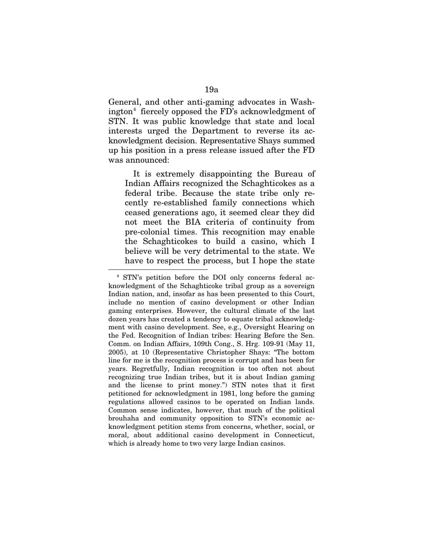General, and other anti-gaming advocates in Washington[4](#page-67-0) fiercely opposed the FD's acknowledgment of STN. It was public knowledge that state and local interests urged the Department to reverse its acknowledgment decision. Representative Shays summed up his position in a press release issued after the FD was announced:

It is extremely disappointing the Bureau of Indian Affairs recognized the Schaghticokes as a federal tribe. Because the state tribe only recently re-established family connections which ceased generations ago, it seemed clear they did not meet the BIA criteria of continuity from pre-colonial times. This recognition may enable the Schaghticokes to build a casino, which I believe will be very detrimental to the state. We have to respect the process, but I hope the state

<span id="page-67-0"></span><sup>4</sup> STN's petition before the DOI only concerns federal acknowledgment of the Schaghticoke tribal group as a sovereign Indian nation, and, insofar as has been presented to this Court, include no mention of casino development or other Indian gaming enterprises. However, the cultural climate of the last dozen years has created a tendency to equate tribal acknowledgment with casino development. See, e.g., Oversight Hearing on the Fed. Recognition of Indian tribes: Hearing Before the Sen. Comm. on Indian Affairs, 109th Cong., S. Hrg. 109-91 (May 11, 2005), at 10 (Representative Christopher Shays: "The bottom line for me is the recognition process is corrupt and has been for years. Regretfully, Indian recognition is too often not about recognizing true Indian tribes, but it is about Indian gaming and the license to print money.") STN notes that it first petitioned for acknowledgment in 1981, long before the gaming regulations allowed casinos to be operated on Indian lands. Common sense indicates, however, that much of the political brouhaha and community opposition to STN's economic acknowledgment petition stems from concerns, whether, social, or moral, about additional casino development in Connecticut, which is already home to two very large Indian casinos.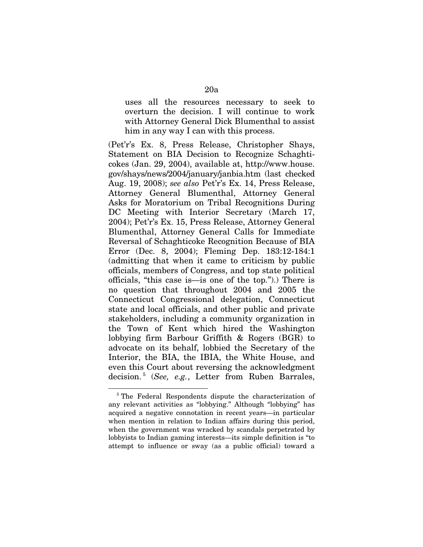uses all the resources necessary to seek to overturn the decision. I will continue to work with Attorney General Dick Blumenthal to assist him in any way I can with this process.

(Pet'r's Ex. 8, Press Release, Christopher Shays, Statement on BIA Decision to Recognize Schaghticokes (Jan. 29, 2004), available at, [http://www.house.](http://www.house/) gov/shays/news/2004/january/janbia.htm (last checked Aug. 19, 2008); *see also* Pet'r's Ex. 14, Press Release, Attorney General Blumenthal, Attorney General Asks for Moratorium on Tribal Recognitions During DC Meeting with Interior Secretary (March 17, 2004); Pet'r's Ex. 15, Press Release, Attorney General Blumenthal, Attorney General Calls for Immediate Reversal of Schaghticoke Recognition Because of BIA Error (Dec. 8, 2004); Fleming Dep. 183:12-184:1 (admitting that when it came to criticism by public officials, members of Congress, and top state political officials, "this case is—is one of the top.").) There is no question that throughout 2004 and 2005 the Connecticut Congressional delegation, Connecticut state and local officials, and other public and private stakeholders, including a community organization in the Town of Kent which hired the Washington lobbying firm Barbour Griffith & Rogers (BGR) to advocate on its behalf, lobbied the Secretary of the Interior, the BIA, the IBIA, the White House, and even this Court about reversing the acknowledgment decision. [5](#page-68-0) (*See, e.g.*, Letter from Ruben Barrales,

<span id="page-68-0"></span><sup>&</sup>lt;sup>5</sup> The Federal Respondents dispute the characterization of any relevant activities as "lobbying." Although "lobbying" has acquired a negative connotation in recent years—in particular when mention in relation to Indian affairs during this period, when the government was wracked by scandals perpetrated by lobbyists to Indian gaming interests—its simple definition is "to attempt to influence or sway (as a public official) toward a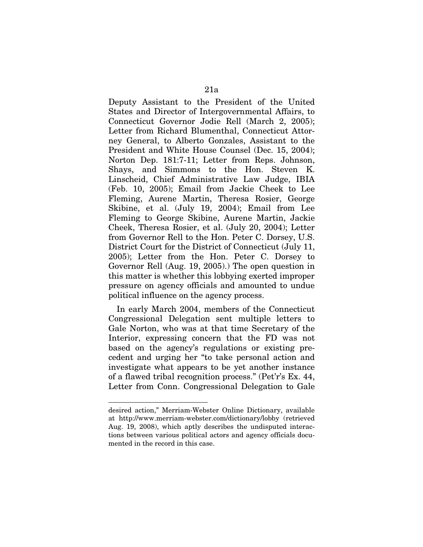Deputy Assistant to the President of the United States and Director of Intergovernmental Affairs, to Connecticut Governor Jodie Rell (March 2, 2005); Letter from Richard Blumenthal, Connecticut Attorney General, to Alberto Gonzales, Assistant to the President and White House Counsel (Dec. 15, 2004); Norton Dep. 181:7-11; Letter from Reps. Johnson, Shays, and Simmons to the Hon. Steven K. Linscheid, Chief Administrative Law Judge, IBIA (Feb. 10, 2005); Email from Jackie Cheek to Lee Fleming, Aurene Martin, Theresa Rosier, George Skibine, et al. (July 19, 2004); Email from Lee Fleming to George Skibine, Aurene Martin, Jackie Cheek, Theresa Rosier, et al. (July 20, 2004); Letter from Governor Rell to the Hon. Peter C. Dorsey, U.S. District Court for the District of Connecticut (July 11, 2005); Letter from the Hon. Peter C. Dorsey to Governor Rell (Aug. 19, 2005).) The open question in this matter is whether this lobbying exerted improper pressure on agency officials and amounted to undue political influence on the agency process.

In early March 2004, members of the Connecticut Congressional Delegation sent multiple letters to Gale Norton, who was at that time Secretary of the Interior, expressing concern that the FD was not based on the agency's regulations or existing precedent and urging her "to take personal action and investigate what appears to be yet another instance of a flawed tribal recognition process." (Pet'r's Ex. 44, Letter from Conn. Congressional Delegation to Gale

-

desired action," Merriam-Webster Online Dictionary, available at http://www.merriam-webster.com/dictionary/lobby (retrieved Aug. 19, 2008), which aptly describes the undisputed interactions between various political actors and agency officials documented in the record in this case.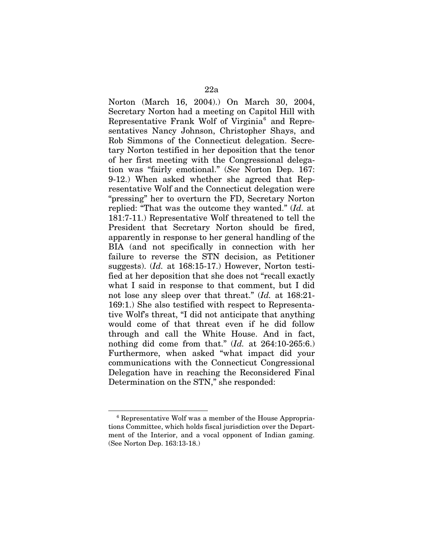Norton (March 16, 2004).) On March 30, 2004, Secretary Norton had a meeting on Capitol Hill with Representative Frank Wolf of Virginia<sup>[6](#page-70-0)</sup> and Representatives Nancy Johnson, Christopher Shays, and Rob Simmons of the Connecticut delegation. Secretary Norton testified in her deposition that the tenor of her first meeting with the Congressional delegation was "fairly emotional." (*See* Norton Dep. 167: 9-12.) When asked whether she agreed that Representative Wolf and the Connecticut delegation were "pressing" her to overturn the FD, Secretary Norton replied: "That was the outcome they wanted." (*Id.* at 181:7-11.) Representative Wolf threatened to tell the President that Secretary Norton should be fired, apparently in response to her general handling of the BIA (and not specifically in connection with her failure to reverse the STN decision, as Petitioner suggests). (*Id.* at 168:15-17.) However, Norton testified at her deposition that she does not "recall exactly what I said in response to that comment, but I did not lose any sleep over that threat." (*Id.* at 168:21- 169:1.) She also testified with respect to Representative Wolf's threat, "I did not anticipate that anything would come of that threat even if he did follow through and call the White House. And in fact, nothing did come from that." (*Id.* at 264:10-265:6.) Furthermore, when asked "what impact did your communications with the Connecticut Congressional Delegation have in reaching the Reconsidered Final Determination on the STN," she responded:

<span id="page-70-0"></span><sup>6</sup> Representative Wolf was a member of the House Appropriations Committee, which holds fiscal jurisdiction over the Department of the Interior, and a vocal opponent of Indian gaming. (See Norton Dep. 163:13-18.)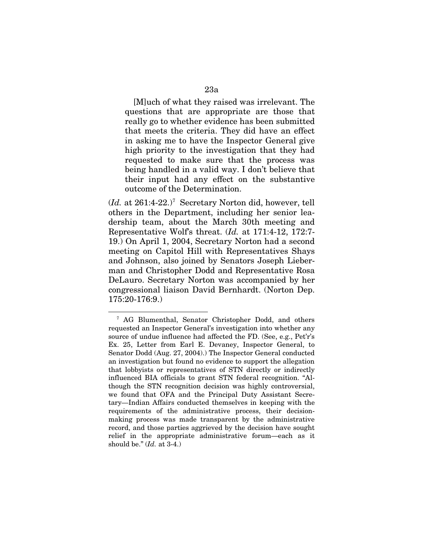23a [M]uch of what they raised was irrelevant. The

questions that are appropriate are those that really go to whether evidence has been submitted that meets the criteria. They did have an effect in asking me to have the Inspector General give high priority to the investigation that they had requested to make sure that the process was being handled in a valid way. I don't believe that their input had any effect on the substantive outcome of the Determination.

(*Id.* at 261:4-22.)[7](#page-71-0) Secretary Norton did, however, tell others in the Department, including her senior leadership team, about the March 30th meeting and Representative Wolf's threat. (*Id.* at 171:4-12, 172:7- 19.) On April 1, 2004, Secretary Norton had a second meeting on Capitol Hill with Representatives Shays and Johnson, also joined by Senators Joseph Lieberman and Christopher Dodd and Representative Rosa DeLauro. Secretary Norton was accompanied by her congressional liaison David Bernhardt. (Norton Dep. 175:20-176:9.)

<span id="page-71-0"></span><sup>7</sup> AG Blumenthal, Senator Christopher Dodd, and others requested an Inspector General's investigation into whether any source of undue influence had affected the FD. (See, e.g., Pet'r's Ex. 25, Letter from Earl E. Devaney, Inspector General, to Senator Dodd (Aug. 27, 2004).) The Inspector General conducted an investigation but found no evidence to support the allegation that lobbyists or representatives of STN directly or indirectly influenced BIA officials to grant STN federal recognition. "Although the STN recognition decision was highly controversial, we found that OFA and the Principal Duty Assistant Secretary—Indian Affairs conducted themselves in keeping with the requirements of the administrative process, their decisionmaking process was made transparent by the administrative record, and those parties aggrieved by the decision have sought relief in the appropriate administrative forum—each as it should be." (*Id.* at 3-4.)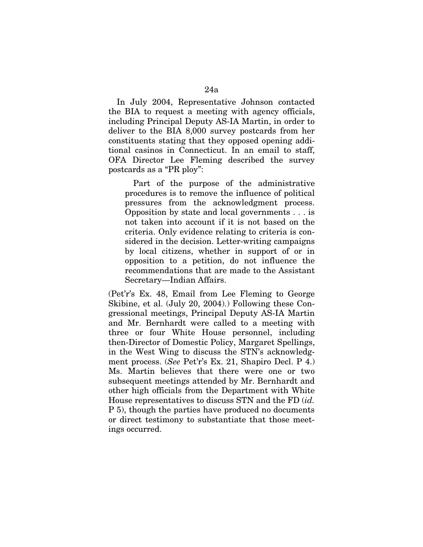In July 2004, Representative Johnson contacted the BIA to request a meeting with agency officials, including Principal Deputy AS-IA Martin, in order to deliver to the BIA 8,000 survey postcards from her constituents stating that they opposed opening additional casinos in Connecticut. In an email to staff, OFA Director Lee Fleming described the survey postcards as a "PR ploy":

Part of the purpose of the administrative procedures is to remove the influence of political pressures from the acknowledgment process. Opposition by state and local governments . . . is not taken into account if it is not based on the criteria. Only evidence relating to criteria is considered in the decision. Letter-writing campaigns by local citizens, whether in support of or in opposition to a petition, do not influence the recommendations that are made to the Assistant Secretary—Indian Affairs.

(Pet'r's Ex. 48, Email from Lee Fleming to George Skibine, et al. (July 20, 2004).) Following these Congressional meetings, Principal Deputy AS-IA Martin and Mr. Bernhardt were called to a meeting with three or four White House personnel, including then-Director of Domestic Policy, Margaret Spellings, in the West Wing to discuss the STN's acknowledgment process. (*See* Pet'r's Ex. 21, Shapiro Decl. P 4.) Ms. Martin believes that there were one or two subsequent meetings attended by Mr. Bernhardt and other high officials from the Department with White House representatives to discuss STN and the FD (*id.* P 5), though the parties have produced no documents or direct testimony to substantiate that those meetings occurred.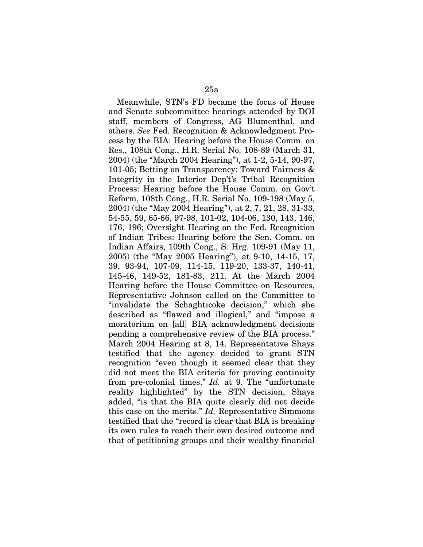Meanwhile, STN's FD became the focus of House and Senate subcommittee hearings attended by DOI staff, members of Congress, AG Blumenthal, and others. *See* Fed. Recognition & Acknowledgment Process by the BIA: Hearing before the House Comm. on Res., 108th Cong., H.R. Serial No. 108-89 (March 31, 2004) (the "March 2004 Hearing"), at 1-2, 5-14, 90-97, 101-05; Betting on Transparency: Toward Fairness & Integrity in the Interior Dep't's Tribal Recognition Process: Hearing before the House Comm. on Gov't Reform, 108th Cong., H.R. Serial No. 109-198 (May 5, 2004) (the "May 2004 Hearing"), at 2, 7, 21, 28, 31-33, 54-55, 59, 65-66, 97-98, 101-02, 104-06, 130, 143, 146, 176, 196; Oversight Hearing on the Fed. Recognition of Indian Tribes: Hearing before the Sen. Comm. on Indian Affairs, 109th Cong., S. Hrg. 109-91 (May 11, 2005) (the "May 2005 Hearing"), at 9-10, 14-15, 17, 39, 93-94, 107-09, 114-15, 119-20, 133-37, 140-41, 145-46, 149-52, 181-83, 211. At the March 2004 Hearing before the House Committee on Resources, Representative Johnson called on the Committee to "invalidate the Schaghticoke decision," which she described as "flawed and illogical," and "impose a moratorium on [all] BIA acknowledgment decisions pending a comprehensive review of the BIA process." March 2004 Hearing at 8, 14. Representative Shays testified that the agency decided to grant STN recognition "even though it seemed clear that they did not meet the BIA criteria for proving continuity from pre-colonial times." *Id.* at 9. The "unfortunate reality highlighted" by the STN decision, Shays added, "is that the BIA quite clearly did not decide this case on the merits." *Id.* Representative Simmons testified that the "record is clear that BIA is breaking its own rules to reach their own desired outcome and that of petitioning groups and their wealthy financial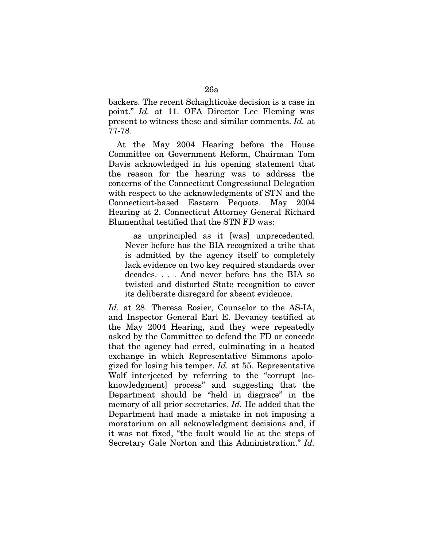backers. The recent Schaghticoke decision is a case in point." *Id.* at 11. OFA Director Lee Fleming was present to witness these and similar comments. *Id.* at 77-78.

At the May 2004 Hearing before the House Committee on Government Reform, Chairman Tom Davis acknowledged in his opening statement that the reason for the hearing was to address the concerns of the Connecticut Congressional Delegation with respect to the acknowledgments of STN and the Connecticut-based Eastern Pequots. May 2004 Hearing at 2. Connecticut Attorney General Richard Blumenthal testified that the STN FD was:

as unprincipled as it [was] unprecedented. Never before has the BIA recognized a tribe that is admitted by the agency itself to completely lack evidence on two key required standards over decades. . . . And never before has the BIA so twisted and distorted State recognition to cover its deliberate disregard for absent evidence.

*Id.* at 28. Theresa Rosier, Counselor to the AS-IA, and Inspector General Earl E. Devaney testified at the May 2004 Hearing, and they were repeatedly asked by the Committee to defend the FD or concede that the agency had erred, culminating in a heated exchange in which Representative Simmons apologized for losing his temper. *Id.* at 55. Representative Wolf interjected by referring to the "corrupt [acknowledgment] process" and suggesting that the Department should be "held in disgrace" in the memory of all prior secretaries. *Id.* He added that the Department had made a mistake in not imposing a moratorium on all acknowledgment decisions and, if it was not fixed, "the fault would lie at the steps of Secretary Gale Norton and this Administration." *Id.*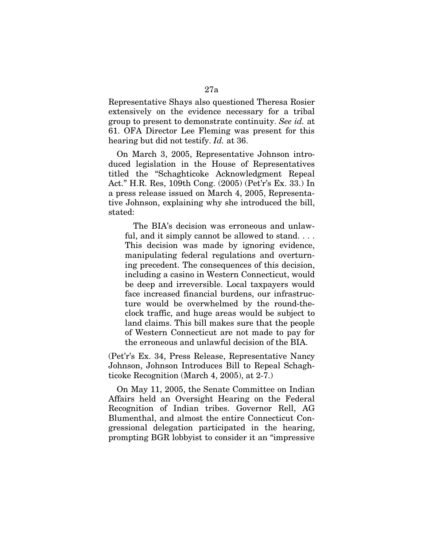Representative Shays also questioned Theresa Rosier extensively on the evidence necessary for a tribal group to present to demonstrate continuity. *See id.* at 61. OFA Director Lee Fleming was present for this hearing but did not testify. *Id.* at 36.

On March 3, 2005, Representative Johnson introduced legislation in the House of Representatives titled the "Schaghticoke Acknowledgment Repeal Act." H.R. Res, 109th Cong. (2005) (Pet'r's Ex. 33.) In a press release issued on March 4, 2005, Representative Johnson, explaining why she introduced the bill, stated:

The BIA's decision was erroneous and unlawful, and it simply cannot be allowed to stand. . . . This decision was made by ignoring evidence, manipulating federal regulations and overturning precedent. The consequences of this decision, including a casino in Western Connecticut, would be deep and irreversible. Local taxpayers would face increased financial burdens, our infrastructure would be overwhelmed by the round-theclock traffic, and huge areas would be subject to land claims. This bill makes sure that the people of Western Connecticut are not made to pay for the erroneous and unlawful decision of the BIA.

(Pet'r's Ex. 34, Press Release, Representative Nancy Johnson, Johnson Introduces Bill to Repeal Schaghticoke Recognition (March 4, 2005), at 2-7.)

On May 11, 2005, the Senate Committee on Indian Affairs held an Oversight Hearing on the Federal Recognition of Indian tribes. Governor Rell, AG Blumenthal, and almost the entire Connecticut Congressional delegation participated in the hearing, prompting BGR lobbyist to consider it an "impressive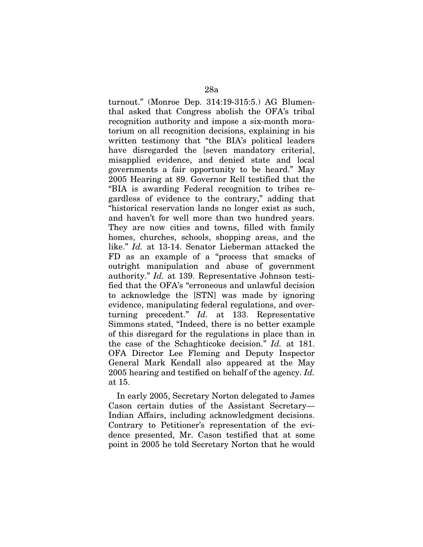turnout." (Monroe Dep. 314:19-315:5.) AG Blumenthal asked that Congress abolish the OFA's tribal recognition authority and impose a six-month moratorium on all recognition decisions, explaining in his written testimony that "the BIA's political leaders have disregarded the [seven mandatory criteria], misapplied evidence, and denied state and local governments a fair opportunity to be heard." May 2005 Hearing at 89. Governor Rell testified that the "BIA is awarding Federal recognition to tribes regardless of evidence to the contrary," adding that "historical reservation lands no longer exist as such, and haven't for well more than two hundred years. They are now cities and towns, filled with family homes, churches, schools, shopping areas, and the like." *Id.* at 13-14. Senator Lieberman attacked the FD as an example of a "process that smacks of outright manipulation and abuse of government authority." *Id.* at 139. Representative Johnson testified that the OFA's "erroneous and unlawful decision to acknowledge the [STN] was made by ignoring evidence, manipulating federal regulations, and overturning precedent." *Id.* at 133. Representative Simmons stated, "Indeed, there is no better example of this disregard for the regulations in place than in the case of the Schaghticoke decision." *Id.* at 181. OFA Director Lee Fleming and Deputy Inspector General Mark Kendall also appeared at the May 2005 hearing and testified on behalf of the agency. *Id.* at 15.

In early 2005, Secretary Norton delegated to James Cason certain duties of the Assistant Secretary— Indian Affairs, including acknowledgment decisions. Contrary to Petitioner's representation of the evidence presented, Mr. Cason testified that at some point in 2005 he told Secretary Norton that he would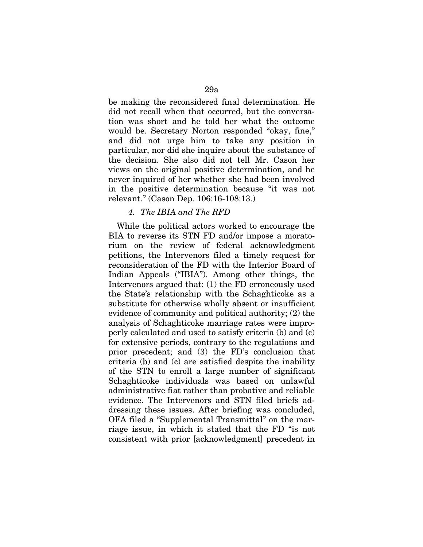be making the reconsidered final determination. He did not recall when that occurred, but the conversation was short and he told her what the outcome would be. Secretary Norton responded "okay, fine," and did not urge him to take any position in particular, nor did she inquire about the substance of the decision. She also did not tell Mr. Cason her views on the original positive determination, and he never inquired of her whether she had been involved in the positive determination because "it was not relevant." (Cason Dep. 106:16-108:13.)

# *4. The IBIA and The RFD*

While the political actors worked to encourage the BIA to reverse its STN FD and/or impose a moratorium on the review of federal acknowledgment petitions, the Intervenors filed a timely request for reconsideration of the FD with the Interior Board of Indian Appeals ("IBIA"). Among other things, the Intervenors argued that: (1) the FD erroneously used the State's relationship with the Schaghticoke as a substitute for otherwise wholly absent or insufficient evidence of community and political authority; (2) the analysis of Schaghticoke marriage rates were improperly calculated and used to satisfy criteria (b) and (c) for extensive periods, contrary to the regulations and prior precedent; and (3) the FD's conclusion that criteria (b) and (c) are satisfied despite the inability of the STN to enroll a large number of significant Schaghticoke individuals was based on unlawful administrative fiat rather than probative and reliable evidence. The Intervenors and STN filed briefs addressing these issues. After briefing was concluded, OFA filed a "Supplemental Transmittal" on the marriage issue, in which it stated that the FD "is not consistent with prior [acknowledgment] precedent in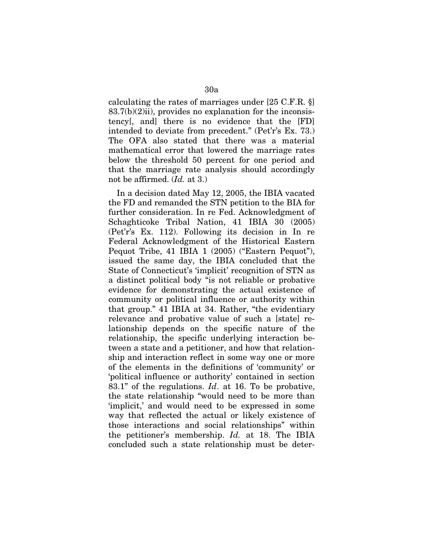calculating the rates of marriages under [25 C.F.R. §]  $83.7(b)(2)$ ii), provides no explanation for the inconsistency[, and] there is no evidence that the [FD] intended to deviate from precedent." (Pet'r's Ex. 73.) The OFA also stated that there was a material mathematical error that lowered the marriage rates below the threshold 50 percent for one period and that the marriage rate analysis should accordingly not be affirmed. (*Id.* at 3.)

In a decision dated May 12, 2005, the IBIA vacated the FD and remanded the STN petition to the BIA for further consideration. In re Fed. Acknowledgment of Schaghticoke Tribal Nation, 41 IBIA 30 (2005) (Pet'r's Ex. 112). Following its decision in In re Federal Acknowledgment of the Historical Eastern Pequot Tribe, 41 IBIA 1 (2005) ("Eastern Pequot"), issued the same day, the IBIA concluded that the State of Connecticut's 'implicit' recognition of STN as a distinct political body "is not reliable or probative evidence for demonstrating the actual existence of community or political influence or authority within that group." 41 IBIA at 34. Rather, "the evidentiary relevance and probative value of such a [state] relationship depends on the specific nature of the relationship, the specific underlying interaction between a state and a petitioner, and how that relationship and interaction reflect in some way one or more of the elements in the definitions of 'community' or 'political influence or authority' contained in section 83.1" of the regulations. *Id*. at 16. To be probative, the state relationship "would need to be more than 'implicit,' and would need to be expressed in some way that reflected the actual or likely existence of those interactions and social relationships" within the petitioner's membership. *Id.* at 18. The IBIA concluded such a state relationship must be deter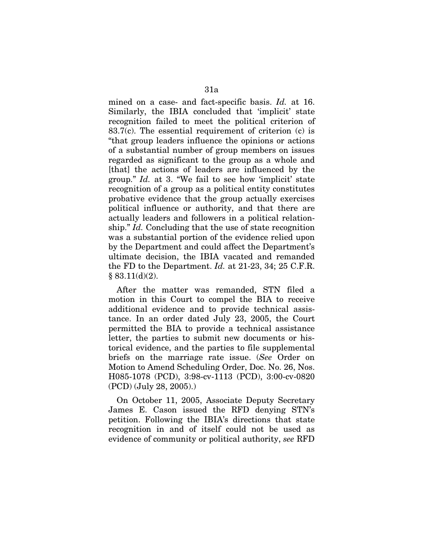mined on a case- and fact-specific basis. *Id.* at 16. Similarly, the IBIA concluded that 'implicit' state recognition failed to meet the political criterion of 83.7(c). The essential requirement of criterion (c) is "that group leaders influence the opinions or actions of a substantial number of group members on issues regarded as significant to the group as a whole and [that] the actions of leaders are influenced by the group." *Id.* at 3. "We fail to see how 'implicit' state recognition of a group as a political entity constitutes probative evidence that the group actually exercises political influence or authority, and that there are actually leaders and followers in a political relationship." *Id.* Concluding that the use of state recognition was a substantial portion of the evidence relied upon by the Department and could affect the Department's ultimate decision, the IBIA vacated and remanded the FD to the Department. *Id.* at 21-23, 34; 25 C.F.R.  $§ 83.11(d)(2).$ 

After the matter was remanded, STN filed a motion in this Court to compel the BIA to receive additional evidence and to provide technical assistance. In an order dated July 23, 2005, the Court permitted the BIA to provide a technical assistance letter, the parties to submit new documents or historical evidence, and the parties to file supplemental briefs on the marriage rate issue. (*See* Order on Motion to Amend Scheduling Order, Doc. No. 26, Nos. H085-1078 (PCD), 3:98-cv-1113 (PCD), 3:00-cv-0820 (PCD) (July 28, 2005).)

On October 11, 2005, Associate Deputy Secretary James E. Cason issued the RFD denying STN's petition. Following the IBIA's directions that state recognition in and of itself could not be used as evidence of community or political authority, *see* RFD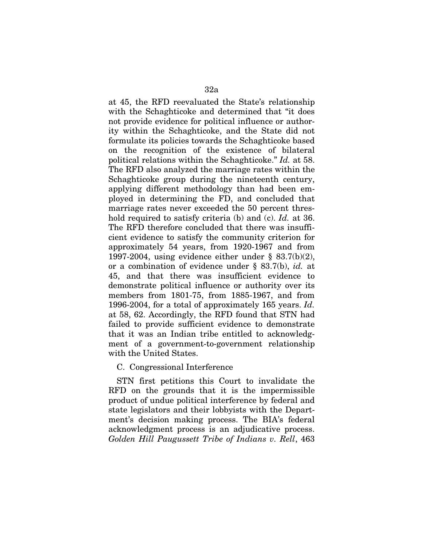at 45, the RFD reevaluated the State's relationship with the Schaghticoke and determined that "it does not provide evidence for political influence or authority within the Schaghticoke, and the State did not formulate its policies towards the Schaghticoke based on the recognition of the existence of bilateral political relations within the Schaghticoke." *Id.* at 58. The RFD also analyzed the marriage rates within the Schaghticoke group during the nineteenth century, applying different methodology than had been employed in determining the FD, and concluded that marriage rates never exceeded the 50 percent threshold required to satisfy criteria (b) and (c). *Id.* at 36. The RFD therefore concluded that there was insufficient evidence to satisfy the community criterion for approximately 54 years, from 1920-1967 and from 1997-2004, using evidence either under § 83.7(b)(2), or a combination of evidence under § 83.7(b), *id.* at 45, and that there was insufficient evidence to demonstrate political influence or authority over its members from 1801-75, from 1885-1967, and from 1996-2004, for a total of approximately 165 years. *Id.* at 58, 62. Accordingly, the RFD found that STN had failed to provide sufficient evidence to demonstrate that it was an Indian tribe entitled to acknowledgment of a government-to-government relationship with the United States.

## C. Congressional Interference

STN first petitions this Court to invalidate the RFD on the grounds that it is the impermissible product of undue political interference by federal and state legislators and their lobbyists with the Department's decision making process. The BIA's federal acknowledgment process is an adjudicative process. *Golden Hill Paugussett Tribe of Indians v. Rell*, 463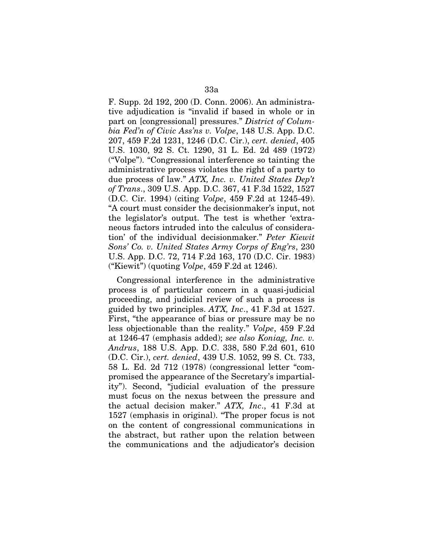F. Supp. 2d 192, 200 (D. Conn. 2006). An administrative adjudication is "invalid if based in whole or in part on [congressional] pressures." *District of Columbia Fed'n of Civic Ass'ns v. Volpe*, 148 U.S. App. D.C. 207, 459 F.2d 1231, 1246 (D.C. Cir.), *cert. denied*, 405 U.S. 1030, 92 S. Ct. 1290, 31 L. Ed. 2d 489 (1972) ("Volpe"). "Congressional interference so tainting the administrative process violates the right of a party to due process of law." *ATX, Inc. v. United States Dep't of Trans*., 309 U.S. App. D.C. 367, 41 F.3d 1522, 1527 (D.C. Cir. 1994) (citing *Volpe*, 459 F.2d at 1245-49). "A court must consider the decisionmaker's input, not the legislator's output. The test is whether 'extraneous factors intruded into the calculus of consideration' of the individual decisionmaker." *Peter Kiewit Sons' Co. v. United States Army Corps of Eng'rs*, 230 U.S. App. D.C. 72, 714 F.2d 163, 170 (D.C. Cir. 1983) ("Kiewit") (quoting *Volpe*, 459 F.2d at 1246).

Congressional interference in the administrative process is of particular concern in a quasi-judicial proceeding, and judicial review of such a process is guided by two principles. *ATX, Inc*., 41 F.3d at 1527. First, "the appearance of bias or pressure may be no less objectionable than the reality." *Volpe*, 459 F.2d at 1246-47 (emphasis added); *see also Koniag, Inc. v. Andrus*, 188 U.S. App. D.C. 338, 580 F.2d 601, 610 (D.C. Cir.), *cert. denied*, 439 U.S. 1052, 99 S. Ct. 733, 58 L. Ed. 2d 712 (1978) (congressional letter "compromised the appearance of the Secretary's impartiality"). Second, "judicial evaluation of the pressure must focus on the nexus between the pressure and the actual decision maker." *ATX, Inc*., 41 F.3d at 1527 (emphasis in original). "The proper focus is not on the content of congressional communications in the abstract, but rather upon the relation between the communications and the adjudicator's decision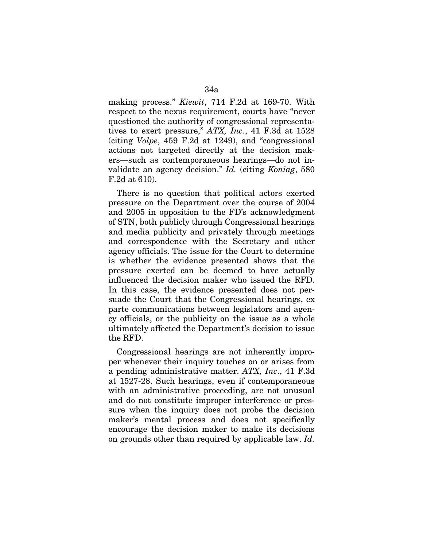making process." *Kiewit*, 714 F.2d at 169-70. With respect to the nexus requirement, courts have "never questioned the authority of congressional representatives to exert pressure," *ATX, Inc.*, 41 F.3d at 1528 (citing *Volpe*, 459 F.2d at 1249), and "congressional actions not targeted directly at the decision makers—such as contemporaneous hearings—do not invalidate an agency decision." *Id.* (citing *Koniag*, 580 F.2d at 610).

There is no question that political actors exerted pressure on the Department over the course of 2004 and 2005 in opposition to the FD's acknowledgment of STN, both publicly through Congressional hearings and media publicity and privately through meetings and correspondence with the Secretary and other agency officials. The issue for the Court to determine is whether the evidence presented shows that the pressure exerted can be deemed to have actually influenced the decision maker who issued the RFD. In this case, the evidence presented does not persuade the Court that the Congressional hearings, ex parte communications between legislators and agency officials, or the publicity on the issue as a whole ultimately affected the Department's decision to issue the RFD.

Congressional hearings are not inherently improper whenever their inquiry touches on or arises from a pending administrative matter. *ATX, Inc*., 41 F.3d at 1527-28. Such hearings, even if contemporaneous with an administrative proceeding, are not unusual and do not constitute improper interference or pressure when the inquiry does not probe the decision maker's mental process and does not specifically encourage the decision maker to make its decisions on grounds other than required by applicable law. *Id.*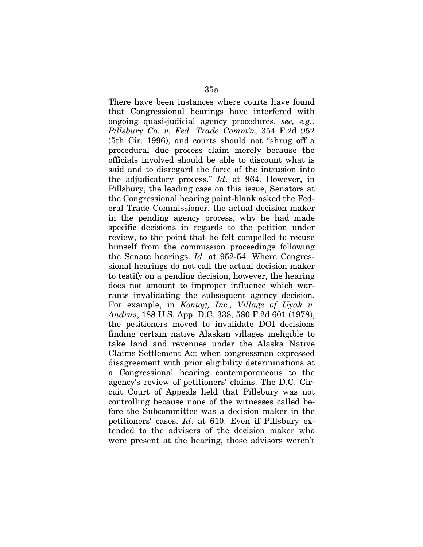There have been instances where courts have found that Congressional hearings have interfered with ongoing quasi-judicial agency procedures, *see, e.g.*, *Pillsbury Co. v. Fed. Trade Comm'n*, 354 F.2d 952 (5th Cir. 1996), and courts should not "shrug off a procedural due process claim merely because the officials involved should be able to discount what is said and to disregard the force of the intrusion into the adjudicatory process." *Id*. at 964. However, in Pillsbury, the leading case on this issue, Senators at the Congressional hearing point-blank asked the Federal Trade Commissioner, the actual decision maker in the pending agency process, why he had made specific decisions in regards to the petition under review, to the point that he felt compelled to recuse himself from the commission proceedings following the Senate hearings. *Id.* at 952-54. Where Congressional hearings do not call the actual decision maker to testify on a pending decision, however, the hearing does not amount to improper influence which warrants invalidating the subsequent agency decision. For example, in *Koniag, Inc., Village of Uyak v. Andrus*, 188 U.S. App. D.C. 338, 580 F.2d 601 (1978), the petitioners moved to invalidate DOI decisions finding certain native Alaskan villages ineligible to take land and revenues under the Alaska Native Claims Settlement Act when congressmen expressed disagreement with prior eligibility determinations at a Congressional hearing contemporaneous to the agency's review of petitioners' claims. The D.C. Circuit Court of Appeals held that Pillsbury was not controlling because none of the witnesses called before the Subcommittee was a decision maker in the petitioners' cases. *Id*. at 610. Even if Pillsbury extended to the advisers of the decision maker who were present at the hearing, those advisors weren't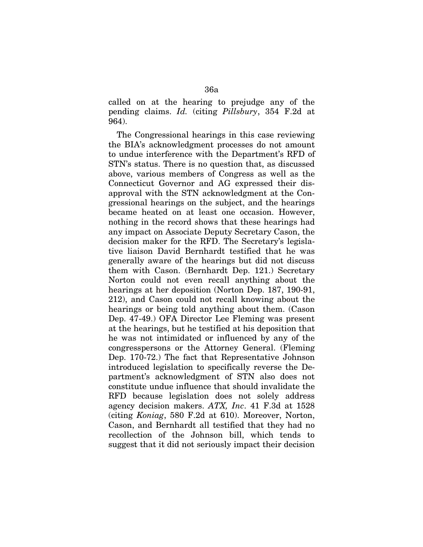called on at the hearing to prejudge any of the pending claims. *Id.* (citing *Pillsbury*, 354 F.2d at 964).

The Congressional hearings in this case reviewing the BIA's acknowledgment processes do not amount to undue interference with the Department's RFD of STN's status. There is no question that, as discussed above, various members of Congress as well as the Connecticut Governor and AG expressed their disapproval with the STN acknowledgment at the Congressional hearings on the subject, and the hearings became heated on at least one occasion. However, nothing in the record shows that these hearings had any impact on Associate Deputy Secretary Cason, the decision maker for the RFD. The Secretary's legislative liaison David Bernhardt testified that he was generally aware of the hearings but did not discuss them with Cason. (Bernhardt Dep. 121.) Secretary Norton could not even recall anything about the hearings at her deposition (Norton Dep. 187, 190-91, 212), and Cason could not recall knowing about the hearings or being told anything about them. (Cason Dep. 47-49.) OFA Director Lee Fleming was present at the hearings, but he testified at his deposition that he was not intimidated or influenced by any of the congresspersons or the Attorney General. (Fleming Dep. 170-72.) The fact that Representative Johnson introduced legislation to specifically reverse the Department's acknowledgment of STN also does not constitute undue influence that should invalidate the RFD because legislation does not solely address agency decision makers. *ATX, Inc*. 41 F.3d at 1528 (citing *Koniag*, 580 F.2d at 610). Moreover, Norton, Cason, and Bernhardt all testified that they had no recollection of the Johnson bill, which tends to suggest that it did not seriously impact their decision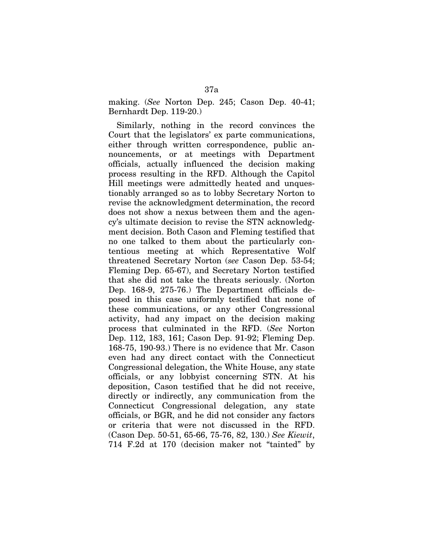making. (*See* Norton Dep. 245; Cason Dep. 40-41; Bernhardt Dep. 119-20.)

Similarly, nothing in the record convinces the Court that the legislators' ex parte communications, either through written correspondence, public announcements, or at meetings with Department officials, actually influenced the decision making process resulting in the RFD. Although the Capitol Hill meetings were admittedly heated and unquestionably arranged so as to lobby Secretary Norton to revise the acknowledgment determination, the record does not show a nexus between them and the agency's ultimate decision to revise the STN acknowledgment decision. Both Cason and Fleming testified that no one talked to them about the particularly contentious meeting at which Representative Wolf threatened Secretary Norton (*see* Cason Dep. 53-54; Fleming Dep. 65-67), and Secretary Norton testified that she did not take the threats seriously. (Norton Dep. 168-9, 275-76.) The Department officials deposed in this case uniformly testified that none of these communications, or any other Congressional activity, had any impact on the decision making process that culminated in the RFD. (*See* Norton Dep. 112, 183, 161; Cason Dep. 91-92; Fleming Dep. 168-75, 190-93.) There is no evidence that Mr. Cason even had any direct contact with the Connecticut Congressional delegation, the White House, any state officials, or any lobbyist concerning STN. At his deposition, Cason testified that he did not receive, directly or indirectly, any communication from the Connecticut Congressional delegation, any state officials, or BGR, and he did not consider any factors or criteria that were not discussed in the RFD. (Cason Dep. 50-51, 65-66, 75-76, 82, 130.) *See Kiewit*, 714 F.2d at 170 (decision maker not "tainted" by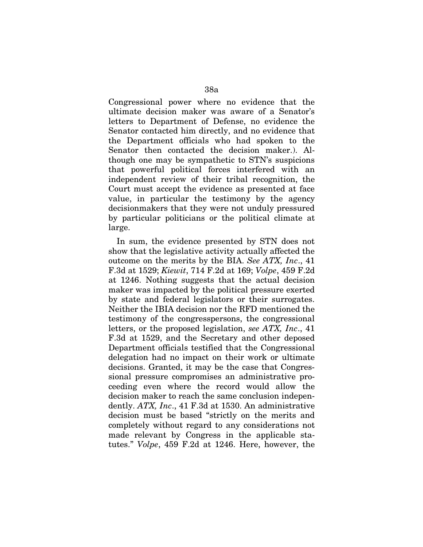Congressional power where no evidence that the ultimate decision maker was aware of a Senator's letters to Department of Defense, no evidence the Senator contacted him directly, and no evidence that the Department officials who had spoken to the Senator then contacted the decision maker.). Although one may be sympathetic to STN's suspicions that powerful political forces interfered with an independent review of their tribal recognition, the Court must accept the evidence as presented at face value, in particular the testimony by the agency decisionmakers that they were not unduly pressured by particular politicians or the political climate at large.

In sum, the evidence presented by STN does not show that the legislative activity actually affected the outcome on the merits by the BIA. *See ATX, Inc*., 41 F.3d at 1529; *Kiewit*, 714 F.2d at 169; *Volpe*, 459 F.2d at 1246. Nothing suggests that the actual decision maker was impacted by the political pressure exerted by state and federal legislators or their surrogates. Neither the IBIA decision nor the RFD mentioned the testimony of the congresspersons, the congressional letters, or the proposed legislation, *see ATX, Inc*., 41 F.3d at 1529, and the Secretary and other deposed Department officials testified that the Congressional delegation had no impact on their work or ultimate decisions. Granted, it may be the case that Congressional pressure compromises an administrative proceeding even where the record would allow the decision maker to reach the same conclusion independently. *ATX, Inc*., 41 F.3d at 1530. An administrative decision must be based "strictly on the merits and completely without regard to any considerations not made relevant by Congress in the applicable statutes." *Volpe*, 459 F.2d at 1246. Here, however, the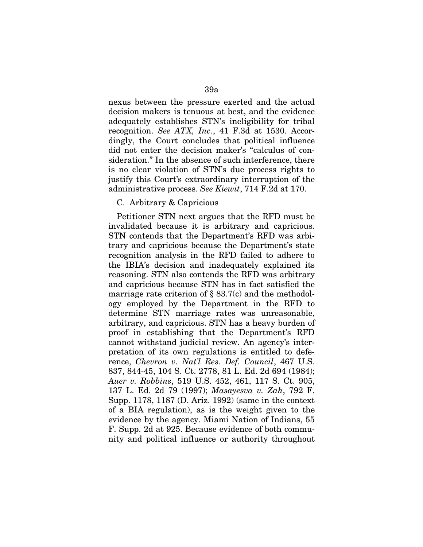nexus between the pressure exerted and the actual decision makers is tenuous at best, and the evidence adequately establishes STN's ineligibility for tribal recognition. *See ATX, Inc*., 41 F.3d at 1530. Accordingly, the Court concludes that political influence did not enter the decision maker's "calculus of consideration." In the absence of such interference, there is no clear violation of STN's due process rights to justify this Court's extraordinary interruption of the administrative process. *See Kiewit*, 714 F.2d at 170.

## C. Arbitrary & Capricious

Petitioner STN next argues that the RFD must be invalidated because it is arbitrary and capricious. STN contends that the Department's RFD was arbitrary and capricious because the Department's state recognition analysis in the RFD failed to adhere to the IBIA's decision and inadequately explained its reasoning. STN also contends the RFD was arbitrary and capricious because STN has in fact satisfied the marriage rate criterion of  $\S 83.7(c)$  and the methodology employed by the Department in the RFD to determine STN marriage rates was unreasonable, arbitrary, and capricious. STN has a heavy burden of proof in establishing that the Department's RFD cannot withstand judicial review. An agency's interpretation of its own regulations is entitled to deference, *Chevron v. Nat'l Res. Def. Council*, 467 U.S. 837, 844-45, 104 S. Ct. 2778, 81 L. Ed. 2d 694 (1984); *Auer v. Robbins*, 519 U.S. 452, 461, 117 S. Ct. 905, 137 L. Ed. 2d 79 (1997); *Masayesva v. Zah*, 792 F. Supp. 1178, 1187 (D. Ariz. 1992) (same in the context of a BIA regulation), as is the weight given to the evidence by the agency. Miami Nation of Indians, 55 F. Supp. 2d at 925. Because evidence of both community and political influence or authority throughout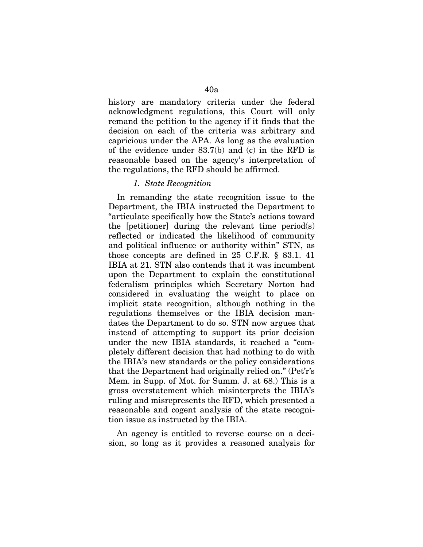history are mandatory criteria under the federal acknowledgment regulations, this Court will only remand the petition to the agency if it finds that the decision on each of the criteria was arbitrary and capricious under the APA. As long as the evaluation of the evidence under 83.7(b) and (c) in the RFD is reasonable based on the agency's interpretation of the regulations, the RFD should be affirmed.

#### *1. State Recognition*

In remanding the state recognition issue to the Department, the IBIA instructed the Department to "articulate specifically how the State's actions toward the [petitioner] during the relevant time period(s) reflected or indicated the likelihood of community and political influence or authority within" STN, as those concepts are defined in 25 C.F.R. § 83.1. 41 IBIA at 21. STN also contends that it was incumbent upon the Department to explain the constitutional federalism principles which Secretary Norton had considered in evaluating the weight to place on implicit state recognition, although nothing in the regulations themselves or the IBIA decision mandates the Department to do so. STN now argues that instead of attempting to support its prior decision under the new IBIA standards, it reached a "completely different decision that had nothing to do with the IBIA's new standards or the policy considerations that the Department had originally relied on." (Pet'r's Mem. in Supp. of Mot. for Summ. J. at 68.) This is a gross overstatement which misinterprets the IBIA's ruling and misrepresents the RFD, which presented a reasonable and cogent analysis of the state recognition issue as instructed by the IBIA.

An agency is entitled to reverse course on a decision, so long as it provides a reasoned analysis for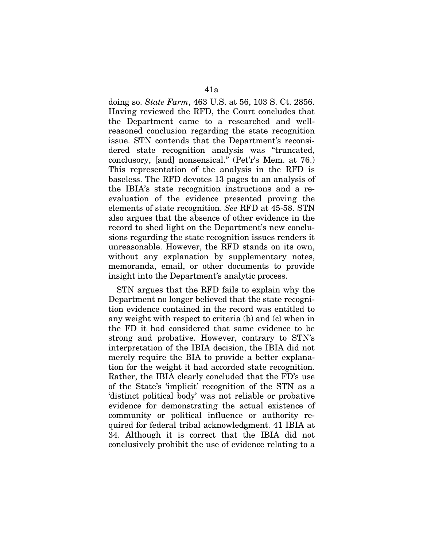doing so. *State Farm*, 463 U.S. at 56, 103 S. Ct. 2856. Having reviewed the RFD, the Court concludes that the Department came to a researched and wellreasoned conclusion regarding the state recognition issue. STN contends that the Department's reconsidered state recognition analysis was "truncated, conclusory, [and] nonsensical." (Pet'r's Mem. at 76.) This representation of the analysis in the RFD is baseless. The RFD devotes 13 pages to an analysis of the IBIA's state recognition instructions and a reevaluation of the evidence presented proving the elements of state recognition. *See* RFD at 45-58. STN also argues that the absence of other evidence in the record to shed light on the Department's new conclusions regarding the state recognition issues renders it unreasonable. However, the RFD stands on its own, without any explanation by supplementary notes, memoranda, email, or other documents to provide insight into the Department's analytic process.

STN argues that the RFD fails to explain why the Department no longer believed that the state recognition evidence contained in the record was entitled to any weight with respect to criteria (b) and (c) when in the FD it had considered that same evidence to be strong and probative. However, contrary to STN's interpretation of the IBIA decision, the IBIA did not merely require the BIA to provide a better explanation for the weight it had accorded state recognition. Rather, the IBIA clearly concluded that the FD's use of the State's 'implicit' recognition of the STN as a 'distinct political body' was not reliable or probative evidence for demonstrating the actual existence of community or political influence or authority required for federal tribal acknowledgment. 41 IBIA at 34. Although it is correct that the IBIA did not conclusively prohibit the use of evidence relating to a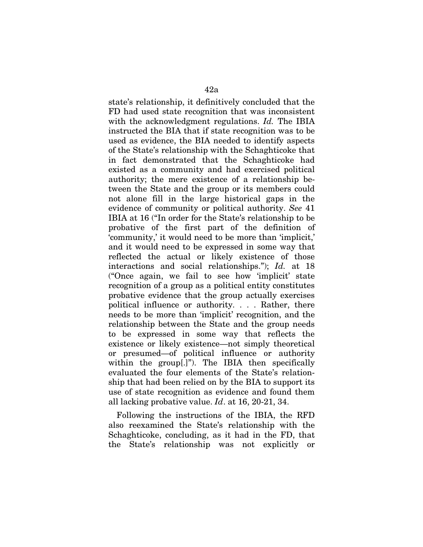state's relationship, it definitively concluded that the FD had used state recognition that was inconsistent with the acknowledgment regulations. *Id.* The IBIA instructed the BIA that if state recognition was to be used as evidence, the BIA needed to identify aspects of the State's relationship with the Schaghticoke that in fact demonstrated that the Schaghticoke had existed as a community and had exercised political authority; the mere existence of a relationship between the State and the group or its members could not alone fill in the large historical gaps in the evidence of community or political authority. *See* 41 IBIA at 16 ("In order for the State's relationship to be probative of the first part of the definition of 'community,' it would need to be more than 'implicit,' and it would need to be expressed in some way that reflected the actual or likely existence of those interactions and social relationships."); *Id.* at 18 ("Once again, we fail to see how 'implicit' state recognition of a group as a political entity constitutes probative evidence that the group actually exercises political influence or authority. . . . Rather, there needs to be more than 'implicit' recognition, and the relationship between the State and the group needs to be expressed in some way that reflects the existence or likely existence—not simply theoretical or presumed—of political influence or authority within the group[.]"). The IBIA then specifically evaluated the four elements of the State's relationship that had been relied on by the BIA to support its use of state recognition as evidence and found them all lacking probative value. *Id*. at 16, 20-21, 34.

Following the instructions of the IBIA, the RFD also reexamined the State's relationship with the Schaghticoke, concluding, as it had in the FD, that the State's relationship was not explicitly or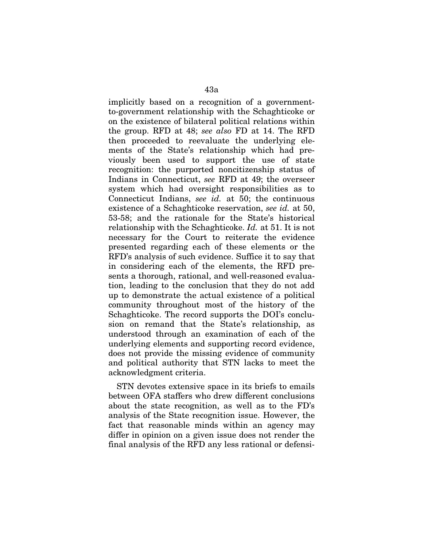implicitly based on a recognition of a governmentto-government relationship with the Schaghticoke or on the existence of bilateral political relations within the group. RFD at 48; *see also* FD at 14. The RFD then proceeded to reevaluate the underlying elements of the State's relationship which had previously been used to support the use of state recognition: the purported noncitizenship status of Indians in Connecticut, *see* RFD at 49; the overseer system which had oversight responsibilities as to Connecticut Indians, *see id.* at 50; the continuous existence of a Schaghticoke reservation, *see id.* at 50, 53-58; and the rationale for the State's historical relationship with the Schaghticoke. *Id.* at 51. It is not necessary for the Court to reiterate the evidence presented regarding each of these elements or the RFD's analysis of such evidence. Suffice it to say that in considering each of the elements, the RFD presents a thorough, rational, and well-reasoned evaluation, leading to the conclusion that they do not add up to demonstrate the actual existence of a political community throughout most of the history of the Schaghticoke. The record supports the DOI's conclusion on remand that the State's relationship, as understood through an examination of each of the underlying elements and supporting record evidence, does not provide the missing evidence of community and political authority that STN lacks to meet the acknowledgment criteria.

STN devotes extensive space in its briefs to emails between OFA staffers who drew different conclusions about the state recognition, as well as to the FD's analysis of the State recognition issue. However, the fact that reasonable minds within an agency may differ in opinion on a given issue does not render the final analysis of the RFD any less rational or defensi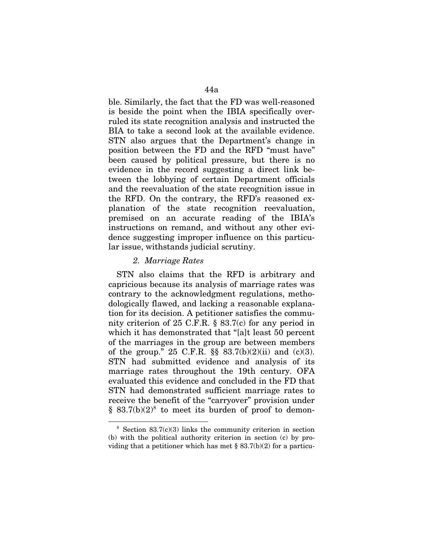ble. Similarly, the fact that the FD was well-reasoned is beside the point when the IBIA specifically overruled its state recognition analysis and instructed the BIA to take a second look at the available evidence. STN also argues that the Department's change in position between the FD and the RFD "must have" been caused by political pressure, but there is no evidence in the record suggesting a direct link between the lobbying of certain Department officials and the reevaluation of the state recognition issue in the RFD. On the contrary, the RFD's reasoned explanation of the state recognition reevaluation, premised on an accurate reading of the IBIA's instructions on remand, and without any other evidence suggesting improper influence on this particular issue, withstands judicial scrutiny.

#### *2. Marriage Rates*

STN also claims that the RFD is arbitrary and capricious because its analysis of marriage rates was contrary to the acknowledgment regulations, methodologically flawed, and lacking a reasonable explanation for its decision. A petitioner satisfies the community criterion of 25 C.F.R. § 83.7(c) for any period in which it has demonstrated that "[a]t least 50 percent of the marriages in the group are between members of the group." 25 C.F.R.  $\S$  83.7(b)(2)(ii) and (c)(3). STN had submitted evidence and analysis of its marriage rates throughout the 19th century. OFA evaluated this evidence and concluded in the FD that STN had demonstrated sufficient marriage rates to receive the benefit of the "carryover" provision under  $\S 83.7(b)(2)^8$  $\S 83.7(b)(2)^8$  $\S 83.7(b)(2)^8$  to meet its burden of proof to demon-

<span id="page-92-0"></span><sup>8</sup> Section 83.7(c)(3) links the community criterion in section (b) with the political authority criterion in section (c) by providing that a petitioner which has met  $\S 83.7(b)(2)$  for a particu-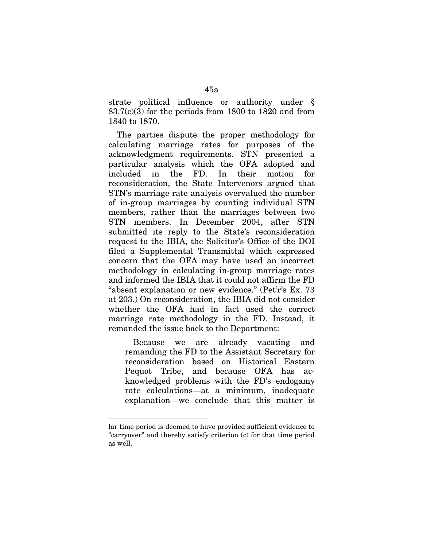strate political influence or authority under §  $83.7(c)(3)$  for the periods from 1800 to 1820 and from 1840 to 1870.

The parties dispute the proper methodology for calculating marriage rates for purposes of the acknowledgment requirements. STN presented a particular analysis which the OFA adopted and included in the FD. In their motion for reconsideration, the State Intervenors argued that STN's marriage rate analysis overvalued the number of in-group marriages by counting individual STN members, rather than the marriages between two STN members. In December 2004, after STN submitted its reply to the State's reconsideration request to the IBIA, the Solicitor's Office of the DOI filed a Supplemental Transmittal which expressed concern that the OFA may have used an incorrect methodology in calculating in-group marriage rates and informed the IBIA that it could not affirm the FD "absent explanation or new evidence." (Pet'r's Ex. 73 at 203.) On reconsideration, the IBIA did not consider whether the OFA had in fact used the correct marriage rate methodology in the FD. Instead, it remanded the issue back to the Department:

Because we are already vacating and remanding the FD to the Assistant Secretary for reconsideration based on Historical Eastern Pequot Tribe, and because OFA has acknowledged problems with the FD's endogamy rate calculations—at a minimum, inadequate explanation—we conclude that this matter is

lar time period is deemed to have provided sufficient evidence to "carryover" and thereby satisfy criterion (c) for that time period as well.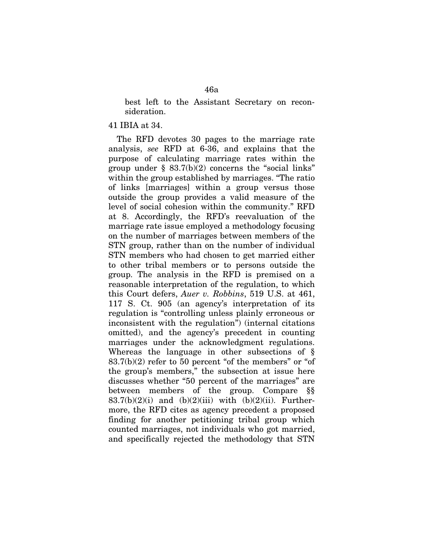best left to the Assistant Secretary on reconsideration.

# 41 IBIA at 34.

The RFD devotes 30 pages to the marriage rate analysis, *see* RFD at 6-36, and explains that the purpose of calculating marriage rates within the group under  $\S$  83.7(b)(2) concerns the "social links" within the group established by marriages. "The ratio of links [marriages] within a group versus those outside the group provides a valid measure of the level of social cohesion within the community." RFD at 8. Accordingly, the RFD's reevaluation of the marriage rate issue employed a methodology focusing on the number of marriages between members of the STN group, rather than on the number of individual STN members who had chosen to get married either to other tribal members or to persons outside the group. The analysis in the RFD is premised on a reasonable interpretation of the regulation, to which this Court defers, *Auer v. Robbins*, 519 U.S. at 461, 117 S. Ct. 905 (an agency's interpretation of its regulation is "controlling unless plainly erroneous or inconsistent with the regulation") (internal citations omitted), and the agency's precedent in counting marriages under the acknowledgment regulations. Whereas the language in other subsections of §  $83.7(b)(2)$  refer to 50 percent "of the members" or "of the group's members," the subsection at issue here discusses whether "50 percent of the marriages" are between members of the group. Compare §§  $83.7(b)(2)(i)$  and  $(b)(2)(iii)$  with  $(b)(2)(ii)$ . Furthermore, the RFD cites as agency precedent a proposed finding for another petitioning tribal group which counted marriages, not individuals who got married, and specifically rejected the methodology that STN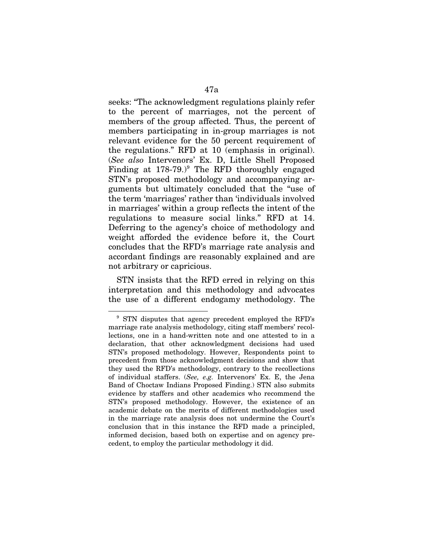seeks: "The acknowledgment regulations plainly refer to the percent of marriages, not the percent of members of the group affected. Thus, the percent of members participating in in-group marriages is not relevant evidence for the 50 percent requirement of the regulations." RFD at 10 (emphasis in original). (*See also* Intervenors' Ex. D, Little Shell Proposed Finding at  $178-79$  $178-79$ .)<sup>9</sup> The RFD thoroughly engaged STN's proposed methodology and accompanying arguments but ultimately concluded that the "use of the term 'marriages' rather than 'individuals involved in marriages' within a group reflects the intent of the regulations to measure social links." RFD at 14. Deferring to the agency's choice of methodology and weight afforded the evidence before it, the Court concludes that the RFD's marriage rate analysis and accordant findings are reasonably explained and are not arbitrary or capricious.

STN insists that the RFD erred in relying on this interpretation and this methodology and advocates the use of a different endogamy methodology. The

<span id="page-95-0"></span><sup>&</sup>lt;sup>9</sup> STN disputes that agency precedent employed the RFD's marriage rate analysis methodology, citing staff members' recollections, one in a hand-written note and one attested to in a declaration, that other acknowledgment decisions had used STN's proposed methodology. However, Respondents point to precedent from those acknowledgment decisions and show that they used the RFD's methodology, contrary to the recollections of individual staffers. (*See, e.g.* Intervenors' Ex. E, the Jena Band of Choctaw Indians Proposed Finding.) STN also submits evidence by staffers and other academics who recommend the STN's proposed methodology. However, the existence of an academic debate on the merits of different methodologies used in the marriage rate analysis does not undermine the Court's conclusion that in this instance the RFD made a principled, informed decision, based both on expertise and on agency precedent, to employ the particular methodology it did.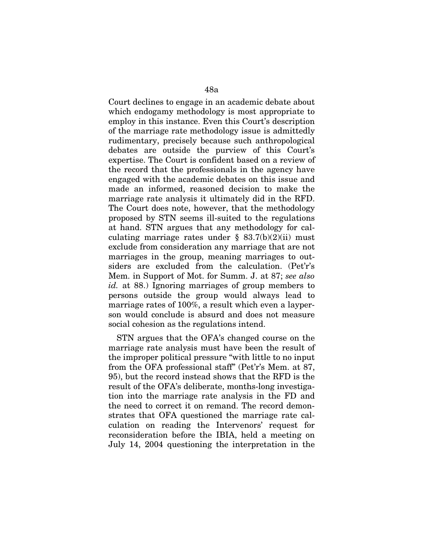Court declines to engage in an academic debate about which endogamy methodology is most appropriate to employ in this instance. Even this Court's description of the marriage rate methodology issue is admittedly rudimentary, precisely because such anthropological debates are outside the purview of this Court's expertise. The Court is confident based on a review of the record that the professionals in the agency have engaged with the academic debates on this issue and made an informed, reasoned decision to make the marriage rate analysis it ultimately did in the RFD. The Court does note, however, that the methodology proposed by STN seems ill-suited to the regulations at hand. STN argues that any methodology for calculating marriage rates under  $\S$  83.7(b)(2)(ii) must exclude from consideration any marriage that are not marriages in the group, meaning marriages to outsiders are excluded from the calculation. (Pet'r's Mem. in Support of Mot. for Summ. J. at 87; *see also id.* at 88.) Ignoring marriages of group members to persons outside the group would always lead to marriage rates of 100%, a result which even a layperson would conclude is absurd and does not measure social cohesion as the regulations intend.

STN argues that the OFA's changed course on the marriage rate analysis must have been the result of the improper political pressure "with little to no input from the OFA professional staff" (Pet'r's Mem. at 87, 95), but the record instead shows that the RFD is the result of the OFA's deliberate, months-long investigation into the marriage rate analysis in the FD and the need to correct it on remand. The record demonstrates that OFA questioned the marriage rate calculation on reading the Intervenors' request for reconsideration before the IBIA, held a meeting on July 14, 2004 questioning the interpretation in the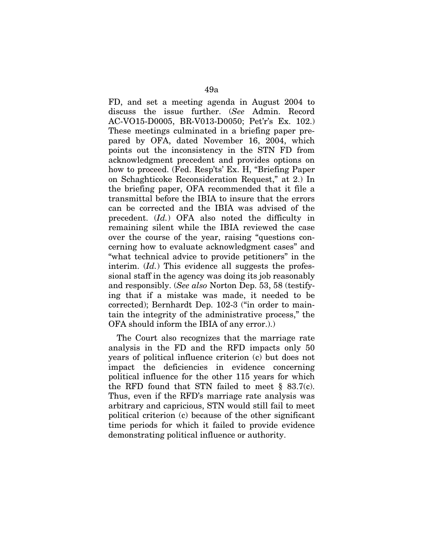FD, and set a meeting agenda in August 2004 to discuss the issue further. (*See* Admin. Record AC-VO15-D0005, BR-V013-D0050; Pet'r's Ex. 102.) These meetings culminated in a briefing paper prepared by OFA, dated November 16, 2004, which points out the inconsistency in the STN FD from acknowledgment precedent and provides options on how to proceed. (Fed. Resp'ts' Ex. H, "Briefing Paper on Schaghticoke Reconsideration Request," at 2.) In the briefing paper, OFA recommended that it file a transmittal before the IBIA to insure that the errors can be corrected and the IBIA was advised of the precedent. (*Id.*) OFA also noted the difficulty in remaining silent while the IBIA reviewed the case over the course of the year, raising "questions concerning how to evaluate acknowledgment cases" and "what technical advice to provide petitioners" in the interim. (*Id.*) This evidence all suggests the professional staff in the agency was doing its job reasonably and responsibly. (*See also* Norton Dep. 53, 58 (testifying that if a mistake was made, it needed to be corrected); Bernhardt Dep. 102-3 ("in order to maintain the integrity of the administrative process," the OFA should inform the IBIA of any error.).)

The Court also recognizes that the marriage rate analysis in the FD and the RFD impacts only 50 years of political influence criterion (c) but does not impact the deficiencies in evidence concerning political influence for the other 115 years for which the RFD found that STN failed to meet  $\S$  83.7(c). Thus, even if the RFD's marriage rate analysis was arbitrary and capricious, STN would still fail to meet political criterion (c) because of the other significant time periods for which it failed to provide evidence demonstrating political influence or authority.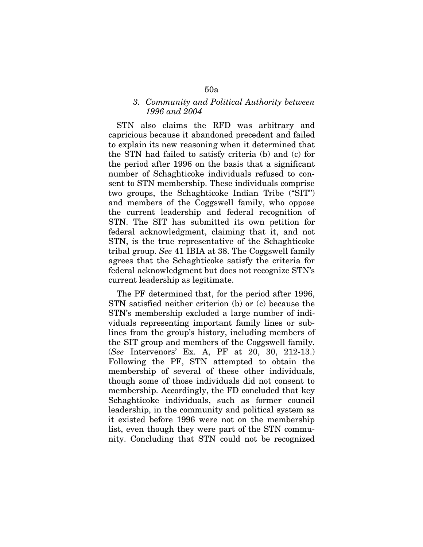# *3. Community and Political Authority between 1996 and 2004*

STN also claims the RFD was arbitrary and capricious because it abandoned precedent and failed to explain its new reasoning when it determined that the STN had failed to satisfy criteria (b) and (c) for the period after 1996 on the basis that a significant number of Schaghticoke individuals refused to consent to STN membership. These individuals comprise two groups, the Schaghticoke Indian Tribe ("SIT") and members of the Coggswell family, who oppose the current leadership and federal recognition of STN. The SIT has submitted its own petition for federal acknowledgment, claiming that it, and not STN, is the true representative of the Schaghticoke tribal group. *See* 41 IBIA at 38. The Coggswell family agrees that the Schaghticoke satisfy the criteria for federal acknowledgment but does not recognize STN's current leadership as legitimate.

The PF determined that, for the period after 1996, STN satisfied neither criterion (b) or (c) because the STN's membership excluded a large number of individuals representing important family lines or sublines from the group's history, including members of the SIT group and members of the Coggswell family. (*See* Intervenors' Ex. A, PF at 20, 30, 212-13.) Following the PF, STN attempted to obtain the membership of several of these other individuals, though some of those individuals did not consent to membership. Accordingly, the FD concluded that key Schaghticoke individuals, such as former council leadership, in the community and political system as it existed before 1996 were not on the membership list, even though they were part of the STN community. Concluding that STN could not be recognized

# 50a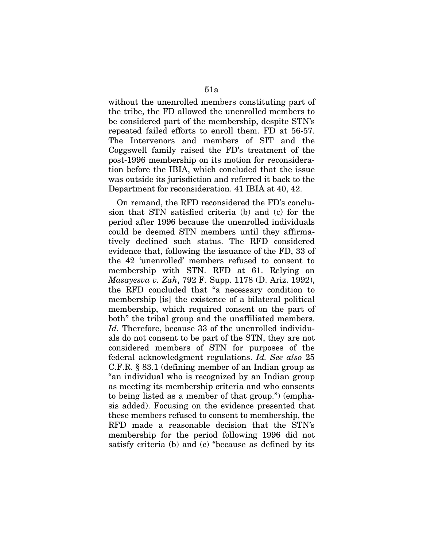without the unenrolled members constituting part of the tribe, the FD allowed the unenrolled members to be considered part of the membership, despite STN's repeated failed efforts to enroll them. FD at 56-57. The Intervenors and members of SIT and the Coggswell family raised the FD's treatment of the post-1996 membership on its motion for reconsideration before the IBIA, which concluded that the issue was outside its jurisdiction and referred it back to the Department for reconsideration. 41 IBIA at 40, 42.

On remand, the RFD reconsidered the FD's conclusion that STN satisfied criteria (b) and (c) for the period after 1996 because the unenrolled individuals could be deemed STN members until they affirmatively declined such status. The RFD considered evidence that, following the issuance of the FD, 33 of the 42 'unenrolled' members refused to consent to membership with STN. RFD at 61. Relying on *Masayesva v. Zah*, 792 F. Supp. 1178 (D. Ariz. 1992), the RFD concluded that "a necessary condition to membership [is] the existence of a bilateral political membership, which required consent on the part of both" the tribal group and the unaffiliated members. *Id.* Therefore, because 33 of the unenrolled individuals do not consent to be part of the STN, they are not considered members of STN for purposes of the federal acknowledgment regulations. *Id. See also* 25 C.F.R. § 83.1 (defining member of an Indian group as "an individual who is recognized by an Indian group as meeting its membership criteria and who consents to being listed as a member of that group.") (emphasis added). Focusing on the evidence presented that these members refused to consent to membership, the RFD made a reasonable decision that the STN's membership for the period following 1996 did not satisfy criteria (b) and (c) "because as defined by its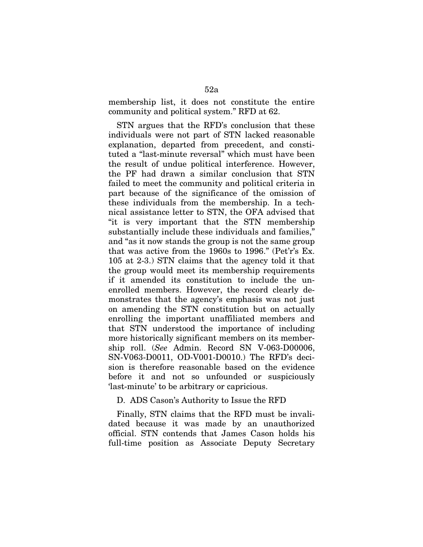membership list, it does not constitute the entire community and political system." RFD at 62.

STN argues that the RFD's conclusion that these individuals were not part of STN lacked reasonable explanation, departed from precedent, and constituted a "last-minute reversal" which must have been the result of undue political interference. However, the PF had drawn a similar conclusion that STN failed to meet the community and political criteria in part because of the significance of the omission of these individuals from the membership. In a technical assistance letter to STN, the OFA advised that "it is very important that the STN membership substantially include these individuals and families," and "as it now stands the group is not the same group that was active from the 1960s to 1996." (Pet'r's Ex. 105 at 2-3.) STN claims that the agency told it that the group would meet its membership requirements if it amended its constitution to include the unenrolled members. However, the record clearly demonstrates that the agency's emphasis was not just on amending the STN constitution but on actually enrolling the important unaffiliated members and that STN understood the importance of including more historically significant members on its membership roll. (*See* Admin. Record SN V-063-D00006, SN-V063-D0011, OD-V001-D0010.) The RFD's decision is therefore reasonable based on the evidence before it and not so unfounded or suspiciously 'last-minute' to be arbitrary or capricious.

D. ADS Cason's Authority to Issue the RFD

Finally, STN claims that the RFD must be invalidated because it was made by an unauthorized official. STN contends that James Cason holds his full-time position as Associate Deputy Secretary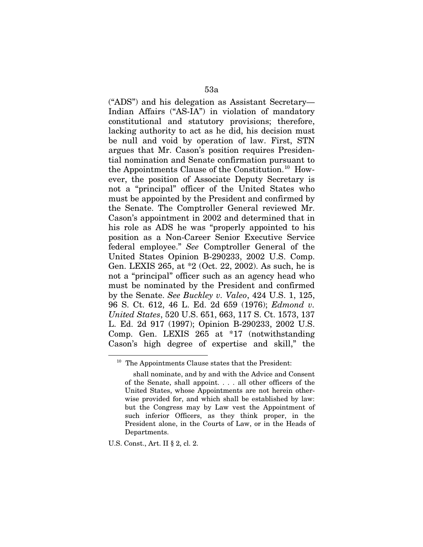("ADS") and his delegation as Assistant Secretary— Indian Affairs ("AS-IA") in violation of mandatory constitutional and statutory provisions; therefore, lacking authority to act as he did, his decision must be null and void by operation of law. First, STN argues that Mr. Cason's position requires Presidential nomination and Senate confirmation pursuant to the Appointments Clause of the Constitution. [10](#page-101-0) However, the position of Associate Deputy Secretary is not a "principal" officer of the United States who must be appointed by the President and confirmed by the Senate. The Comptroller General reviewed Mr. Cason's appointment in 2002 and determined that in his role as ADS he was "properly appointed to his position as a Non-Career Senior Executive Service federal employee." *See* Comptroller General of the United States Opinion B-290233, 2002 U.S. Comp. Gen. LEXIS 265, at \*2 (Oct. 22, 2002). As such, he is not a "principal" officer such as an agency head who must be nominated by the President and confirmed by the Senate. *See Buckley v. Valeo*, 424 U.S. 1, 125, 96 S. Ct. 612, 46 L. Ed. 2d 659 (1976); *Edmond v. United States*, 520 U.S. 651, 663, 117 S. Ct. 1573, 137 L. Ed. 2d 917 (1997); Opinion B-290233, 2002 U.S. Comp. Gen. LEXIS 265 at \*17 (notwithstanding Cason's high degree of expertise and skill," the

U.S. Const., Art. II § 2, cl. 2.

<span id="page-101-0"></span><sup>10</sup> The Appointments Clause states that the President:

shall nominate, and by and with the Advice and Consent of the Senate, shall appoint. . . . all other officers of the United States, whose Appointments are not herein otherwise provided for, and which shall be established by law: but the Congress may by Law vest the Appointment of such inferior Officers, as they think proper, in the President alone, in the Courts of Law, or in the Heads of Departments.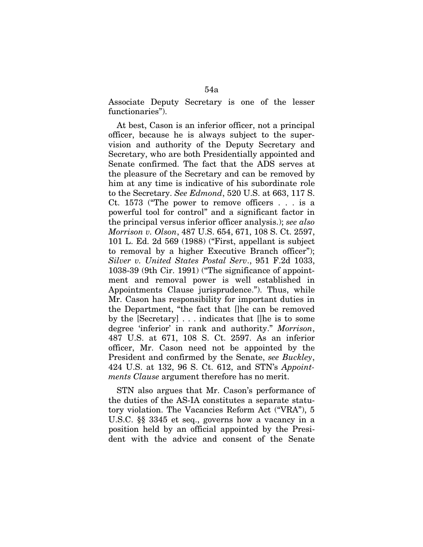Associate Deputy Secretary is one of the lesser functionaries").

At best, Cason is an inferior officer, not a principal officer, because he is always subject to the supervision and authority of the Deputy Secretary and Secretary, who are both Presidentially appointed and Senate confirmed. The fact that the ADS serves at the pleasure of the Secretary and can be removed by him at any time is indicative of his subordinate role to the Secretary. *See Edmond*, 520 U.S. at 663, 117 S. Ct. 1573 ("The power to remove officers . . . is a powerful tool for control" and a significant factor in the principal versus inferior officer analysis.); *see also Morrison v. Olson*, 487 U.S. 654, 671, 108 S. Ct. 2597, 101 L. Ed. 2d 569 (1988) ("First, appellant is subject to removal by a higher Executive Branch officer"); *Silver v. United States Postal Serv*., 951 F.2d 1033, 1038-39 (9th Cir. 1991) ("The significance of appointment and removal power is well established in Appointments Clause jurisprudence."). Thus, while Mr. Cason has responsibility for important duties in the Department, "the fact that []he can be removed by the [Secretary] . . . indicates that []he is to some degree 'inferior' in rank and authority." *Morrison*, 487 U.S. at 671, 108 S. Ct. 2597. As an inferior officer, Mr. Cason need not be appointed by the President and confirmed by the Senate, *see Buckley*, 424 U.S. at 132, 96 S. Ct. 612, and STN's *Appointments Clause* argument therefore has no merit.

STN also argues that Mr. Cason's performance of the duties of the AS-IA constitutes a separate statutory violation. The Vacancies Reform Act ("VRA"), 5 U.S.C. §§ 3345 et seq., governs how a vacancy in a position held by an official appointed by the President with the advice and consent of the Senate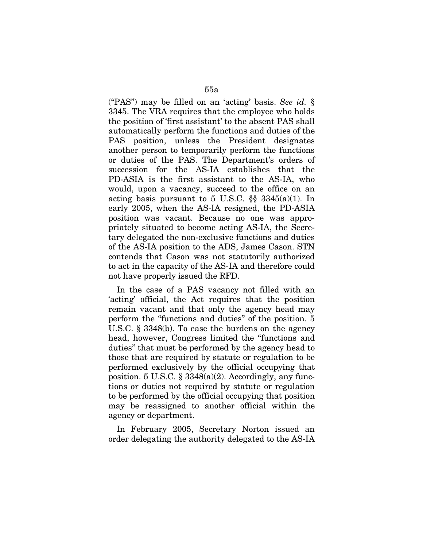("PAS") may be filled on an 'acting' basis. *See id.* § 3345. The VRA requires that the employee who holds the position of 'first assistant' to the absent PAS shall automatically perform the functions and duties of the PAS position, unless the President designates another person to temporarily perform the functions or duties of the PAS. The Department's orders of succession for the AS-IA establishes that the PD-ASIA is the first assistant to the AS-IA, who would, upon a vacancy, succeed to the office on an acting basis pursuant to 5 U.S.C.  $\S$  3345(a)(1). In early 2005, when the AS-IA resigned, the PD-ASIA position was vacant. Because no one was appropriately situated to become acting AS-IA, the Secretary delegated the non-exclusive functions and duties of the AS-IA position to the ADS, James Cason. STN contends that Cason was not statutorily authorized to act in the capacity of the AS-IA and therefore could not have properly issued the RFD.

In the case of a PAS vacancy not filled with an 'acting' official, the Act requires that the position remain vacant and that only the agency head may perform the "functions and duties" of the position. 5 U.S.C. § 3348(b). To ease the burdens on the agency head, however, Congress limited the "functions and duties" that must be performed by the agency head to those that are required by statute or regulation to be performed exclusively by the official occupying that position. 5 U.S.C.  $\S$  3348(a)(2). Accordingly, any functions or duties not required by statute or regulation to be performed by the official occupying that position may be reassigned to another official within the agency or department.

In February 2005, Secretary Norton issued an order delegating the authority delegated to the AS-IA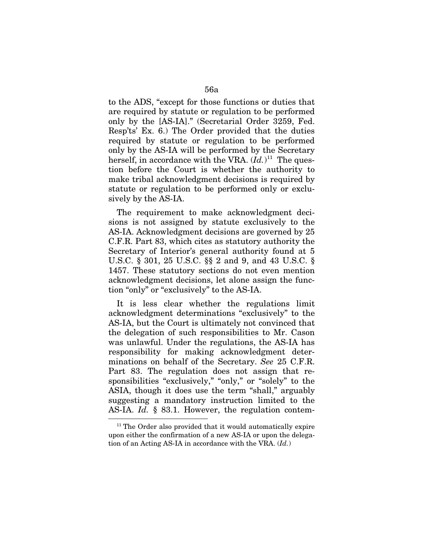to the ADS, "except for those functions or duties that are required by statute or regulation to be performed only by the [AS-IA]." (Secretarial Order 3259, Fed. Resp'ts' Ex. 6.) The Order provided that the duties required by statute or regulation to be performed only by the AS-IA will be performed by the Secretary herself, in accordance with the VRA.  $(Id.)^{11}$  $(Id.)^{11}$  $(Id.)^{11}$  The question before the Court is whether the authority to make tribal acknowledgment decisions is required by statute or regulation to be performed only or exclusively by the AS-IA.

The requirement to make acknowledgment decisions is not assigned by statute exclusively to the AS-IA. Acknowledgment decisions are governed by 25 C.F.R. Part 83, which cites as statutory authority the Secretary of Interior's general authority found at 5 U.S.C. § 301, 25 U.S.C. §§ 2 and 9, and 43 U.S.C. § 1457. These statutory sections do not even mention acknowledgment decisions, let alone assign the function "only" or "exclusively" to the AS-IA.

It is less clear whether the regulations limit acknowledgment determinations "exclusively" to the AS-IA, but the Court is ultimately not convinced that the delegation of such responsibilities to Mr. Cason was unlawful. Under the regulations, the AS-IA has responsibility for making acknowledgment determinations on behalf of the Secretary. *See* 25 C.F.R. Part 83. The regulation does not assign that responsibilities "exclusively," "only," or "solely" to the ASIA, though it does use the term "shall," arguably suggesting a mandatory instruction limited to the AS-IA. *Id.* § 83.1. However, the regulation contem-

<span id="page-104-0"></span> $11$ <sup>11</sup> The Order also provided that it would automatically expire upon either the confirmation of a new AS-IA or upon the delegation of an Acting AS-IA in accordance with the VRA. (*Id.*)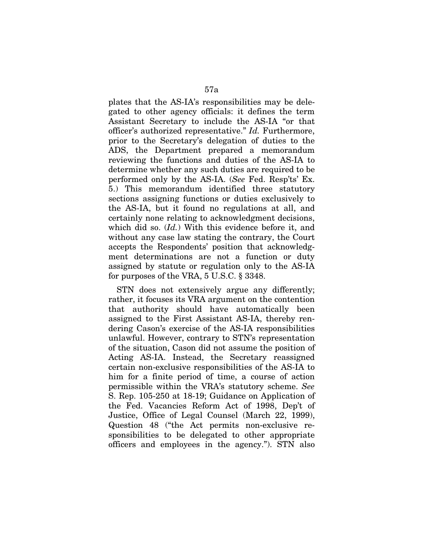plates that the AS-IA's responsibilities may be delegated to other agency officials: it defines the term Assistant Secretary to include the AS-IA "or that officer's authorized representative." *Id.* Furthermore, prior to the Secretary's delegation of duties to the ADS, the Department prepared a memorandum reviewing the functions and duties of the AS-IA to determine whether any such duties are required to be performed only by the AS-IA. (*See* Fed. Resp'ts' Ex. 5.) This memorandum identified three statutory sections assigning functions or duties exclusively to the AS-IA, but it found no regulations at all, and certainly none relating to acknowledgment decisions, which did so. (*Id.*) With this evidence before it, and without any case law stating the contrary, the Court accepts the Respondents' position that acknowledgment determinations are not a function or duty assigned by statute or regulation only to the AS-IA for purposes of the VRA, 5 U.S.C. § 3348.

STN does not extensively argue any differently; rather, it focuses its VRA argument on the contention that authority should have automatically been assigned to the First Assistant AS-IA, thereby rendering Cason's exercise of the AS-IA responsibilities unlawful. However, contrary to STN's representation of the situation, Cason did not assume the position of Acting AS-IA. Instead, the Secretary reassigned certain non-exclusive responsibilities of the AS-IA to him for a finite period of time, a course of action permissible within the VRA's statutory scheme. *See* S. Rep. 105-250 at 18-19; Guidance on Application of the Fed. Vacancies Reform Act of 1998, Dep't of Justice, Office of Legal Counsel (March 22, 1999), Question 48 ("the Act permits non-exclusive responsibilities to be delegated to other appropriate officers and employees in the agency."). STN also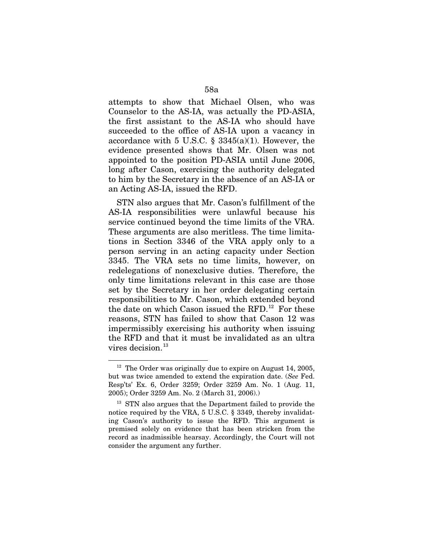attempts to show that Michael Olsen, who was Counselor to the AS-IA, was actually the PD-ASIA, the first assistant to the AS-IA who should have succeeded to the office of AS-IA upon a vacancy in accordance with 5 U.S.C.  $\S$  3345(a)(1). However, the evidence presented shows that Mr. Olsen was not appointed to the position PD-ASIA until June 2006, long after Cason, exercising the authority delegated to him by the Secretary in the absence of an AS-IA or an Acting AS-IA, issued the RFD.

STN also argues that Mr. Cason's fulfillment of the AS-IA responsibilities were unlawful because his service continued beyond the time limits of the VRA. These arguments are also meritless. The time limitations in Section 3346 of the VRA apply only to a person serving in an acting capacity under Section 3345. The VRA sets no time limits, however, on redelegations of nonexclusive duties. Therefore, the only time limitations relevant in this case are those set by the Secretary in her order delegating certain responsibilities to Mr. Cason, which extended beyond the date on which Cason issued the RFD.<sup>[12](#page-106-0)</sup> For these reasons, STN has failed to show that Cason 12 was impermissibly exercising his authority when issuing the RFD and that it must be invalidated as an ultra vires decision. $^{13}$  $^{13}$  $^{13}$ 

<span id="page-106-0"></span> $12$  The Order was originally due to expire on August 14, 2005, but was twice amended to extend the expiration date. (*See* Fed. Resp'ts' Ex. 6, Order 3259; Order 3259 Am. No. 1 (Aug. 11, 2005); Order 3259 Am. No. 2 (March 31, 2006).)

<span id="page-106-1"></span><sup>&</sup>lt;sup>13</sup> STN also argues that the Department failed to provide the notice required by the VRA, 5 U.S.C. § 3349, thereby invalidating Cason's authority to issue the RFD. This argument is premised solely on evidence that has been stricken from the record as inadmissible hearsay. Accordingly, the Court will not consider the argument any further.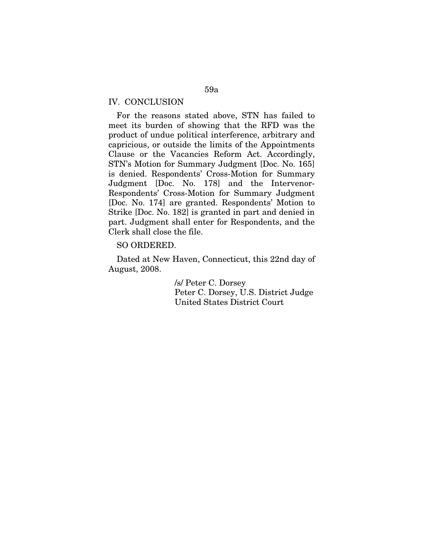## IV. CONCLUSION

For the reasons stated above, STN has failed to meet its burden of showing that the RFD was the product of undue political interference, arbitrary and capricious, or outside the limits of the Appointments Clause or the Vacancies Reform Act. Accordingly, STN's Motion for Summary Judgment [Doc. No. 165] is denied. Respondents' Cross-Motion for Summary Judgment [Doc. No. 178] and the Intervenor-Respondents' Cross-Motion for Summary Judgment [Doc. No. 174] are granted. Respondents' Motion to Strike [Doc. No. 182] is granted in part and denied in part. Judgment shall enter for Respondents, and the Clerk shall close the file.

## SO ORDERED.

Dated at New Haven, Connecticut, this 22nd day of August, 2008.

> /s/ Peter C. Dorsey Peter C. Dorsey, U.S. District Judge United States District Court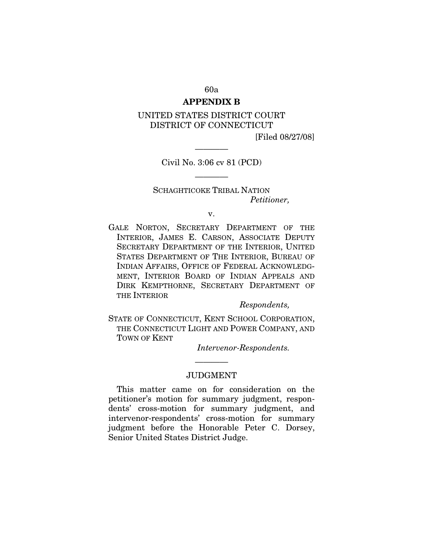# **APPENDIX B**

# UNITED STATES DISTRICT COURT DISTRICT OF CONNECTICUT

[Filed 08/27/08]

———— Civil No. 3:06 cv 81 (PCD)

————

# SCHAGHTICOKE TRIBAL NATION *Petitioner,*

v.

GALE NORTON, SECRETARY DEPARTMENT OF THE INTERIOR, JAMES E. CARSON, ASSOCIATE DEPUTY SECRETARY DEPARTMENT OF THE INTERIOR, UNITED STATES DEPARTMENT OF THE INTERIOR, BUREAU OF INDIAN AFFAIRS, OFFICE OF FEDERAL ACKNOWLEDG-MENT, INTERIOR BOARD OF INDIAN APPEALS AND DIRK KEMPTHORNE, SECRETARY DEPARTMENT OF THE INTERIOR

#### *Respondents,*

STATE OF CONNECTICUT, KENT SCHOOL CORPORATION, THE CONNECTICUT LIGHT AND POWER COMPANY, AND TOWN OF KENT

*Intervenor-Respondents.*

### JUDGMENT

————

This matter came on for consideration on the petitioner's motion for summary judgment, respondents' cross-motion for summary judgment, and intervenor-respondents' cross-motion for summary judgment before the Honorable Peter C. Dorsey, Senior United States District Judge.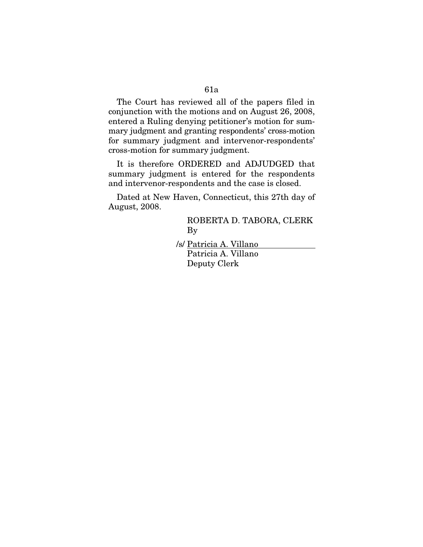The Court has reviewed all of the papers filed in conjunction with the motions and on August 26, 2008, entered a Ruling denying petitioner's motion for summary judgment and granting respondents' cross-motion for summary judgment and intervenor-respondents' cross-motion for summary judgment.

It is therefore ORDERED and ADJUDGED that summary judgment is entered for the respondents and intervenor-respondents and the case is closed.

Dated at New Haven, Connecticut, this 27th day of August, 2008.

> ROBERTA D. TABORA, CLERK By

/s/ Patricia A. Villano Patricia A. Villano Deputy Clerk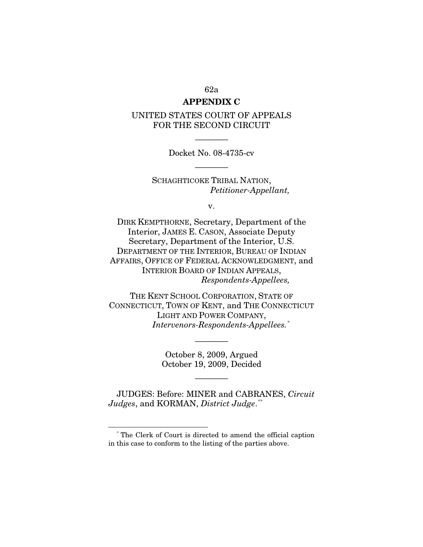## **APPENDIX C**

# UNITED STATES COURT OF APPEALS FOR THE SECOND CIRCUIT

Docket No. 08-4735-cv ————

————

SCHAGHTICOKE TRIBAL NATION, *Petitioner-Appellant,*

v.

DIRK KEMPTHORNE, Secretary, Department of the Interior, JAMES E. CASON, Associate Deputy Secretary, Department of the Interior, U.S. DEPARTMENT OF THE INTERIOR, BUREAU OF INDIAN AFFAIRS, OFFICE OF FEDERAL ACKNOWLEDGMENT, and INTERIOR BOARD OF INDIAN APPEALS, *Respondents-Appellees,*

THE KENT SCHOOL CORPORATION, STATE OF CONNECTICUT, TOWN OF KENT, and THE CONNECTICUT LIGHT AND POWER COMPANY, *Intervenors-Respondents-Appellees.*[\\*](#page-110-0)

> October 8, 2009, Argued October 19, 2009, Decided

> > ————

————

JUDGES: Before: MINER and CABRANES, *Circuit Judges*, and KORMAN, *District Judge*. [\\*\\*](#page-110-1)

<span id="page-110-1"></span><span id="page-110-0"></span>\* The Clerk of Court is directed to amend the official caption in this case to conform to the listing of the parties above.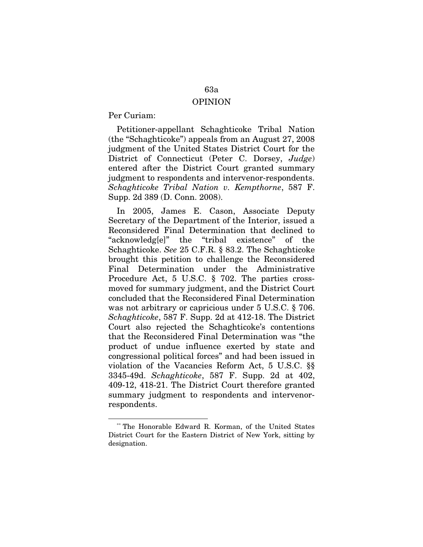# OPINION

Per Curiam:

Petitioner-appellant Schaghticoke Tribal Nation (the "Schaghticoke") appeals from an August 27, 2008 judgment of the United States District Court for the District of Connecticut (Peter C. Dorsey, *Judge*) entered after the District Court granted summary judgment to respondents and intervenor-respondents. *Schaghticoke Tribal Nation v. Kempthorne*, 587 F. Supp. 2d 389 (D. Conn. 2008).

In 2005, James E. Cason, Associate Deputy Secretary of the Department of the Interior, issued a Reconsidered Final Determination that declined to "acknowledg[e]" the "tribal existence" of the Schaghticoke. *See* 25 C.F.R. § 83.2. The Schaghticoke brought this petition to challenge the Reconsidered Final Determination under the Administrative Procedure Act, 5 U.S.C. § 702. The parties crossmoved for summary judgment, and the District Court concluded that the Reconsidered Final Determination was not arbitrary or capricious under 5 U.S.C. § 706. *Schaghticoke*, 587 F. Supp. 2d at 412-18. The District Court also rejected the Schaghticoke's contentions that the Reconsidered Final Determination was "the product of undue influence exerted by state and congressional political forces" and had been issued in violation of the Vacancies Reform Act, 5 U.S.C. §§ 3345-49d. *Schaghticoke*, 587 F. Supp. 2d at 402, 409-12, 418-21. The District Court therefore granted summary judgment to respondents and intervenorrespondents.

\*\* The Honorable Edward R. Korman, of the United States District Court for the Eastern District of New York, sitting by designation.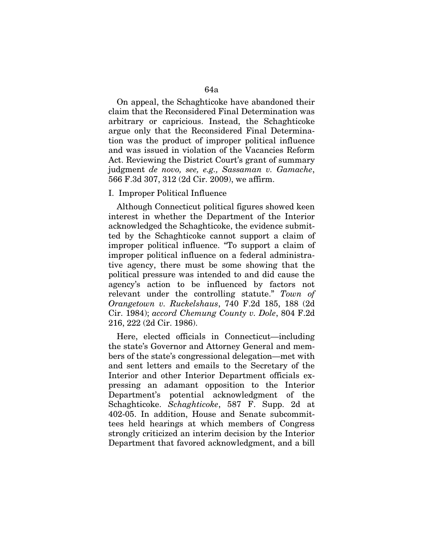On appeal, the Schaghticoke have abandoned their claim that the Reconsidered Final Determination was arbitrary or capricious. Instead, the Schaghticoke argue only that the Reconsidered Final Determination was the product of improper political influence and was issued in violation of the Vacancies Reform Act. Reviewing the District Court's grant of summary judgment *de novo, see, e.g., Sassaman v. Gamache*, 566 F.3d 307, 312 (2d Cir. 2009), we affirm.

#### I. Improper Political Influence

Although Connecticut political figures showed keen interest in whether the Department of the Interior acknowledged the Schaghticoke, the evidence submitted by the Schaghticoke cannot support a claim of improper political influence. "To support a claim of improper political influence on a federal administrative agency, there must be some showing that the political pressure was intended to and did cause the agency's action to be influenced by factors not relevant under the controlling statute." *Town of Orangetown v. Ruckelshaus*, 740 F.2d 185, 188 (2d Cir. 1984); *accord Chemung County v. Dole*, 804 F.2d 216, 222 (2d Cir. 1986).

Here, elected officials in Connecticut—including the state's Governor and Attorney General and members of the state's congressional delegation—met with and sent letters and emails to the Secretary of the Interior and other Interior Department officials expressing an adamant opposition to the Interior Department's potential acknowledgment of the Schaghticoke. *Schaghticoke*, 587 F. Supp. 2d at 402-05. In addition, House and Senate subcommittees held hearings at which members of Congress strongly criticized an interim decision by the Interior Department that favored acknowledgment, and a bill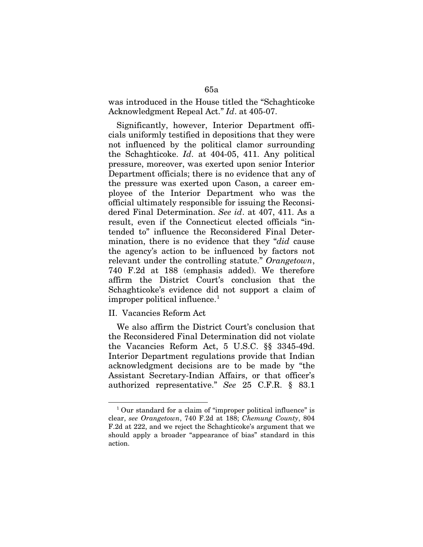was introduced in the House titled the "Schaghticoke Acknowledgment Repeal Act." *Id*. at 405-07.

Significantly, however, Interior Department officials uniformly testified in depositions that they were not influenced by the political clamor surrounding the Schaghticoke. *Id*. at 404-05, 411. Any political pressure, moreover, was exerted upon senior Interior Department officials; there is no evidence that any of the pressure was exerted upon Cason, a career employee of the Interior Department who was the official ultimately responsible for issuing the Reconsidered Final Determination. *See id*. at 407, 411. As a result, even if the Connecticut elected officials "intended to" influence the Reconsidered Final Determination, there is no evidence that they "*did* cause the agency's action to be influenced by factors not relevant under the controlling statute." *Orangetown*, 740 F.2d at 188 (emphasis added). We therefore affirm the District Court's conclusion that the Schaghticoke's evidence did not support a claim of improper political influence.<sup>[1](#page-113-0)</sup>

## II. Vacancies Reform Act

We also affirm the District Court's conclusion that the Reconsidered Final Determination did not violate the Vacancies Reform Act, 5 U.S.C. §§ 3345-49d. Interior Department regulations provide that Indian acknowledgment decisions are to be made by "the Assistant Secretary-Indian Affairs, or that officer's authorized representative." *See* 25 C.F.R. § 83.1

<span id="page-113-0"></span> $1$  Our standard for a claim of "improper political influence" is clear, *see Orangetown*, 740 F.2d at 188; *Chemung County*, 804 F.2d at 222, and we reject the Schaghticoke's argument that we should apply a broader "appearance of bias" standard in this action.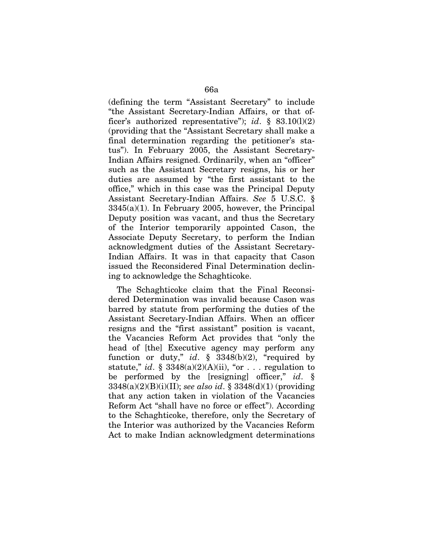(defining the term "Assistant Secretary" to include "the Assistant Secretary-Indian Affairs, or that officer's authorized representative"); *id*. § 83.10(l)(2) (providing that the "Assistant Secretary shall make a final determination regarding the petitioner's status"). In February 2005, the Assistant Secretary-Indian Affairs resigned. Ordinarily, when an "officer" such as the Assistant Secretary resigns, his or her duties are assumed by "the first assistant to the office," which in this case was the Principal Deputy Assistant Secretary-Indian Affairs. *See* 5 U.S.C. § 3345(a)(1). In February 2005, however, the Principal Deputy position was vacant, and thus the Secretary of the Interior temporarily appointed Cason, the Associate Deputy Secretary, to perform the Indian acknowledgment duties of the Assistant Secretary-Indian Affairs. It was in that capacity that Cason issued the Reconsidered Final Determination declining to acknowledge the Schaghticoke.

The Schaghticoke claim that the Final Reconsidered Determination was invalid because Cason was barred by statute from performing the duties of the Assistant Secretary-Indian Affairs. When an officer resigns and the "first assistant" position is vacant, the Vacancies Reform Act provides that "only the head of [the] Executive agency may perform any function or duty," *id.*  $\S$  3348(b)(2), "required by statute," *id.* §  $3348(a)(2)(A)(ii)$ , "or . . . regulation to be performed by the [resigning] officer," *id*. § 3348(a)(2)(B)(i)(II); *see also id*. § 3348(d)(1) (providing that any action taken in violation of the Vacancies Reform Act "shall have no force or effect"). According to the Schaghticoke, therefore, only the Secretary of the Interior was authorized by the Vacancies Reform Act to make Indian acknowledgment determinations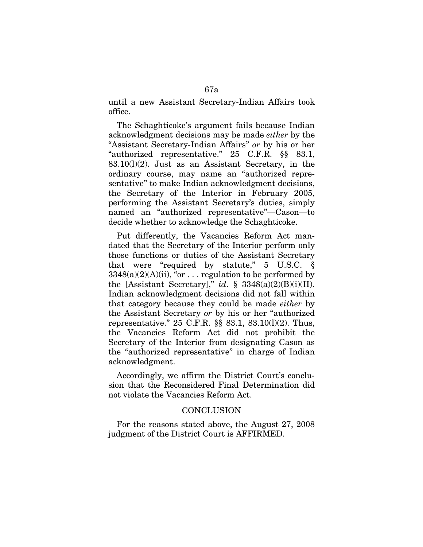until a new Assistant Secretary-Indian Affairs took office.

The Schaghticoke's argument fails because Indian acknowledgment decisions may be made *either* by the "Assistant Secretary-Indian Affairs" *or* by his or her "authorized representative." 25 C.F.R. §§ 83.1, 83.10(l)(2). Just as an Assistant Secretary, in the ordinary course, may name an "authorized representative" to make Indian acknowledgment decisions, the Secretary of the Interior in February 2005, performing the Assistant Secretary's duties, simply named an "authorized representative"—Cason—to decide whether to acknowledge the Schaghticoke.

Put differently, the Vacancies Reform Act mandated that the Secretary of the Interior perform only those functions or duties of the Assistant Secretary that were "required by statute,"  $5 \text{ U.S.C. }$  $3348(a)(2)(A)(ii)$ , "or ... regulation to be performed by the [Assistant Secretary]," *id*. § 3348(a)(2)(B)(i)(II). Indian acknowledgment decisions did not fall within that category because they could be made *either* by the Assistant Secretary *or* by his or her "authorized representative." 25 C.F.R. §§ 83.1, 83.10(l)(2). Thus, the Vacancies Reform Act did not prohibit the Secretary of the Interior from designating Cason as the "authorized representative" in charge of Indian acknowledgment.

Accordingly, we affirm the District Court's conclusion that the Reconsidered Final Determination did not violate the Vacancies Reform Act.

## **CONCLUSION**

For the reasons stated above, the August 27, 2008 judgment of the District Court is AFFIRMED.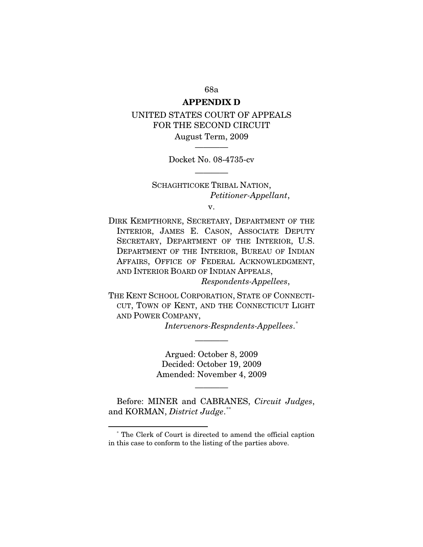# **APPENDIX D**

# UNITED STATES COURT OF APPEALS FOR THE SECOND CIRCUIT

# August Term, 2009 ————

Docket No. 08-4735-cv ————

# SCHAGHTICOKE TRIBAL NATION, *Petitioner-Appellant*,

v.

DIRK KEMPTHORNE, SECRETARY, DEPARTMENT OF THE INTERIOR, JAMES E. CASON, ASSOCIATE DEPUTY SECRETARY, DEPARTMENT OF THE INTERIOR, U.S. DEPARTMENT OF THE INTERIOR, BUREAU OF INDIAN AFFAIRS, OFFICE OF FEDERAL ACKNOWLEDGMENT, AND INTERIOR BOARD OF INDIAN APPEALS,

*Respondents-Appellees*,

THE KENT SCHOOL CORPORATION, STATE OF CONNECTI-CUT, TOWN OF KENT, AND THE CONNECTICUT LIGHT AND POWER COMPANY,

*Intervenors-Respndents-Appellees*. [\\*](#page-116-0)

Argued: October 8, 2009 Decided: October 19, 2009 Amended: November 4, 2009

————

Before: MINER and CABRANES, *Circuit Judges*, and KORMAN, District Judge.[\\*\\*](#page-116-1)

————

<u>.</u>

<span id="page-116-1"></span><span id="page-116-0"></span><sup>\*</sup> The Clerk of Court is directed to amend the official caption in this case to conform to the listing of the parties above.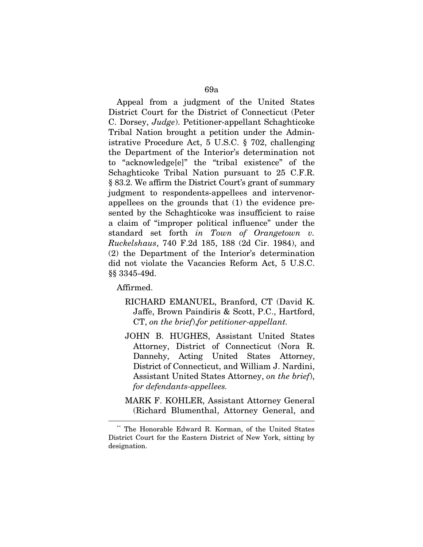Appeal from a judgment of the United States District Court for the District of Connecticut (Peter C. Dorsey, *Judge*). Petitioner-appellant Schaghticoke Tribal Nation brought a petition under the Administrative Procedure Act, 5 U.S.C. § 702, challenging the Department of the Interior's determination not to "acknowledge[e]" the "tribal existence" of the Schaghticoke Tribal Nation pursuant to 25 C.F.R. § 83.2. We affirm the District Court's grant of summary judgment to respondents-appellees and intervenorappellees on the grounds that (1) the evidence presented by the Schaghticoke was insufficient to raise a claim of "improper political influence" under the standard set forth *in Town of Orangetown v. Ruckelshaus*, 740 F.2d 185, 188 (2d Cir. 1984), and (2) the Department of the Interior's determination did not violate the Vacancies Reform Act, 5 U.S.C. §§ 3345-49d.

Affirmed.

l

- RICHARD EMANUEL, Branford, CT (David K. Jaffe, Brown Paindiris & Scott, P.C., Hartford, CT, *on the brief*),*for petitioner-appellant.*
- JOHN B. HUGHES, Assistant United States Attorney, District of Connecticut (Nora R. Dannehy, Acting United States Attorney, District of Connecticut, and William J. Nardini, Assistant United States Attorney, *on the brief*), *for defendants-appellees.*
- MARK F. KOHLER, Assistant Attorney General (Richard Blumenthal, Attorney General, and

<sup>\*\*</sup> The Honorable Edward R. Korman, of the United States District Court for the Eastern District of New York, sitting by designation.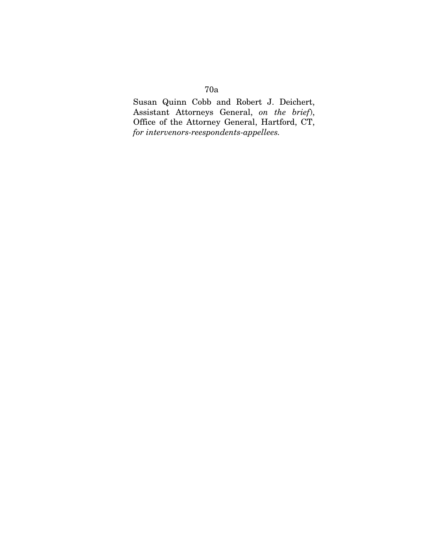Susan Quinn Cobb and Robert J. Deichert, Assistant Attorneys General, *on the brief*), Office of the Attorney General, Hartford, CT, *for intervenors-reespondents-appellees.*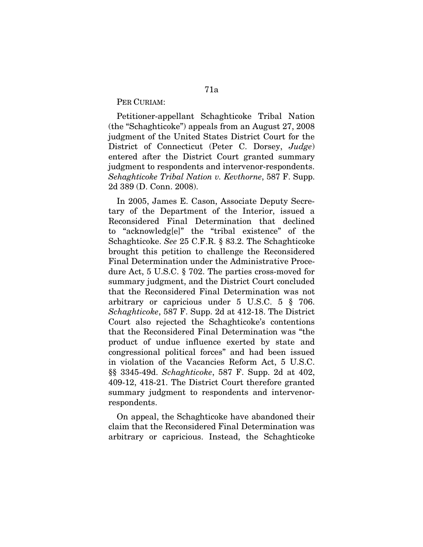PER CURIAM:

Petitioner-appellant Schaghticoke Tribal Nation (the "Schaghticoke") appeals from an August 27, 2008 judgment of the United States District Court for the District of Connecticut (Peter C. Dorsey, *Judge*) entered after the District Court granted summary judgment to respondents and intervenor-respondents. *Sehaghticoke Tribal Nation v. Kevthorne*, 587 F. Supp. 2d 389 (D. Conn. 2008).

In 2005, James E. Cason, Associate Deputy Secretary of the Department of the Interior, issued a Reconsidered Final Determination that declined to "acknowledg[e]" the "tribal existence" of the Schaghticoke. *See* 25 C.F.R. § 83.2. The Schaghticoke brought this petition to challenge the Reconsidered Final Determination under the Administrative Procedure Act, 5 U.S.C. § 702. The parties cross-moved for summary judgment, and the District Court concluded that the Reconsidered Final Determination was not arbitrary or capricious under 5 U.S.C. 5 § 706. *Schaghticoke*, 587 F. Supp. 2d at 412-18. The District Court also rejected the Schaghticoke's contentions that the Reconsidered Final Determination was "the product of undue influence exerted by state and congressional political forces" and had been issued in violation of the Vacancies Reform Act, 5 U.S.C. §§ 3345-49d. *Schaghticoke*, 587 F. Supp. 2d at 402, 409-12, 418-21. The District Court therefore granted summary judgment to respondents and intervenorrespondents.

On appeal, the Schaghticoke have abandoned their claim that the Reconsidered Final Determination was arbitrary or capricious. Instead, the Schaghticoke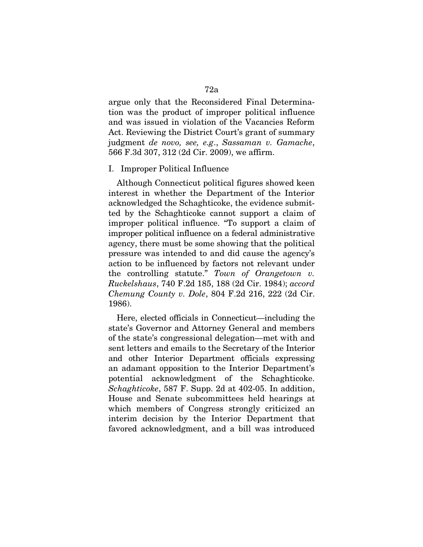argue only that the Reconsidered Final Determination was the product of improper political influence and was issued in violation of the Vacancies Reform Act. Reviewing the District Court's grant of summary judgment *de novo, see, e.g*., *Sassaman v. Gamache*, 566 F.3d 307, 312 (2d Cir. 2009), we affirm.

### I. Improper Political Influence

Although Connecticut political figures showed keen interest in whether the Department of the Interior acknowledged the Schaghticoke, the evidence submitted by the Schaghticoke cannot support a claim of improper political influence. "To support a claim of improper political influence on a federal administrative agency, there must be some showing that the political pressure was intended to and did cause the agency's action to be influenced by factors not relevant under the controlling statute." *Town of Orangetown v. Ruckelshaus*, 740 F.2d 185, 188 (2d Cir. 1984); *accord Chemung County v. Dole*, 804 F.2d 216, 222 (2d Cir. 1986).

Here, elected officials in Connecticut—including the state's Governor and Attorney General and members of the state's congressional delegation—met with and sent letters and emails to the Secretary of the Interior and other Interior Department officials expressing an adamant opposition to the Interior Department's potential acknowledgment of the Schaghticoke. *Schaghticoke*, 587 F. Supp. 2d at 402-05. In addition, House and Senate subcommittees held hearings at which members of Congress strongly criticized an interim decision by the Interior Department that favored acknowledgment, and a bill was introduced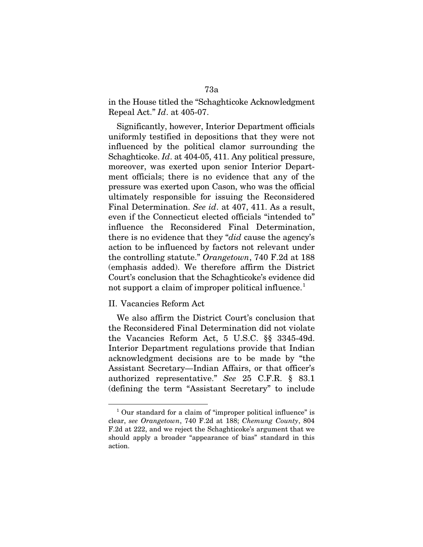in the House titled the "Schaghticoke Acknowledgment Repeal Act." *Id*. at 405-07.

Significantly, however, Interior Department officials uniformly testified in depositions that they were not influenced by the political clamor surrounding the Schaghticoke. *Id.* at 404-05, 411. Any political pressure, moreover, was exerted upon senior Interior Department officials; there is no evidence that any of the pressure was exerted upon Cason, who was the official ultimately responsible for issuing the Reconsidered Final Determination. *See id*. at 407, 411. As a result, even if the Connecticut elected officials "intended to" influence the Reconsidered Final Determination, there is no evidence that they "*did* cause the agency's action to be influenced by factors not relevant under the controlling statute." *Orangetown*, 740 F.2d at 188 (emphasis added). We therefore affirm the District Court's conclusion that the Schaghticoke's evidence did not support a claim of improper political influence.<sup>[1](#page-121-0)</sup>

# II. Vacancies Reform Act

<u>.</u>

We also affirm the District Court's conclusion that the Reconsidered Final Determination did not violate the Vacancies Reform Act, 5 U.S.C. §§ 3345-49d. Interior Department regulations provide that Indian acknowledgment decisions are to be made by "the Assistant Secretary—Indian Affairs, or that officer's authorized representative." *See* 25 C.F.R. § 83.1 (defining the term "Assistant Secretary" to include

<span id="page-121-0"></span> $1$  Our standard for a claim of "improper political influence" is clear, *see Orangetown*, 740 F.2d at 188; *Chemung County*, 804 F.2d at 222, and we reject the Schaghticoke's argument that we should apply a broader "appearance of bias" standard in this action.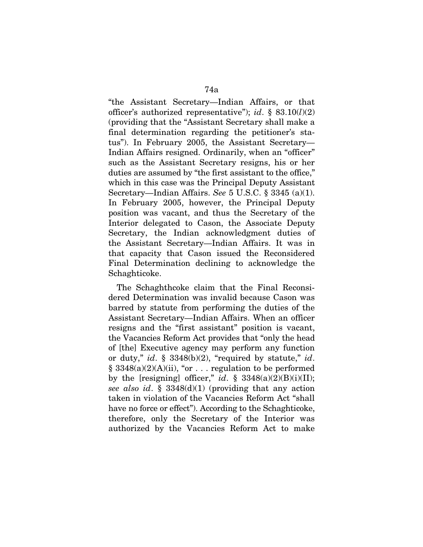"the Assistant Secretary—Indian Affairs, or that officer's authorized representative"); *id*. § 83.10(*l*)(2) (providing that the "Assistant Secretary shall make a final determination regarding the petitioner's status"). In February 2005, the Assistant Secretary— Indian Affairs resigned. Ordinarily, when an "officer" such as the Assistant Secretary resigns, his or her duties are assumed by "the first assistant to the office," which in this case was the Principal Deputy Assistant Secretary—Indian Affairs. *See* 5 U.S.C. § 3345 (a)(1). In February 2005, however, the Principal Deputy position was vacant, and thus the Secretary of the Interior delegated to Cason, the Associate Deputy Secretary, the Indian acknowledgment duties of the Assistant Secretary—Indian Affairs. It was in that capacity that Cason issued the Reconsidered Final Determination declining to acknowledge the Schaghticoke.

The Schaghthcoke claim that the Final Reconsidered Determination was invalid because Cason was barred by statute from performing the duties of the Assistant Secretary—Indian Affairs. When an officer resigns and the "first assistant" position is vacant, the Vacancies Reform Act provides that "only the head of [the] Executive agency may perform any function or duty," *id*. § 3348(b)(2), "required by statute," *id*.  $§ 3348(a)(2)(A)(ii)$ , "or . . . regulation to be performed by the [resigning] officer," *id*.  $\S$  3348(a)(2)(B)(i)(II); *see also id*. § 3348(d)(1) (providing that any action taken in violation of the Vacancies Reform Act "shall have no force or effect"). According to the Schaghticoke, therefore, only the Secretary of the Interior was authorized by the Vacancies Reform Act to make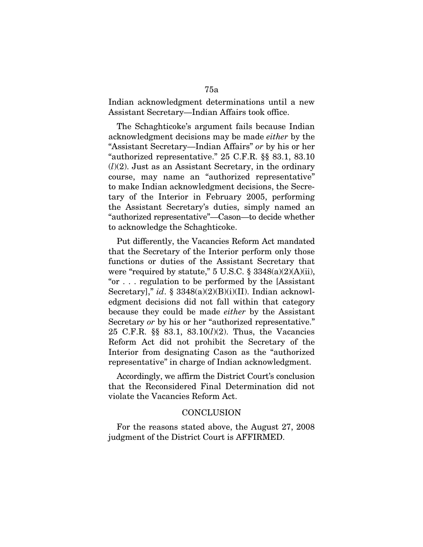Indian acknowledgment determinations until a new Assistant Secretary—Indian Affairs took office.

The Schaghticoke's argument fails because Indian acknowledgment decisions may be made *either* by the "Assistant Secretary—Indian Affairs" *or* by his or her "authorized representative." 25 C.F.R. §§ 83.1, 83.10 (*l*)(2). Just as an Assistant Secretary, in the ordinary course, may name an "authorized representative" to make Indian acknowledgment decisions, the Secretary of the Interior in February 2005, performing the Assistant Secretary's duties, simply named an "authorized representative"—Cason—to decide whether to acknowledge the Schaghticoke.

Put differently, the Vacancies Reform Act mandated that the Secretary of the Interior perform only those functions or duties of the Assistant Secretary that were "required by statute,"  $5 \text{ U.S.C.}$   $\S$   $3348(a)(2)(A)(ii)$ , "or . . . regulation to be performed by the [Assistant Secretary]," *id.* § 3348(a)(2)(B)(i)(II). Indian acknowledgment decisions did not fall within that category because they could be made *either* by the Assistant Secretary *or* by his or her "authorized representative." 25 C.F.R. §§ 83.1, 83.10(*l*)(2). Thus, the Vacancies Reform Act did not prohibit the Secretary of the Interior from designating Cason as the "authorized representative" in charge of Indian acknowledgment.

Accordingly, we affirm the District Court's conclusion that the Reconsidered Final Determination did not violate the Vacancies Reform Act.

## **CONCLUSION**

For the reasons stated above, the August 27, 2008 judgment of the District Court is AFFIRMED.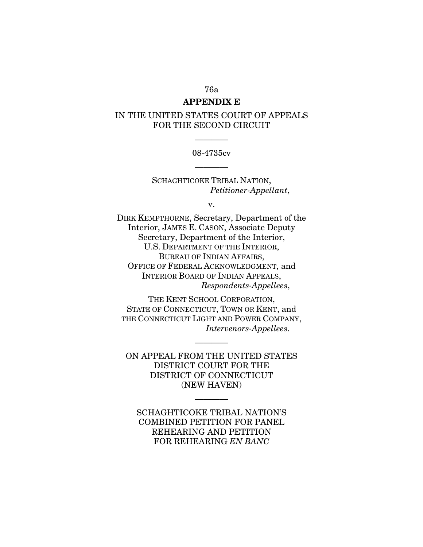# 76a **APPENDIX E**

# IN THE UNITED STATES COURT OF APPEALS

# FOR THE SECOND CIRCUIT

# 08-4735cv ————

————

SCHAGHTICOKE TRIBAL NATION, *Petitioner-Appellant*,

v.

DIRK KEMPTHORNE, Secretary, Department of the Interior, JAMES E. CASON, Associate Deputy Secretary, Department of the Interior, U.S. DEPARTMENT OF THE INTERIOR, BUREAU OF INDIAN AFFAIRS, OFFICE OF FEDERAL ACKNOWLEDGMENT, and INTERIOR BOARD OF INDIAN APPEALS, *Respondents-Appellees*,

THE KENT SCHOOL CORPORATION, STATE OF CONNECTICUT, TOWN OR KENT, and THE CONNECTICUT LIGHT AND POWER COMPANY, *Intervenors-Appellees*.

————

ON APPEAL FROM THE UNITED STATES DISTRICT COURT FOR THE DISTRICT OF CONNECTICUT (NEW HAVEN)

————

SCHAGHTICOKE TRIBAL NATION'S COMBINED PETITION FOR PANEL REHEARING AND PETITION FOR REHEARING *EN BANC*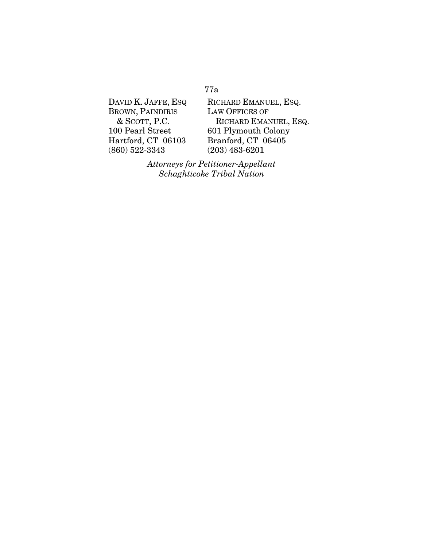DAVID K. JAFFE, ESQ BROWN, PAINDIRIS & SCOTT, P.C. 100 Pearl Street Hartford, CT 06103

(860) 522-3343

RICHARD EMANUEL, ESQ. LAW OFFICES OF RICHARD EMANUEL, ESQ. 601 Plymouth Colony Branford, CT 06405 (203) 483-6201

*Attorneys for Petitioner-Appellant Schaghticoke Tribal Nation*

## 77a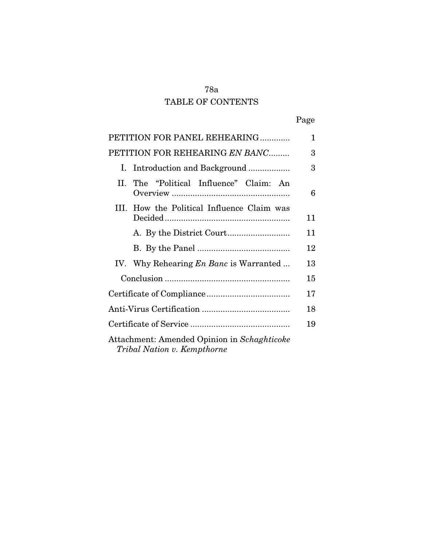# 78a TABLE OF CONTENTS

| PETITION FOR PANEL REHEARING                                               | 1  |  |  |
|----------------------------------------------------------------------------|----|--|--|
| PETITION FOR REHEARING EN BANC                                             | 3  |  |  |
| Introduction and Background<br>Ι.                                          | 3  |  |  |
| The "Political Influence" Claim: An<br>П.                                  | 6  |  |  |
| III. How the Political Influence Claim was                                 | 11 |  |  |
|                                                                            | 11 |  |  |
|                                                                            | 12 |  |  |
| IV. Why Rehearing <i>En Banc</i> is Warranted                              | 13 |  |  |
|                                                                            |    |  |  |
|                                                                            | 17 |  |  |
|                                                                            | 18 |  |  |
|                                                                            | 19 |  |  |
| Attachment: Amended Opinion in Schaghticoke<br>Tribal Nation v. Kempthorne |    |  |  |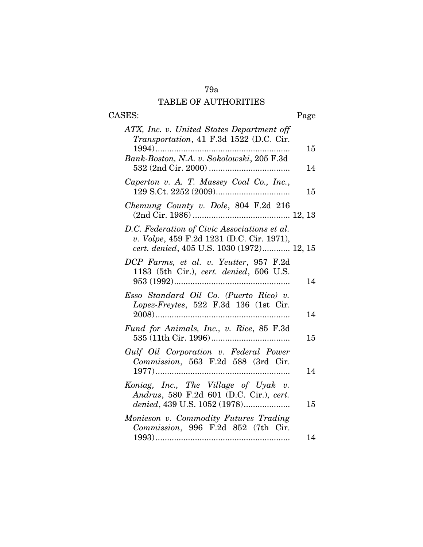# TABLE OF AUTHORITIES

| Page     | CASES:                                                                                                                                 |
|----------|----------------------------------------------------------------------------------------------------------------------------------------|
|          | ATX, Inc. v. United States Department off<br>Transportation, 41 F.3d 1522 (D.C. Cir.                                                   |
| 15<br>14 | Bank-Boston, N.A. v. Sokolowski, 205 F.3d                                                                                              |
| 15       | Caperton v. A. T. Massey Coal Co., Inc.,                                                                                               |
|          | Chemung County v. Dole, 804 F.2d 216                                                                                                   |
|          | D.C. Federation of Civic Associations et al.<br>v. Volpe, 459 F.2d 1231 (D.C. Cir. 1971),<br>cert. denied, 405 U.S. 1030 (1972) 12, 15 |
| 14       | DCP Farms, et al. v. Yeutter, 957 F.2d<br>1183 (5th Cir.), cert. denied, 506 U.S.                                                      |
| 14       | Esso Standard Oil Co. (Puerto Rico) v.<br>Lopez-Freytes, 522 F.3d 136 (1st Cir.                                                        |
| 15       | Fund for Animals, Inc., v. Rice, 85 F.3d                                                                                               |
| 14       | Gulf Oil Corporation v. Federal Power<br>Commission, 563 F.2d 588 (3rd Cir.                                                            |
| 15       | Koniag, Inc., The Village of Uyak v.<br>Andrus, 580 F.2d 601 (D.C. Cir.), cert.<br>denied, 439 U.S. 1052 (1978)                        |
| 14       | Monieson v. Commodity Futures Trading<br>Commission, 996 F.2d 852 (7th Cir.                                                            |
|          |                                                                                                                                        |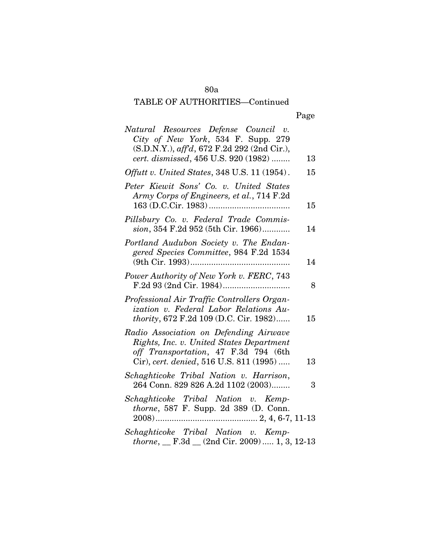# TABLE OF AUTHORITIES—Continued

# Page

| Natural Resources Defense Council v.<br>City of New York, 534 F. Supp. 279<br>(S.D.N.Y.), aff'd, 672 F.2d 292 (2nd Cir.),                                             |    |
|-----------------------------------------------------------------------------------------------------------------------------------------------------------------------|----|
| cert. dismissed, 456 U.S. 920 (1982)                                                                                                                                  | 13 |
| <i>Offutt v. United States, 348 U.S. 11 (1954).</i>                                                                                                                   | 15 |
| Peter Kiewit Sons' Co. v. United States<br>Army Corps of Engineers, et al., 714 F.2d                                                                                  | 15 |
| Pillsbury Co. v. Federal Trade Commis-<br>sion, 354 F.2d 952 (5th Cir. 1966)                                                                                          | 14 |
| Portland Audubon Society v. The Endan-<br>gered Species Committee, 984 F.2d 1534                                                                                      | 14 |
| Power Authority of New York v. FERC, 743                                                                                                                              | 8  |
| Professional Air Traffic Controllers Organ-<br>ization v. Federal Labor Relations Au-<br><i>thority</i> , 672 F.2d 109 (D.C. Cir. 1982)                               | 15 |
| Radio Association on Defending Airwave<br>Rights, Inc. v. United States Department<br>off Transportation, 47 F.3d 794 (6th<br>Cir), cert. denied, 516 U.S. 811 (1995) | 13 |
| Schaghticoke Tribal Nation v. Harrison,<br>264 Conn. 829 826 A.2d 1102 (2003)                                                                                         | 3  |
| Schaghticoke Tribal Nation v. Kemp-<br>thorne, 587 F. Supp. 2d 389 (D. Conn.                                                                                          |    |
| Schaghticoke Tribal Nation v. Kemp-<br>$thorne,$ $F.3d$ $(2nd Cir. 2009)$ 0. 1, 3, 12-13                                                                              |    |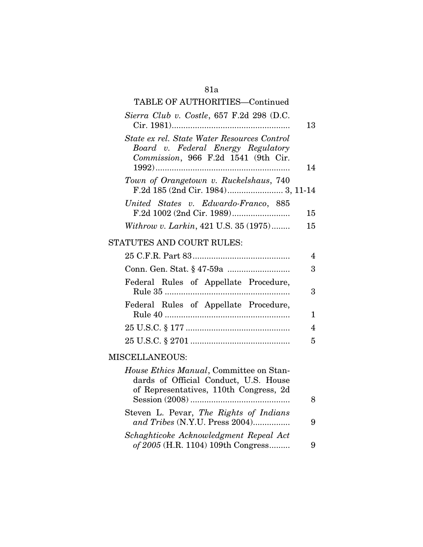|  | ıя<br>ш |  |  |
|--|---------|--|--|
|  |         |  |  |

# TABLE OF AUTHORITIES—Continued *Sierra Club v. Costle*, 657 F.2d 298 (D.C. Cir. 1981)................................................... 13 *State ex rel. State Water Resources Control Board v. Federal Energy Regulatory Commission*, 966 F.2d 1541 (9th Cir. 1992).......................................................... 14 *Town of Orangetown v. Ruckelshaus*, 740 F.2d 185 (2nd Cir. 1984)........................ 3, 11-14 *United States v. Edwardo-Franco*, 885 F.2d 1002 (2nd Cir. 1989)......................... 15 *Withrow v. Larkin*, 421 U.S. 35 (1975)........ 15 STATUTES AND COURT RULES: 25 C.F.R. Part 83.......................................... 4 Conn. Gen. Stat. § 47-59a ........................... 3 Federal Rules of Appellate Procedure, Rule 35 ...................................................... 3 Federal Rules of Appellate Procedure, Rule 40 ...................................................... 1 25 U.S.C. § 177 ............................................. 4 25 U.S.C. § 2701 ........................................... 5

## MISCELLANEOUS:

| <i>House Ethics Manual</i> , Committee on Stan- |   |
|-------------------------------------------------|---|
| dards of Official Conduct, U.S. House           |   |
| of Representatives, 110th Congress, 2d          |   |
|                                                 |   |
| Steven L. Pevar, The Rights of Indians          |   |
| and Tribes (N.Y.U. Press 2004)                  | Q |
| Schaghticoke Acknowledgment Repeal Act          |   |
| of 2005 (H.R. 1104) 109th Congress              |   |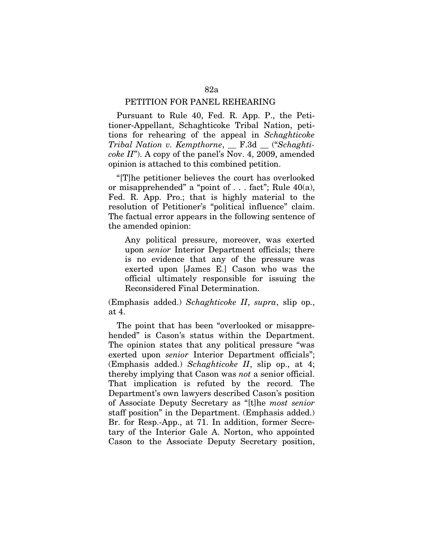### PETITION FOR PANEL REHEARING

Pursuant to Rule 40, Fed. R. App. P., the Petitioner-Appellant, Schaghticoke Tribal Nation, petitions for rehearing of the appeal in *Schaghticoke Tribal Nation v. Kempthorne*, *\_\_* F.3d \_\_ ("*Schaghticoke II*"). A copy of the panel's Nov. 4, 2009, amended opinion is attached to this combined petition.

"[T]he petitioner believes the court has overlooked or misapprehended" a "point of  $\ldots$  fact"; Rule 40(a), Fed. R. App. Pro.; that is highly material to the resolution of Petitioner's "political influence" claim. The factual error appears in the following sentence of the amended opinion:

Any political pressure, moreover, was exerted upon *senior* Interior Department officials; there is no evidence that any of the pressure was exerted upon [James E.] Cason who was the official ultimately responsible for issuing the Reconsidered Final Determination.

(Emphasis added.) *Schaghticoke II*, *supra*, slip op., at 4.

The point that has been "overlooked or misapprehended" is Cason's status within the Department. The opinion states that any political pressure "was exerted upon *senior* Interior Department officials"; (Emphasis added.) *Schaghticoke II*, slip op., at 4; thereby implying that Cason was *not* a senior official. That implication is refuted by the record. The Department's own lawyers described Cason's position of Associate Deputy Secretary as "[t]he *most senior* staff position" in the Department. (Emphasis added.) Br. for Resp.-App., at 71. In addition, former Secretary of the Interior Gale A. Norton, who appointed Cason to the Associate Deputy Secretary position,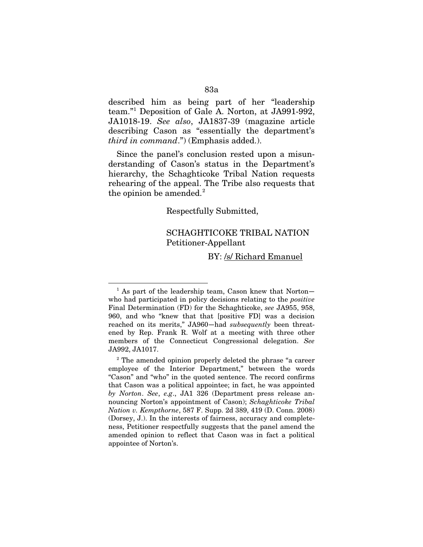described him as being part of her "leadership team.["1](#page-131-0) Deposition of Gale A. Norton, at JA991-992, JA1018-19. *See also*, JA1837-39 (magazine article describing Cason as "essentially the department's *third in command*.") (Emphasis added.).

Since the panel's conclusion rested upon a misunderstanding of Cason's status in the Department's hierarchy, the Schaghticoke Tribal Nation requests rehearing of the appeal. The Tribe also requests that the opinion be amended.<sup>[2](#page-131-1)</sup>

Respectfully Submitted,

# SCHAGHTICOKE TRIBAL NATION Petitioner-Appellant

BY: /s/ Richard Emanuel

<u>.</u>

<span id="page-131-0"></span> $<sup>1</sup>$  As part of the leadership team, Cason knew that Norton-</sup> who had participated in policy decisions relating to the *positive*  Final Determination (FD) for the Schaghticoke, *see* JA955, 958, 960, and who "knew that that [positive FD] was a decision reached on its merits," JA960—had *subsequently* been threatened by Rep. Frank R. Wolf at a meeting with three other members of the Connecticut Congressional delegation. *See* JA992, JA1017.

<span id="page-131-1"></span><sup>2</sup> The amended opinion properly deleted the phrase "a career employee of the Interior Department," between the words "Cason" and "who" in the quoted sentence. The record confirms that Cason was a political appointee; in fact, he was appointed *by Norton*. *See*, *e.g*., JA1 326 (Department press release announcing Norton's appointment of Cason); *Schaghticoke Tribal Nation v. Kempthorne*, 587 F. Supp. 2d 389, 419 (D. Conn. 2008) (Dorsey, J.). In the interests of fairness, accuracy and completeness, Petitioner respectfully suggests that the panel amend the amended opinion to reflect that Cason was in fact a political appointee of Norton's.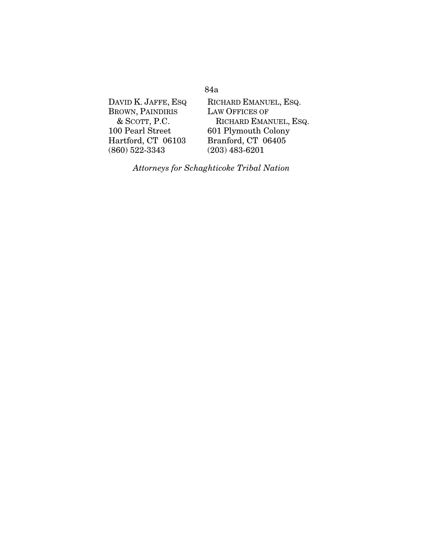DAVID K. JAFFE, ESQ BROWN, PAINDIRIS & SCOTT, P.C. 100 Pearl Street Hartford, CT 06103 (860) 522-3343 RICHARD EMANUEL, ESQ. LAW OFFICES OF RICHARD EMANUEL, ESQ. 601 Plymouth Colony Branford, CT 06405 (203) 483-6201

*Attorneys for Schaghticoke Tribal Nation*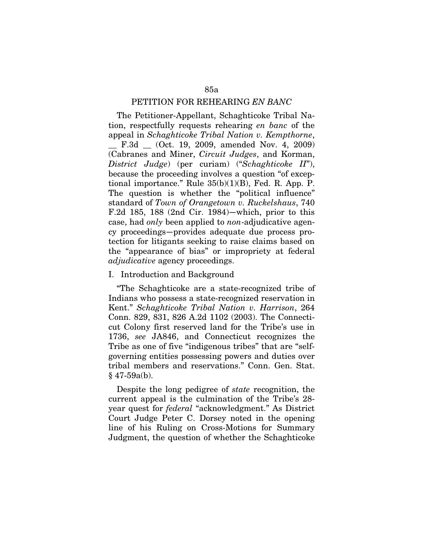### PETITION FOR REHEARING *EN BANC*

The Petitioner-Appellant, Schaghticoke Tribal Nation, respectfully requests rehearing *en banc* of the appeal in *Schaghticoke Tribal Nation v. Kempthorne*,

F.3d \_ (Oct. 19, 2009, amended Nov. 4, 2009) (Cabranes and Miner, *Circuit Judges*, and Korman, *District Judge*) (per curiam) ("*Schaghticoke II*"), because the proceeding involves a question "of exceptional importance." Rule  $35(b)(1)(B)$ , Fed. R. App. P. The question is whether the "political influence" standard of *Town of Orangetown v. Ruckelshaus*, 740 F.2d 185, 188 (2nd Cir. 1984)—which, prior to this case, had *only* been applied to *non*-adjudicative agency proceedings—provides adequate due process protection for litigants seeking to raise claims based on the "appearance of bias" or impropriety at federal *adjudicative* agency proceedings.

#### I. Introduction and Background

"The Schaghticoke are a state-recognized tribe of Indians who possess a state-recognized reservation in Kent." *Schaghticoke Tribal Nation v. Harrison*, 264 Conn. 829, 831, 826 A.2d 1102 (2003). The Connecticut Colony first reserved land for the Tribe's use in 1736, *see* JA846, and Connecticut recognizes the Tribe as one of five "indigenous tribes" that are "selfgoverning entities possessing powers and duties over tribal members and reservations." Conn. Gen. Stat.  $§$  47-59a(b).

Despite the long pedigree of *state* recognition, the current appeal is the culmination of the Tribe's 28 year quest for *federal* "acknowledgment." As District Court Judge Peter C. Dorsey noted in the opening line of his Ruling on Cross-Motions for Summary Judgment, the question of whether the Schaghticoke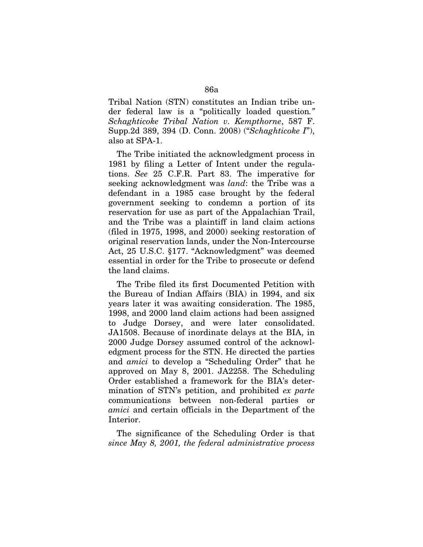Tribal Nation (STN) constitutes an Indian tribe under federal law is a "politically loaded question*." Schaghticoke Tribal Nation v. Kempthorne*, 587 F. Supp.2d 389, 394 (D. Conn. 2008) ("*Schaghticoke I*"), also at SPA-1.

The Tribe initiated the acknowledgment process in 1981 by filing a Letter of Intent under the regulations. *See* 25 C.F.R. Part 83. The imperative for seeking acknowledgment was *land*: the Tribe was a defendant in a 1985 case brought by the federal government seeking to condemn a portion of its reservation for use as part of the Appalachian Trail, and the Tribe was a plaintiff in land claim actions (filed in 1975, 1998, and 2000) seeking restoration of original reservation lands, under the Non-Intercourse Act, 25 U.S.C. §177. "Acknowledgment" was deemed essential in order for the Tribe to prosecute or defend the land claims.

The Tribe filed its first Documented Petition with the Bureau of Indian Affairs (BIA) in 1994, and six years later it was awaiting consideration. The 1985, 1998, and 2000 land claim actions had been assigned to Judge Dorsey, and were later consolidated. JA1508. Because of inordinate delays at the BIA, in 2000 Judge Dorsey assumed control of the acknowledgment process for the STN. He directed the parties and *amici* to develop a "Scheduling Order" that he approved on May 8, 2001. JA2258. The Scheduling Order established a framework for the BIA's determination of STN's petition, and prohibited *ex parte* communications between non-federal parties or *amici* and certain officials in the Department of the Interior.

The significance of the Scheduling Order is that *since May 8, 2001, the federal administrative process*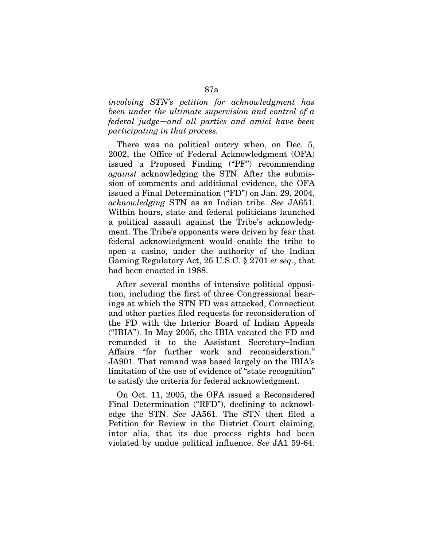*involving STN's petition for acknowledgment has been under the ultimate supervision and control of a federal judge*—*and all parties and amici have been participating in that process.*

There was no political outcry when, on Dec. 5, 2002, the Office of Federal Acknowledgment (OFA) issued a Proposed Finding ("PF") recommending *against* acknowledging the STN. After the submission of comments and additional evidence, the OFA issued a Final Determination ("FD") on Jan. 29, 2004, *acknowledging* STN as an Indian tribe. *See* JA651. Within hours, state and federal politicians launched a political assault against the Tribe's acknowledgment. The Tribe's opponents were driven by fear that federal acknowledgment would enable the tribe to open a casino, under the authority of the Indian Gaming Regulatory Act, 25 U.S.C. § 2701 *et seq*., that had been enacted in 1988.

After several months of intensive political opposition, including the first of three Congressional hearings at which the STN FD was attacked, Connecticut and other parties filed requests for reconsideration of the FD with the Interior Board of Indian Appeals ("IBIA"). In May 2005, the IBIA vacated the FD and remanded it to the Assistant Secretary–Indian Affairs "for further work and reconsideration." JA901. That remand was based largely on the IBIA's limitation of the use of evidence of "state recognition" to satisfy the criteria for federal acknowledgment.

On Oct. 11, 2005, the OFA issued a Reconsidered Final Determination ("RFD"), declining to acknowledge the STN. *See* JA561. The STN then filed a Petition for Review in the District Court claiming, inter alia, that its due process rights had been violated by undue political influence. *See* JA1 59-64.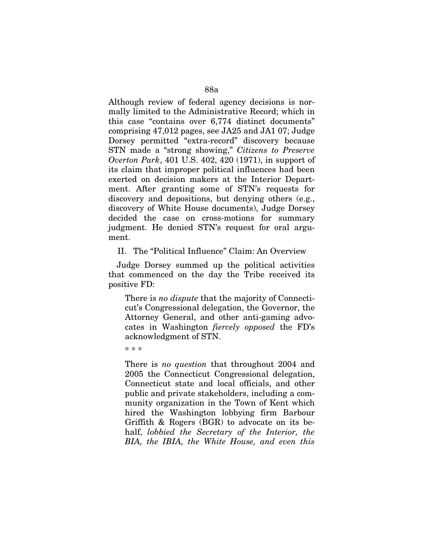Although review of federal agency decisions is normally limited to the Administrative Record; which in this case "contains over 6,774 distinct documents" comprising 47,012 pages, see JA25 and JA1 07; Judge Dorsey permitted "extra-record" discovery because STN made a "strong showing," *Citizens to Preserve Overton Park*, 401 U.S. 402, 420 (1971), in support of its claim that improper political influences had been exerted on decision makers at the Interior Department. After granting some of STN's requests for discovery and depositions, but denying others (e.g., discovery of White House documents), Judge Dorsey decided the case on cross-motions for summary judgment. He denied STN's request for oral argument.

II. The "Political Influence" Claim: An Overview

Judge Dorsey summed up the political activities that commenced on the day the Tribe received its positive FD:

There is *no dispute* that the majority of Connecticut's Congressional delegation, the Governor, the Attorney General, and other anti-gaming advocates in Washington *fiercely opposed* the FD's acknowledgment of STN.

\* \* \*

There is *no question* that throughout 2004 and 2005 the Connecticut Congressional delegation, Connecticut state and local officials, and other public and private stakeholders, including a community organization in the Town of Kent which hired the Washington lobbying firm Barbour Griffith & Rogers (BGR) to advocate on its behalf, *lobbied the Secretary of the Interior, the BIA, the IBIA, the White House, and even this*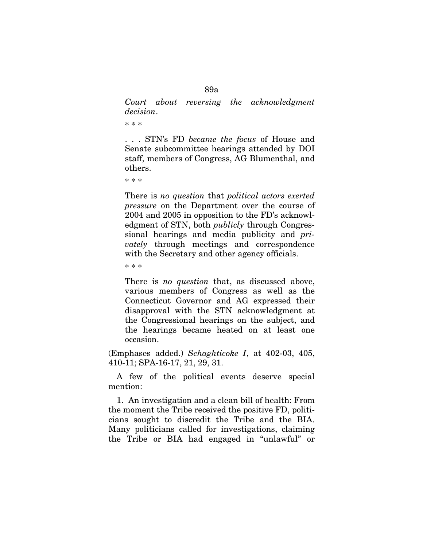*Court about reversing the acknowledgment decision*.

\* \* \*

. . . STN's FD *became the focus* of House and Senate subcommittee hearings attended by DOI staff, members of Congress, AG Blumenthal, and others.

\* \* \*

There is *no question* that *political actors exerted pressure* on the Department over the course of 2004 and 2005 in opposition to the FD's acknowledgment of STN, both *publicly* through Congressional hearings and media publicity and *privately* through meetings and correspondence with the Secretary and other agency officials.

\* \* \*

There is *no question* that, as discussed above, various members of Congress as well as the Connecticut Governor and AG expressed their disapproval with the STN acknowledgment at the Congressional hearings on the subject, and the hearings became heated on at least one occasion.

(Emphases added.) *Schaghticoke I*, at 402-03, 405, 410-11; SPA-16-17, 21, 29, 31.

A few of the political events deserve special mention:

1. An investigation and a clean bill of health: From the moment the Tribe received the positive FD, politicians sought to discredit the Tribe and the BIA. Many politicians called for investigations, claiming the Tribe or BIA had engaged in "unlawful" or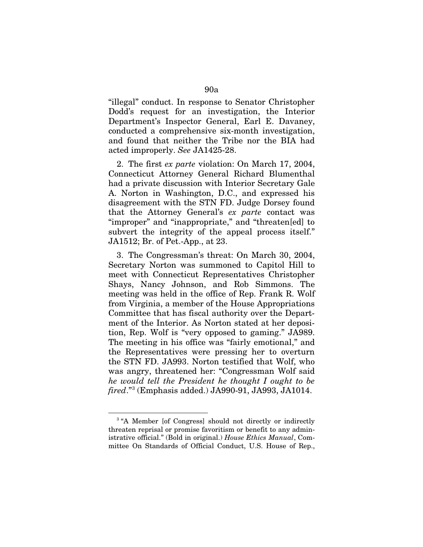"illegal" conduct. In response to Senator Christopher Dodd's request for an investigation, the Interior Department's Inspector General, Earl E. Davaney, conducted a comprehensive six-month investigation, and found that neither the Tribe nor the BIA had acted improperly. *See* JA1425-28.

2. The first *ex parte* violation: On March 17, 2004, Connecticut Attorney General Richard Blumenthal had a private discussion with Interior Secretary Gale A. Norton in Washington, D.C., and expressed his disagreement with the STN FD. Judge Dorsey found that the Attorney General's *ex parte* contact was "improper" and "inappropriate," and "threaten[ed] to subvert the integrity of the appeal process itself." JA1512; Br. of Pet.-App., at 23.

3. The Congressman's threat: On March 30, 2004, Secretary Norton was summoned to Capitol Hill to meet with Connecticut Representatives Christopher Shays, Nancy Johnson, and Rob Simmons. The meeting was held in the office of Rep. Frank R. Wolf from Virginia, a member of the House Appropriations Committee that has fiscal authority over the Department of the Interior. As Norton stated at her deposition, Rep. Wolf is "very opposed to gaming." JA989. The meeting in his office was "fairly emotional," and the Representatives were pressing her to overturn the STN FD. JA993. Norton testified that Wolf, who was angry, threatened her: "Congressman Wolf said *he would tell the President he thought I ought to be fired*."[3](#page-138-0) (Emphasis added.) JA990-91, JA993, JA1014.

<u>.</u>

<span id="page-138-0"></span><sup>&</sup>lt;sup>3</sup> "A Member [of Congress] should not directly or indirectly threaten reprisal or promise favoritism or benefit to any administrative official." (Bold in original.) *House Ethics Manual*, Committee On Standards of Official Conduct, U.S. House of Rep.,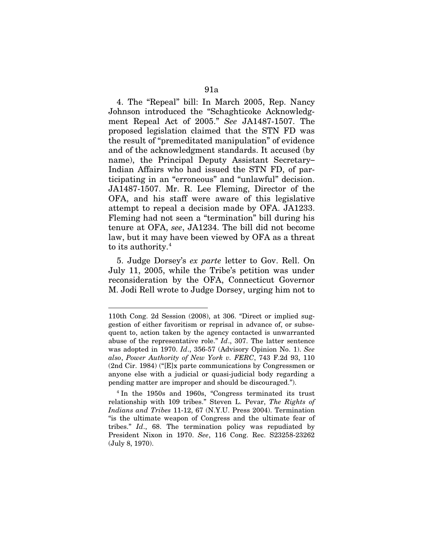4. The "Repeal" bill: In March 2005, Rep. Nancy Johnson introduced the "Schaghticoke Acknowledgment Repeal Act of 2005." *See* JA1487-1507. The proposed legislation claimed that the STN FD was the result of "premeditated manipulation" of evidence and of the acknowledgment standards. It accused (by name), the Principal Deputy Assistant Secretary– Indian Affairs who had issued the STN FD, of participating in an "erroneous" and "unlawful" decision. JA1487-1507. Mr. R. Lee Fleming, Director of the OFA, and his staff were aware of this legislative attempt to repeal a decision made by OFA. JA1233. Fleming had not seen a "termination" bill during his tenure at OFA, *see*, JA1234. The bill did not become law, but it may have been viewed by OFA as a threat to its authority.<sup>[4](#page-139-0)</sup>

5. Judge Dorsey's *ex parte* letter to Gov. Rell. On July 11, 2005, while the Tribe's petition was under reconsideration by the OFA, Connecticut Governor M. Jodi Rell wrote to Judge Dorsey, urging him not to

<u>.</u>

<sup>110</sup>th Cong. 2d Session (2008), at 306. "Direct or implied suggestion of either favoritism or reprisal in advance of, or subsequent to, action taken by the agency contacted is unwarranted abuse of the representative role." *Id*., 307. The latter sentence was adopted in 1970. *Id*., 356-57 (Advisory Opinion No. 1). *See also*, *Power Authority of New York v. FERC*, 743 F.2d 93, 110 (2nd Cir. 1984) ("[E]x parte communications by Congressmen or anyone else with a judicial or quasi-judicial body regarding a pending matter are improper and should be discouraged.").

<span id="page-139-0"></span><sup>4</sup> In the 1950s and 1960s, "Congress terminated its trust relationship with 109 tribes." Steven L. Pevar, *The Rights of Indians and Tribes* 11-12, 67 (N.Y.U. Press 2004). Termination "is the ultimate weapon of Congress and the ultimate fear of tribes." *Id*., 68. The termination policy was repudiated by President Nixon in 1970. *See*, 116 Cong. Rec. S23258-23262 (July 8, 1970).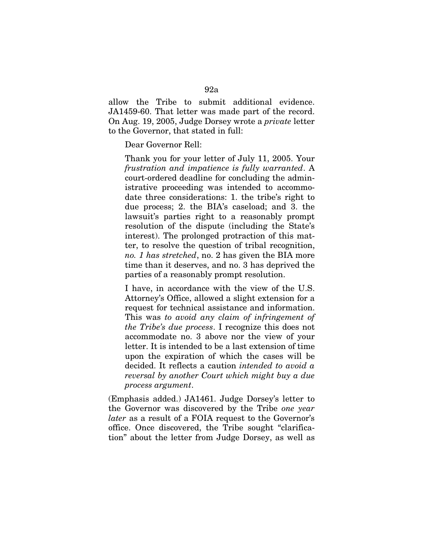allow the Tribe to submit additional evidence. JA1459-60. That letter was made part of the record. On Aug. 19, 2005, Judge Dorsey wrote a *private* letter to the Governor, that stated in full:

Dear Governor Rell:

Thank you for your letter of July 11, 2005. Your *frustration and impatience is fully warranted*. A court-ordered deadline for concluding the administrative proceeding was intended to accommodate three considerations: 1. the tribe's right to due process; 2. the BIA's caseload; and 3. the lawsuit's parties right to a reasonably prompt resolution of the dispute (including the State's interest). The prolonged protraction of this matter, to resolve the question of tribal recognition, *no. 1 has stretched*, no. 2 has given the BIA more time than it deserves, and no. 3 has deprived the parties of a reasonably prompt resolution.

I have, in accordance with the view of the U.S. Attorney's Office, allowed a slight extension for a request for technical assistance and information. This was *to avoid any claim of infringement of the Tribe's due process*. I recognize this does not accommodate no. 3 above nor the view of your letter. It is intended to be a last extension of time upon the expiration of which the cases will be decided. It reflects a caution *intended to avoid a reversal by another Court which might buy a due process argument*.

(Emphasis added.) JA1461. Judge Dorsey's letter to the Governor was discovered by the Tribe *one year later* as a result of a FOIA request to the Governor's office. Once discovered, the Tribe sought "clarification" about the letter from Judge Dorsey, as well as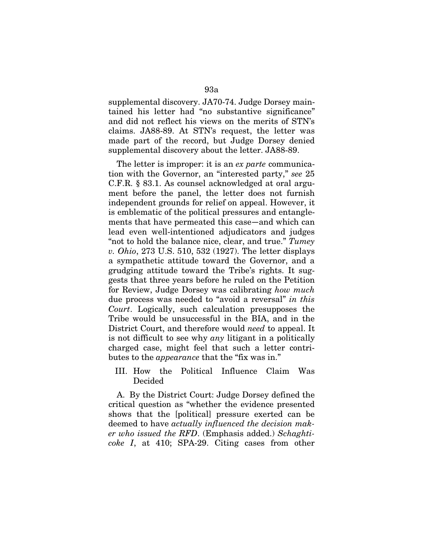supplemental discovery. JA70-74. Judge Dorsey maintained his letter had "no substantive significance" and did not reflect his views on the merits of STN's claims. JA88-89. At STN's request, the letter was made part of the record, but Judge Dorsey denied supplemental discovery about the letter. JA88-89.

The letter is improper: it is an *ex parte* communication with the Governor, an "interested party," *see* 25 C.F.R. § 83.1. As counsel acknowledged at oral argument before the panel, the letter does not furnish independent grounds for relief on appeal. However, it is emblematic of the political pressures and entanglements that have permeated this case—and which can lead even well-intentioned adjudicators and judges "not to hold the balance nice, clear, and true." *Tumey v. Ohio*, 273 U.S. 510, 532 (1927). The letter displays a sympathetic attitude toward the Governor, and a grudging attitude toward the Tribe's rights. It suggests that three years before he ruled on the Petition for Review, Judge Dorsey was calibrating *how much* due process was needed to "avoid a reversal" *in this Court*. Logically, such calculation presupposes the Tribe would be unsuccessful in the BIA, and in the District Court, and therefore would *need* to appeal. It is not difficult to see why *any* litigant in a politically charged case, might feel that such a letter contributes to the *appearance* that the "fix was in."

III. How the Political Influence Claim Was Decided

A. By the District Court: Judge Dorsey defined the critical question as "whether the evidence presented shows that the [political] pressure exerted can be deemed to have *actually influenced the decision maker who issued the RFD*. (Emphasis added.) *Schaghticoke I*, at 410; SPA-29. Citing cases from other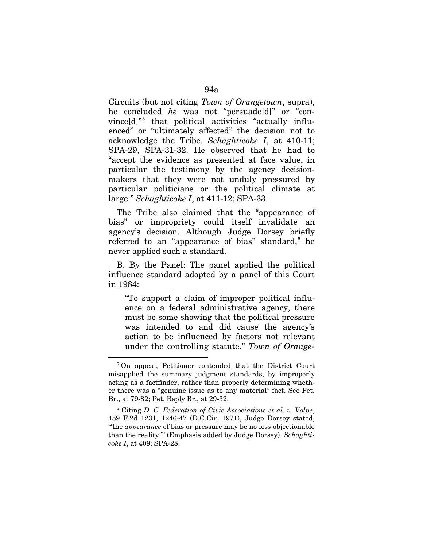Circuits (but not citing *Town of Orangetown*, supra), he concluded *he* was not "persuade[d]" or "convince[d]"[5](#page-142-0) that political activities "actually influenced" or "ultimately affected" the decision not to acknowledge the Tribe. *Schaghticoke I*, at 410-11; SPA-29, SPA-31-32. He observed that he had to "accept the evidence as presented at face value, in particular the testimony by the agency decisionmakers that they were not unduly pressured by particular politicians or the political climate at large." *Schaghticoke I*, at 411-12; SPA-33.

The Tribe also claimed that the "appearance of bias" or impropriety could itself invalidate an agency's decision. Although Judge Dorsey briefly referred to an "appearance of bias" standard, he never applied such a standard.

B. By the Panel: The panel applied the political influence standard adopted by a panel of this Court in 1984:

"To support a claim of improper political influence on a federal administrative agency, there must be some showing that the political pressure was intended to and did cause the agency's action to be influenced by factors not relevant under the controlling statute." *Town of Orange-*

<u>.</u>

<span id="page-142-0"></span><sup>5</sup> On appeal, Petitioner contended that the District Court misapplied the summary judgment standards, by improperly acting as a factfinder, rather than properly determining whether there was a "genuine issue as to any material" fact. See Pet. Br., at 79-82; Pet. Reply Br., at 29-32.

<span id="page-142-1"></span><sup>6</sup> Citing *D. C. Federation of Civic Associations et al. v. Volpe*, 459 F.2d 1231, 1246-47 (D.C.Cir. 1971), Judge Dorsey stated, "'the *appearance* of bias or pressure may be no less objectionable than the reality.'" (Emphasis added by Judge Dorsey). *Schaghticoke I*, at 409; SPA-28.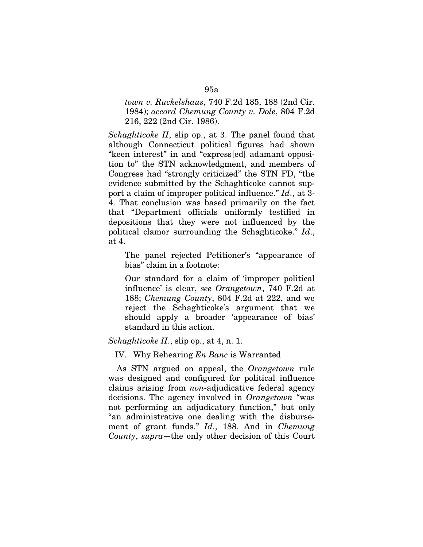*town v. Ruckelshaus*, 740 F.2d 185, 188 (2nd Cir. 1984); *accord Chemung County v. Dole*, 804 F.2d 216, 222 (2nd Cir. 1986).

*Schaghticoke II*, slip op., at 3. The panel found that although Connecticut political figures had shown "keen interest" in and "express[ed] adamant opposition to" the STN acknowledgment, and members of Congress had "strongly criticized" the STN FD, "the evidence submitted by the Schaghticoke cannot support a claim of improper political influence." *Id*., at 3- 4. That conclusion was based primarily on the fact that "Department officials uniformly testified in depositions that they were not influenced by the political clamor surrounding the Schaghticoke." *Id*., at 4.

The panel rejected Petitioner's "appearance of bias" claim in a footnote:

Our standard for a claim of 'improper political influence' is clear, *see Orangetown*, 740 F.2d at 188; *Chemung County*, 804 F.2d at 222, and we reject the Schaghticoke's argument that we should apply a broader 'appearance of bias' standard in this action.

#### *Schaghticoke II*., slip op., at 4, n. 1.

## IV. Why Rehearing *En Banc* is Warranted

As STN argued on appeal, the *Orangetown* rule was designed and configured for political influence claims arising from *non*-adjudicative federal agency decisions. The agency involved in *Orangetown* "was not performing an adjudicatory function," but only "an administrative one dealing with the disbursement of grant funds." *Id.*, 188. And in *Chemung County*, *supra*—the only other decision of this Court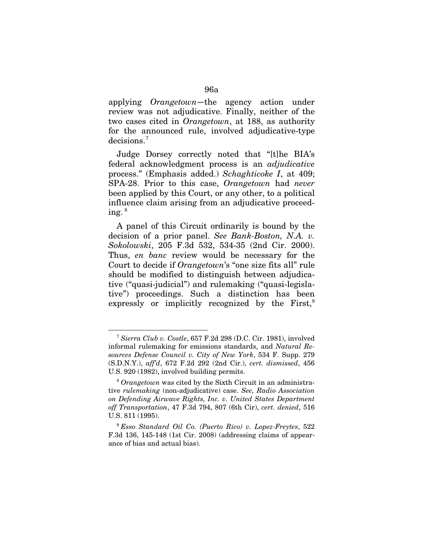applying *Orangetown—*the agency action under review was not adjudicative. Finally, neither of the two cases cited in *Orangetown*, at 188, as authority for the announced rule, involved adjudicative-type decisions.[7](#page-144-0)

Judge Dorsey correctly noted that "[t]he BIA's federal acknowledgment process is an *adjudicative* process." (Emphasis added.) *Schaghticoke I*, at 409; SPA-28. Prior to this case, *Orangetown* had *never* been applied by this Court, or any other, to a political influence claim arising from an adjudicative proceeding. $8$ 

A panel of this Circuit ordinarily is bound by the decision of a prior panel. *See Bank-Boston, N.A. v. Sokolowski*, 205 F.3d 532, 534-35 (2nd Cir. 2000). Thus, *en banc* review would be necessary for the Court to decide if *Orangetown*'s "one size fits all" rule should be modified to distinguish between adjudicative ("quasi-judicial") and rulemaking ("quasi-legislative") proceedings. Such a distinction has been expressly or implicitly recognized by the  $First<sup>9</sup>$  $First<sup>9</sup>$  $First<sup>9</sup>$ ,

<u>.</u>

<span id="page-144-0"></span><sup>7</sup> *Sierra Club v. Costle*, 657 F.2d 298 (D.C. Cir. 1981), involved informal rulemaking for emissions standards, and *Natural Resources Defense Council v. City of New York*, 534 F. Supp. 279 (S.D.N.Y.), *aff'd*, 672 F.2d 292 (2nd Cir.), *cert. dismissed*, 456 U.S. 920 (1982), involved building permits.

<span id="page-144-1"></span><sup>8</sup> *Orangetown* was cited by the Sixth Circuit in an administrative *rulemaking* (non-adjudicative) case. *See, Radio Association on Defending Airwave Rights, Inc. v. United States Department off Transportation*, 47 F.3d 794, 807 (6th Cir), *cert. denied*, 516 U.S. 811 (1995).

<span id="page-144-2"></span><sup>9</sup> *Esso Standard Oil Co. (Puerto Rico) v. Lopez-Freytes*, 522 F.3d 136, 145-148 (1st Cir. 2008) (addressing claims of appearance of bias and actual bias).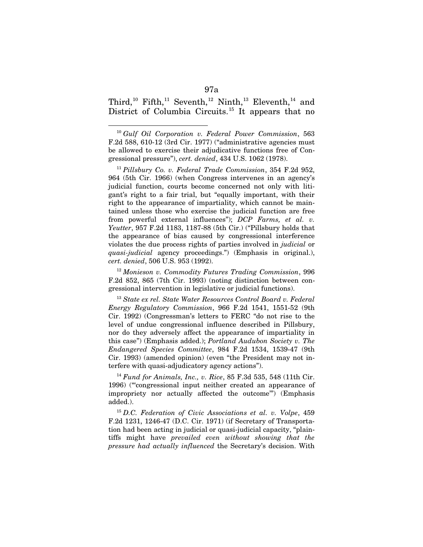Third,<sup>[10](#page-145-0)</sup> Fifth,<sup>[11](#page-145-1)</sup> Seventh,<sup>[12](#page-145-2)</sup> Ninth,<sup>[13](#page-145-3)</sup> Eleventh,<sup>[14](#page-145-4)</sup> and District of Columbia Circuits.<sup>[15](#page-145-5)</sup> It appears that no

.<br>-

<span id="page-145-1"></span><sup>11</sup> *Pillsbury Co. v. Federal Trade Commission*, 354 F.2d 952, 964 (5th Cir. 1966) (when Congress intervenes in an agency's judicial function, courts become concerned not only with litigant's right to a fair trial, but "equally important, with their right to the appearance of impartiality, which cannot be maintained unless those who exercise the judicial function are free from powerful external influences"); *DCP Farms, et al. v. Yeutter*, 957 F.2d 1183, 1187-88 (5th Cir.) ("Pillsbury holds that the appearance of bias caused by congressional interference violates the due process rights of parties involved in *judicial* or *quasi-judicial* agency proceedings.") (Emphasis in original.), *cert. denied*, 506 U.S. 953 (1992).

<span id="page-145-2"></span><sup>12</sup> *Monieson v. Commodity Futures Trading Commission*, 996 F.2d 852, 865 (7th Cir. 1993) (noting distinction between congressional intervention in legislative or judicial functions).

<span id="page-145-3"></span><sup>13</sup> *State ex rel. State Water Resources Control Board v. Federal Energy Regulatory Commission*, 966 F.2d 1541, 1551-52 (9th Cir. 1992) (Congressman's letters to FERC "do not rise to the level of undue congressional influence described in Pillsbury, nor do they adversely affect the appearance of impartiality in this case") (Emphasis added.); *Portland Audubon Society v. The Endangered Species Committee*, 984 F.2d 1534, 1539-47 (9th Cir. 1993) (amended opinion) (even "the President may not interfere with quasi-adjudicatory agency actions").

<span id="page-145-4"></span><sup>14</sup> *Fund for Animals, Inc., v. Rice*, 85 F.3d 535, 548 (11th Cir. 1996) ("'congressional input neither created an appearance of impropriety nor actually affected the outcome'") (Emphasis added.).

<span id="page-145-5"></span><sup>15</sup> *D.C. Federation of Civic Associations et al. v. Volpe*, 459 F.2d 1231, 1246-47 (D.C. Cir. 1971) (if Secretary of Transportation had been acting in judicial or quasi-judicial capacity, "plaintiffs might have *prevailed even without showing that the pressure had actually influenced* the Secretary's decision. With

<span id="page-145-0"></span><sup>10</sup> *Gulf Oil Corporation v. Federal Power Commission*, 563 F.2d 588, 610-12 (3rd Cir. 1977) ("administrative agencies must be allowed to exercise their adjudicative functions free of Congressional pressure"), *cert. denied*, 434 U.S. 1062 (1978).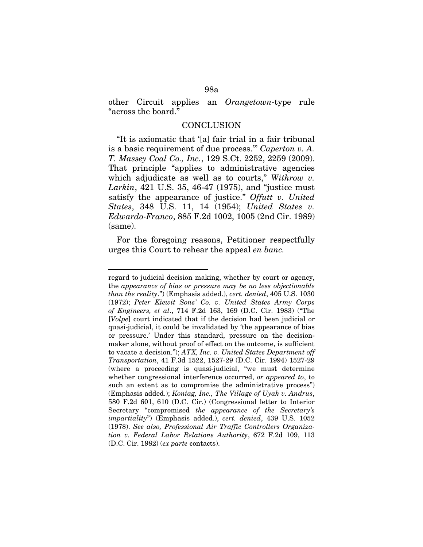other Circuit applies an *Orangetown*-type rule "across the board."

### **CONCLUSION**

"It is axiomatic that '[a] fair trial in a fair tribunal is a basic requirement of due process.'" *Caperton v. A. T. Massey Coal Co., Inc.*, 129 S.Ct. 2252, 2259 (2009). That principle "applies to administrative agencies which adjudicate as well as to courts," *Withrow v. Larkin*, 421 U.S. 35, 46-47 (1975), and "justice must satisfy the appearance of justice." *Offutt v. United States*, 348 U.S. 11, 14 (1954); *United States v. Edwardo-Franco*, 885 F.2d 1002, 1005 (2nd Cir. 1989) (same).

For the foregoing reasons, Petitioner respectfully urges this Court to rehear the appeal *en banc.*

.<br>-

regard to judicial decision making, whether by court or agency, the *appearance of bias or pressure may be no less objectionable than the reality*.") (Emphasis added.), *cert. denied*, 405 U.S. 1030 (1972); *Peter Kiewit Sons' Co. v. United States Army Corps of Engineers, et al*., 714 F.2d 163, 169 (D.C. Cir. 1983) ("The [*Volpe*] court indicated that if the decision had been judicial or quasi-judicial, it could be invalidated by 'the appearance of bias or pressure.' Under this standard, pressure on the decisionmaker alone, without proof of effect on the outcome, is sufficient to vacate a decision."); *ATX, Inc. v. United States Department off Transportation*, 41 F.3d 1522, 1527-29 (D.C. Cir. 1994) 1527-29 (where a proceeding is quasi-judicial, "we must determine whether congressional interference occurred, *or appeared to*, to such an extent as to compromise the administrative process") (Emphasis added.); *Koniag, Inc., The Village of Uyak v. Andrus*, 580 F.2d 601, 610 (D.C. Cir.) (Congressional letter to Interior Secretary "compromised *the appearance of the Secretary's impartiality*") (Emphasis added.), *cert. denied*, 439 U.S. 1052 (1978). *See also, Professional Air Traffic Controllers Organization v. Federal Labor Relations Authority*, 672 F.2d 109, 113 (D.C. Cir. 1982) (*ex parte* contacts).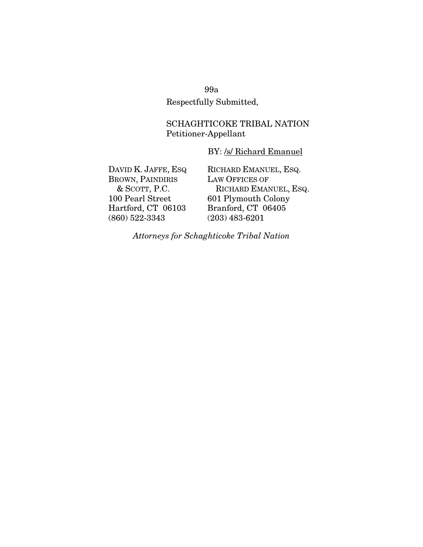99a Respectfully Submitted,

## SCHAGHTICOKE TRIBAL NATION Petitioner-Appellant

## BY: /s/ Richard Emanuel

DAVID K. JAFFE, ESQ BROWN, PAINDIRIS & SCOTT, P.C. 100 Pearl Street Hartford, CT 06103 (860) 522-3343

RICHARD EMANUEL, ESQ. LAW OFFICES OF RICHARD EMANUEL, ESQ. 601 Plymouth Colony Branford, CT 06405 (203) 483-6201

*Attorneys for Schaghticoke Tribal Nation*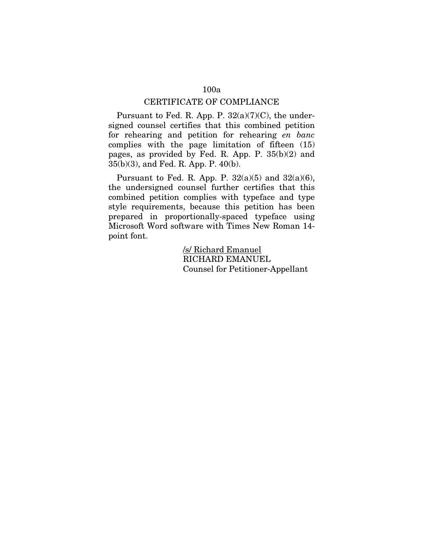## CERTIFICATE OF COMPLIANCE

Pursuant to Fed. R. App. P.  $32(a)(7)(C)$ , the undersigned counsel certifies that this combined petition for rehearing and petition for rehearing *en banc*  complies with the page limitation of fifteen (15) pages, as provided by Fed. R. App. P. 35(b)(2) and 35(b)(3), and Fed. R. App. P. 40(b).

Pursuant to Fed. R. App. P.  $32(a)(5)$  and  $32(a)(6)$ , the undersigned counsel further certifies that this combined petition complies with typeface and type style requirements, because this petition has been prepared in proportionally-spaced typeface using Microsoft Word software with Times New Roman 14 point font.

> /s/ Richard Emanuel RICHARD EMANUEL Counsel for Petitioner-Appellant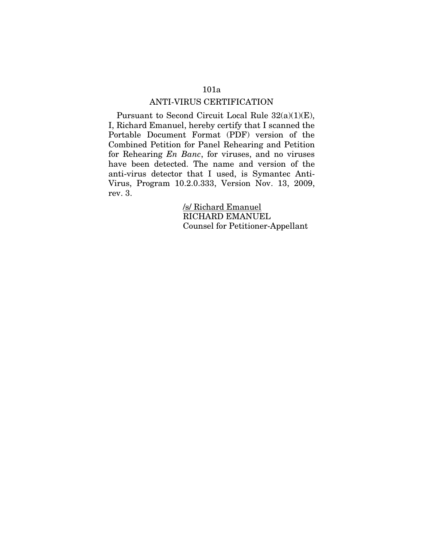# ANTI-VIRUS CERTIFICATION

Pursuant to Second Circuit Local Rule 32(a)(1)(E), I, Richard Emanuel, hereby certify that I scanned the Portable Document Format (PDF) version of the Combined Petition for Panel Rehearing and Petition for Rehearing *En Banc*, for viruses, and no viruses have been detected. The name and version of the anti-virus detector that I used, is Symantec Anti-Virus, Program 10.2.0.333, Version Nov. 13, 2009, rev. 3.

> /s/ Richard Emanuel RICHARD EMANUEL Counsel for Petitioner-Appellant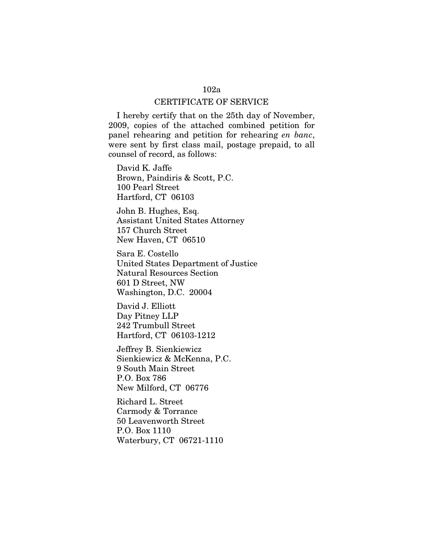#### CERTIFICATE OF SERVICE

I hereby certify that on the 25th day of November, 2009, copies of the attached combined petition for panel rehearing and petition for rehearing *en banc*, were sent by first class mail, postage prepaid, to all counsel of record, as follows:

David K. Jaffe Brown, Paindiris & Scott, P.C. 100 Pearl Street Hartford, CT 06103

John B. Hughes, Esq. Assistant United States Attorney 157 Church Street New Haven, CT 06510

Sara E. Costello United States Department of Justice Natural Resources Section 601 D Street, NW Washington, D.C. 20004

David J. Elliott Day Pitney LLP 242 Trumbull Street Hartford, CT 06103-1212

Jeffrey B. Sienkiewicz Sienkiewicz & McKenna, P.C. 9 South Main Street P.O. Box 786 New Milford, CT 06776

Richard L. Street Carmody & Torrance 50 Leavenworth Street P.O. Box 1110 Waterbury, CT 06721-1110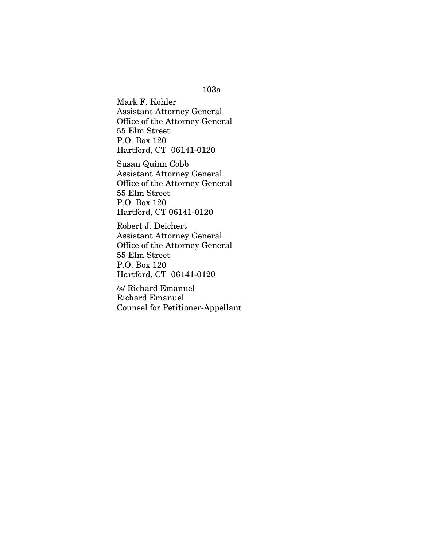Mark F. Kohler Assistant Attorney General Office of the Attorney General 55 Elm Street P.O. Box 120 Hartford, CT 06141-0120

Susan Quinn Cobb Assistant Attorney General Office of the Attorney General 55 Elm Street P.O. Box 120 Hartford, CT 06141-0120

Robert J. Deichert Assistant Attorney General Office of the Attorney General 55 Elm Street P.O. Box 120 Hartford, CT 06141-0120

/s/ Richard Emanuel Richard Emanuel Counsel for Petitioner-Appellant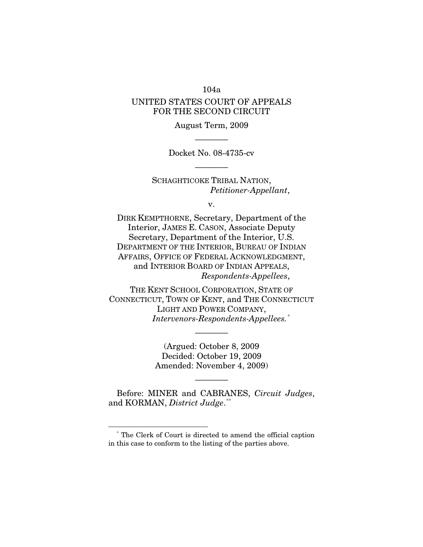## 104a UNITED STATES COURT OF APPEALS FOR THE SECOND CIRCUIT

August Term, 2009 ————

Docket No. 08-4735-cv

————

SCHAGHTICOKE TRIBAL NATION, *Petitioner-Appellant*,

v.

DIRK KEMPTHORNE, Secretary, Department of the Interior, JAMES E. CASON, Associate Deputy Secretary, Department of the Interior, U.S. DEPARTMENT OF THE INTERIOR, BUREAU OF INDIAN AFFAIRS, OFFICE OF FEDERAL ACKNOWLEDGMENT, and INTERIOR BOARD OF INDIAN APPEALS, *Respondents-Appellees*,

THE KENT SCHOOL CORPORATION, STATE OF CONNECTICUT, TOWN OF KENT, and THE CONNECTICUT LIGHT AND POWER COMPANY, *Intervenors-Respondents-Appellees.[\\*](#page-152-0)*

> (Argued: October 8, 2009 Decided: October 19, 2009 Amended: November 4, 2009)

————

Before: MINER and CABRANES, *Circuit Judges*, and KORMAN, District Judge.[\\*\\*](#page-152-1)

————

.<br>-

<span id="page-152-1"></span><span id="page-152-0"></span><sup>\*</sup> The Clerk of Court is directed to amend the official caption in this case to conform to the listing of the parties above.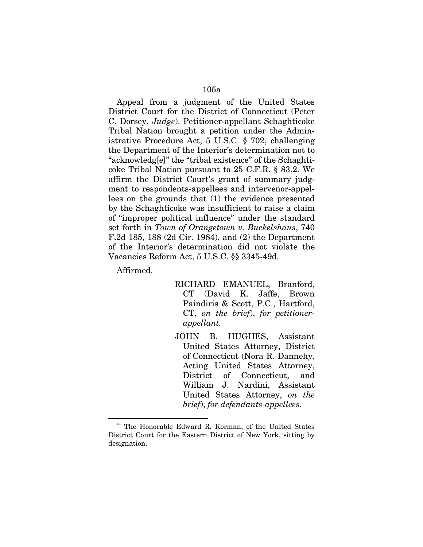Appeal from a judgment of the United States District Court for the District of Connecticut (Peter C. Dorsey, *Judge*). Petitioner-appellant Schaghticoke Tribal Nation brought a petition under the Administrative Procedure Act, 5 U.S.C. § 702, challenging the Department of the Interior's determination not to "acknowledg[e]" the "tribal existence" of the Schaghticoke Tribal Nation pursuant to 25 C.F.R. § 83.2. We affirm the District Court's grant of summary judgment to respondents-appellees and intervenor-appellees on the grounds that (1) the evidence presented by the Schaghticoke was insufficient to raise a claim of "improper political influence" under the standard set forth in *Town of Orangetown v. Buckelshaus*, 740 F.2d 185, 188 (2d Cir. 1984), and (2) the Department of the Interior's determination did not violate the Vacancies Reform Act, 5 U.S.C. §§ 3345-49d.

Affirmed.

.<br>-

- RICHARD EMANUEL, Branford, CT (David K. Jaffe, Brown Paindiris & Scott, P.C., Hartford, CT, *on the brief*), *for petitionerappellant.*
- JOHN B. HUGHES, Assistant United States Attorney, District of Connecticut (Nora R. Dannehy, Acting United States Attorney, District of Connecticut, and William J. Nardini, Assistant United States Attorney, *on the brief*), *for defendants-appellees*.

<sup>\*\*</sup> The Honorable Edward R. Korman, of the United States District Court for the Eastern District of New York, sitting by designation.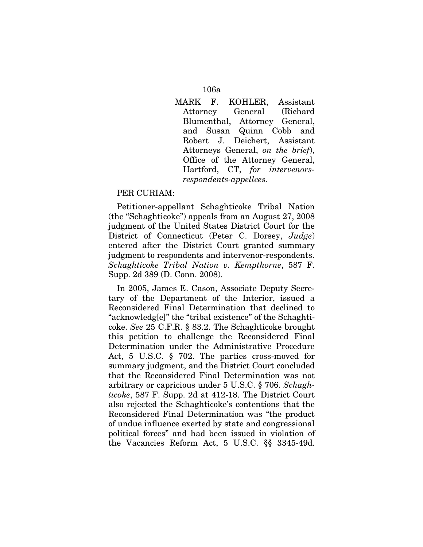MARK F. KOHLER, Assistant Attorney General (Richard Blumenthal, Attorney General, and Susan Quinn Cobb and Robert J. Deichert, Assistant Attorneys General, *on the brief*), Office of the Attorney General, Hartford, CT, *for intervenorsrespondents-appellees.*

#### PER CURIAM:

Petitioner-appellant Schaghticoke Tribal Nation (the "Schaghticoke") appeals from an August 27, 2008 judgment of the United States District Court for the District of Connecticut (Peter C. Dorsey, *Judge*) entered after the District Court granted summary judgment to respondents and intervenor-respondents. *Schaghticoke Tribal Nation v. Kempthorne*, 587 F. Supp. 2d 389 (D. Conn. 2008).

In 2005, James E. Cason, Associate Deputy Secretary of the Department of the Interior, issued a Reconsidered Final Determination that declined to "acknowledg[e]" the "tribal existence" of the Schaghticoke. *See* 25 C.F.R. § 83.2. The Schaghticoke brought this petition to challenge the Reconsidered Final Determination under the Administrative Procedure Act, 5 U.S.C. § 702. The parties cross-moved for summary judgment, and the District Court concluded that the Reconsidered Final Determination was not arbitrary or capricious under 5 U.S.C. § 706. *Schaghticoke*, 587 F. Supp. 2d at 412-18. The District Court also rejected the Schaghticoke's contentions that the Reconsidered Final Determination was "the product of undue influence exerted by state and congressional political forces" and had been issued in violation of the Vacancies Reform Act, 5 U.S.C. §§ 3345-49d.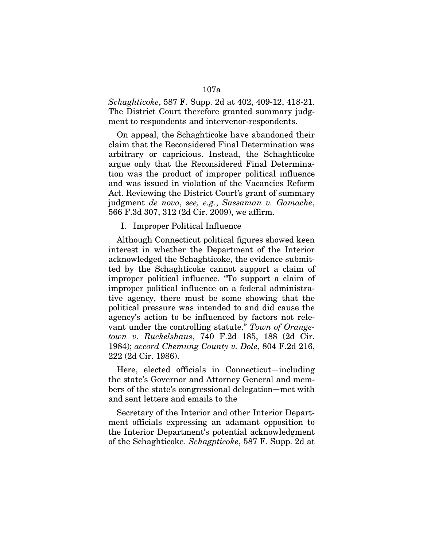## *Schaghticoke*, 587 F. Supp. 2d at 402, 409-12, 418-21. The District Court therefore granted summary judgment to respondents and intervenor-respondents.

On appeal, the Schaghticoke have abandoned their claim that the Reconsidered Final Determination was arbitrary or capricious. Instead, the Schaghticoke argue only that the Reconsidered Final Determination was the product of improper political influence and was issued in violation of the Vacancies Reform Act. Reviewing the District Court's grant of summary judgment *de novo*, *see, e.g.*, *Sassaman v. Gamache*, 566 F.3d 307, 312 (2d Cir. 2009), we affirm.

I. Improper Political Influence

Although Connecticut political figures showed keen interest in whether the Department of the Interior acknowledged the Schaghticoke, the evidence submitted by the Schaghticoke cannot support a claim of improper political influence. "To support a claim of improper political influence on a federal administrative agency, there must be some showing that the political pressure was intended to and did cause the agency's action to be influenced by factors not relevant under the controlling statute." *Town of Orangetown v. Ruckelshaus*, 740 F.2d 185, 188 (2d Cir. 1984); *accord Chemung County v. Dole*, 804 F.2d 216, 222 (2d Cir. 1986).

Here, elected officials in Connecticut—including the state's Governor and Attorney General and members of the state's congressional delegation—met with and sent letters and emails to the

Secretary of the Interior and other Interior Department officials expressing an adamant opposition to the Interior Department's potential acknowledgment of the Schaghticoke. *Schagpticoke*, 587 F. Supp. 2d at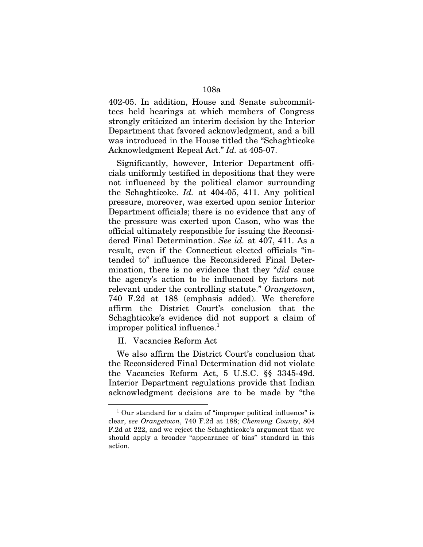## 402-05. In addition, House and Senate subcommittees held hearings at which members of Congress strongly criticized an interim decision by the Interior Department that favored acknowledgment, and a bill was introduced in the House titled the "Schaghticoke Acknowledgment Repeal Act." *Id.* at 405-07.

Significantly, however, Interior Department officials uniformly testified in depositions that they were not influenced by the political clamor surrounding the Schaghticoke. *Id.* at 404-05, 411. Any political pressure, moreover, was exerted upon senior Interior Department officials; there is no evidence that any of the pressure was exerted upon Cason, who was the official ultimately responsible for issuing the Reconsidered Final Determination. *See id.* at 407, 411. As a result, even if the Connecticut elected officials "intended to" influence the Reconsidered Final Determination, there is no evidence that they "*did* cause the agency's action to be influenced by factors not relevant under the controlling statute." *Orangetosvn*, 740 F.2d at 188 (emphasis added). We therefore affirm the District Court's conclusion that the Schaghticoke's evidence did not support a claim of improper political influence.<sup>[1](#page-156-0)</sup>

II. Vacancies Reform Act

<u>.</u>

We also affirm the District Court's conclusion that the Reconsidered Final Determination did not violate the Vacancies Reform Act, 5 U.S.C. §§ 3345-49d. Interior Department regulations provide that Indian acknowledgment decisions are to be made by "the

<span id="page-156-0"></span><sup>&</sup>lt;sup>1</sup> Our standard for a claim of "improper political influence" is clear, *see Orangetown*, 740 F.2d at 188; *Chemung County*, 804 F.2d at 222, and we reject the Schaghticoke's argument that we should apply a broader "appearance of bias" standard in this action.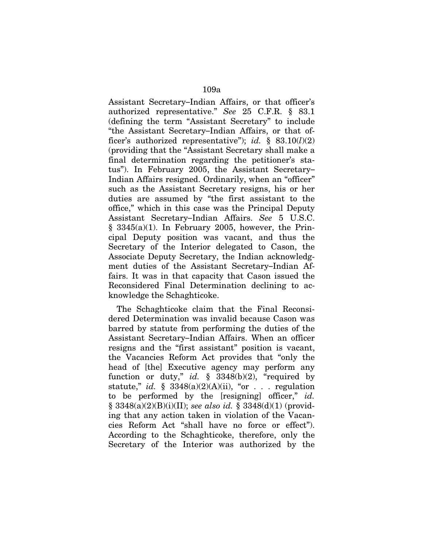Assistant Secretary–Indian Affairs, or that officer's authorized representative." *See* 25 C.F.R. § 83.1 (defining the term "Assistant Secretary" to include "the Assistant Secretary–Indian Affairs, or that officer's authorized representative"); *id.* § 83.10(*l*)(2) (providing that the "Assistant Secretary shall make a final determination regarding the petitioner's status"). In February 2005, the Assistant Secretary– Indian Affairs resigned. Ordinarily, when an "officer" such as the Assistant Secretary resigns, his or her duties are assumed by "the first assistant to the office," which in this case was the Principal Deputy Assistant Secretary–Indian Affairs. *See* 5 U.S.C.  $§$  3345(a)(1). In February 2005, however, the Principal Deputy position was vacant, and thus the Secretary of the Interior delegated to Cason, the Associate Deputy Secretary, the Indian acknowledgment duties of the Assistant Secretary–Indian Affairs. It was in that capacity that Cason issued the Reconsidered Final Determination declining to acknowledge the Schaghticoke.

The Schaghticoke claim that the Final Reconsidered Determination was invalid because Cason was barred by statute from performing the duties of the Assistant Secretary–Indian Affairs. When an officer resigns and the "first assistant" position is vacant, the Vacancies Reform Act provides that "only the head of [the] Executive agency may perform any function or duty," *id.*  $\S$  3348(b)(2), "required by statute," *id.* § 3348(a)(2)(A)(ii), "or . . . regulation to be performed by the [resigning] officer," *id.* § 3348(a)(2)(B)(i)(II); *see also id.* § 3348(d)(1) (providing that any action taken in violation of the Vacancies Reform Act "shall have no force or effect"). According to the Schaghticoke, therefore, only the Secretary of the Interior was authorized by the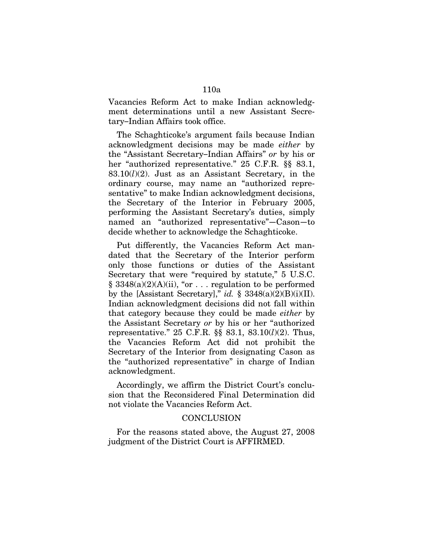Vacancies Reform Act to make Indian acknowledgment determinations until a new Assistant Secretary–Indian Affairs took office.

The Schaghticoke's argument fails because Indian acknowledgment decisions may be made *either* by the "Assistant Secretary–Indian Affairs" *or* by his or her "authorized representative." 25 C.F.R. §§ 83.1, 83.10(*l*)(2). Just as an Assistant Secretary, in the ordinary course, may name an "authorized representative" to make Indian acknowledgment decisions, the Secretary of the Interior in February 2005, performing the Assistant Secretary's duties, simply named an "authorized representative"—Cason—to decide whether to acknowledge the Schaghticoke.

Put differently, the Vacancies Reform Act mandated that the Secretary of the Interior perform only those functions or duties of the Assistant Secretary that were "required by statute," 5 U.S.C. § 3348(a)(2)(A)(ii), "or . . . regulation to be performed by the [Assistant Secretary]," *id.* §  $3348(a)(2)(B)(i)(II)$ . Indian acknowledgment decisions did not fall within that category because they could be made *either* by the Assistant Secretary *or* by his or her "authorized representative." 25 C.F.R. §§ 83.1, 83.10(*l*)(2). Thus, the Vacancies Reform Act did not prohibit the Secretary of the Interior from designating Cason as the "authorized representative" in charge of Indian acknowledgment.

Accordingly, we affirm the District Court's conclusion that the Reconsidered Final Determination did not violate the Vacancies Reform Act.

#### **CONCLUSION**

For the reasons stated above, the August 27, 2008 judgment of the District Court is AFFIRMED.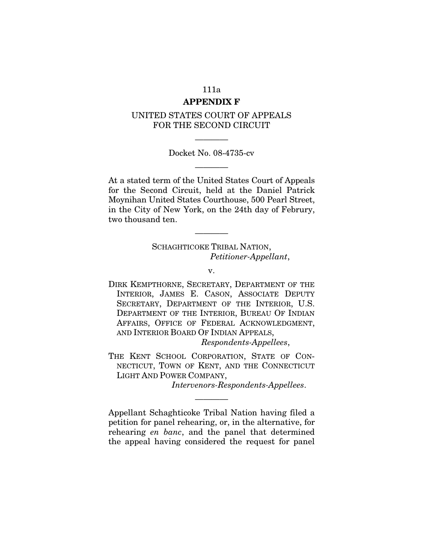### **APPENDIX F**

### UNITED STATES COURT OF APPEALS FOR THE SECOND CIRCUIT

Docket No. 08-4735-cv ————

————

At a stated term of the United States Court of Appeals for the Second Circuit, held at the Daniel Patrick Moynihan United States Courthouse, 500 Pearl Street, in the City of New York, on the 24th day of Februry, two thousand ten.

————

SCHAGHTICOKE TRIBAL NATION, *Petitioner-Appellant*,

v.

DIRK KEMPTHORNE, SECRETARY, DEPARTMENT OF THE INTERIOR, JAMES E. CASON, ASSOCIATE DEPUTY SECRETARY, DEPARTMENT OF THE INTERIOR, U.S. DEPARTMENT OF THE INTERIOR, BUREAU OF INDIAN AFFAIRS, OFFICE OF FEDERAL ACKNOWLEDGMENT, AND INTERIOR BOARD OF INDIAN APPEALS,

*Respondents-Appellees*,

THE KENT SCHOOL CORPORATION, STATE OF CON-NECTICUT, TOWN OF KENT, AND THE CONNECTICUT LIGHT AND POWER COMPANY,

*Intervenors-Respondents-Appellees*.

Appellant Schaghticoke Tribal Nation having filed a petition for panel rehearing, or, in the alternative, for rehearing *en banc*, and the panel that determined the appeal having considered the request for panel

————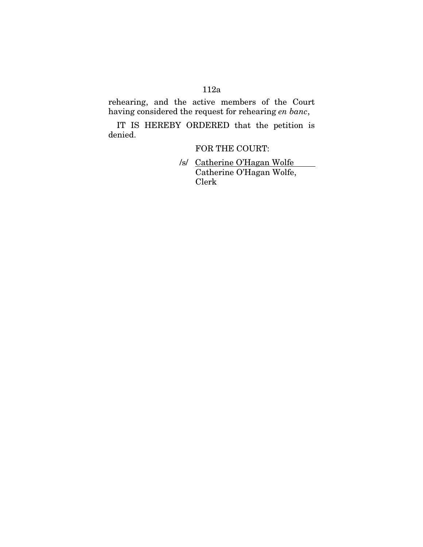rehearing, and the active members of the Court having considered the request for rehearing *en banc*,

IT IS HEREBY ORDERED that the petition is denied.

FOR THE COURT:

/s/ Catherine O'Hagan Wolfe  $\mathbb{R}^2$ Catherine O'Hagan Wolfe, Clerk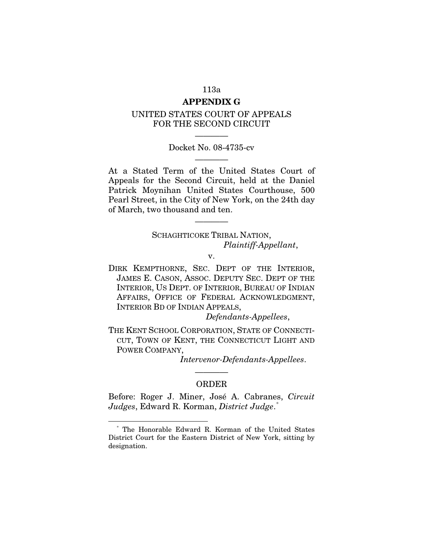### **APPENDIX G**

### UNITED STATES COURT OF APPEALS FOR THE SECOND CIRCUIT

# ———— Docket No. 08-4735-cv ————

At a Stated Term of the United States Court of Appeals for the Second Circuit, held at the Daniel Patrick Moynihan United States Courthouse, 500 Pearl Street, in the City of New York, on the 24th day of March, two thousand and ten.

————

## SCHAGHTICOKE TRIBAL NATION, *Plaintiff-Appellant*,

v.

DIRK KEMPTHORNE, SEC. DEPT OF THE INTERIOR, JAMES E. CASON, ASSOC. DEPUTY SEC. DEPT OF THE INTERIOR, US DEPT. OF INTERIOR, BUREAU OF INDIAN AFFAIRS, OFFICE OF FEDERAL ACKNOWLEDGMENT, INTERIOR BD OF INDIAN APPEALS,

*Defendants-Appellees*,

THE KENT SCHOOL CORPORATION, STATE OF CONNECTI-CUT, TOWN OF KENT, THE CONNECTICUT LIGHT AND POWER COMPANY,

*Intervenor-Defendants-Appellees*.

## ———— ORDER

Before: Roger J. Miner, José A. Cabranes, *Circuit Judges*, Edward R. Korman, *District Judge*. [\\*](#page-161-0)

<u>.</u>

<span id="page-161-0"></span><sup>\*</sup> The Honorable Edward R. Korman of the United States District Court for the Eastern District of New York, sitting by designation.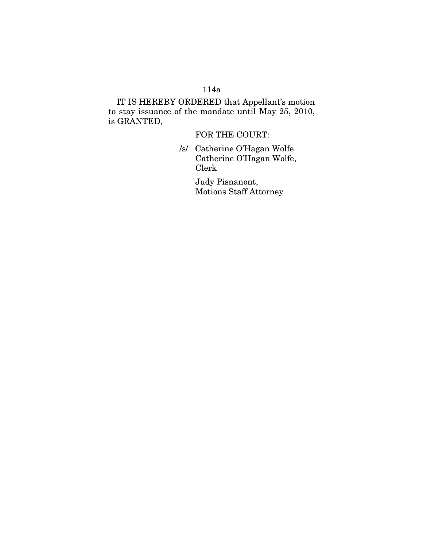IT IS HEREBY ORDERED that Appellant's motion to stay issuance of the mandate until May 25, 2010, is GRANTED,

FOR THE COURT:

/s/ Catherine O'Hagan Wolfe Catherine O'Hagan Wolfe, Clerk

> Judy Pisnanont, Motions Staff Attorney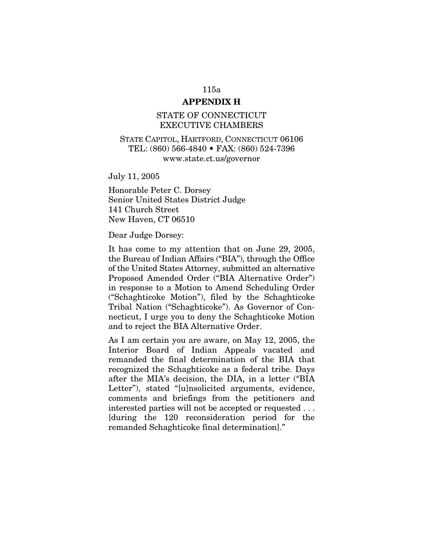### **APPENDIX H**

### STATE OF CONNECTICUT EXECUTIVE CHAMBERS

### STATE CAPITOL, HARTFORD, CONNECTICUT 06106 TEL: (860) 566-4840 • FAX: (860) 524-7396 www.state.ct.us/governor

July 11, 2005

Honorable Peter C. Dorsey Senior United States District Judge 141 Church Street New Haven, CT 06510

Dear Judge Dorsey:

It has come to my attention that on June 29, 2005, the Bureau of Indian Affairs ("BIA"), through the Office of the United States Attorney, submitted an alternative Proposed Amended Order ("BIA Alternative Order") in response to a Motion to Amend Scheduling Order ("Schaghticoke Motion"), filed by the Schaghticoke Tribal Nation ("Schaghticoke"). As Governor of Connecticut, I urge you to deny the Schaghticoke Motion and to reject the BIA Alternative Order.

As I am certain you are aware, on May 12, 2005, the Interior Board of Indian Appeals vacated and remanded the final determination of the BIA that recognized the Schaghticoke as a federal tribe. Days after the MIA's decision, the DIA, in a letter ("BIA Letter"), stated "[u]nsolicited arguments, evidence, comments and briefings from the petitioners and interested parties will not be accepted or requested . . . [during the 120 reconsideration period for the remanded Schaghticoke final determination]."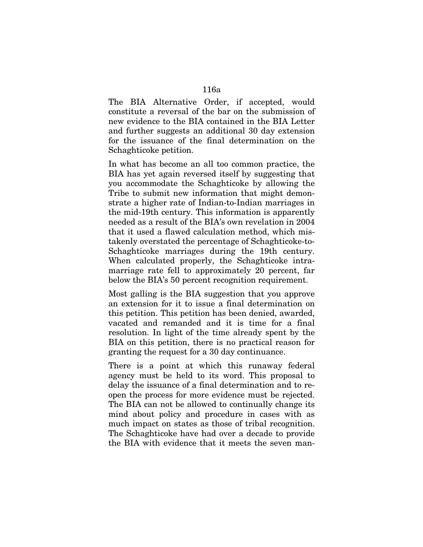## The BIA Alternative Order, if accepted, would constitute a reversal of the bar on the submission of new evidence to the BIA contained in the BIA Letter and further suggests an additional 30 day extension for the issuance of the final determination on the Schaghticoke petition.

In what has become an all too common practice, the BIA has yet again reversed itself by suggesting that you accommodate the Schaghticoke by allowing the Tribe to submit new information that might demonstrate a higher rate of Indian-to-Indian marriages in the mid-19th century. This information is apparently needed as a result of the BIA's own revelation in 2004 that it used a flawed calculation method, which mistakenly overstated the percentage of Schaghticoke-to-Schaghticoke marriages during the 19th century. When calculated properly, the Schaghticoke intramarriage rate fell to approximately 20 percent, far below the BIA's 50 percent recognition requirement.

Most galling is the BIA suggestion that you approve an extension for it to issue a final determination on this petition. This petition has been denied, awarded, vacated and remanded and it is time for a final resolution. In light of the time already spent by the BIA on this petition, there is no practical reason for granting the request for a 30 day continuance.

There is a point at which this runaway federal agency must be held to its word. This proposal to delay the issuance of a final determination and to reopen the process for more evidence must be rejected. The BIA can not be allowed to continually change its mind about policy and procedure in cases with as much impact on states as those of tribal recognition. The Schaghticoke have had over a decade to provide the BIA with evidence that it meets the seven man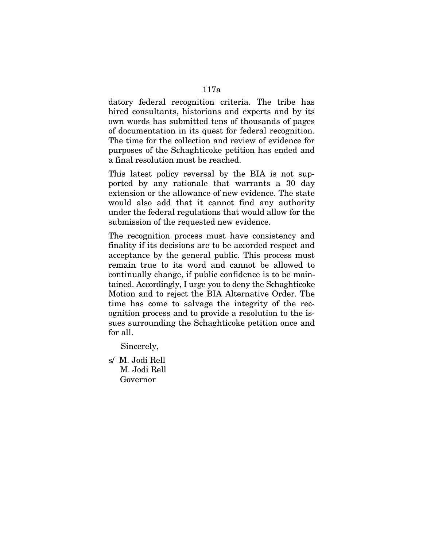datory federal recognition criteria. The tribe has hired consultants, historians and experts and by its own words has submitted tens of thousands of pages of documentation in its quest for federal recognition. The time for the collection and review of evidence for purposes of the Schaghticoke petition has ended and a final resolution must be reached.

This latest policy reversal by the BIA is not supported by any rationale that warrants a 30 day extension or the allowance of new evidence. The state would also add that it cannot find any authority under the federal regulations that would allow for the submission of the requested new evidence.

The recognition process must have consistency and finality if its decisions are to be accorded respect and acceptance by the general public. This process must remain true to its word and cannot be allowed to continually change, if public confidence is to be maintained. Accordingly, I urge you to deny the Schaghticoke Motion and to reject the BIA Alternative Order. The time has come to salvage the integrity of the recognition process and to provide a resolution to the issues surrounding the Schaghticoke petition once and for all.

Sincerely,

s/ M. Jodi Rell M. Jodi Rell Governor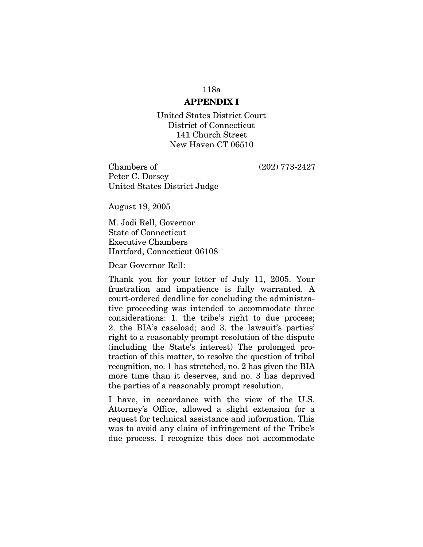### **APPENDIX I**

United States District Court District of Connecticut 141 Church Street New Haven CT 06510

Chambers of (202) 773-2427 Peter C. Dorsey United States District Judge

August 19, 2005

M. Jodi Rell, Governor State of Connecticut Executive Chambers Hartford, Connecticut 06108

Dear Governor Rell:

Thank you for your letter of July 11, 2005. Your frustration and impatience is fully warranted. A court-ordered deadline for concluding the administrative proceeding was intended to accommodate three considerations: 1. the tribe's right to due process; 2. the BIA's caseload; and 3. the lawsuit's parties' right to a reasonably prompt resolution of the dispute (including the State's interest) The prolonged protraction of this matter, to resolve the question of tribal recognition, no. 1 has stretched, no. 2 has given the BIA more time than it deserves, and no. 3 has deprived the parties of a reasonably prompt resolution.

I have, in accordance with the view of the U.S. Attorney's Office, allowed a slight extension for a request for technical assistance and information. This was to avoid any claim of infringement of the Tribe's due process. I recognize this does not accommodate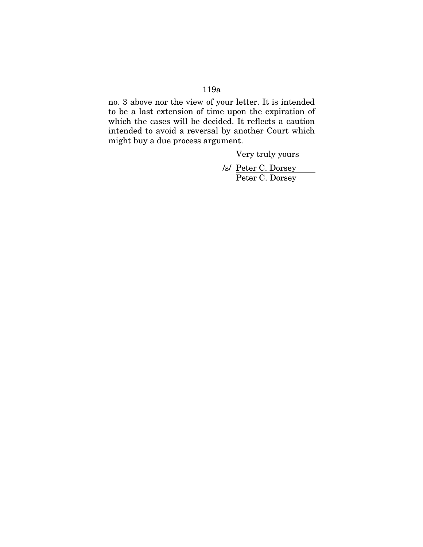no. 3 above nor the view of your letter. It is intended to be a last extension of time upon the expiration of which the cases will be decided. It reflects a caution intended to avoid a reversal by another Court which might buy a due process argument.

Very truly yours

/s/ Peter C. Dorsey Peter C. Dorsey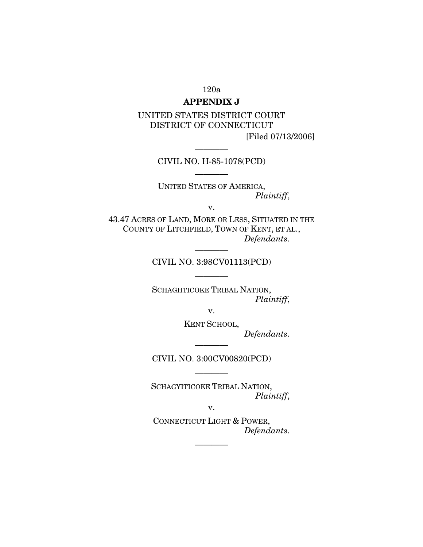## **APPENDIX J**

UNITED STATES DISTRICT COURT DISTRICT OF CONNECTICUT [Filed 07/13/2006]

> ———— CIVIL NO. H-85-1078(PCD) ————

UNITED STATES OF AMERICA, *Plaintiff*,

v.

43.47 ACRES OF LAND, MORE OR LESS, SITUATED IN THE COUNTY OF LITCHFIELD, TOWN OF KENT, ET AL., *Defendants*.

> ———— CIVIL NO. 3:98CV01113(PCD)

> > ————

SCHAGHTICOKE TRIBAL NATION, *Plaintiff*,

v.

KENT SCHOOL,

*Defendants*.

CIVIL NO. 3:00CV00820(PCD) ————

————

SCHAGYITICOKE TRIBAL NATION, *Plaintiff*,

v.

————

CONNECTICUT LIGHT & POWER, *Defendants*.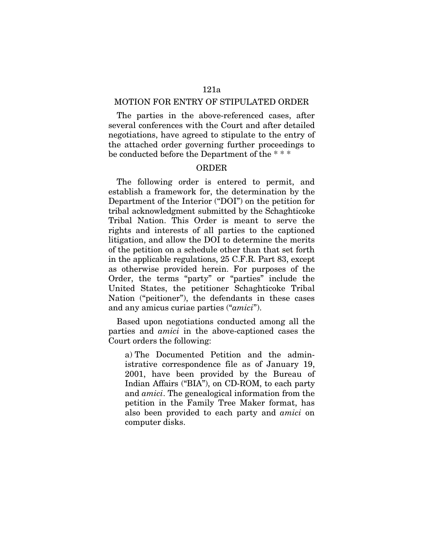#### MOTION FOR ENTRY OF STIPULATED ORDER

The parties in the above-referenced cases, after several conferences with the Court and after detailed negotiations, have agreed to stipulate to the entry of the attached order governing further proceedings to be conducted before the Department of the \* \* \*

### ORDER

The following order is entered to permit, and establish a framework for, the determination by the Department of the Interior ("DOI") on the petition for tribal acknowledgment submitted by the Schaghticoke Tribal Nation. This Order is meant to serve the rights and interests of all parties to the captioned litigation, and allow the DOI to determine the merits of the petition on a schedule other than that set forth in the applicable regulations, 25 C.F.R. Part 83, except as otherwise provided herein. For purposes of the Order, the terms "party" or "parties" include the United States, the petitioner Schaghticoke Tribal Nation ("peitioner"), the defendants in these cases and any amicus curiae parties ("*amici*").

Based upon negotiations conducted among all the parties and *amici* in the above-captioned cases the Court orders the following:

a) The Documented Petition and the administrative correspondence file as of January 19, 2001, have been provided by the Bureau of Indian Affairs ("BIA"), on CD-ROM, to each party and *amici*. The genealogical information from the petition in the Family Tree Maker format, has also been provided to each party and *amici* on computer disks.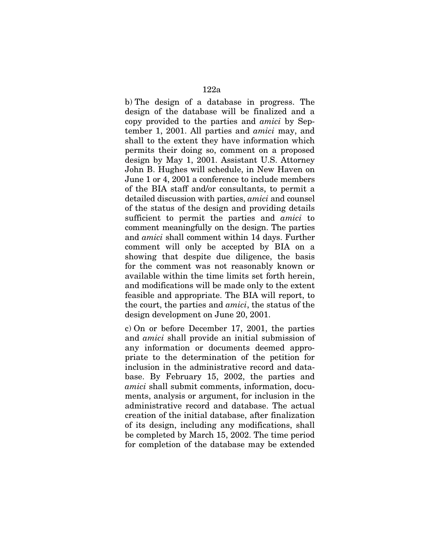b) The design of a database in progress. The design of the database will be finalized and a copy provided to the parties and *amici* by September 1, 2001. All parties and *amici* may, and shall to the extent they have information which permits their doing so, comment on a proposed design by May 1, 2001. Assistant U.S. Attorney John B. Hughes will schedule, in New Haven on June 1 or 4, 2001 a conference to include members of the BIA staff and/or consultants, to permit a detailed discussion with parties, *amici* and counsel of the status of the design and providing details sufficient to permit the parties and *amici* to comment meaningfully on the design. The parties and *amici* shall comment within 14 days. Further comment will only be accepted by BIA on a showing that despite due diligence, the basis for the comment was not reasonably known or available within the time limits set forth herein, and modifications will be made only to the extent feasible and appropriate. The BIA will report, to the court, the parties and *amici*, the status of the design development on June 20, 2001.

c) On or before December 17, 2001, the parties and *amici* shall provide an initial submission of any information or documents deemed appropriate to the determination of the petition for inclusion in the administrative record and database. By February 15, 2002, the parties and *amici* shall submit comments, information, documents, analysis or argument, for inclusion in the administrative record and database. The actual creation of the initial database, after finalization of its design, including any modifications, shall be completed by March 15, 2002. The time period for completion of the database may be extended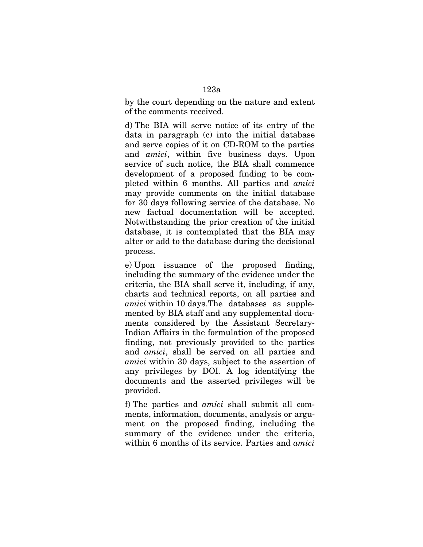by the court depending on the nature and extent of the comments received.

d) The BIA will serve notice of its entry of the data in paragraph (c) into the initial database and serve copies of it on CD-ROM to the parties and *amici*, within five business days. Upon service of such notice, the BIA shall commence development of a proposed finding to be completed within 6 months. All parties and *amici* may provide comments on the initial database for 30 days following service of the database. No new factual documentation will be accepted. Notwithstanding the prior creation of the initial database, it is contemplated that the BIA may alter or add to the database during the decisional process.

e) Upon issuance of the proposed finding, including the summary of the evidence under the criteria, the BIA shall serve it, including, if any, charts and technical reports, on all parties and *amici* within 10 days.The databases as supplemented by BIA staff and any supplemental documents considered by the Assistant Secretary-Indian Affairs in the formulation of the proposed finding, not previously provided to the parties and *amici*, shall be served on all parties and *amici* within 30 days, subject to the assertion of any privileges by DOI. A log identifying the documents and the asserted privileges will be provided.

f) The parties and *amici* shall submit all comments, information, documents, analysis or argument on the proposed finding, including the summary of the evidence under the criteria, within 6 months of its service. Parties and *amici*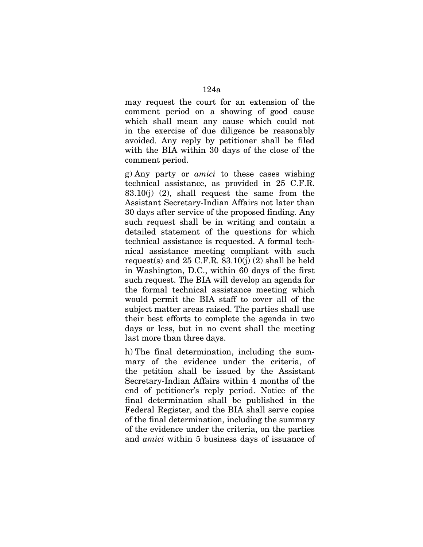may request the court for an extension of the comment period on a showing of good cause which shall mean any cause which could not in the exercise of due diligence be reasonably avoided. Any reply by petitioner shall be filed with the BIA within 30 days of the close of the comment period.

g) Any party or *amici* to these cases wishing technical assistance, as provided in 25 C.F.R. 83.10(j) (2), shall request the same from the Assistant Secretary-Indian Affairs not later than 30 days after service of the proposed finding. Any such request shall be in writing and contain a detailed statement of the questions for which technical assistance is requested. A formal technical assistance meeting compliant with such request(s) and 25 C.F.R.  $83.10(i)$  (2) shall be held in Washington, D.C., within 60 days of the first such request. The BIA will develop an agenda for the formal technical assistance meeting which would permit the BIA staff to cover all of the subject matter areas raised. The parties shall use their best efforts to complete the agenda in two days or less, but in no event shall the meeting last more than three days.

h) The final determination, including the summary of the evidence under the criteria, of the petition shall be issued by the Assistant Secretary-Indian Affairs within 4 months of the end of petitioner's reply period. Notice of the final determination shall be published in the Federal Register, and the BIA shall serve copies of the final determination, including the summary of the evidence under the criteria, on the parties and *amici* within 5 business days of issuance of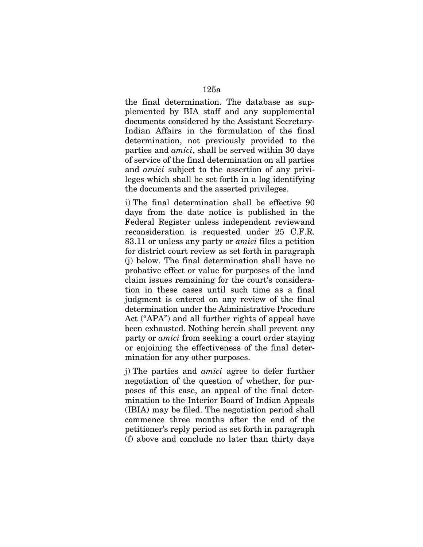the final determination. The database as supplemented by BIA staff and any supplemental documents considered by the Assistant Secretary-Indian Affairs in the formulation of the final determination, not previously provided to the parties and *amici*, shall be served within 30 days of service of the final determination on all parties and *amici* subject to the assertion of any privileges which shall be set forth in a log identifying the documents and the asserted privileges.

i) The final determination shall be effective 90 days from the date notice is published in the Federal Register unless independent reviewand reconsideration is requested under 25 C.F.R. 83.11 or unless any party or *amici* files a petition for district court review as set forth in paragraph (j) below. The final determination shall have no probative effect or value for purposes of the land claim issues remaining for the court's consideration in these cases until such time as a final judgment is entered on any review of the final determination under the Administrative Procedure Act ("APA") and all further rights of appeal have been exhausted. Nothing herein shall prevent any party or *amici* from seeking a court order staying or enjoining the effectiveness of the final determination for any other purposes.

j) The parties and *amici* agree to defer further negotiation of the question of whether, for purposes of this case, an appeal of the final determination to the Interior Board of Indian Appeals (IBIA) may be filed. The negotiation period shall commence three months after the end of the petitioner's reply period as set forth in paragraph (f) above and conclude no later than thirty days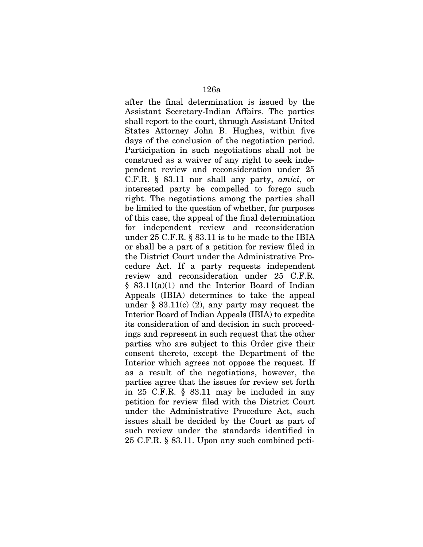after the final determination is issued by the Assistant Secretary-Indian Affairs. The parties shall report to the court, through Assistant United States Attorney John B. Hughes, within five days of the conclusion of the negotiation period. Participation in such negotiations shall not be construed as a waiver of any right to seek independent review and reconsideration under 25 C.F.R. § 83.11 nor shall any party, *amici*, or interested party be compelled to forego such right. The negotiations among the parties shall be limited to the question of whether, for purposes of this case, the appeal of the final determination for independent review and reconsideration under 25 C.F.R. § 83.11 is to be made to the IBIA or shall be a part of a petition for review filed in the District Court under the Administrative Procedure Act. If a party requests independent review and reconsideration under 25 C.F.R. § 83.11(a)(1) and the Interior Board of Indian Appeals (IBIA) determines to take the appeal under  $\S$  83.11(c) (2), any party may request the Interior Board of Indian Appeals (IBIA) to expedite its consideration of and decision in such proceedings and represent in such request that the other parties who are subject to this Order give their consent thereto, except the Department of the Interior which agrees not oppose the request. If as a result of the negotiations, however, the parties agree that the issues for review set forth in 25 C.F.R. § 83.11 may be included in any petition for review filed with the District Court under the Administrative Procedure Act, such issues shall be decided by the Court as part of such review under the standards identified in 25 C.F.R. § 83.11. Upon any such combined peti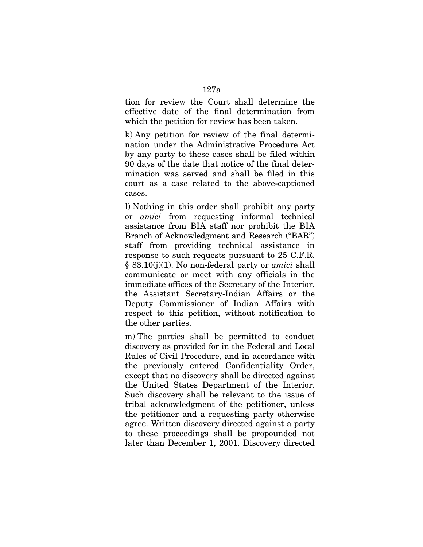tion for review the Court shall determine the effective date of the final determination from which the petition for review has been taken.

k) Any petition for review of the final determination under the Administrative Procedure Act by any party to these cases shall be filed within 90 days of the date that notice of the final determination was served and shall be filed in this court as a case related to the above-captioned cases.

l) Nothing in this order shall prohibit any party or *amici* from requesting informal technical assistance from BIA staff nor prohibit the BIA Branch of Acknowledgment and Research ("BAR") staff from providing technical assistance in response to such requests pursuant to 25 C.F.R. § 83.10(j)(1). No non-federal party or *amici* shall communicate or meet with any officials in the immediate offices of the Secretary of the Interior, the Assistant Secretary-Indian Affairs or the Deputy Commissioner of Indian Affairs with respect to this petition, without notification to the other parties.

m) The parties shall be permitted to conduct discovery as provided for in the Federal and Local Rules of Civil Procedure, and in accordance with the previously entered Confidentiality Order, except that no discovery shall be directed against the United States Department of the Interior. Such discovery shall be relevant to the issue of tribal acknowledgment of the petitioner, unless the petitioner and a requesting party otherwise agree. Written discovery directed against a party to these proceedings shall be propounded not later than December 1, 2001. Discovery directed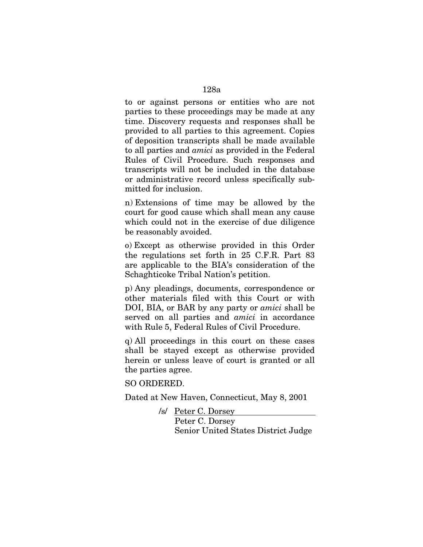to or against persons or entities who are not parties to these proceedings may be made at any time. Discovery requests and responses shall be provided to all parties to this agreement. Copies of deposition transcripts shall be made available to all parties and *amici* as provided in the Federal Rules of Civil Procedure. Such responses and transcripts will not be included in the database or administrative record unless specifically submitted for inclusion.

n) Extensions of time may be allowed by the court for good cause which shall mean any cause which could not in the exercise of due diligence be reasonably avoided.

o) Except as otherwise provided in this Order the regulations set forth in 25 C.F.R. Part 83 are applicable to the BIA's consideration of the Schaghticoke Tribal Nation's petition.

p) Any pleadings, documents, correspondence or other materials filed with this Court or with DOI, BIA, or BAR by any party or *amici* shall be served on all parties and *amici* in accordance with Rule 5, Federal Rules of Civil Procedure.

q) All proceedings in this court on these cases shall be stayed except as otherwise provided herein or unless leave of court is granted or all the parties agree.

SO ORDERED.

Dated at New Haven, Connecticut, May 8, 2001

/s/ Peter C. Dorsey

Peter C. Dorsey Senior United States District Judge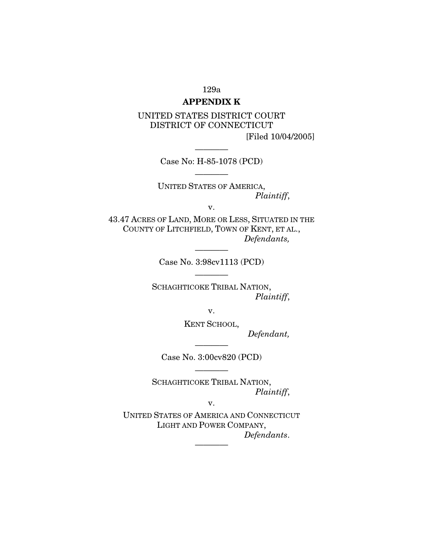### **APPENDIX K**

UNITED STATES DISTRICT COURT DISTRICT OF CONNECTICUT

[Filed 10/04/2005]

———— Case No: H-85-1078 (PCD) ————

UNITED STATES OF AMERICA, *Plaintiff*,

v.

43.47 ACRES OF LAND, MORE OR LESS, SITUATED IN THE COUNTY OF LITCHFIELD, TOWN OF KENT, ET AL., *Defendants,*

> ———— Case No. 3:98cv1113 (PCD) ————

SCHAGHTICOKE TRIBAL NATION, *Plaintiff*,

v.

KENT SCHOOL,

*Defendant,*

———— Case No. 3:00cv820 (PCD) ————

SCHAGHTICOKE TRIBAL NATION, *Plaintiff*,

v.

UNITED STATES OF AMERICA AND CONNECTICUT LIGHT AND POWER COMPANY, *Defendants*.

————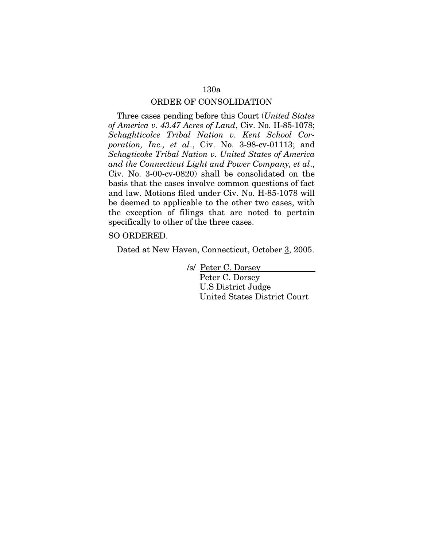### ORDER OF CONSOLIDATION

Three cases pending before this Court (*United States of America v. 43.47 Acres of Land*, Civ. No. H-85-1078; *Schaghticolce Tribal Nation v. Kent School Corporation, Inc., et al*., Civ. No. 3-98-cv-01113; and *Schagticoke Tribal Nation v. United States of America and the Connecticut Light and Power Company, et al*., Civ. No. 3-00-cv-0820) shall be consolidated on the basis that the cases involve common questions of fact and law. Motions filed under Civ. No. H-85-1078 will be deemed to applicable to the other two cases, with the exception of filings that are noted to pertain specifically to other of the three cases.

SO ORDERED.

Dated at New Haven, Connecticut, October 3, 2005.

/s/ Peter C. Dorsey

Peter C. Dorsey U.S District Judge United States District Court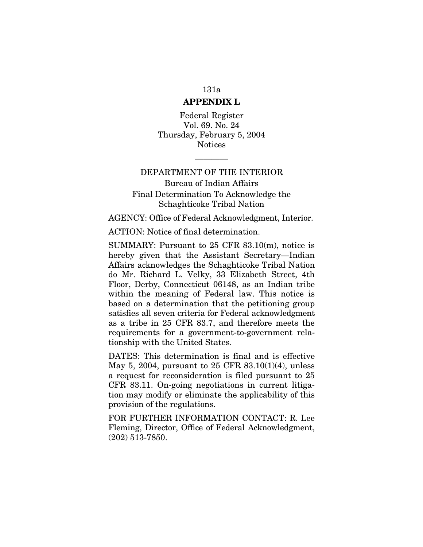### **APPENDIX L**

Federal Register Vol. 69. No. 24 Thursday, February 5, 2004 Notices

# ———— DEPARTMENT OF THE INTERIOR

## Bureau of Indian Affairs Final Determination To Acknowledge the Schaghticoke Tribal Nation

AGENCY: Office of Federal Acknowledgment, Interior.

ACTION: Notice of final determination.

SUMMARY: Pursuant to 25 CFR 83.10(m), notice is hereby given that the Assistant Secretary—Indian Affairs acknowledges the Schaghticoke Tribal Nation do Mr. Richard L. Velky, 33 Elizabeth Street, 4th Floor, Derby, Connecticut 06148, as an Indian tribe within the meaning of Federal law. This notice is based on a determination that the petitioning group satisfies all seven criteria for Federal acknowledgment as a tribe in 25 CFR 83.7, and therefore meets the requirements for a government-to-government relationship with the United States.

DATES: This determination is final and is effective May 5, 2004, pursuant to 25 CFR 83.10(1)(4), unless a request for reconsideration is filed pursuant to 25 CFR 83.11. On-going negotiations in current litigation may modify or eliminate the applicability of this provision of the regulations.

FOR FURTHER INFORMATION CONTACT: R. Lee Fleming, Director, Office of Federal Acknowledgment, (202) 513-7850.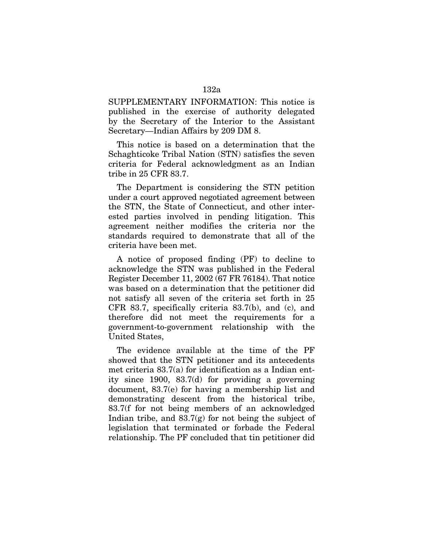SUPPLEMENTARY INFORMATION: This notice is published in the exercise of authority delegated by the Secretary of the Interior to the Assistant Secretary—Indian Affairs by 209 DM 8.

This notice is based on a determination that the Schaghticoke Tribal Nation (STN) satisfies the seven criteria for Federal acknowledgment as an Indian tribe in 25 CFR 83.7.

The Department is considering the STN petition under a court approved negotiated agreement between the STN, the State of Connecticut, and other interested parties involved in pending litigation. This agreement neither modifies the criteria nor the standards required to demonstrate that all of the criteria have been met.

A notice of proposed finding (PF) to decline to acknowledge the STN was published in the Federal Register December 11, 2002 (67 FR 76184). That notice was based on a determination that the petitioner did not satisfy all seven of the criteria set forth in 25 CFR 83.7, specifically criteria 83.7(b), and (c), and therefore did not meet the requirements for a government-to-government relationship with the United States,

The evidence available at the time of the PF showed that the STN petitioner and its antecedents met criteria 83.7(a) for identification as a Indian entity since 1900, 83.7(d) for providing a governing document, 83.7(e) for having a membership list and demonstrating descent from the historical tribe, 83.7(f for not being members of an acknowledged Indian tribe, and 83.7(g) for not being the subject of legislation that terminated or forbade the Federal relationship. The PF concluded that tin petitioner did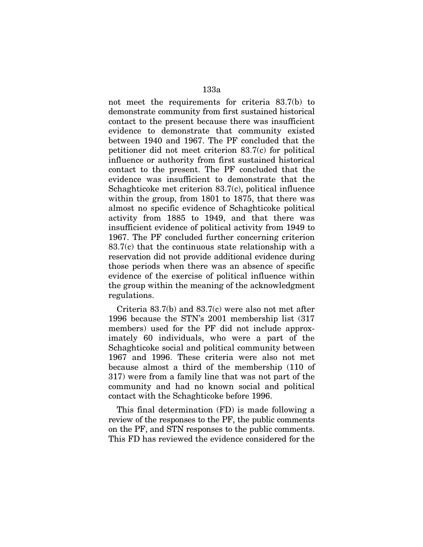not meet the requirements for criteria 83.7(b) to demonstrate community from first sustained historical contact to the present because there was insufficient evidence to demonstrate that community existed between 1940 and 1967. The PF concluded that the petitioner did not meet criterion 83.7(c) for political influence or authority from first sustained historical contact to the present. The PF concluded that the evidence was insufficient to demonstrate that the Schaghticoke met criterion 83.7(c), political influence within the group, from 1801 to 1875, that there was almost no specific evidence of Schaghticoke political activity from 1885 to 1949, and that there was insufficient evidence of political activity from 1949 to 1967. The PF concluded further concerning criterion 83.7(c) that the continuous state relationship with a reservation did not provide additional evidence during those periods when there was an absence of specific evidence of the exercise of political influence within the group within the meaning of the acknowledgment regulations.

Criteria 83.7(b) and 83.7(c) were also not met after 1996 because the STN's 2001 membership list (317 members) used for the PF did not include approximately 60 individuals, who were a part of the Schaghticoke social and political community between 1967 and 1996. These criteria were also not met because almost a third of the membership (110 of 317) were from a family line that was not part of the community and had no known social and political contact with the Schaghticoke before 1996.

This final determination (FD) is made following a review of the responses to the PF, the public comments on the PF, and STN responses to the public comments. This FD has reviewed the evidence considered for the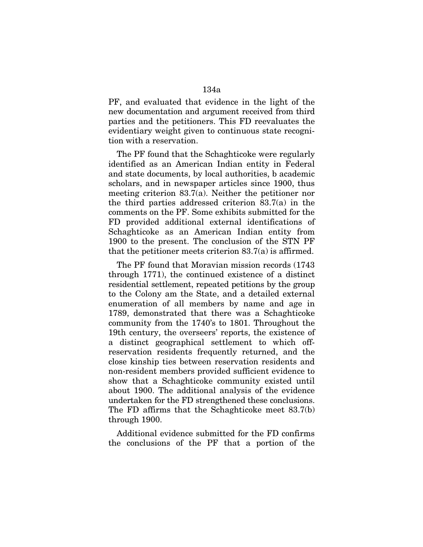PF, and evaluated that evidence in the light of the new documentation and argument received from third parties and the petitioners. This FD reevaluates the evidentiary weight given to continuous state recognition with a reservation.

The PF found that the Schaghticoke were regularly identified as an American Indian entity in Federal and state documents, by local authorities, b academic scholars, and in newspaper articles since 1900, thus meeting criterion 83.7(a). Neither the petitioner nor the third parties addressed criterion 83.7(a) in the comments on the PF. Some exhibits submitted for the FD provided additional external identifications of Schaghticoke as an American Indian entity from 1900 to the present. The conclusion of the STN PF that the petitioner meets criterion 83.7(a) is affirmed.

The PF found that Moravian mission records (1743 through 1771), the continued existence of a distinct residential settlement, repeated petitions by the group to the Colony am the State, and a detailed external enumeration of all members by name and age in 1789, demonstrated that there was a Schaghticoke community from the 1740's to 1801. Throughout the 19th century, the overseers' reports, the existence of a distinct geographical settlement to which offreservation residents frequently returned, and the close kinship ties between reservation residents and non-resident members provided sufficient evidence to show that a Schaghticoke community existed until about 1900. The additional analysis of the evidence undertaken for the FD strengthened these conclusions. The FD affirms that the Schaghticoke meet 83.7(b) through 1900.

Additional evidence submitted for the FD confirms the conclusions of the PF that a portion of the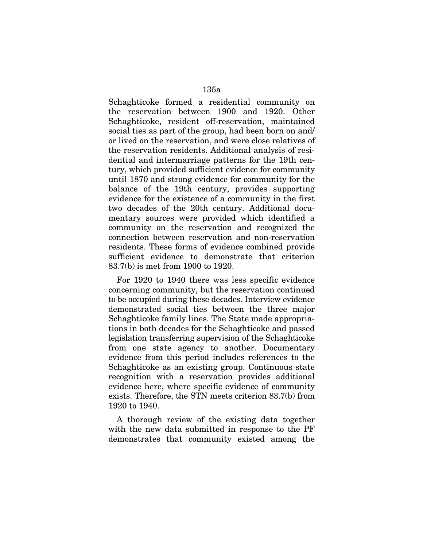Schaghticoke formed a residential community on the reservation between 1900 and 1920. Other Schaghticoke, resident off-reservation, maintained social ties as part of the group, had been born on and/ or lived on the reservation, and were close relatives of the reservation residents. Additional analysis of residential and intermarriage patterns for the 19th century, which provided sufficient evidence for community until 1870 and strong evidence for community for the balance of the 19th century, provides supporting evidence for the existence of a community in the first two decades of the 20th century. Additional documentary sources were provided which identified a community on the reservation and recognized the connection between reservation and non-reservation residents. These forms of evidence combined provide sufficient evidence to demonstrate that criterion 83.7(b) is met from 1900 to 1920.

For 1920 to 1940 there was less specific evidence concerning community, but the reservation continued to be occupied during these decades. Interview evidence demonstrated social ties between the three major Schaghticoke family lines. The State made appropriations in both decades for the Schaghticoke and passed legislation transferring supervision of the Schaghticoke from one state agency to another. Documentary evidence from this period includes references to the Schaghticoke as an existing group. Continuous state recognition with a reservation provides additional evidence here, where specific evidence of community exists. Therefore, the STN meets criterion 83.7(b) from 1920 to 1940.

A thorough review of the existing data together with the new data submitted in response to the PF demonstrates that community existed among the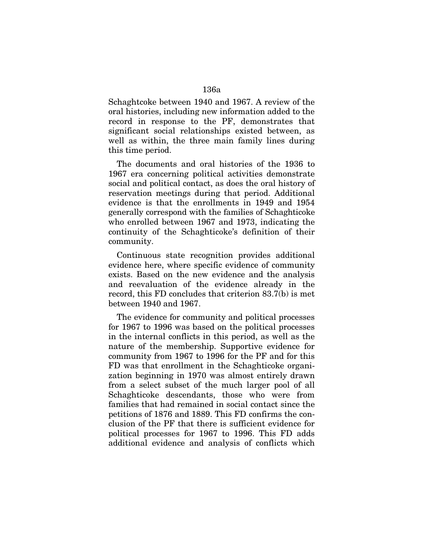Schaghtcoke between 1940 and 1967. A review of the oral histories, including new information added to the record in response to the PF, demonstrates that significant social relationships existed between, as well as within, the three main family lines during this time period.

The documents and oral histories of the 1936 to 1967 era concerning political activities demonstrate social and political contact, as does the oral history of reservation meetings during that period. Additional evidence is that the enrollments in 1949 and 1954 generally correspond with the families of Schaghticoke who enrolled between 1967 and 1973, indicating the continuity of the Schaghticoke's definition of their community.

Continuous state recognition provides additional evidence here, where specific evidence of community exists. Based on the new evidence and the analysis and reevaluation of the evidence already in the record, this FD concludes that criterion 83.7(b) is met between 1940 and 1967.

The evidence for community and political processes for 1967 to 1996 was based on the political processes in the internal conflicts in this period, as well as the nature of the membership. Supportive evidence for community from 1967 to 1996 for the PF and for this FD was that enrollment in the Schaghticoke organization beginning in 1970 was almost entirely drawn from a select subset of the much larger pool of all Schaghticoke descendants, those who were from families that had remained in social contact since the petitions of 1876 and 1889. This FD confirms the conclusion of the PF that there is sufficient evidence for political processes for 1967 to 1996. This FD adds additional evidence and analysis of conflicts which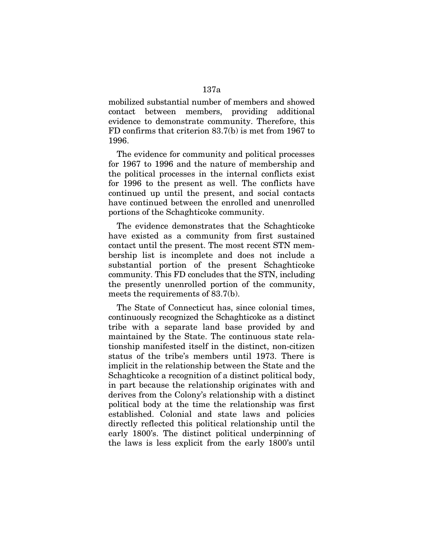mobilized substantial number of members and showed contact between members, providing additional evidence to demonstrate community. Therefore, this FD confirms that criterion 83.7(b) is met from 1967 to 1996.

The evidence for community and political processes for 1967 to 1996 and the nature of membership and the political processes in the internal conflicts exist for 1996 to the present as well. The conflicts have continued up until the present, and social contacts have continued between the enrolled and unenrolled portions of the Schaghticoke community.

The evidence demonstrates that the Schaghticoke have existed as a community from first sustained contact until the present. The most recent STN membership list is incomplete and does not include a substantial portion of the present Schaghticoke community. This FD concludes that the STN, including the presently unenrolled portion of the community, meets the requirements of 83.7(b).

The State of Connecticut has, since colonial times, continuously recognized the Schaghticoke as a distinct tribe with a separate land base provided by and maintained by the State. The continuous state relationship manifested itself in the distinct, non-citizen status of the tribe's members until 1973. There is implicit in the relationship between the State and the Schaghticoke a recognition of a distinct political body, in part because the relationship originates with and derives from the Colony's relationship with a distinct political body at the time the relationship was first established. Colonial and state laws and policies directly reflected this political relationship until the early 1800's. The distinct political underpinning of the laws is less explicit from the early 1800's until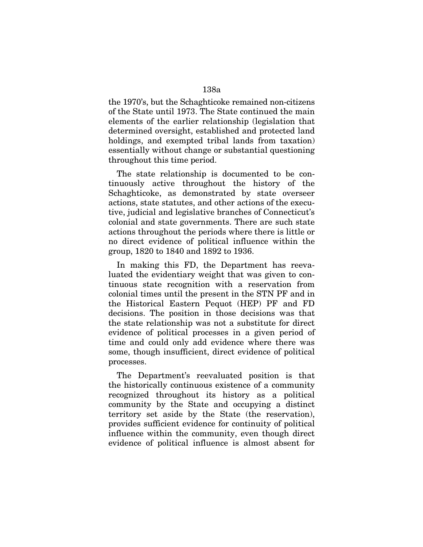the 1970's, but the Schaghticoke remained non-citizens of the State until 1973. The State continued the main elements of the earlier relationship (legislation that determined oversight, established and protected land holdings, and exempted tribal lands from taxation) essentially without change or substantial questioning throughout this time period.

The state relationship is documented to be continuously active throughout the history of the Schaghticoke, as demonstrated by state overseer actions, state statutes, and other actions of the executive, judicial and legislative branches of Connecticut's colonial and state governments. There are such state actions throughout the periods where there is little or no direct evidence of political influence within the group, 1820 to 1840 and 1892 to 1936.

In making this FD, the Department has reevaluated the evidentiary weight that was given to continuous state recognition with a reservation from colonial times until the present in the STN PF and in the Historical Eastern Pequot (HEP) PF and FD decisions. The position in those decisions was that the state relationship was not a substitute for direct evidence of political processes in a given period of time and could only add evidence where there was some, though insufficient, direct evidence of political processes.

The Department's reevaluated position is that the historically continuous existence of a community recognized throughout its history as a political community by the State and occupying a distinct territory set aside by the State (the reservation), provides sufficient evidence for continuity of political influence within the community, even though direct evidence of political influence is almost absent for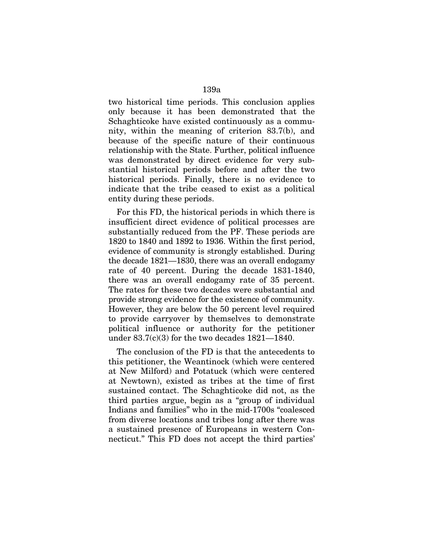two historical time periods. This conclusion applies only because it has been demonstrated that the Schaghticoke have existed continuously as a community, within the meaning of criterion 83.7(b), and because of the specific nature of their continuous relationship with the State. Further, political influence was demonstrated by direct evidence for very substantial historical periods before and after the two historical periods. Finally, there is no evidence to indicate that the tribe ceased to exist as a political entity during these periods.

For this FD, the historical periods in which there is insufficient direct evidence of political processes are substantially reduced from the PF. These periods are 1820 to 1840 and 1892 to 1936. Within the first period, evidence of community is strongly established. During the decade 1821—1830, there was an overall endogamy rate of 40 percent. During the decade 1831-1840, there was an overall endogamy rate of 35 percent. The rates for these two decades were substantial and provide strong evidence for the existence of community. However, they are below the 50 percent level required to provide carryover by themselves to demonstrate political influence or authority for the petitioner under 83.7(c)(3) for the two decades 1821—1840.

The conclusion of the FD is that the antecedents to this petitioner, the Weantinock (which were centered at New Milford) and Potatuck (which were centered at Newtown), existed as tribes at the time of first sustained contact. The Schaghticoke did not, as the third parties argue, begin as a "group of individual Indians and families" who in the mid-1700s "coalesced from diverse locations and tribes long after there was a sustained presence of Europeans in western Connecticut." This FD does not accept the third parties'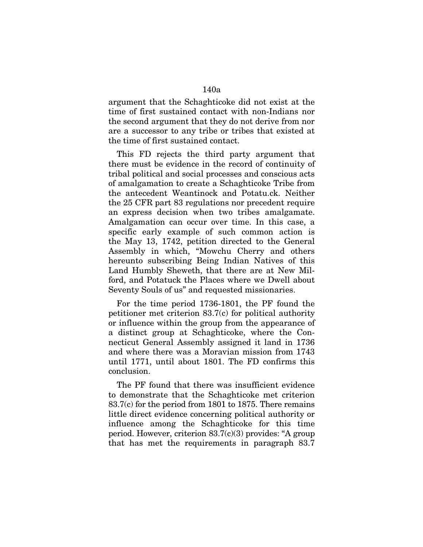argument that the Schaghticoke did not exist at the time of first sustained contact with non-Indians nor the second argument that they do not derive from nor are a successor to any tribe or tribes that existed at the time of first sustained contact.

This FD rejects the third party argument that there must be evidence in the record of continuity of tribal political and social processes and conscious acts of amalgamation to create a Schaghticoke Tribe from the antecedent Weantinock and Potatu.ck. Neither the 25 CFR part 83 regulations nor precedent require an express decision when two tribes amalgamate. Amalgamation can occur over time. In this case, a specific early example of such common action is the May 13, 1742, petition directed to the General Assembly in which, "Mowchu Cherry and others hereunto subscribing Being Indian Natives of this Land Humbly Sheweth, that there are at New Milford, and Potatuck the Places where we Dwell about Seventy Souls of us" and requested missionaries.

For the time period 1736-1801, the PF found the petitioner met criterion 83.7(c) for political authority or influence within the group from the appearance of a distinct group at Schaghticoke, where the Connecticut General Assembly assigned it land in 1736 and where there was a Moravian mission from 1743 until 1771, until about 1801. The FD confirms this conclusion.

The PF found that there was insufficient evidence to demonstrate that the Schaghticoke met criterion 83.7(c) for the period from 1801 to 1875. There remains little direct evidence concerning political authority or influence among the Schaghticoke for this time period. However, criterion  $83.7(c)(3)$  provides: "A group that has met the requirements in paragraph 83.7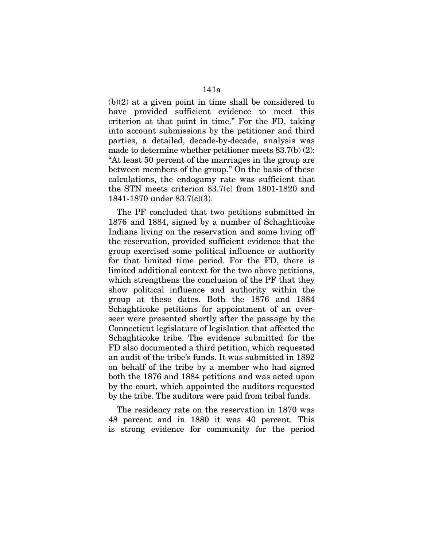(b)(2) at a given point in time shall be considered to have provided sufficient evidence to meet this criterion at that point in time." For the FD, taking into account submissions by the petitioner and third parties, a detailed, decade-by-decade, analysis was made to determine whether petitioner meets 83.7(b) (2): "At least 50 percent of the marriages in the group are

between members of the group." On the basis of these calculations, the endogamy rate was sufficient that the STN meets criterion 83.7(c) from 1801-1820 and 1841-1870 under 83.7(c)(3).

The PF concluded that two petitions submitted in 1876 and 1884, signed by a number of Schaghticoke Indians living on the reservation and some living off the reservation, provided sufficient evidence that the group exercised some political influence or authority for that limited time period. For the FD, there is limited additional context for the two above petitions, which strengthens the conclusion of the PF that they show political influence and authority within the group at these dates. Both the 1876 and 1884 Schaghticoke petitions for appointment of an overseer were presented shortly after the passage by the Connecticut legislature of legislation that affected the Schaghticoke tribe. The evidence submitted for the FD also documented a third petition, which requested an audit of the tribe's funds. It was submitted in 1892 on behalf of the tribe by a member who had signed both the 1876 and 1884 petitions and was acted upon by the court, which appointed the auditors requested by the tribe. The auditors were paid from tribal funds.

The residency rate on the reservation in 1870 was 48 percent and in 1880 it was 40 percent. This is strong evidence for community for the period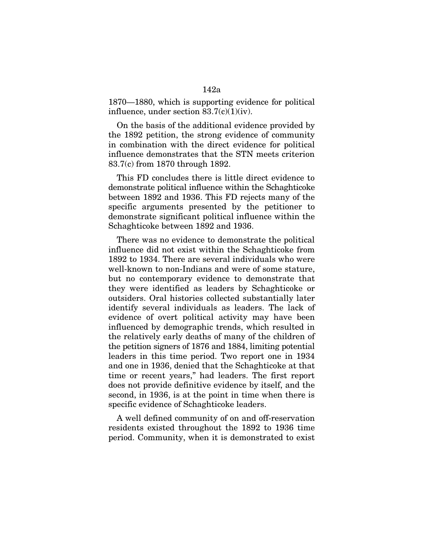1870—1880, which is supporting evidence for political influence, under section  $83.7(c)(1)(iv)$ .

On the basis of the additional evidence provided by the 1892 petition, the strong evidence of community in combination with the direct evidence for political influence demonstrates that the STN meets criterion 83.7(c) from 1870 through 1892.

This FD concludes there is little direct evidence to demonstrate political influence within the Schaghticoke between 1892 and 1936. This FD rejects many of the specific arguments presented by the petitioner to demonstrate significant political influence within the Schaghticoke between 1892 and 1936.

There was no evidence to demonstrate the political influence did not exist within the Schaghticoke from 1892 to 1934. There are several individuals who were well-known to non-Indians and were of some stature, but no contemporary evidence to demonstrate that they were identified as leaders by Schaghticoke or outsiders. Oral histories collected substantially later identify several individuals as leaders. The lack of evidence of overt political activity may have been influenced by demographic trends, which resulted in the relatively early deaths of many of the children of the petition signers of 1876 and 1884, limiting potential leaders in this time period. Two report one in 1934 and one in 1936, denied that the Schaghticoke at that time or recent years," had leaders. The first report does not provide definitive evidence by itself, and the second, in 1936, is at the point in time when there is specific evidence of Schaghticoke leaders.

A well defined community of on and off-reservation residents existed throughout the 1892 to 1936 time period. Community, when it is demonstrated to exist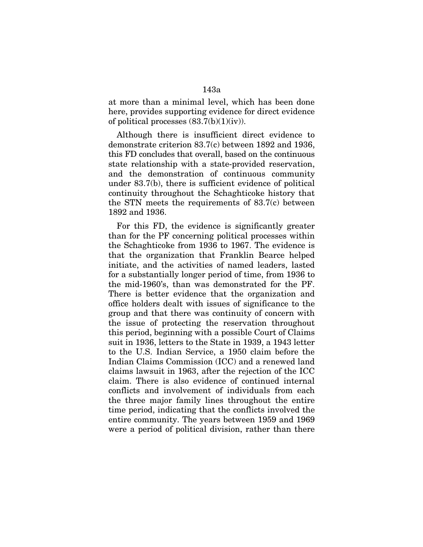at more than a minimal level, which has been done here, provides supporting evidence for direct evidence of political processes  $(83.7(b)(1)(iv))$ .

Although there is insufficient direct evidence to demonstrate criterion 83.7(c) between 1892 and 1936, this FD concludes that overall, based on the continuous state relationship with a state-provided reservation, and the demonstration of continuous community under 83.7(b), there is sufficient evidence of political continuity throughout the Schaghticoke history that the STN meets the requirements of 83.7(c) between 1892 and 1936.

For this FD, the evidence is significantly greater than for the PF concerning political processes within the Schaghticoke from 1936 to 1967. The evidence is that the organization that Franklin Bearce helped initiate, and the activities of named leaders, lasted for a substantially longer period of time, from 1936 to the mid-1960's, than was demonstrated for the PF. There is better evidence that the organization and office holders dealt with issues of significance to the group and that there was continuity of concern with the issue of protecting the reservation throughout this period, beginning with a possible Court of Claims suit in 1936, letters to the State in 1939, a 1943 letter to the U.S. Indian Service, a 1950 claim before the Indian Claims Commission (ICC) and a renewed land claims lawsuit in 1963, after the rejection of the ICC claim. There is also evidence of continued internal conflicts and involvement of individuals from each the three major family lines throughout the entire time period, indicating that the conflicts involved the entire community. The years between 1959 and 1969 were a period of political division, rather than there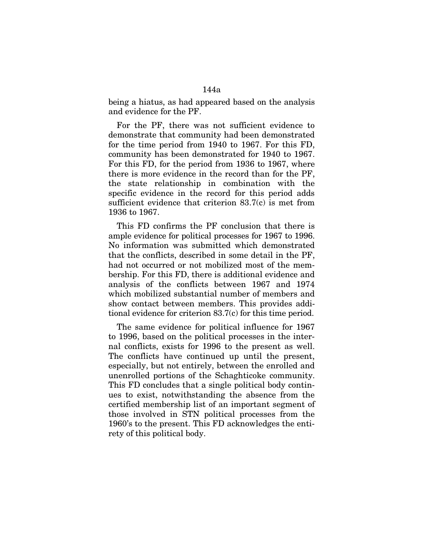being a hiatus, as had appeared based on the analysis and evidence for the PF.

For the PF, there was not sufficient evidence to demonstrate that community had been demonstrated for the time period from 1940 to 1967. For this FD, community has been demonstrated for 1940 to 1967. For this FD, for the period from 1936 to 1967, where there is more evidence in the record than for the PF, the state relationship in combination with the specific evidence in the record for this period adds sufficient evidence that criterion 83.7(c) is met from 1936 to 1967.

This FD confirms the PF conclusion that there is ample evidence for political processes for 1967 to 1996. No information was submitted which demonstrated that the conflicts, described in some detail in the PF, had not occurred or not mobilized most of the membership. For this FD, there is additional evidence and analysis of the conflicts between 1967 and 1974 which mobilized substantial number of members and show contact between members. This provides additional evidence for criterion 83.7(c) for this time period.

The same evidence for political influence for 1967 to 1996, based on the political processes in the internal conflicts, exists for 1996 to the present as well. The conflicts have continued up until the present, especially, but not entirely, between the enrolled and unenrolled portions of the Schaghticoke community. This FD concludes that a single political body continues to exist, notwithstanding the absence from the certified membership list of an important segment of those involved in STN political processes from the 1960's to the present. This FD acknowledges the entirety of this political body.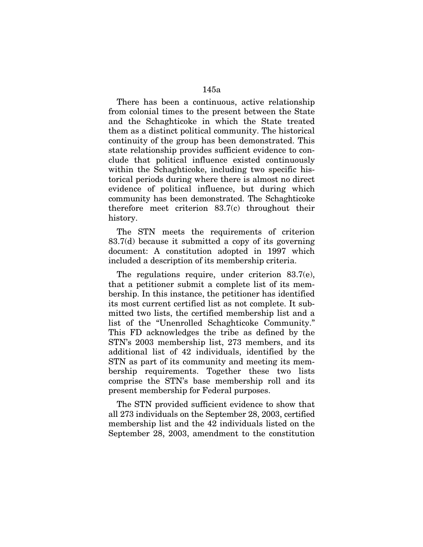There has been a continuous, active relationship from colonial times to the present between the State and the Schaghticoke in which the State treated them as a distinct political community. The historical continuity of the group has been demonstrated. This state relationship provides sufficient evidence to conclude that political influence existed continuously within the Schaghticoke, including two specific his-

torical periods during where there is almost no direct evidence of political influence, but during which community has been demonstrated. The Schaghticoke therefore meet criterion 83.7(c) throughout their history.

The STN meets the requirements of criterion 83.7(d) because it submitted a copy of its governing document: A constitution adopted in 1997 which included a description of its membership criteria.

The regulations require, under criterion 83.7(e), that a petitioner submit a complete list of its membership. In this instance, the petitioner has identified its most current certified list as not complete. It submitted two lists, the certified membership list and a list of the "Unenrolled Schaghticoke Community." This FD acknowledges the tribe as defined by the STN's 2003 membership list, 273 members, and its additional list of 42 individuals, identified by the STN as part of its community and meeting its membership requirements. Together these two lists comprise the STN's base membership roll and its present membership for Federal purposes.

The STN provided sufficient evidence to show that all 273 individuals on the September 28, 2003, certified membership list and the 42 individuals listed on the September 28, 2003, amendment to the constitution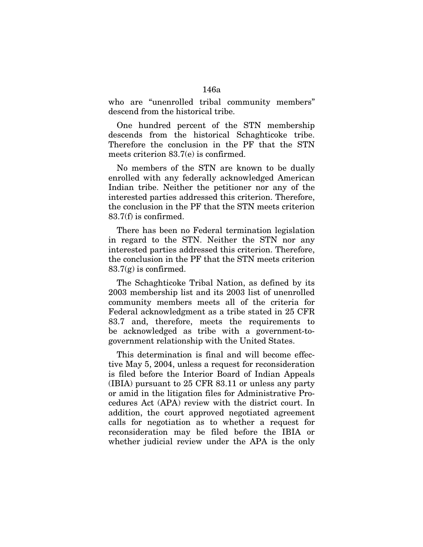who are "unenrolled tribal community members" descend from the historical tribe.

One hundred percent of the STN membership descends from the historical Schaghticoke tribe. Therefore the conclusion in the PF that the STN meets criterion 83.7(e) is confirmed.

No members of the STN are known to be dually enrolled with any federally acknowledged American Indian tribe. Neither the petitioner nor any of the interested parties addressed this criterion. Therefore, the conclusion in the PF that the STN meets criterion 83.7(f) is confirmed.

There has been no Federal termination legislation in regard to the STN. Neither the STN nor any interested parties addressed this criterion. Therefore, the conclusion in the PF that the STN meets criterion  $83.7(g)$  is confirmed.

The Schaghticoke Tribal Nation, as defined by its 2003 membership list and its 2003 list of unenrolled community members meets all of the criteria for Federal acknowledgment as a tribe stated in 25 CFR 83.7 and, therefore, meets the requirements to be acknowledged as tribe with a government-togovernment relationship with the United States.

This determination is final and will become effective May 5, 2004, unless a request for reconsideration is filed before the Interior Board of Indian Appeals (IBIA) pursuant to 25 CFR 83.11 or unless any party or amid in the litigation files for Administrative Procedures Act (APA) review with the district court. In addition, the court approved negotiated agreement calls for negotiation as to whether a request for reconsideration may be filed before the IBIA or whether judicial review under the APA is the only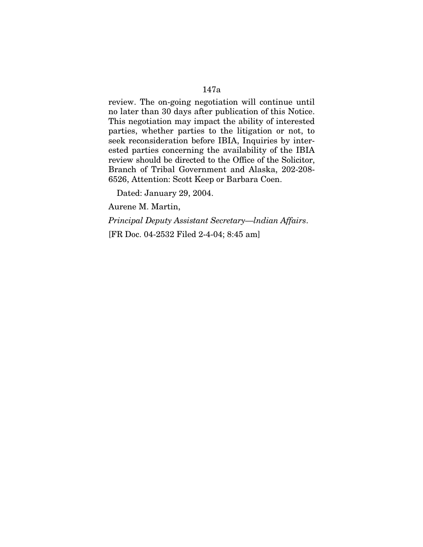### 147a

review. The on-going negotiation will continue until no later than 30 days after publication of this Notice. This negotiation may impact the ability of interested parties, whether parties to the litigation or not, to seek reconsideration before IBIA, Inquiries by interested parties concerning the availability of the IBIA review should be directed to the Office of the Solicitor, Branch of Tribal Government and Alaska, 202-208- 6526, Attention: Scott Keep or Barbara Coen.

Dated: January 29, 2004.

Aurene M. Martin,

*Principal Deputy Assistant Secretary—lndian Affairs*.

[FR Doc. 04-2532 Filed 2-4-04; 8:45 am]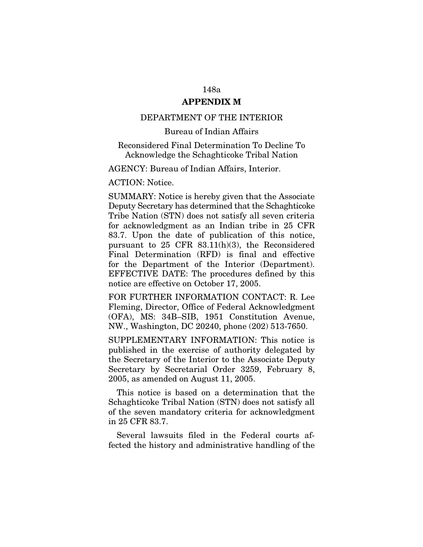#### 148a

### **APPENDIX M**

### DEPARTMENT OF THE INTERIOR

## Bureau of Indian Affairs

### Reconsidered Final Determination To Decline To Acknowledge the Schaghticoke Tribal Nation

AGENCY: Bureau of Indian Affairs, Interior.

ACTION: Notice.

SUMMARY: Notice is hereby given that the Associate Deputy Secretary has determined that the Schaghticoke Tribe Nation (STN) does not satisfy all seven criteria for acknowledgment as an Indian tribe in 25 CFR 83.7. Upon the date of publication of this notice, pursuant to 25 CFR 83.11(h)(3), the Reconsidered Final Determination (RFD) is final and effective for the Department of the Interior (Department). EFFECTIVE DATE: The procedures defined by this notice are effective on October 17, 2005.

FOR FURTHER INFORMATION CONTACT: R. Lee Fleming, Director, Office of Federal Acknowledgment (OFA), MS: 34B–SIB, 1951 Constitution Avenue, NW., Washington, DC 20240, phone (202) 513-7650.

SUPPLEMENTARY INFORMATION: This notice is published in the exercise of authority delegated by the Secretary of the Interior to the Associate Deputy Secretary by Secretarial Order 3259, February 8, 2005, as amended on August 11, 2005.

This notice is based on a determination that the Schaghticoke Tribal Nation (STN) does not satisfy all of the seven mandatory criteria for acknowledgment in 25 CFR 83.7.

Several lawsuits filed in the Federal courts affected the history and administrative handling of the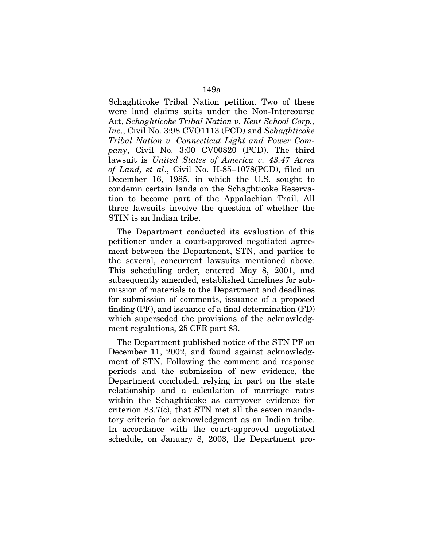Schaghticoke Tribal Nation petition. Two of these were land claims suits under the Non-Intercourse Act, *Schaghticoke Tribal Nation v. Kent School Corp., Inc*., Civil No. 3:98 CVO1113 (PCD) and *Schaghticoke Tribal Nation v. Connecticut Light and Power Company*, Civil No. 3:00 CV00820 (PCD). The third lawsuit is *United States of America v. 43.47 Acres of Land, et al*., Civil No. H-85–1078(PCD), filed on December 16, 1985, in which the U.S. sought to condemn certain lands on the Schaghticoke Reservation to become part of the Appalachian Trail. All three lawsuits involve the question of whether the STIN is an Indian tribe.

The Department conducted its evaluation of this petitioner under a court-approved negotiated agreement between the Department, STN, and parties to the several, concurrent lawsuits mentioned above. This scheduling order, entered May 8, 2001, and subsequently amended, established timelines for submission of materials to the Department and deadlines for submission of comments, issuance of a proposed finding (PF), and issuance of a final determination (FD) which superseded the provisions of the acknowledgment regulations, 25 CFR part 83.

The Department published notice of the STN PF on December 11, 2002, and found against acknowledgment of STN. Following the comment and response periods and the submission of new evidence, the Department concluded, relying in part on the state relationship and a calculation of marriage rates within the Schaghticoke as carryover evidence for criterion 83.7(c), that STN met all the seven mandatory criteria for acknowledgment as an Indian tribe. In accordance with the court-approved negotiated schedule, on January 8, 2003, the Department pro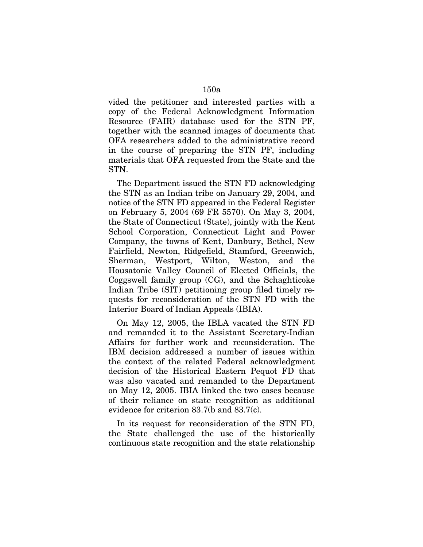vided the petitioner and interested parties with a copy of the Federal Acknowledgment Information Resource (FAIR) database used for the STN PF, together with the scanned images of documents that OFA researchers added to the administrative record in the course of preparing the STN PF, including materials that OFA requested from the State and the STN.

The Department issued the STN FD acknowledging the STN as an Indian tribe on January 29, 2004, and notice of the STN FD appeared in the Federal Register on February 5, 2004 (69 FR 5570). On May 3, 2004, the State of Connecticut (State), jointly with the Kent School Corporation, Connecticut Light and Power Company, the towns of Kent, Danbury, Bethel, New Fairfield, Newton, Ridgefield, Stamford, Greenwich, Sherman, Westport, Wilton, Weston, and the Housatonic Valley Council of Elected Officials, the Coggswell family group (CG), and the Schaghticoke Indian Tribe (SIT) petitioning group filed timely requests for reconsideration of the STN FD with the Interior Board of Indian Appeals (IBIA).

On May 12, 2005, the IBLA vacated the STN FD and remanded it to the Assistant Secretary-Indian Affairs for further work and reconsideration. The IBM decision addressed a number of issues within the context of the related Federal acknowledgment decision of the Historical Eastern Pequot FD that was also vacated and remanded to the Department on May 12, 2005. IBIA linked the two cases because of their reliance on state recognition as additional evidence for criterion 83.7(b and 83.7(c).

In its request for reconsideration of the STN FD, the State challenged the use of the historically continuous state recognition and the state relationship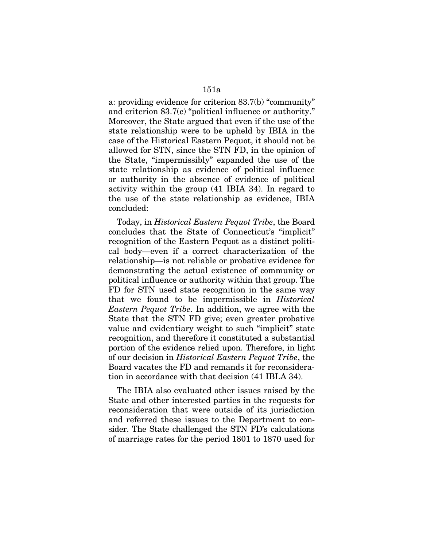a: providing evidence for criterion 83.7(b) "community" and criterion 83.7(c) "political influence or authority." Moreover, the State argued that even if the use of the state relationship were to be upheld by IBIA in the case of the Historical Eastern Pequot, it should not be allowed for STN, since the STN FD, in the opinion of the State, "impermissibly" expanded the use of the state relationship as evidence of political influence or authority in the absence of evidence of political activity within the group (41 IBIA 34). In regard to the use of the state relationship as evidence, IBIA concluded:

Today, in *Historical Eastern Pequot Tribe*, the Board concludes that the State of Connecticut's "implicit" recognition of the Eastern Pequot as a distinct political body—even if a correct characterization of the relationship—is not reliable or probative evidence for demonstrating the actual existence of community or political influence or authority within that group. The FD for STN used state recognition in the same way that we found to be impermissible in *Historical Eastern Pequot Tribe*. In addition, we agree with the State that the STN FD give; even greater probative value and evidentiary weight to such "implicit" state recognition, and therefore it constituted a substantial portion of the evidence relied upon. Therefore, in light of our decision in *Historical Eastern Pequot Tribe*, the Board vacates the FD and remands it for reconsideration in accordance with that decision (41 IBLA 34).

The IBIA also evaluated other issues raised by the State and other interested parties in the requests for reconsideration that were outside of its jurisdiction and referred these issues to the Department to consider. The State challenged the STN FD's calculations of marriage rates for the period 1801 to 1870 used for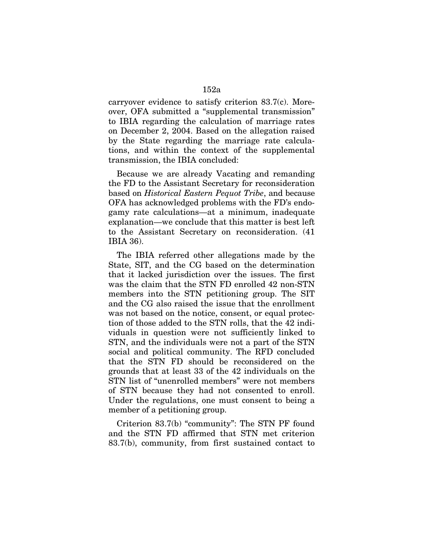carryover evidence to satisfy criterion 83.7(c). Moreover, OFA submitted a "supplemental transmission" to IBIA regarding the calculation of marriage rates on December 2, 2004. Based on the allegation raised by the State regarding the marriage rate calculations, and within the context of the supplemental transmission, the IBIA concluded:

Because we are already Vacating and remanding the FD to the Assistant Secretary for reconsideration based on *Historical Eastern Pequot Tribe*, and because OFA has acknowledged problems with the FD's endogamy rate calculations—at a minimum, inadequate explanation—we conclude that this matter is best left to the Assistant Secretary on reconsideration. (41 IBIA 36).

The IBIA referred other allegations made by the State, SIT, and the CG based on the determination that it lacked jurisdiction over the issues. The first was the claim that the STN FD enrolled 42 non-STN members into the STN petitioning group. The SIT and the CG also raised the issue that the enrollment was not based on the notice, consent, or equal protection of those added to the STN rolls, that the 42 individuals in question were not sufficiently linked to STN, and the individuals were not a part of the STN social and political community. The RFD concluded that the STN FD should be reconsidered on the grounds that at least 33 of the 42 individuals on the STN list of "unenrolled members" were not members of STN because they had not consented to enroll. Under the regulations, one must consent to being a member of a petitioning group.

Criterion 83.7(b) "community": The STN PF found and the STN FD affirmed that STN met criterion 83.7(b), community, from first sustained contact to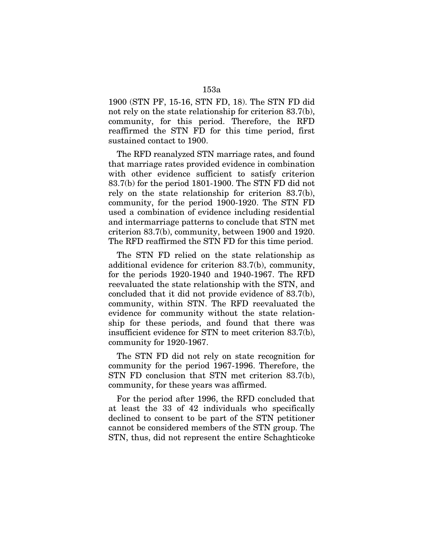1900 (STN PF, 15-16, STN FD, 18). The STN FD did not rely on the state relationship for criterion 83.7(b), community, for this period. Therefore, the RFD reaffirmed the STN FD for this time period, first sustained contact to 1900.

The RFD reanalyzed STN marriage rates, and found that marriage rates provided evidence in combination with other evidence sufficient to satisfy criterion 83.7(b) for the period 1801-1900. The STN FD did not rely on the state relationship for criterion 83.7(b), community, for the period 1900-1920. The STN FD used a combination of evidence including residential and intermarriage patterns to conclude that STN met criterion 83.7(b), community, between 1900 and 1920. The RFD reaffirmed the STN FD for this time period.

The STN FD relied on the state relationship as additional evidence for criterion 83.7(b), community, for the periods 1920-1940 and 1940-1967. The RFD reevaluated the state relationship with the STN, and concluded that it did not provide evidence of 83.7(b), community, within STN. The RFD reevaluated the evidence for community without the state relationship for these periods, and found that there was insufficient evidence for STN to meet criterion 83.7(b), community for 1920-1967.

The STN FD did not rely on state recognition for community for the period 1967-1996. Therefore, the STN FD conclusion that STN met criterion 83.7(b), community, for these years was affirmed.

For the period after 1996, the RFD concluded that at least the 33 of 42 individuals who specifically declined to consent to be part of the STN petitioner cannot be considered members of the STN group. The STN, thus, did not represent the entire Schaghticoke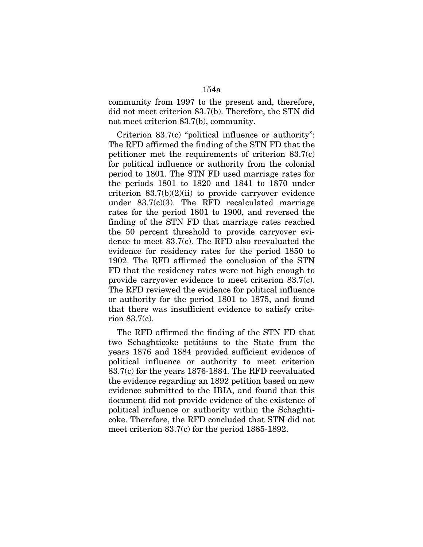community from 1997 to the present and, therefore, did not meet criterion 83.7(b). Therefore, the STN did not meet criterion 83.7(b), community.

Criterion 83.7(c) "political influence or authority": The RFD affirmed the finding of the STN FD that the petitioner met the requirements of criterion 83.7(c) for political influence or authority from the colonial period to 1801. The STN FD used marriage rates for the periods 1801 to 1820 and 1841 to 1870 under criterion  $83.7(b)(2)(ii)$  to provide carryover evidence under 83.7(c)(3). The RFD recalculated marriage rates for the period 1801 to 1900, and reversed the finding of the STN FD that marriage rates reached the 50 percent threshold to provide carryover evidence to meet 83.7(c). The RFD also reevaluated the evidence for residency rates for the period 1850 to 1902. The RFD affirmed the conclusion of the STN FD that the residency rates were not high enough to provide carryover evidence to meet criterion 83.7(c). The RFD reviewed the evidence for political influence or authority for the period 1801 to 1875, and found that there was insufficient evidence to satisfy criterion 83.7(c).

The RFD affirmed the finding of the STN FD that two Schaghticoke petitions to the State from the years 1876 and 1884 provided sufficient evidence of political influence or authority to meet criterion 83.7(c) for the years 1876-1884. The RFD reevaluated the evidence regarding an 1892 petition based on new evidence submitted to the IBIA, and found that this document did not provide evidence of the existence of political influence or authority within the Schaghticoke. Therefore, the RFD concluded that STN did not meet criterion 83.7(c) for the period 1885-1892.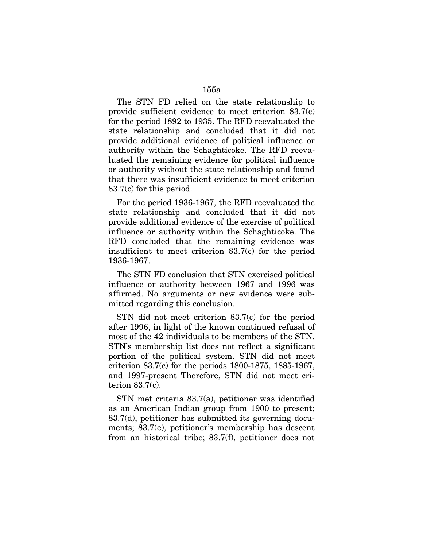The STN FD relied on the state relationship to provide sufficient evidence to meet criterion 83.7(c) for the period 1892 to 1935. The RFD reevaluated the state relationship and concluded that it did not provide additional evidence of political influence or authority within the Schaghticoke. The RFD reevaluated the remaining evidence for political influence or authority without the state relationship and found that there was insufficient evidence to meet criterion

For the period 1936-1967, the RFD reevaluated the state relationship and concluded that it did not provide additional evidence of the exercise of political influence or authority within the Schaghticoke. The RFD concluded that the remaining evidence was insufficient to meet criterion 83.7(c) for the period 1936-1967.

83.7(c) for this period.

The STN FD conclusion that STN exercised political influence or authority between 1967 and 1996 was affirmed. No arguments or new evidence were submitted regarding this conclusion.

STN did not meet criterion 83.7(c) for the period after 1996, in light of the known continued refusal of most of the 42 individuals to be members of the STN. STN's membership list does not reflect a significant portion of the political system. STN did not meet criterion 83.7(c) for the periods 1800-1875, 1885-1967, and 1997-present Therefore, STN did not meet criterion 83.7(c).

STN met criteria 83.7(a), petitioner was identified as an American Indian group from 1900 to present; 83.7(d), petitioner has submitted its governing documents; 83.7(e), petitioner's membership has descent from an historical tribe; 83.7(f), petitioner does not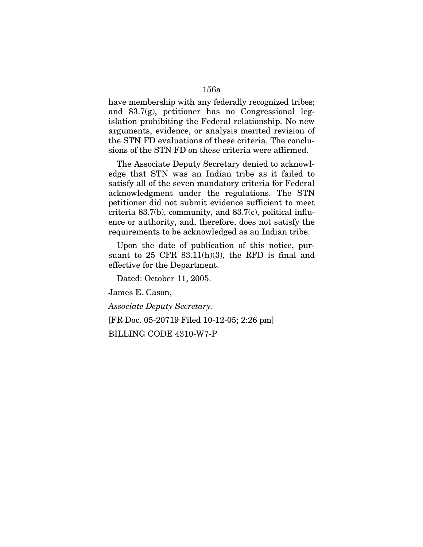have membership with any federally recognized tribes; and 83.7(g), petitioner has no Congressional legislation prohibiting the Federal relationship. No new arguments, evidence, or analysis merited revision of the STN FD evaluations of these criteria. The conclusions of the STN FD on these criteria were affirmed.

The Associate Deputy Secretary denied to acknowledge that STN was an Indian tribe as it failed to satisfy all of the seven mandatory criteria for Federal acknowledgment under the regulations. The STN petitioner did not submit evidence sufficient to meet criteria 83.7(b), community, and 83.7(c), political influence or authority, and, therefore, does not satisfy the requirements to be acknowledged as an Indian tribe.

Upon the date of publication of this notice, pursuant to 25 CFR 83.11(h)(3), the RFD is final and effective for the Department.

Dated: October 11, 2005.

James E. Cason,

*Associate Deputy Secretary*.

[FR Doc. 05-20719 Filed 10-12-05; 2:26 pm]

BILLING CODE 4310-W7-P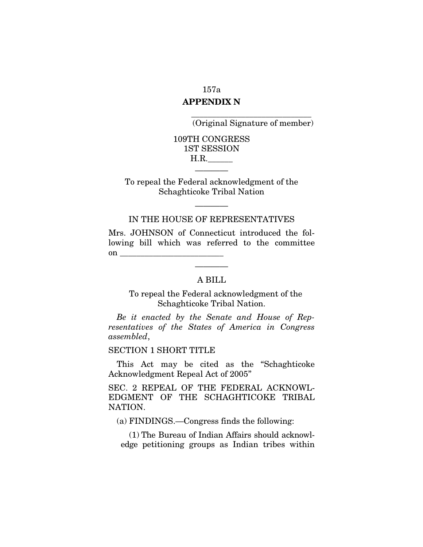## 157a **APPENDIX N**

\_\_\_\_\_\_\_\_\_\_\_\_\_\_\_\_\_\_\_\_\_\_\_\_\_\_\_\_\_ (Original Signature of member)

109TH CONGRESS 1ST SESSION  $H.R.$ 

To repeal the Federal acknowledgment of the Schaghticoke Tribal Nation

————

## IN THE HOUSE OF REPRESENTATIVES

————

Mrs. JOHNSON of Connecticut introduced the following bill which was referred to the committee on  $\blacksquare$ 

# ———— A BILL

## To repeal the Federal acknowledgment of the Schaghticoke Tribal Nation.

*Be it enacted by the Senate and House of Representatives of the States of America in Congress assembled*,

### SECTION 1 SHORT TITLE

This Act may be cited as the "Schaghticoke Acknowledgment Repeal Act of 2005"

SEC. 2 REPEAL OF THE FEDERAL ACKNOWL-EDGMENT OF THE SCHAGHTICOKE TRIBAL NATION.

(a) FINDINGS.—Congress finds the following:

(1) The Bureau of Indian Affairs should acknowledge petitioning groups as Indian tribes within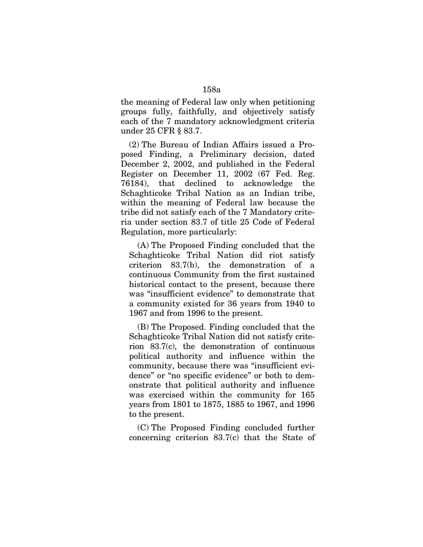the meaning of Federal law only when petitioning groups fully, faithfully, and objectively satisfy each of the 7 mandatory acknowledgment criteria under 25 CFR § 83.7.

(2) The Bureau of Indian Affairs issued a Proposed Finding, a Preliminary decision, dated December 2, 2002, and published in the Federal Register on December 11, 2002 (67 Fed. Reg. 76184), that declined to acknowledge the Schaghticoke Tribal Nation as an Indian tribe, within the meaning of Federal law because the tribe did not satisfy each of the 7 Mandatory criteria under section 83.7 of title 25 Code of Federal Regulation, more particularly:

(A) The Proposed Finding concluded that the Schaghticoke Tribal Nation did riot satisfy criterion 83.7(b), the demonstration of a continuous Community from the first sustained historical contact to the present, because there was "insufficient evidence" to demonstrate that a community existed for 36 years from 1940 to 1967 and from 1996 to the present.

(B) The Proposed. Finding concluded that the Schaghticoke Tribal Nation did not satisfy criterion 83.7(c), the demonstration of continuous political authority and influence within the community, because there was "insufficient evidence" or "no specific evidence" or both to demonstrate that political authority and influence was exercised within the community for 165 years from 1801 to 1875, 1885 to 1967, and 1996 to the present.

(C) The Proposed Finding concluded further concerning criterion 83.7(c) that the State of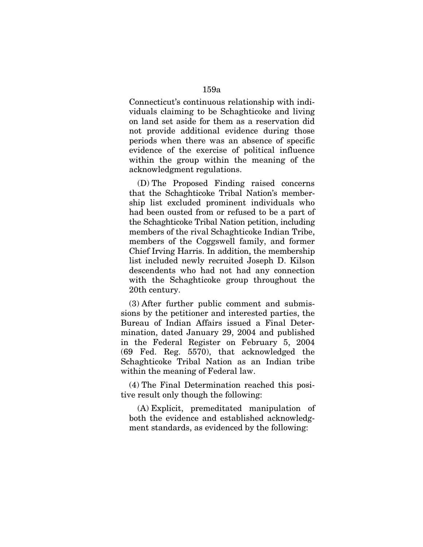Connecticut's continuous relationship with individuals claiming to be Schaghticoke and living on land set aside for them as a reservation did not provide additional evidence during those periods when there was an absence of specific evidence of the exercise of political influence within the group within the meaning of the acknowledgment regulations.

(D) The Proposed Finding raised concerns that the Schaghticoke Tribal Nation's membership list excluded prominent individuals who had been ousted from or refused to be a part of the Schaghticoke Tribal Nation petition, including members of the rival Schaghticoke Indian Tribe, members of the Coggswell family, and former Chief Irving Harris. In addition, the membership list included newly recruited Joseph D. Kilson descendents who had not had any connection with the Schaghticoke group throughout the 20th century.

(3) After further public comment and submissions by the petitioner and interested parties, the Bureau of Indian Affairs issued a Final Determination, dated January 29, 2004 and published in the Federal Register on February 5, 2004 (69 Fed. Reg. 5570), that acknowledged the Schaghticoke Tribal Nation as an Indian tribe within the meaning of Federal law.

(4) The Final Determination reached this positive result only though the following:

(A) Explicit, premeditated manipulation of both the evidence and established acknowledgment standards, as evidenced by the following: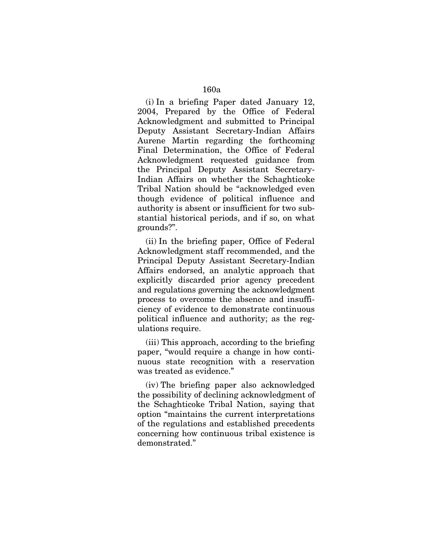(i) In a briefing Paper dated January 12, 2004, Prepared by the Office of Federal Acknowledgment and submitted to Principal Deputy Assistant Secretary-Indian Affairs Aurene Martin regarding the forthcoming Final Determination, the Office of Federal Acknowledgment requested guidance from the Principal Deputy Assistant Secretary-Indian Affairs on whether the Schaghticoke Tribal Nation should be "acknowledged even though evidence of political influence and authority is absent or insufficient for two substantial historical periods, and if so, on what grounds?".

(ii) In the briefing paper, Office of Federal Acknowledgment staff recommended, and the Principal Deputy Assistant Secretary-Indian Affairs endorsed, an analytic approach that explicitly discarded prior agency precedent and regulations governing the acknowledgment process to overcome the absence and insufficiency of evidence to demonstrate continuous political influence and authority; as the regulations require.

(iii) This approach, according to the briefing paper, "would require a change in how continuous state recognition with a reservation was treated as evidence."

(iv) The briefing paper also acknowledged the possibility of declining acknowledgment of the Schaghticoke Tribal Nation, saying that option "maintains the current interpretations of the regulations and established precedents concerning how continuous tribal existence is demonstrated."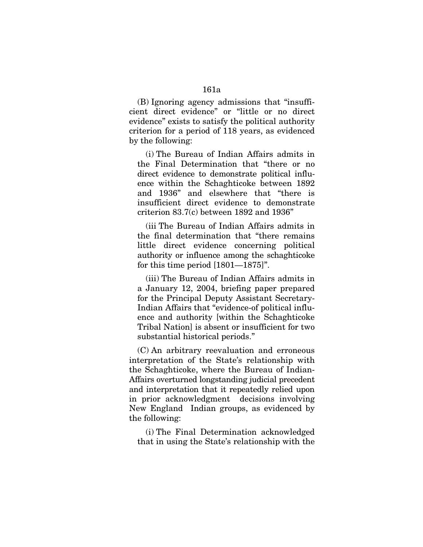## (B) Ignoring agency admissions that "insufficient direct evidence" or "little or no direct evidence" exists to satisfy the political authority criterion for a period of 118 years, as evidenced by the following:

(i) The Bureau of Indian Affairs admits in the Final Determination that "there or no direct evidence to demonstrate political influence within the Schaghticoke between 1892 and 1936" and elsewhere that "there is insufficient direct evidence to demonstrate criterion 83.7(c) between 1892 and 1936"

(iii The Bureau of Indian Affairs admits in the final determination that "there remains little direct evidence concerning political authority or influence among the schaghticoke for this time period [1801—1875]".

(iii) The Bureau of Indian Affairs admits in a January 12, 2004, briefing paper prepared for the Principal Deputy Assistant Secretary-Indian Affairs that "evidence-of political influence and authority [within the Schaghticoke Tribal Nation] is absent or insufficient for two substantial historical periods."

(C) An arbitrary reevaluation and erroneous interpretation of the State's relationship with the Schaghticoke, where the Bureau of Indian-Affairs overturned longstanding judicial precedent and interpretation that it repeatedly relied upon in prior acknowledgment decisions involving New England Indian groups, as evidenced by the following:

(i) The Final Determination acknowledged that in using the State's relationship with the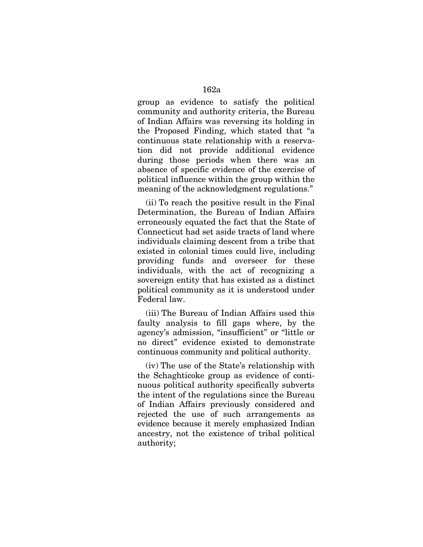group as evidence to satisfy the political community and authority criteria, the Bureau of Indian Affairs was reversing its holding in the Proposed Finding, which stated that "a continuous state relationship with a reservation did not provide additional evidence during those periods when there was an absence of specific evidence of the exercise of political influence within the group within the meaning of the acknowledgment regulations."

(ii) To reach the positive result in the Final Determination, the Bureau of Indian Affairs erroneously equated the fact that the State of Connecticut had set aside tracts of land where individuals claiming descent from a tribe that existed in colonial times could live, including providing funds and overseer for these individuals, with the act of recognizing a sovereign entity that has existed as a distinct political community as it is understood under Federal law.

(iii) The Bureau of Indian Affairs used this faulty analysis to fill gaps where, by the agency's admission, "insufficient'' or "little or no direct" evidence existed to demonstrate continuous community and political authority.

(iv) The use of the State's relationship with the Schaghticoke group as evidence of continuous political authority specifically subverts the intent of the regulations since the Bureau of Indian Affairs previously considered and rejected the use of such arrangements as evidence because it merely emphasized Indian ancestry, not the existence of tribal political authority;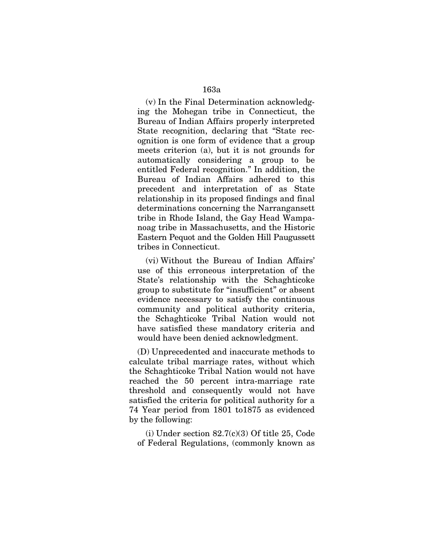(v) In the Final Determination acknowledging the Mohegan tribe in Connecticut, the Bureau of Indian Affairs properly interpreted State recognition, declaring that "State recognition is one form of evidence that a group meets criterion (a), but it is not grounds for automatically considering a group to be entitled Federal recognition." In addition, the Bureau of Indian Affairs adhered to this precedent and interpretation of as State relationship in its proposed findings and final determinations concerning the Narrangansett tribe in Rhode Island, the Gay Head Wampanoag tribe in Massachusetts, and the Historic Eastern Pequot and the Golden Hill Paugussett tribes in Connecticut.

(vi) Without the Bureau of Indian Affairs' use of this erroneous interpretation of the State's relationship with the Schaghticoke group to substitute for "insufficient" or absent evidence necessary to satisfy the continuous community and political authority criteria, the Schaghticoke Tribal Nation would not have satisfied these mandatory criteria and would have been denied acknowledgment.

(D) Unprecedented and inaccurate methods to calculate tribal marriage rates, without which the Schaghticoke Tribal Nation would not have reached the 50 percent intra-marriage rate threshold and consequently would not have satisfied the criteria for political authority for a 74 Year period from 1801 to1875 as evidenced by the following:

(i) Under section 82.7(c)(3) Of title 25, Code of Federal Regulations, (commonly known as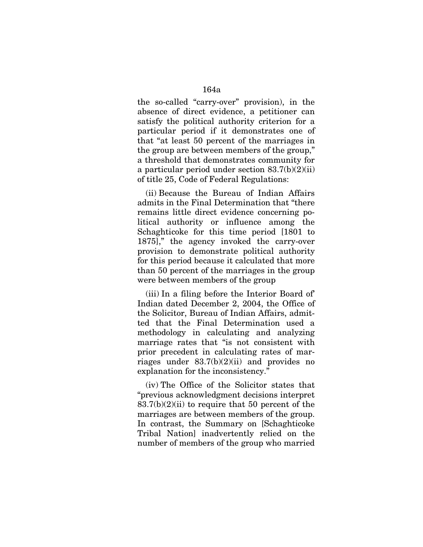the so-called "carry-over" provision), in the absence of direct evidence, a petitioner can satisfy the political authority criterion for a particular period if it demonstrates one of that "at least 50 percent of the marriages in the group are between members of the group," a threshold that demonstrates community for a particular period under section 83.7(b)(2)(ii) of title 25, Code of Federal Regulations:

(ii) Because the Bureau of Indian Affairs admits in the Final Determination that "there remains little direct evidence concerning political authority or influence among the Schaghticoke for this time period [1801 to 1875]," the agency invoked the carry-over provision to demonstrate political authority for this period because it calculated that more than 50 percent of the marriages in the group were between members of the group

(iii) In a filing before the Interior Board of' Indian dated December 2, 2004, the Office of the Solicitor, Bureau of Indian Affairs, admitted that the Final Determination used a methodology in calculating and analyzing marriage rates that "is not consistent with prior precedent in calculating rates of marriages under 83.7(b)(2)(ii) and provides no explanation for the inconsistency."

(iv) The Office of the Solicitor states that "previous acknowledgment decisions interpret  $83.7(b)(2)(ii)$  to require that 50 percent of the marriages are between members of the group. In contrast, the Summary on [Schaghticoke Tribal Nation] inadvertently relied on the number of members of the group who married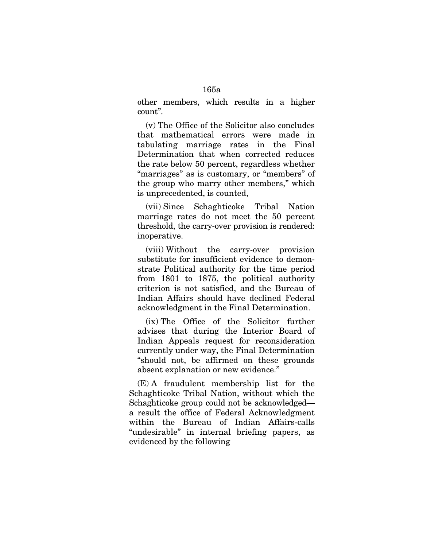other members, which results in a higher count".

(v) The Office of the Solicitor also concludes that mathematical errors were made in tabulating marriage rates in the Final Determination that when corrected reduces the rate below 50 percent, regardless whether "marriages" as is customary, or "members" of the group who marry other members," which is unprecedented, is counted,

(vii) Since Schaghticoke Tribal Nation marriage rates do not meet the 50 percent threshold, the carry-over provision is rendered: inoperative.

(viii) Without the carry-over provision substitute for insufficient evidence to demonstrate Political authority for the time period from 1801 to 1875, the political authority criterion is not satisfied, and the Bureau of Indian Affairs should have declined Federal acknowledgment in the Final Determination.

(ix) The Office of the Solicitor further advises that during the Interior Board of Indian Appeals request for reconsideration currently under way, the Final Determination "should not, be affirmed on these grounds absent explanation or new evidence."

(E) A fraudulent membership list for the Schaghticoke Tribal Nation, without which the Schaghticoke group could not be acknowledged a result the office of Federal Acknowledgment within the Bureau of Indian Affairs-calls "undesirable" in internal briefing papers, as evidenced by the following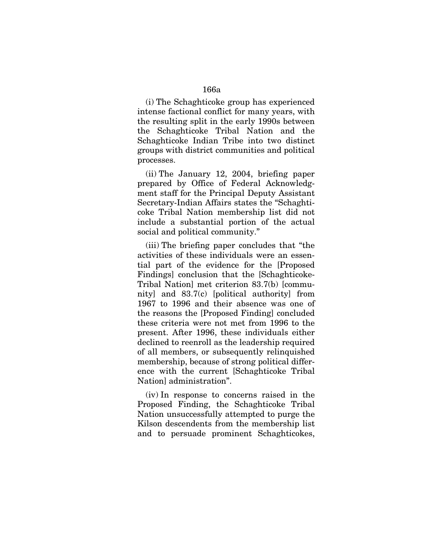### 166a

(i) The Schaghticoke group has experienced intense factional conflict for many years, with the resulting split in the early 1990s between the Schaghticoke Tribal Nation and the Schaghticoke Indian Tribe into two distinct groups with district communities and political processes.

(ii) The January 12, 2004, briefing paper prepared by Office of Federal Acknowledgment staff for the Principal Deputy Assistant Secretary-Indian Affairs states the "Schaghticoke Tribal Nation membership list did not include a substantial portion of the actual social and political community."

(iii) The briefing paper concludes that "the activities of these individuals were an essential part of the evidence for the [Proposed Findings] conclusion that the [Schaghticoke-Tribal Nation] met criterion 83.7(b) [community] and 83.7(c) [political authority] from 1967 to 1996 and their absence was one of the reasons the [Proposed Finding] concluded these criteria were not met from 1996 to the present. After 1996, these individuals either declined to reenroll as the leadership required of all members, or subsequently relinquished membership, because of strong political difference with the current [Schaghticoke Tribal Nation] administration".

(iv) In response to concerns raised in the Proposed Finding, the Schaghticoke Tribal Nation unsuccessfully attempted to purge the Kilson descendents from the membership list and to persuade prominent Schaghticokes,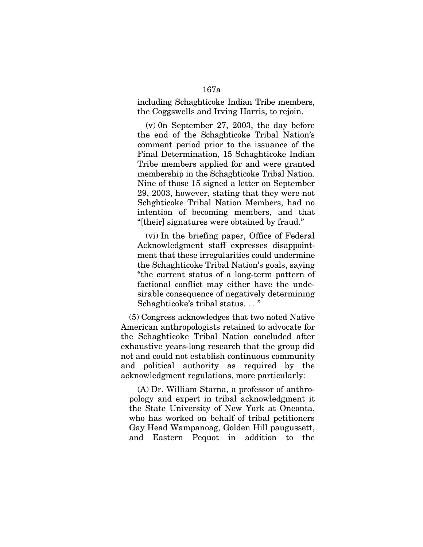## including Schaghticoke Indian Tribe members, the Coggswells and Irving Harris, to rejoin.

(v) 0n September 27, 2003, the day before the end of the Schaghticoke Tribal Nation's comment period prior to the issuance of the Final Determination, 15 Schaghticoke Indian Tribe members applied for and were granted membership in the Schaghticoke Tribal Nation. Nine of those 15 signed a letter on September 29, 2003, however, stating that they were not Schghticoke Tribal Nation Members, had no intention of becoming members, and that "[their] signatures were obtained by fraud."

(vi) In the briefing paper, Office of Federal Acknowledgment staff expresses disappointment that these irregularities could undermine the Schaghticoke Tribal Nation's goals, saying "the current status of a long-term pattern of factional conflict may either have the undesirable consequence of negatively determining Schaghticoke's tribal status. . . "

(5) Congress acknowledges that two noted Native American anthropologists retained to advocate for the Schaghticoke Tribal Nation concluded after exhaustive years-long research that the group did not and could not establish continuous community and political authority as required by the acknowledgment regulations, more particularly:

(A) Dr. William Starna, a professor of anthropology and expert in tribal acknowledgment it the State University of New York at Oneonta, who has worked on behalf of tribal petitioners Gay Head Wampanoag, Golden Hill paugussett, and Eastern Pequot in addition to the

### 167a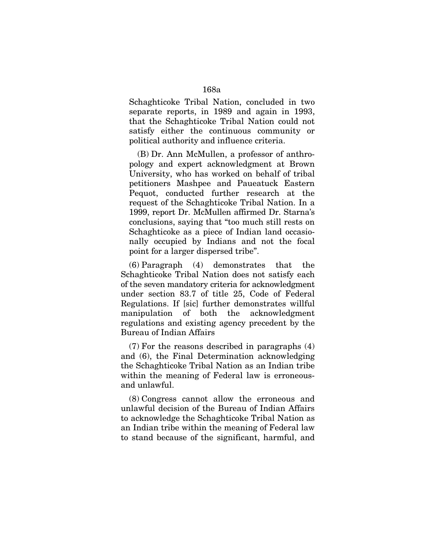Schaghticoke Tribal Nation, concluded in two separate reports, in 1989 and again in 1993, that the Schaghticoke Tribal Nation could not satisfy either the continuous community or political authority and influence criteria.

(B) Dr. Ann McMullen, a professor of anthropology and expert acknowledgment at Brown University, who has worked on behalf of tribal petitioners Mashpee and Paueatuck Eastern Pequot, conducted further research at the request of the Schaghticoke Tribal Nation. In a 1999, report Dr. McMullen affirmed Dr. Starna's conclusions, saying that "too much still rests on Schaghticoke as a piece of Indian land occasionally occupied by Indians and not the focal point for a larger dispersed tribe".

(6) Paragraph (4) demonstrates that the Schaghticoke Tribal Nation does not satisfy each of the seven mandatory criteria for acknowledgment under section 83.7 of title 25, Code of Federal Regulations. If [sic] further demonstrates willful manipulation of both the acknowledgment regulations and existing agency precedent by the Bureau of Indian Affairs

(7) For the reasons described in paragraphs (4) and (6), the Final Determination acknowledging the Schaghticoke Tribal Nation as an Indian tribe within the meaning of Federal law is erroneousand unlawful.

(8) Congress cannot allow the erroneous and unlawful decision of the Bureau of Indian Affairs to acknowledge the Schaghticoke Tribal Nation as an Indian tribe within the meaning of Federal law to stand because of the significant, harmful, and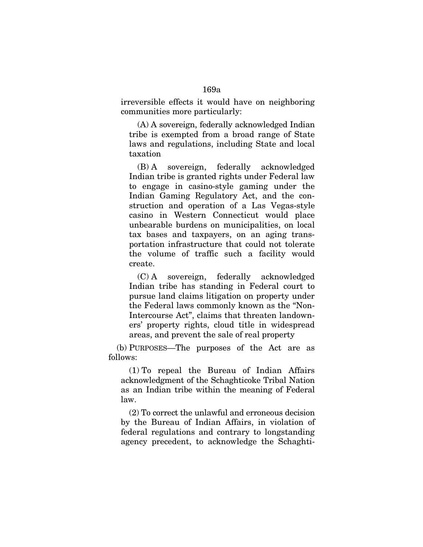irreversible effects it would have on neighboring communities more particularly:

(A) A sovereign, federally acknowledged Indian tribe is exempted from a broad range of State laws and regulations, including State and local taxation

(B) A sovereign, federally acknowledged Indian tribe is granted rights under Federal law to engage in casino-style gaming under the Indian Gaming Regulatory Act, and the construction and operation of a Las Vegas-style casino in Western Connecticut would place unbearable burdens on municipalities, on local tax bases and taxpayers, on an aging transportation infrastructure that could not tolerate the volume of traffic such a facility would create.

(C) A sovereign, federally acknowledged Indian tribe has standing in Federal court to pursue land claims litigation on property under the Federal laws commonly known as the "Non-Intercourse Act", claims that threaten landowners' property rights, cloud title in widespread areas, and prevent the sale of real property

(b) PURPOSES—The purposes of the Act are as follows:

(1) To repeal the Bureau of Indian Affairs acknowledgment of the Schaghticoke Tribal Nation as an Indian tribe within the meaning of Federal law.

(2) To correct the unlawful and erroneous decision by the Bureau of Indian Affairs, in violation of federal regulations and contrary to longstanding agency precedent, to acknowledge the Schaghti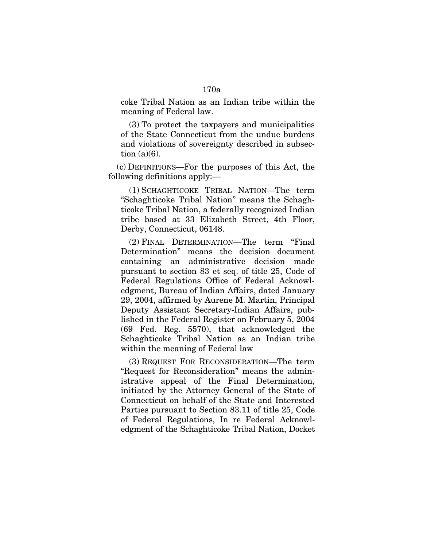coke Tribal Nation as an Indian tribe within the meaning of Federal law.

(3) To protect the taxpayers and municipalities of the State Connecticut from the undue burdens and violations of sovereignty described in subsection  $(a)(6)$ .

(c) DEFINITIONS—For the purposes of this Act, the following definitions apply:—

(1) SCHAGHTICOKE TRIBAL NATION—The term "Schaghticoke Tribal Nation" means the Schaghticoke Tribal Nation, a federally recognized Indian tribe based at 33 Elizabeth Street, 4th Floor, Derby, Connecticut, 06148.

(2) FINAL DETERMINATION—The term "Final Determination" means the decision document containing an administrative decision made pursuant to section 83 et seq. of title 25, Code of Federal Regulations Office of Federal Acknowledgment, Bureau of Indian Affairs, dated January 29, 2004, affirmed by Aurene M. Martin, Principal Deputy Assistant Secretary-Indian Affairs, published in the Federal Register on February 5, 2004 (69 Fed. Reg. 5570), that acknowledged the Schaghticoke Tribal Nation as an Indian tribe within the meaning of Federal law

(3) REQUEST FOR RECONSIDERATION—The term "Request for Reconsideration" means the administrative appeal of the Final Determination, initiated by the Attorney General of the State of Connecticut on behalf of the State and Interested Parties pursuant to Section 83.11 of title 25, Code of Federal Regulations, In re Federal Acknowledgment of the Schaghticoke Tribal Nation, Docket